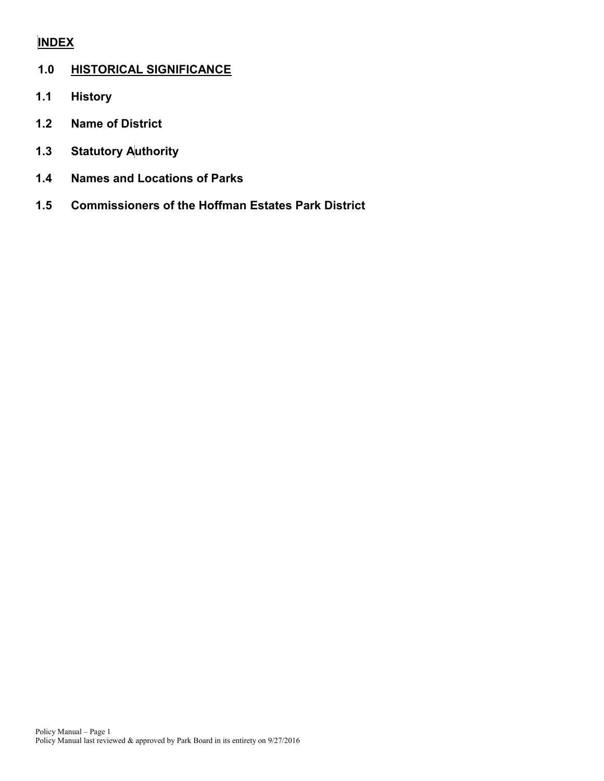## **INDEX**

## **1.0 HISTORICAL SIGNIFICANCE**

- **1.1 History**
- **1.2 Name of District**
- **1.3 Statutory Authority**
- **1.4 Names and Locations of Parks**
- **1.5 Commissioners of the Hoffman Estates Park District**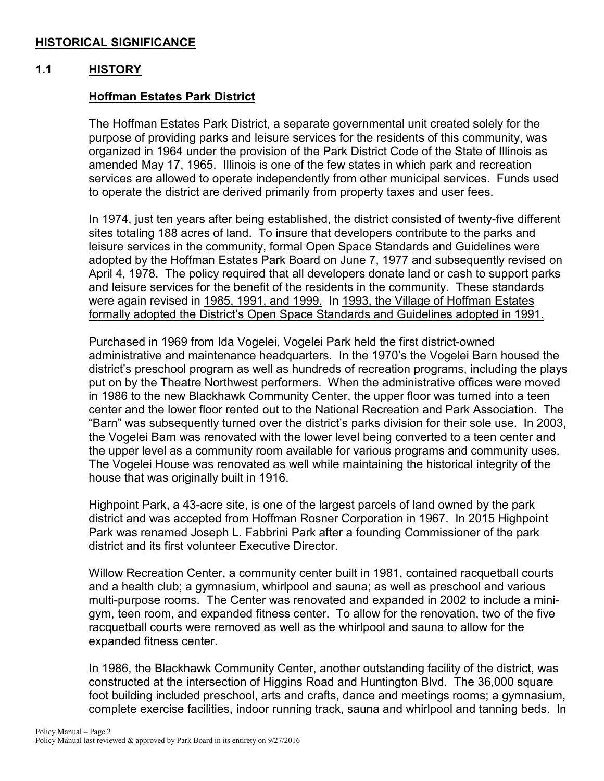## **HISTORICAL SIGNIFICANCE**

#### **1.1 HISTORY**

### **Hoffman Estates Park District**

The Hoffman Estates Park District, a separate governmental unit created solely for the purpose of providing parks and leisure services for the residents of this community, was organized in 1964 under the provision of the Park District Code of the State of Illinois as amended May 17, 1965. Illinois is one of the few states in which park and recreation services are allowed to operate independently from other municipal services. Funds used to operate the district are derived primarily from property taxes and user fees.

In 1974, just ten years after being established, the district consisted of twenty-five different sites totaling 188 acres of land. To insure that developers contribute to the parks and leisure services in the community, formal Open Space Standards and Guidelines were adopted by the Hoffman Estates Park Board on June 7, 1977 and subsequently revised on April 4, 1978. The policy required that all developers donate land or cash to support parks and leisure services for the benefit of the residents in the community. These standards were again revised in 1985, 1991, and 1999. In 1993, the Village of Hoffman Estates formally adopted the District's Open Space Standards and Guidelines adopted in 1991.

Purchased in 1969 from Ida Vogelei, Vogelei Park held the first district-owned administrative and maintenance headquarters. In the 1970's the Vogelei Barn housed the district's preschool program as well as hundreds of recreation programs, including the plays put on by the Theatre Northwest performers. When the administrative offices were moved in 1986 to the new Blackhawk Community Center, the upper floor was turned into a teen center and the lower floor rented out to the National Recreation and Park Association. The "Barn" was subsequently turned over the district's parks division for their sole use. In 2003, the Vogelei Barn was renovated with the lower level being converted to a teen center and the upper level as a community room available for various programs and community uses. The Vogelei House was renovated as well while maintaining the historical integrity of the house that was originally built in 1916.

Highpoint Park, a 43-acre site, is one of the largest parcels of land owned by the park district and was accepted from Hoffman Rosner Corporation in 1967. In 2015 Highpoint Park was renamed Joseph L. Fabbrini Park after a founding Commissioner of the park district and its first volunteer Executive Director.

Willow Recreation Center, a community center built in 1981, contained racquetball courts and a health club; a gymnasium, whirlpool and sauna; as well as preschool and various multi-purpose rooms. The Center was renovated and expanded in 2002 to include a minigym, teen room, and expanded fitness center. To allow for the renovation, two of the five racquetball courts were removed as well as the whirlpool and sauna to allow for the expanded fitness center.

In 1986, the Blackhawk Community Center, another outstanding facility of the district, was constructed at the intersection of Higgins Road and Huntington Blvd. The 36,000 square foot building included preschool, arts and crafts, dance and meetings rooms; a gymnasium, complete exercise facilities, indoor running track, sauna and whirlpool and tanning beds. In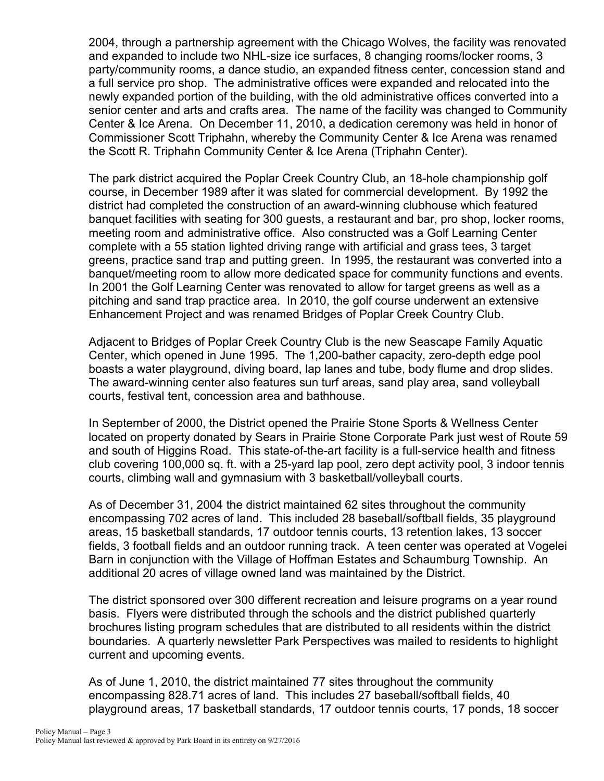2004, through a partnership agreement with the Chicago Wolves, the facility was renovated and expanded to include two NHL-size ice surfaces, 8 changing rooms/locker rooms, 3 party/community rooms, a dance studio, an expanded fitness center, concession stand and a full service pro shop. The administrative offices were expanded and relocated into the newly expanded portion of the building, with the old administrative offices converted into a senior center and arts and crafts area. The name of the facility was changed to Community Center & Ice Arena. On December 11, 2010, a dedication ceremony was held in honor of Commissioner Scott Triphahn, whereby the Community Center & Ice Arena was renamed the Scott R. Triphahn Community Center & Ice Arena (Triphahn Center).

The park district acquired the Poplar Creek Country Club, an 18-hole championship golf course, in December 1989 after it was slated for commercial development. By 1992 the district had completed the construction of an award-winning clubhouse which featured banquet facilities with seating for 300 guests, a restaurant and bar, pro shop, locker rooms, meeting room and administrative office. Also constructed was a Golf Learning Center complete with a 55 station lighted driving range with artificial and grass tees, 3 target greens, practice sand trap and putting green. In 1995, the restaurant was converted into a banquet/meeting room to allow more dedicated space for community functions and events. In 2001 the Golf Learning Center was renovated to allow for target greens as well as a pitching and sand trap practice area. In 2010, the golf course underwent an extensive Enhancement Project and was renamed Bridges of Poplar Creek Country Club.

Adjacent to Bridges of Poplar Creek Country Club is the new Seascape Family Aquatic Center, which opened in June 1995. The 1,200-bather capacity, zero-depth edge pool boasts a water playground, diving board, lap lanes and tube, body flume and drop slides. The award-winning center also features sun turf areas, sand play area, sand volleyball courts, festival tent, concession area and bathhouse.

In September of 2000, the District opened the Prairie Stone Sports & Wellness Center located on property donated by Sears in Prairie Stone Corporate Park just west of Route 59 and south of Higgins Road. This state-of-the-art facility is a full-service health and fitness club covering 100,000 sq. ft. with a 25-yard lap pool, zero dept activity pool, 3 indoor tennis courts, climbing wall and gymnasium with 3 basketball/volleyball courts.

As of December 31, 2004 the district maintained 62 sites throughout the community encompassing 702 acres of land. This included 28 baseball/softball fields, 35 playground areas, 15 basketball standards, 17 outdoor tennis courts, 13 retention lakes, 13 soccer fields, 3 football fields and an outdoor running track. A teen center was operated at Vogelei Barn in conjunction with the Village of Hoffman Estates and Schaumburg Township. An additional 20 acres of village owned land was maintained by the District.

The district sponsored over 300 different recreation and leisure programs on a year round basis. Flyers were distributed through the schools and the district published quarterly brochures listing program schedules that are distributed to all residents within the district boundaries. A quarterly newsletter Park Perspectives was mailed to residents to highlight current and upcoming events.

As of June 1, 2010, the district maintained 77 sites throughout the community encompassing 828.71 acres of land. This includes 27 baseball/softball fields, 40 playground areas, 17 basketball standards, 17 outdoor tennis courts, 17 ponds, 18 soccer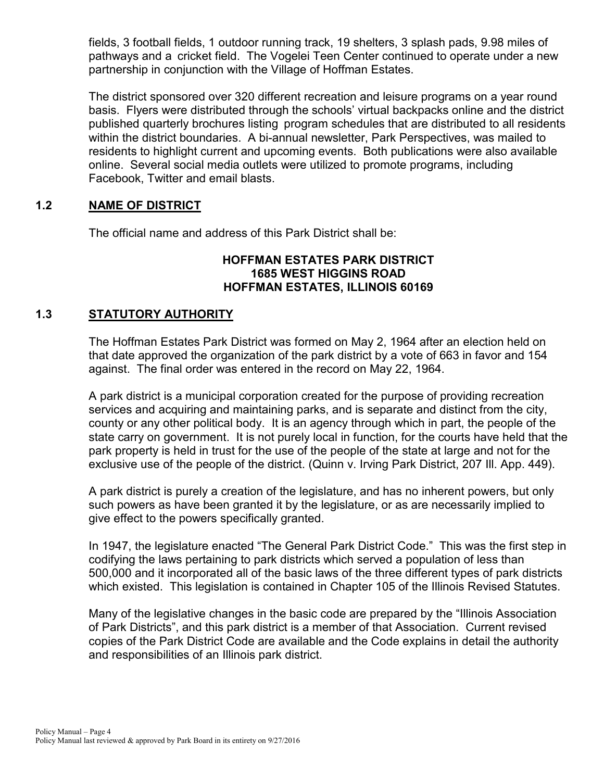fields, 3 football fields, 1 outdoor running track, 19 shelters, 3 splash pads, 9.98 miles of pathways and a cricket field. The Vogelei Teen Center continued to operate under a new partnership in conjunction with the Village of Hoffman Estates.

The district sponsored over 320 different recreation and leisure programs on a year round basis. Flyers were distributed through the schools' virtual backpacks online and the district published quarterly brochures listing program schedules that are distributed to all residents within the district boundaries. A bi-annual newsletter, Park Perspectives, was mailed to residents to highlight current and upcoming events. Both publications were also available online. Several social media outlets were utilized to promote programs, including Facebook, Twitter and email blasts.

## **1.2 NAME OF DISTRICT**

The official name and address of this Park District shall be:

### **HOFFMAN ESTATES PARK DISTRICT 1685 WEST HIGGINS ROAD HOFFMAN ESTATES, ILLINOIS 60169**

## **1.3 STATUTORY AUTHORITY**

The Hoffman Estates Park District was formed on May 2, 1964 after an election held on that date approved the organization of the park district by a vote of 663 in favor and 154 against. The final order was entered in the record on May 22, 1964.

A park district is a municipal corporation created for the purpose of providing recreation services and acquiring and maintaining parks, and is separate and distinct from the city, county or any other political body. It is an agency through which in part, the people of the state carry on government. It is not purely local in function, for the courts have held that the park property is held in trust for the use of the people of the state at large and not for the exclusive use of the people of the district. (Quinn v. Irving Park District, 207 Ill. App. 449).

A park district is purely a creation of the legislature, and has no inherent powers, but only such powers as have been granted it by the legislature, or as are necessarily implied to give effect to the powers specifically granted.

In 1947, the legislature enacted "The General Park District Code." This was the first step in codifying the laws pertaining to park districts which served a population of less than 500,000 and it incorporated all of the basic laws of the three different types of park districts which existed. This legislation is contained in Chapter 105 of the Illinois Revised Statutes.

Many of the legislative changes in the basic code are prepared by the "Illinois Association of Park Districts", and this park district is a member of that Association. Current revised copies of the Park District Code are available and the Code explains in detail the authority and responsibilities of an Illinois park district.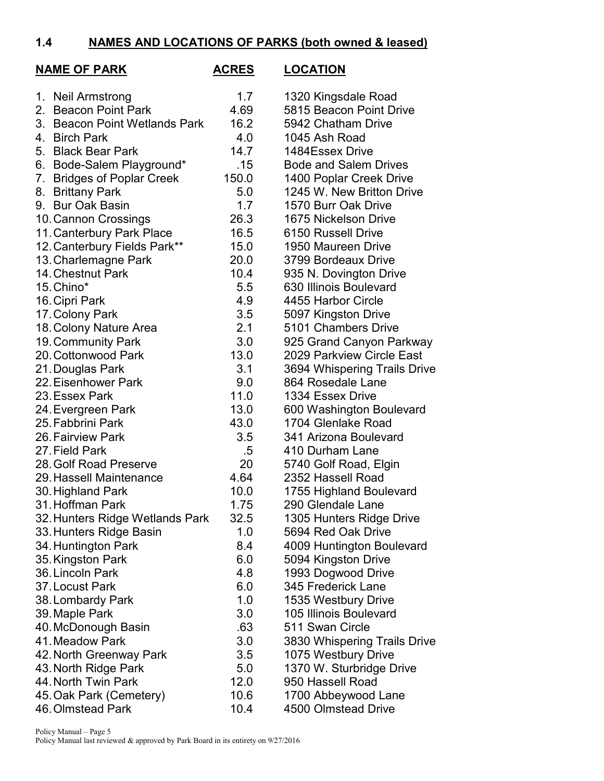## **1.4 NAMES AND LOCATIONS OF PARKS (both owned & leased)**

| <b>NAME OF PARK</b>                     | <b>ACRES</b> | <b>LOCATION</b>                                   |
|-----------------------------------------|--------------|---------------------------------------------------|
| 1. Neil Armstrong                       | 1.7          | 1320 Kingsdale Road                               |
| 2. Beacon Point Park                    | 4.69         | 5815 Beacon Point Drive                           |
| 3. Beacon Point Wetlands Park           | 16.2         | 5942 Chatham Drive                                |
| 4. Birch Park                           | 4.0          | 1045 Ash Road                                     |
| 5. Black Bear Park                      | 14.7         | 1484Essex Drive                                   |
| 6. Bode-Salem Playground*               | .15          | <b>Bode and Salem Drives</b>                      |
| <b>Bridges of Poplar Creek</b><br>7.    | 150.0        | 1400 Poplar Creek Drive                           |
| <b>Brittany Park</b><br>8.              | 5.0          | 1245 W. New Britton Drive                         |
| 9. Bur Oak Basin                        | 1.7          | 1570 Burr Oak Drive                               |
| 10. Cannon Crossings                    | 26.3         | 1675 Nickelson Drive                              |
| 11. Canterbury Park Place               | 16.5         | 6150 Russell Drive                                |
| 12. Canterbury Fields Park**            | 15.0         | 1950 Maureen Drive                                |
| 13. Charlemagne Park                    | 20.0         | 3799 Bordeaux Drive                               |
| 14. Chestnut Park                       | 10.4         | 935 N. Dovington Drive                            |
| 15. Chino*                              | 5.5          | 630 Illinois Boulevard                            |
| 16. Cipri Park                          | 4.9          | 4455 Harbor Circle                                |
| 17. Colony Park                         | 3.5          | 5097 Kingston Drive                               |
| 18. Colony Nature Area                  | 2.1          | 5101 Chambers Drive                               |
| 19. Community Park                      | 3.0          | 925 Grand Canyon Parkway                          |
| 20. Cottonwood Park                     | 13.0         | 2029 Parkview Circle East                         |
| 21. Douglas Park                        | 3.1          | 3694 Whispering Trails Drive<br>864 Rosedale Lane |
| 22. Eisenhower Park                     | 9.0<br>11.0  |                                                   |
| 23. Essex Park                          |              | 1334 Essex Drive                                  |
| 24. Evergreen Park<br>25. Fabbrini Park | 13.0         | 600 Washington Boulevard<br>1704 Glenlake Road    |
| 26. Fairview Park                       | 43.0<br>3.5  | 341 Arizona Boulevard                             |
| 27. Field Park                          | .5           | 410 Durham Lane                                   |
| 28. Golf Road Preserve                  | 20           | 5740 Golf Road, Elgin                             |
| 29. Hassell Maintenance                 | 4.64         | 2352 Hassell Road                                 |
| 30. Highland Park                       | 10.0         | 1755 Highland Boulevard                           |
| 31. Hoffman Park                        | 1.75         | 290 Glendale Lane                                 |
| 32. Hunters Ridge Wetlands Park         | 32.5         | 1305 Hunters Ridge Drive                          |
| 33. Hunters Ridge Basin                 | 1.0          | 5694 Red Oak Drive                                |
| 34. Huntington Park                     | 8.4          | 4009 Huntington Boulevard                         |
| 35. Kingston Park                       | 6.0          | 5094 Kingston Drive                               |
| 36. Lincoln Park                        | 4.8          | 1993 Dogwood Drive                                |
| 37. Locust Park                         | 6.0          | 345 Frederick Lane                                |
| 38. Lombardy Park                       | 1.0          | 1535 Westbury Drive                               |
| 39. Maple Park                          | 3.0          | 105 Illinois Boulevard                            |
| 40. McDonough Basin                     | .63          | 511 Swan Circle                                   |
| 41. Meadow Park                         | 3.0          | 3830 Whispering Trails Drive                      |
| 42. North Greenway Park                 | 3.5          | 1075 Westbury Drive                               |
| 43. North Ridge Park                    | 5.0          | 1370 W. Sturbridge Drive                          |
| 44. North Twin Park                     | 12.0         | 950 Hassell Road                                  |
| 45. Oak Park (Cemetery)                 | 10.6         | 1700 Abbeywood Lane                               |
| 46. Olmstead Park                       | 10.4         | 4500 Olmstead Drive                               |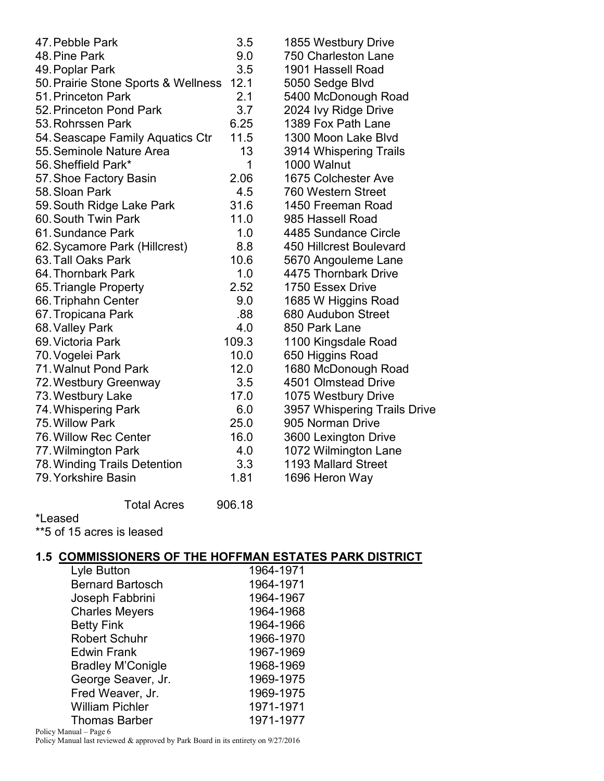| 47. Pebble Park                     | 3.5   | 1855 Westbury Drive          |
|-------------------------------------|-------|------------------------------|
| 48. Pine Park                       | 9.0   | 750 Charleston Lane          |
| 49. Poplar Park                     | 3.5   | 1901 Hassell Road            |
| 50. Prairie Stone Sports & Wellness | 12.1  | 5050 Sedge Blvd              |
| 51. Princeton Park                  | 2.1   | 5400 McDonough Road          |
| 52. Princeton Pond Park             | 3.7   | 2024 Ivy Ridge Drive         |
| 53. Rohrssen Park                   | 6.25  | 1389 Fox Path Lane           |
| 54. Seascape Family Aquatics Ctr    | 11.5  | 1300 Moon Lake Blvd          |
| 55. Seminole Nature Area            | 13    | 3914 Whispering Trails       |
| 56. Sheffield Park*                 | 1     | 1000 Walnut                  |
| 57. Shoe Factory Basin              | 2.06  | 1675 Colchester Ave          |
| 58. Sloan Park                      | 4.5   | 760 Western Street           |
| 59. South Ridge Lake Park           | 31.6  | 1450 Freeman Road            |
| 60. South Twin Park                 | 11.0  | 985 Hassell Road             |
| 61. Sundance Park                   | 1.0   | 4485 Sundance Circle         |
| 62. Sycamore Park (Hillcrest)       | 8.8   | 450 Hillcrest Boulevard      |
| 63. Tall Oaks Park                  | 10.6  | 5670 Angouleme Lane          |
| 64. Thornbark Park                  | 1.0   | 4475 Thornbark Drive         |
| 65. Triangle Property               | 2.52  | 1750 Essex Drive             |
| 66. Triphahn Center                 | 9.0   | 1685 W Higgins Road          |
| 67. Tropicana Park                  | .88   | 680 Audubon Street           |
| 68. Valley Park                     | 4.0   | 850 Park Lane                |
| 69. Victoria Park                   | 109.3 | 1100 Kingsdale Road          |
| 70. Vogelei Park                    | 10.0  | 650 Higgins Road             |
| 71. Walnut Pond Park                | 12.0  | 1680 McDonough Road          |
| 72. Westbury Greenway               | 3.5   | 4501 Olmstead Drive          |
| 73. Westbury Lake                   | 17.0  | 1075 Westbury Drive          |
| 74. Whispering Park                 | 6.0   | 3957 Whispering Trails Drive |
| 75. Willow Park                     | 25.0  | 905 Norman Drive             |
| 76. Willow Rec Center               | 16.0  | 3600 Lexington Drive         |
| 77. Wilmington Park                 | 4.0   | 1072 Wilmington Lane         |
| 78. Winding Trails Detention        | 3.3   | 1193 Mallard Street          |
| 79. Yorkshire Basin                 | 1.81  | 1696 Heron Way               |
|                                     |       |                              |

Total Acres 906.18 \*Leased \*\*5 of 15 acres is leased

## **1.5 COMMISSIONERS OF THE HOFFMAN ESTATES PARK DISTRICT**

| Lyle Button              | 1964-1971 |
|--------------------------|-----------|
| <b>Bernard Bartosch</b>  | 1964-1971 |
| Joseph Fabbrini          | 1964-1967 |
| <b>Charles Meyers</b>    | 1964-1968 |
| <b>Betty Fink</b>        | 1964-1966 |
| <b>Robert Schuhr</b>     | 1966-1970 |
| <b>Edwin Frank</b>       | 1967-1969 |
| <b>Bradley M'Conigle</b> | 1968-1969 |
| George Seaver, Jr.       | 1969-1975 |
| Fred Weaver, Jr.         | 1969-1975 |
| <b>William Pichler</b>   | 1971-1971 |
| <b>Thomas Barber</b>     | 1971-1977 |

Policy Manual – Page 6 Policy Manual last reviewed & approved by Park Board in its entirety on 9/27/2016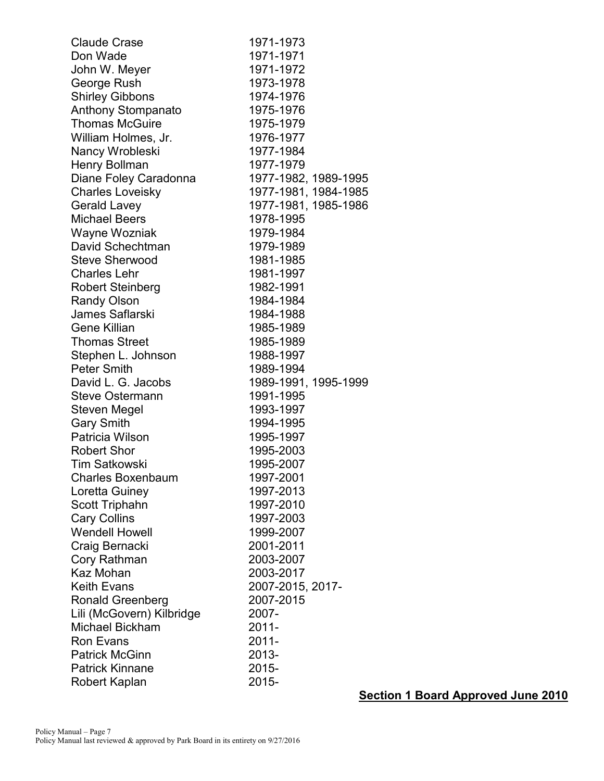| <b>Claude Crase</b>       | 1971-1973            |
|---------------------------|----------------------|
| Don Wade                  | 1971-1971            |
| John W. Meyer             | 1971-1972            |
| George Rush               | 1973-1978            |
| <b>Shirley Gibbons</b>    | 1974-1976            |
| Anthony Stompanato        | 1975-1976            |
| <b>Thomas McGuire</b>     | 1975-1979            |
| William Holmes, Jr.       | 1976-1977            |
| Nancy Wrobleski           | 1977-1984            |
| Henry Bollman             | 1977-1979            |
| Diane Foley Caradonna     | 1977-1982, 1989-1995 |
| <b>Charles Loveisky</b>   | 1977-1981, 1984-1985 |
| <b>Gerald Lavey</b>       | 1977-1981, 1985-1986 |
| <b>Michael Beers</b>      | 1978-1995            |
| Wayne Wozniak             | 1979-1984            |
| David Schechtman          | 1979-1989            |
| <b>Steve Sherwood</b>     | 1981-1985            |
| <b>Charles Lehr</b>       | 1981-1997            |
| <b>Robert Steinberg</b>   | 1982-1991            |
| <b>Randy Olson</b>        | 1984-1984            |
| James Saflarski           | 1984-1988            |
| Gene Killian              | 1985-1989            |
| <b>Thomas Street</b>      | 1985-1989            |
| Stephen L. Johnson        | 1988-1997            |
| <b>Peter Smith</b>        | 1989-1994            |
| David L. G. Jacobs        | 1989-1991, 1995-1999 |
| Steve Ostermann           | 1991-1995            |
| Steven Megel              | 1993-1997            |
| <b>Gary Smith</b>         | 1994-1995            |
| Patricia Wilson           | 1995-1997            |
| <b>Robert Shor</b>        | 1995-2003            |
| <b>Tim Satkowski</b>      | 1995-2007            |
| <b>Charles Boxenbaum</b>  | 1997-2001            |
| Loretta Guiney            | 1997-2013            |
| Scott Triphahn            | 1997-2010            |
| <b>Cary Collins</b>       | 1997-2003            |
| <b>Wendell Howell</b>     | 1999-2007            |
| Craig Bernacki            | 2001-2011            |
| Cory Rathman              | 2003-2007            |
| Kaz Mohan                 | 2003-2017            |
| <b>Keith Evans</b>        | 2007-2015, 2017-     |
| Ronald Greenberg          | 2007-2015            |
| Lili (McGovern) Kilbridge | 2007-                |
| Michael Bickham           | 2011-                |
| <b>Ron Evans</b>          | 2011-                |
| <b>Patrick McGinn</b>     | 2013-                |
| <b>Patrick Kinnane</b>    | 2015-                |
| Robert Kaplan             | 2015-                |

**Section 1 Board Approved June 2010**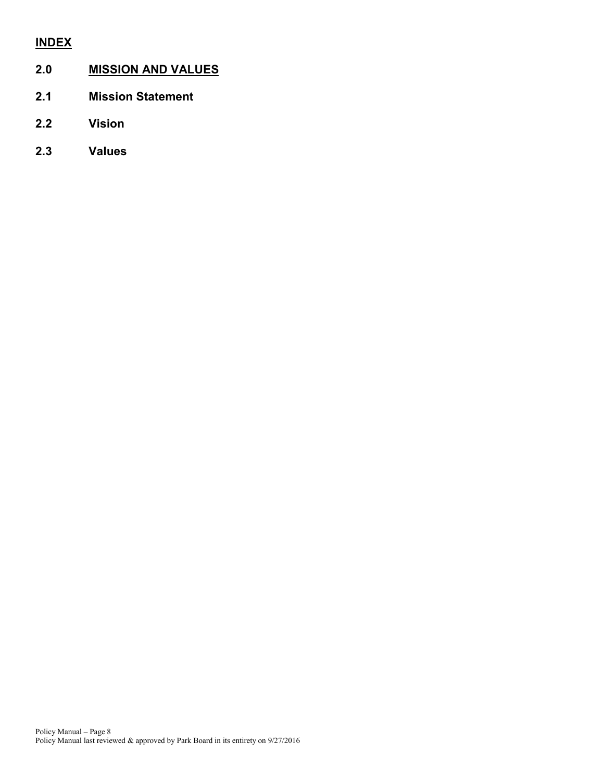# **INDEX**

## **2.0 MISSION AND VALUES**

- **2.1 Mission Statement**
- **2.2 Vision**
- **2.3 Values**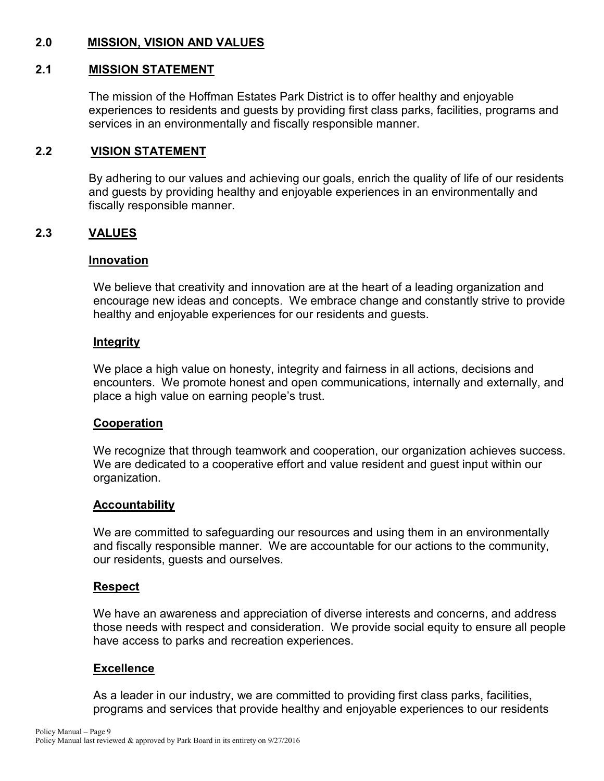## **2.0 MISSION, VISION AND VALUES**

#### **2.1 MISSION STATEMENT**

The mission of the Hoffman Estates Park District is to offer healthy and enjoyable experiences to residents and guests by providing first class parks, facilities, programs and services in an environmentally and fiscally responsible manner.

#### **2.2 VISION STATEMENT**

By adhering to our values and achieving our goals, enrich the quality of life of our residents and guests by providing healthy and enjoyable experiences in an environmentally and fiscally responsible manner.

#### **2.3 VALUES**

#### **Innovation**

We believe that creativity and innovation are at the heart of a leading organization and encourage new ideas and concepts. We embrace change and constantly strive to provide healthy and enjoyable experiences for our residents and guests.

#### **Integrity**

We place a high value on honesty, integrity and fairness in all actions, decisions and encounters. We promote honest and open communications, internally and externally, and place a high value on earning people's trust.

#### **Cooperation**

We recognize that through teamwork and cooperation, our organization achieves success. We are dedicated to a cooperative effort and value resident and guest input within our organization.

#### **Accountability**

We are committed to safeguarding our resources and using them in an environmentally and fiscally responsible manner. We are accountable for our actions to the community, our residents, guests and ourselves.

#### **Respect**

We have an awareness and appreciation of diverse interests and concerns, and address those needs with respect and consideration. We provide social equity to ensure all people have access to parks and recreation experiences.

#### **Excellence**

As a leader in our industry, we are committed to providing first class parks, facilities, programs and services that provide healthy and enjoyable experiences to our residents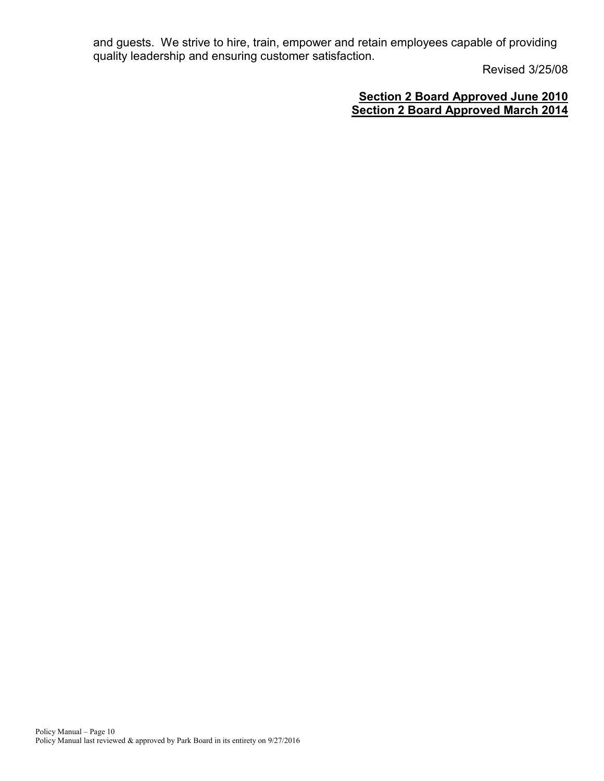and guests. We strive to hire, train, empower and retain employees capable of providing quality leadership and ensuring customer satisfaction.

Revised 3/25/08

## **Section 2 Board Approved June 2010 Section 2 Board Approved March 2014**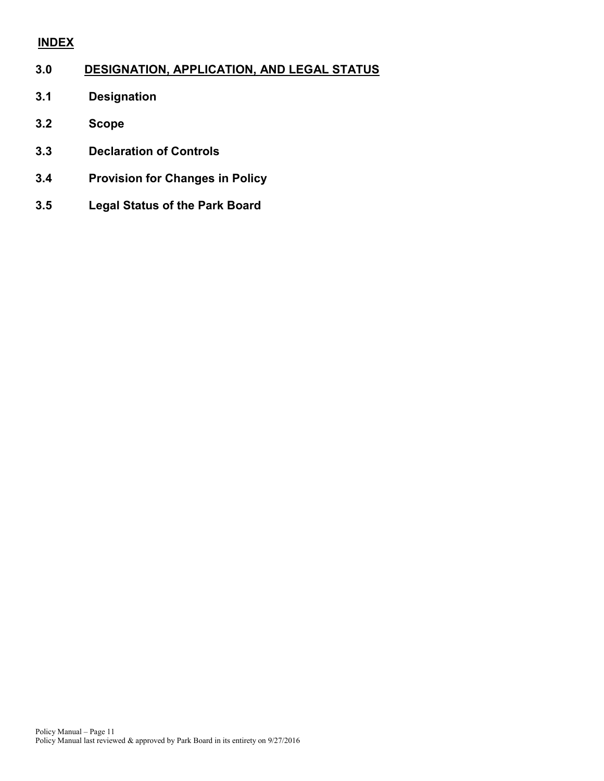## **INDEX**

## **3.0 DESIGNATION, APPLICATION, AND LEGAL STATUS**

- **3.1 Designation**
- **3.2 Scope**
- **3.3 Declaration of Controls**
- **3.4 Provision for Changes in Policy**
- **3.5 Legal Status of the Park Board**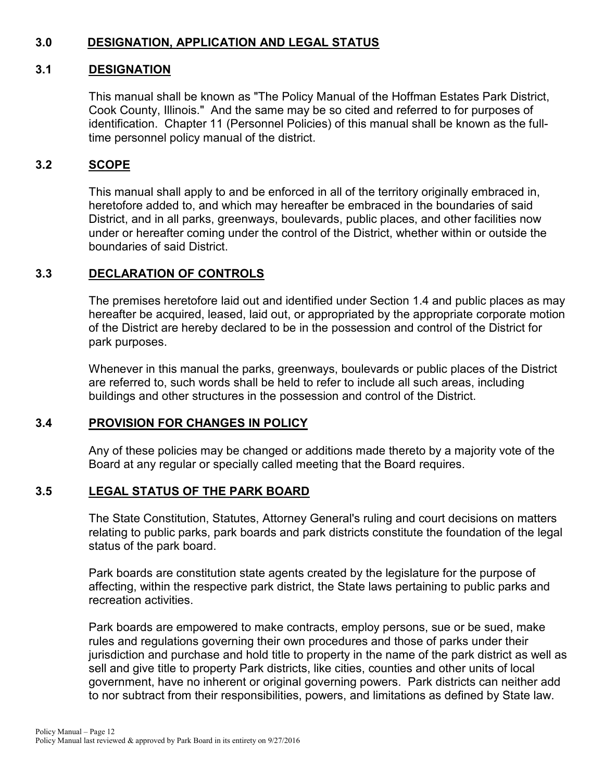## **3.0 DESIGNATION, APPLICATION AND LEGAL STATUS**

## **3.1 DESIGNATION**

This manual shall be known as "The Policy Manual of the Hoffman Estates Park District, Cook County, Illinois." And the same may be so cited and referred to for purposes of identification. Chapter 11 (Personnel Policies) of this manual shall be known as the fulltime personnel policy manual of the district.

## **3.2 SCOPE**

This manual shall apply to and be enforced in all of the territory originally embraced in, heretofore added to, and which may hereafter be embraced in the boundaries of said District, and in all parks, greenways, boulevards, public places, and other facilities now under or hereafter coming under the control of the District, whether within or outside the boundaries of said District.

## **3.3 DECLARATION OF CONTROLS**

The premises heretofore laid out and identified under Section 1.4 and public places as may hereafter be acquired, leased, laid out, or appropriated by the appropriate corporate motion of the District are hereby declared to be in the possession and control of the District for park purposes.

Whenever in this manual the parks, greenways, boulevards or public places of the District are referred to, such words shall be held to refer to include all such areas, including buildings and other structures in the possession and control of the District.

### **3.4 PROVISION FOR CHANGES IN POLICY**

Any of these policies may be changed or additions made thereto by a majority vote of the Board at any regular or specially called meeting that the Board requires.

### **3.5 LEGAL STATUS OF THE PARK BOARD**

The State Constitution, Statutes, Attorney General's ruling and court decisions on matters relating to public parks, park boards and park districts constitute the foundation of the legal status of the park board.

Park boards are constitution state agents created by the legislature for the purpose of affecting, within the respective park district, the State laws pertaining to public parks and recreation activities.

Park boards are empowered to make contracts, employ persons, sue or be sued, make rules and regulations governing their own procedures and those of parks under their jurisdiction and purchase and hold title to property in the name of the park district as well as sell and give title to property Park districts, like cities, counties and other units of local government, have no inherent or original governing powers. Park districts can neither add to nor subtract from their responsibilities, powers, and limitations as defined by State law.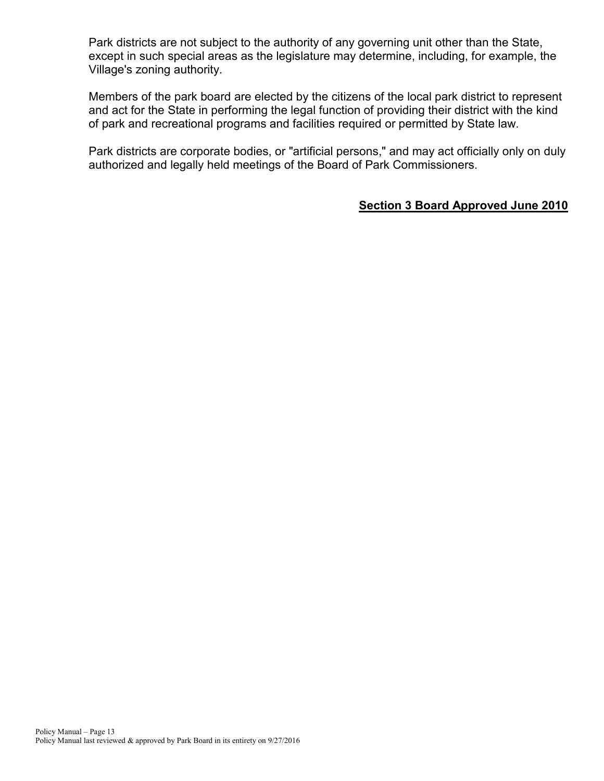Park districts are not subject to the authority of any governing unit other than the State, except in such special areas as the legislature may determine, including, for example, the Village's zoning authority.

Members of the park board are elected by the citizens of the local park district to represent and act for the State in performing the legal function of providing their district with the kind of park and recreational programs and facilities required or permitted by State law.

Park districts are corporate bodies, or "artificial persons," and may act officially only on duly authorized and legally held meetings of the Board of Park Commissioners.

## **Section 3 Board Approved June 2010**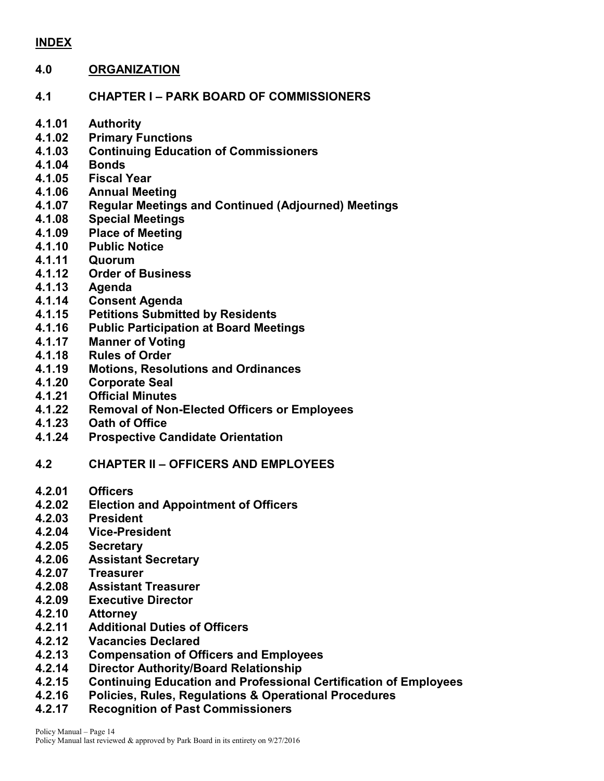### **INDEX**

#### **4.0 ORGANIZATION**

- **4.1 CHAPTER I – PARK BOARD OF COMMISSIONERS**
- **4.1.01 Authority**
- **4.1.02 Primary Functions**
- **4.1.03 Continuing Education of Commissioners**
- **4.1.04 Bonds**
- **4.1.05 Fiscal Year**
- **4.1.06 Annual Meeting**
- **4.1.07 Regular Meetings and Continued (Adjourned) Meetings**
- **4.1.08 Special Meetings**
- **4.1.09 Place of Meeting**
- **4.1.10 Public Notice**
- **4.1.11 Quorum**
- **4.1.12 Order of Business**
- **4.1.13 Agenda**
- **4.1.14 Consent Agenda**
- **4.1.15 Petitions Submitted by Residents**
- **4.1.16 Public Participation at Board Meetings**
- **4.1.17 Manner of Voting**
- **4.1.18 Rules of Order**
- **4.1.19 Motions, Resolutions and Ordinances**
- **4.1.20 Corporate Seal**
- **4.1.21 Official Minutes**
- **4.1.22 Removal of Non-Elected Officers or Employees**
- **4.1.23 Oath of Office**
- **4.1.24 Prospective Candidate Orientation**
- **4.2 CHAPTER II – OFFICERS AND EMPLOYEES**
- **4.2.01 Officers**
- **4.2.02 Election and Appointment of Officers**
- **4.2.03 President**
- **4.2.04 Vice-President**
- **4.2.05 Secretary**
- **4.2.06 Assistant Secretary**
- **4.2.07 Treasurer**
- **4.2.08 Assistant Treasurer**
- **4.2.09 Executive Director**
- **4.2.10 Attorney**
- **4.2.11 Additional Duties of Officers**
- **4.2.12 Vacancies Declared**
- **4.2.13 Compensation of Officers and Employees**
- **4.2.14 Director Authority/Board Relationship**
- **4.2.15 Continuing Education and Professional Certification of Employees**
- **4.2.16 Policies, Rules, Regulations & Operational Procedures**
- **4.2.17 Recognition of Past Commissioners**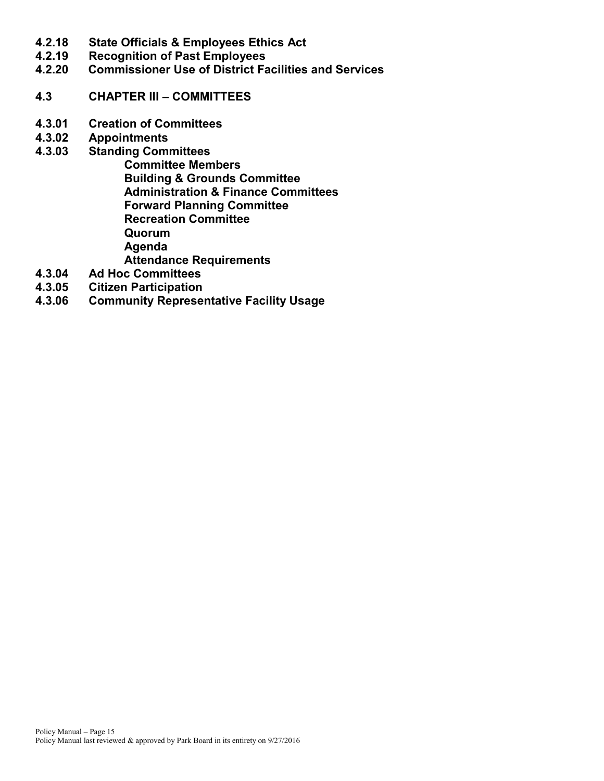- **4.2.18 State Officials & Employees Ethics Act**
- **4.2.19 Recognition of Past Employees**
- **4.2.20 Commissioner Use of District Facilities and Services**
- **4.3 CHAPTER III – COMMITTEES**
- **4.3.01 Creation of Committees**
- **4.3.02 Appointments**
- **4.3.03 Standing Committees Committee Members Building & Grounds Committee Administration & Finance Committees Forward Planning Committee Recreation Committee Quorum Agenda Attendance Requirements**
- **4.3.04 Ad Hoc Committees**
- **4.3.05 Citizen Participation**
- **4.3.06 Community Representative Facility Usage**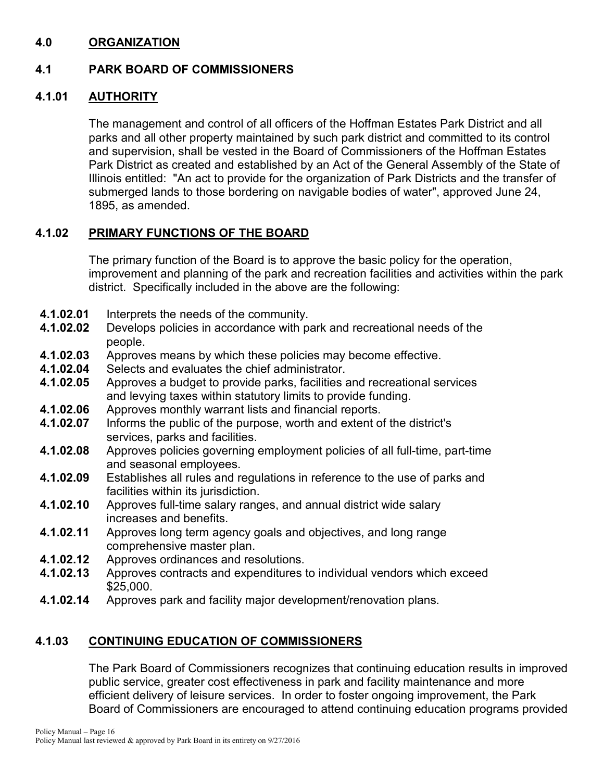## **4.0 ORGANIZATION**

## **4.1 PARK BOARD OF COMMISSIONERS**

### **4.1.01 AUTHORITY**

The management and control of all officers of the Hoffman Estates Park District and all parks and all other property maintained by such park district and committed to its control and supervision, shall be vested in the Board of Commissioners of the Hoffman Estates Park District as created and established by an Act of the General Assembly of the State of Illinois entitled: "An act to provide for the organization of Park Districts and the transfer of submerged lands to those bordering on navigable bodies of water", approved June 24, 1895, as amended.

### **4.1.02 PRIMARY FUNCTIONS OF THE BOARD**

The primary function of the Board is to approve the basic policy for the operation, improvement and planning of the park and recreation facilities and activities within the park district. Specifically included in the above are the following:

- **4.1.02.01** Interprets the needs of the community.<br>**4.1.02.02** Develops policies in accordance with p
- **4.1.02.02** Develops policies in accordance with park and recreational needs of the people.
- **4.1.02.03** Approves means by which these policies may become effective.<br>**4.1.02.04** Selects and evaluates the chief administrator.
- Selects and evaluates the chief administrator.
- **4.1.02.05** Approves a budget to provide parks, facilities and recreational services and levying taxes within statutory limits to provide funding.
- **4.1.02.06** Approves monthly warrant lists and financial reports.
- **4.1.02.07** Informs the public of the purpose, worth and extent of the district's services, parks and facilities.
- **4.1.02.08** Approves policies governing employment policies of all full-time, part-time and seasonal employees.
- **4.1.02.09** Establishes all rules and regulations in reference to the use of parks and facilities within its jurisdiction.
- **4.1.02.10** Approves full-time salary ranges, and annual district wide salary increases and benefits.
- **4.1.02.11** Approves long term agency goals and objectives, and long range comprehensive master plan.
- **4.1.02.12** Approves ordinances and resolutions.
- **4.1.02.13** Approves contracts and expenditures to individual vendors which exceed \$25,000.
- **4.1.02.14** Approves park and facility major development/renovation plans.

## **4.1.03 CONTINUING EDUCATION OF COMMISSIONERS**

The Park Board of Commissioners recognizes that continuing education results in improved public service, greater cost effectiveness in park and facility maintenance and more efficient delivery of leisure services. In order to foster ongoing improvement, the Park Board of Commissioners are encouraged to attend continuing education programs provided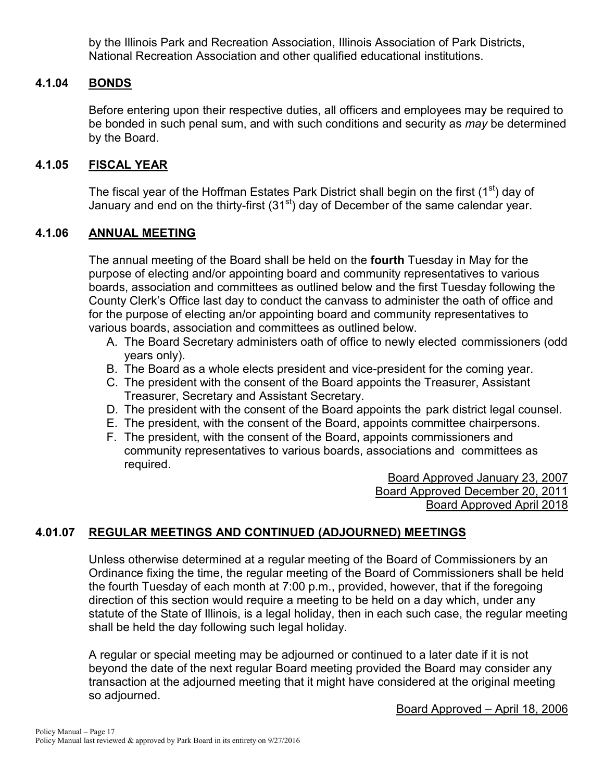by the Illinois Park and Recreation Association, Illinois Association of Park Districts, National Recreation Association and other qualified educational institutions.

### **4.1.04 BONDS**

Before entering upon their respective duties, all officers and employees may be required to be bonded in such penal sum, and with such conditions and security as *may* be determined by the Board.

## **4.1.05 FISCAL YEAR**

The fiscal year of the Hoffman Estates Park District shall begin on the first (1<sup>st</sup>) day of January and end on the thirty-first  $(31<sup>st</sup>)$  day of December of the same calendar year.

### **4.1.06 ANNUAL MEETING**

The annual meeting of the Board shall be held on the **fourth** Tuesday in May for the purpose of electing and/or appointing board and community representatives to various boards, association and committees as outlined below and the first Tuesday following the County Clerk's Office last day to conduct the canvass to administer the oath of office and for the purpose of electing an/or appointing board and community representatives to various boards, association and committees as outlined below.

- A. The Board Secretary administers oath of office to newly elected commissioners (odd years only).
- B. The Board as a whole elects president and vice-president for the coming year.
- C. The president with the consent of the Board appoints the Treasurer, Assistant Treasurer, Secretary and Assistant Secretary.
- D. The president with the consent of the Board appoints the park district legal counsel.
- E. The president, with the consent of the Board, appoints committee chairpersons.
- F. The president, with the consent of the Board, appoints commissioners and community representatives to various boards, associations and committees as required.

Board Approved January 23, 2007 Board Approved December 20, 2011 Board Approved April 2018

## **4.01.07 REGULAR MEETINGS AND CONTINUED (ADJOURNED) MEETINGS**

Unless otherwise determined at a regular meeting of the Board of Commissioners by an Ordinance fixing the time, the regular meeting of the Board of Commissioners shall be held the fourth Tuesday of each month at 7:00 p.m., provided, however, that if the foregoing direction of this section would require a meeting to be held on a day which, under any statute of the State of Illinois, is a legal holiday, then in each such case, the regular meeting shall be held the day following such legal holiday.

A regular or special meeting may be adjourned or continued to a later date if it is not beyond the date of the next regular Board meeting provided the Board may consider any transaction at the adjourned meeting that it might have considered at the original meeting so adjourned.

Board Approved – April 18, 2006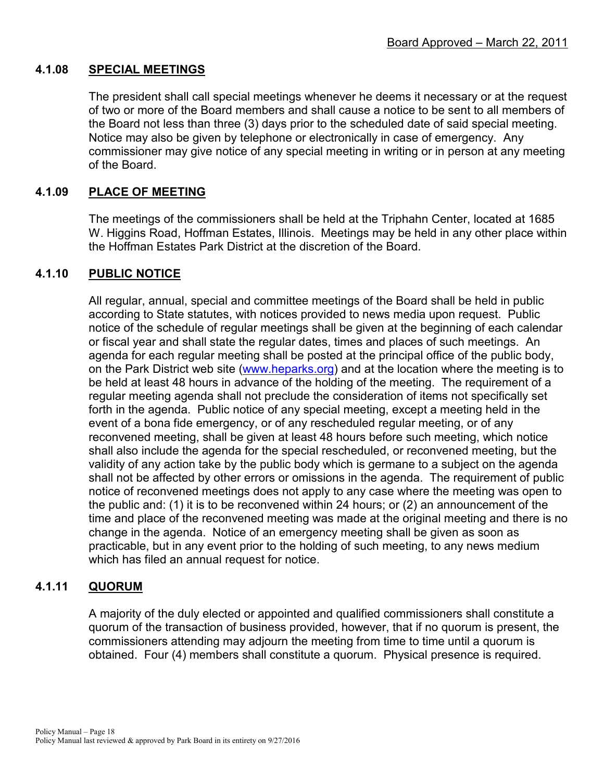### **4.1.08 SPECIAL MEETINGS**

The president shall call special meetings whenever he deems it necessary or at the request of two or more of the Board members and shall cause a notice to be sent to all members of the Board not less than three (3) days prior to the scheduled date of said special meeting. Notice may also be given by telephone or electronically in case of emergency. Any commissioner may give notice of any special meeting in writing or in person at any meeting of the Board.

## **4.1.09 PLACE OF MEETING**

The meetings of the commissioners shall be held at the Triphahn Center, located at 1685 W. Higgins Road, Hoffman Estates, Illinois. Meetings may be held in any other place within the Hoffman Estates Park District at the discretion of the Board.

### **4.1.10 PUBLIC NOTICE**

All regular, annual, special and committee meetings of the Board shall be held in public according to State statutes, with notices provided to news media upon request. Public notice of the schedule of regular meetings shall be given at the beginning of each calendar or fiscal year and shall state the regular dates, times and places of such meetings. An agenda for each regular meeting shall be posted at the principal office of the public body, on the Park District web site [\(www.heparks.org\)](http://www.heparks.org/) and at the location where the meeting is to be held at least 48 hours in advance of the holding of the meeting. The requirement of a regular meeting agenda shall not preclude the consideration of items not specifically set forth in the agenda. Public notice of any special meeting, except a meeting held in the event of a bona fide emergency, or of any rescheduled regular meeting, or of any reconvened meeting, shall be given at least 48 hours before such meeting, which notice shall also include the agenda for the special rescheduled, or reconvened meeting, but the validity of any action take by the public body which is germane to a subject on the agenda shall not be affected by other errors or omissions in the agenda. The requirement of public notice of reconvened meetings does not apply to any case where the meeting was open to the public and: (1) it is to be reconvened within 24 hours; or (2) an announcement of the time and place of the reconvened meeting was made at the original meeting and there is no change in the agenda. Notice of an emergency meeting shall be given as soon as practicable, but in any event prior to the holding of such meeting, to any news medium which has filed an annual request for notice.

### **4.1.11 QUORUM**

A majority of the duly elected or appointed and qualified commissioners shall constitute a quorum of the transaction of business provided, however, that if no quorum is present, the commissioners attending may adjourn the meeting from time to time until a quorum is obtained. Four (4) members shall constitute a quorum. Physical presence is required.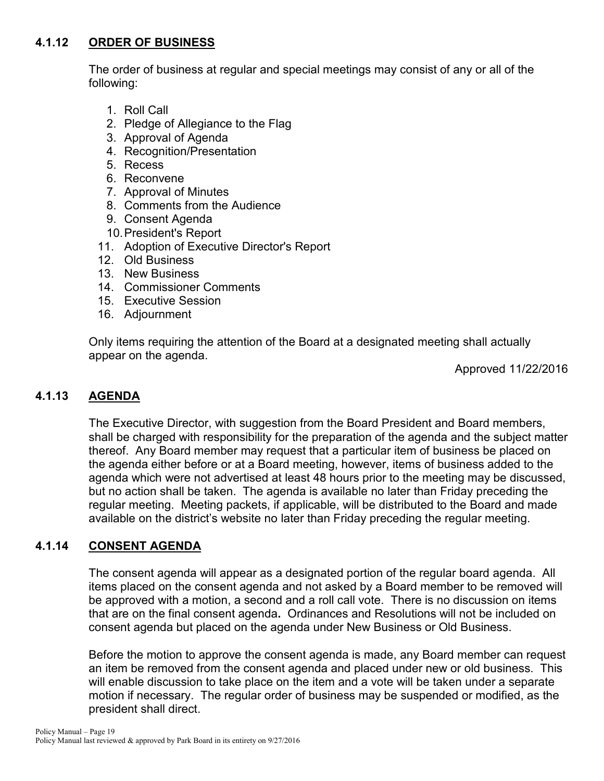## **4.1.12 ORDER OF BUSINESS**

The order of business at regular and special meetings may consist of any or all of the following:

- 1. Roll Call
- 2. Pledge of Allegiance to the Flag
- 3. Approval of Agenda
- 4. Recognition/Presentation
- 5. Recess
- 6. Reconvene
- 7. Approval of Minutes
- 8. Comments from the Audience
- 9. Consent Agenda
- 10.President's Report
- 11. Adoption of Executive Director's Report
- 12. Old Business
- 13. New Business
- 14. Commissioner Comments
- 15. Executive Session
- 16. Adjournment

Only items requiring the attention of the Board at a designated meeting shall actually appear on the agenda.

Approved 11/22/2016

## **4.1.13 AGENDA**

The Executive Director, with suggestion from the Board President and Board members, shall be charged with responsibility for the preparation of the agenda and the subject matter thereof. Any Board member may request that a particular item of business be placed on the agenda either before or at a Board meeting, however, items of business added to the agenda which were not advertised at least 48 hours prior to the meeting may be discussed, but no action shall be taken. The agenda is available no later than Friday preceding the regular meeting. Meeting packets, if applicable, will be distributed to the Board and made available on the district's website no later than Friday preceding the regular meeting.

## **4.1.14 CONSENT AGENDA**

The consent agenda will appear as a designated portion of the regular board agenda. All items placed on the consent agenda and not asked by a Board member to be removed will be approved with a motion, a second and a roll call vote. There is no discussion on items that are on the final consent agenda**.** Ordinances and Resolutions will not be included on consent agenda but placed on the agenda under New Business or Old Business.

Before the motion to approve the consent agenda is made, any Board member can request an item be removed from the consent agenda and placed under new or old business. This will enable discussion to take place on the item and a vote will be taken under a separate motion if necessary. The regular order of business may be suspended or modified, as the president shall direct.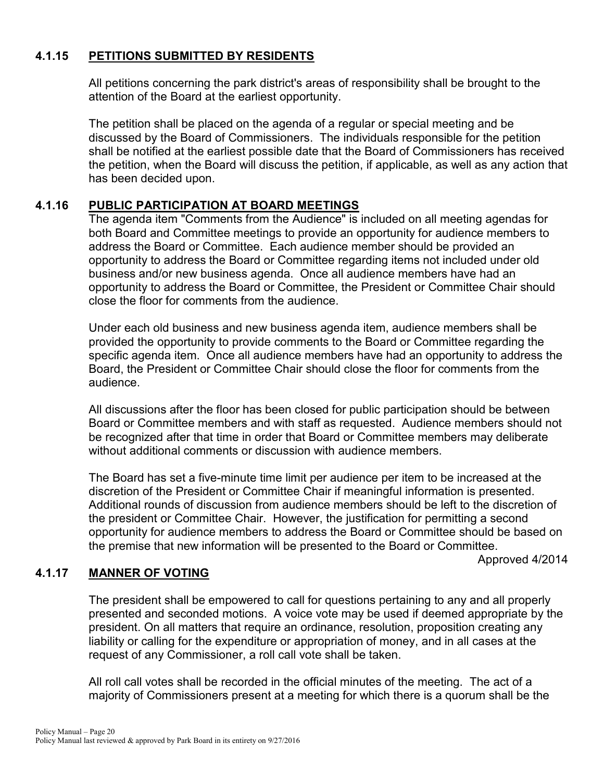## **4.1.15 PETITIONS SUBMITTED BY RESIDENTS**

All petitions concerning the park district's areas of responsibility shall be brought to the attention of the Board at the earliest opportunity.

The petition shall be placed on the agenda of a regular or special meeting and be discussed by the Board of Commissioners. The individuals responsible for the petition shall be notified at the earliest possible date that the Board of Commissioners has received the petition, when the Board will discuss the petition, if applicable, as well as any action that has been decided upon.

## **4.1.16 PUBLIC PARTICIPATION AT BOARD MEETINGS**

The agenda item "Comments from the Audience" is included on all meeting agendas for both Board and Committee meetings to provide an opportunity for audience members to address the Board or Committee. Each audience member should be provided an opportunity to address the Board or Committee regarding items not included under old business and/or new business agenda. Once all audience members have had an opportunity to address the Board or Committee, the President or Committee Chair should close the floor for comments from the audience.

Under each old business and new business agenda item, audience members shall be provided the opportunity to provide comments to the Board or Committee regarding the specific agenda item. Once all audience members have had an opportunity to address the Board, the President or Committee Chair should close the floor for comments from the audience.

All discussions after the floor has been closed for public participation should be between Board or Committee members and with staff as requested. Audience members should not be recognized after that time in order that Board or Committee members may deliberate without additional comments or discussion with audience members.

The Board has set a five-minute time limit per audience per item to be increased at the discretion of the President or Committee Chair if meaningful information is presented. Additional rounds of discussion from audience members should be left to the discretion of the president or Committee Chair. However, the justification for permitting a second opportunity for audience members to address the Board or Committee should be based on the premise that new information will be presented to the Board or Committee.

Approved 4/2014

## **4.1.17 MANNER OF VOTING**

The president shall be empowered to call for questions pertaining to any and all properly presented and seconded motions. A voice vote may be used if deemed appropriate by the president. On all matters that require an ordinance, resolution, proposition creating any liability or calling for the expenditure or appropriation of money, and in all cases at the request of any Commissioner, a roll call vote shall be taken.

All roll call votes shall be recorded in the official minutes of the meeting. The act of a majority of Commissioners present at a meeting for which there is a quorum shall be the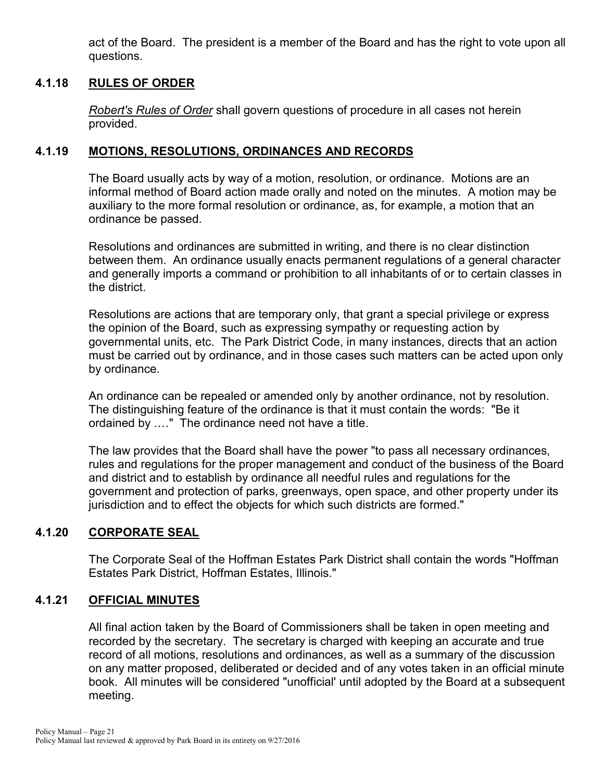act of the Board. The president is a member of the Board and has the right to vote upon all questions.

### **4.1.18 RULES OF ORDER**

*Robert's Rules of Order* shall govern questions of procedure in all cases not herein provided.

## **4.1.19 MOTIONS, RESOLUTIONS, ORDINANCES AND RECORDS**

The Board usually acts by way of a motion, resolution, or ordinance. Motions are an informal method of Board action made orally and noted on the minutes. A motion may be auxiliary to the more formal resolution or ordinance, as, for example, a motion that an ordinance be passed.

Resolutions and ordinances are submitted in writing, and there is no clear distinction between them. An ordinance usually enacts permanent regulations of a general character and generally imports a command or prohibition to all inhabitants of or to certain classes in the district.

Resolutions are actions that are temporary only, that grant a special privilege or express the opinion of the Board, such as expressing sympathy or requesting action by governmental units, etc. The Park District Code, in many instances, directs that an action must be carried out by ordinance, and in those cases such matters can be acted upon only by ordinance.

An ordinance can be repealed or amended only by another ordinance, not by resolution. The distinguishing feature of the ordinance is that it must contain the words: "Be it ordained by .…" The ordinance need not have a title.

The law provides that the Board shall have the power "to pass all necessary ordinances, rules and regulations for the proper management and conduct of the business of the Board and district and to establish by ordinance all needful rules and regulations for the government and protection of parks, greenways, open space, and other property under its jurisdiction and to effect the objects for which such districts are formed."

## **4.1.20 CORPORATE SEAL**

The Corporate Seal of the Hoffman Estates Park District shall contain the words "Hoffman Estates Park District, Hoffman Estates, Illinois."

### **4.1.21 OFFICIAL MINUTES**

All final action taken by the Board of Commissioners shall be taken in open meeting and recorded by the secretary. The secretary is charged with keeping an accurate and true record of all motions, resolutions and ordinances, as well as a summary of the discussion on any matter proposed, deliberated or decided and of any votes taken in an official minute book. All minutes will be considered "unofficial' until adopted by the Board at a subsequent meeting.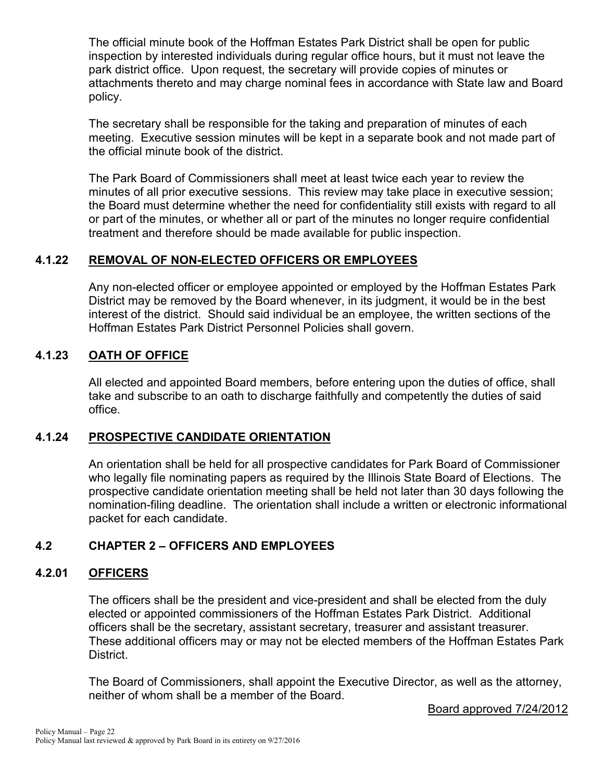The official minute book of the Hoffman Estates Park District shall be open for public inspection by interested individuals during regular office hours, but it must not leave the park district office. Upon request, the secretary will provide copies of minutes or attachments thereto and may charge nominal fees in accordance with State law and Board policy.

The secretary shall be responsible for the taking and preparation of minutes of each meeting. Executive session minutes will be kept in a separate book and not made part of the official minute book of the district.

The Park Board of Commissioners shall meet at least twice each year to review the minutes of all prior executive sessions. This review may take place in executive session; the Board must determine whether the need for confidentiality still exists with regard to all or part of the minutes, or whether all or part of the minutes no longer require confidential treatment and therefore should be made available for public inspection.

## **4.1.22 REMOVAL OF NON-ELECTED OFFICERS OR EMPLOYEES**

Any non-elected officer or employee appointed or employed by the Hoffman Estates Park District may be removed by the Board whenever, in its judgment, it would be in the best interest of the district. Should said individual be an employee, the written sections of the Hoffman Estates Park District Personnel Policies shall govern.

## **4.1.23 OATH OF OFFICE**

All elected and appointed Board members, before entering upon the duties of office, shall take and subscribe to an oath to discharge faithfully and competently the duties of said office.

## **4.1.24 PROSPECTIVE CANDIDATE ORIENTATION**

An orientation shall be held for all prospective candidates for Park Board of Commissioner who legally file nominating papers as required by the Illinois State Board of Elections. The prospective candidate orientation meeting shall be held not later than 30 days following the nomination-filing deadline. The orientation shall include a written or electronic informational packet for each candidate.

## **4.2 CHAPTER 2 – OFFICERS AND EMPLOYEES**

## **4.2.01 OFFICERS**

The officers shall be the president and vice-president and shall be elected from the duly elected or appointed commissioners of the Hoffman Estates Park District. Additional officers shall be the secretary, assistant secretary, treasurer and assistant treasurer. These additional officers may or may not be elected members of the Hoffman Estates Park District.

The Board of Commissioners, shall appoint the Executive Director, as well as the attorney, neither of whom shall be a member of the Board.

Board approved 7/24/2012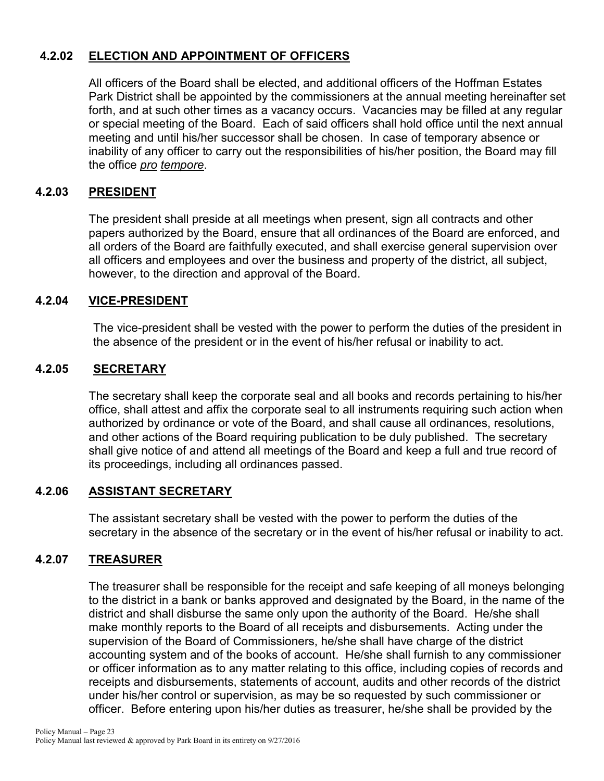## **4.2.02 ELECTION AND APPOINTMENT OF OFFICERS**

All officers of the Board shall be elected, and additional officers of the Hoffman Estates Park District shall be appointed by the commissioners at the annual meeting hereinafter set forth, and at such other times as a vacancy occurs. Vacancies may be filled at any regular or special meeting of the Board. Each of said officers shall hold office until the next annual meeting and until his/her successor shall be chosen. In case of temporary absence or inability of any officer to carry out the responsibilities of his/her position, the Board may fill the office *pro tempore*.

## **4.2.03 PRESIDENT**

The president shall preside at all meetings when present, sign all contracts and other papers authorized by the Board, ensure that all ordinances of the Board are enforced, and all orders of the Board are faithfully executed, and shall exercise general supervision over all officers and employees and over the business and property of the district, all subject, however, to the direction and approval of the Board.

## **4.2.04 VICE-PRESIDENT**

The vice-president shall be vested with the power to perform the duties of the president in the absence of the president or in the event of his/her refusal or inability to act.

## **4.2.05 SECRETARY**

The secretary shall keep the corporate seal and all books and records pertaining to his/her office, shall attest and affix the corporate seal to all instruments requiring such action when authorized by ordinance or vote of the Board, and shall cause all ordinances, resolutions, and other actions of the Board requiring publication to be duly published. The secretary shall give notice of and attend all meetings of the Board and keep a full and true record of its proceedings, including all ordinances passed.

### **4.2.06 ASSISTANT SECRETARY**

The assistant secretary shall be vested with the power to perform the duties of the secretary in the absence of the secretary or in the event of his/her refusal or inability to act.

## **4.2.07 TREASURER**

The treasurer shall be responsible for the receipt and safe keeping of all moneys belonging to the district in a bank or banks approved and designated by the Board, in the name of the district and shall disburse the same only upon the authority of the Board. He/she shall make monthly reports to the Board of all receipts and disbursements. Acting under the supervision of the Board of Commissioners, he/she shall have charge of the district accounting system and of the books of account. He/she shall furnish to any commissioner or officer information as to any matter relating to this office, including copies of records and receipts and disbursements, statements of account, audits and other records of the district under his/her control or supervision, as may be so requested by such commissioner or officer. Before entering upon his/her duties as treasurer, he/she shall be provided by the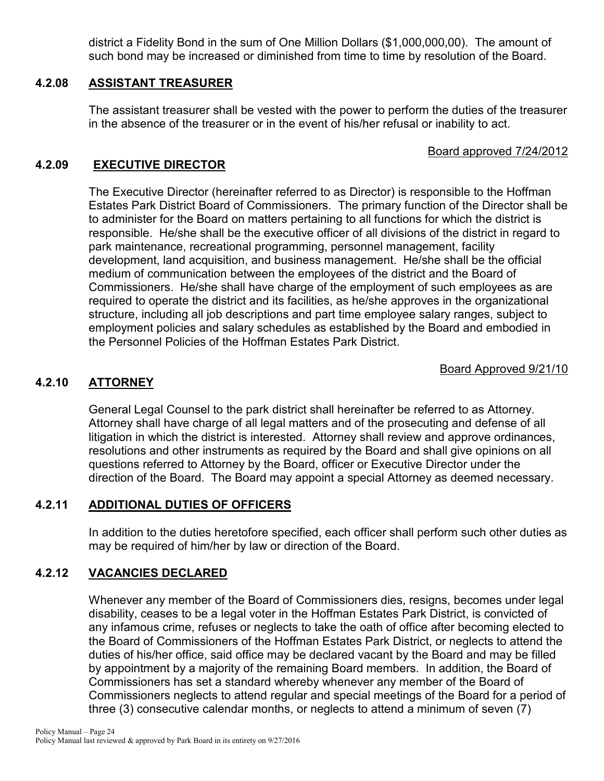district a Fidelity Bond in the sum of One Million Dollars (\$1,000,000,00). The amount of such bond may be increased or diminished from time to time by resolution of the Board.

### **4.2.08 ASSISTANT TREASURER**

The assistant treasurer shall be vested with the power to perform the duties of the treasurer in the absence of the treasurer or in the event of his/her refusal or inability to act.

## Board approved 7/24/2012

## **4.2.09 EXECUTIVE DIRECTOR**

The Executive Director (hereinafter referred to as Director) is responsible to the Hoffman Estates Park District Board of Commissioners. The primary function of the Director shall be to administer for the Board on matters pertaining to all functions for which the district is responsible. He/she shall be the executive officer of all divisions of the district in regard to park maintenance, recreational programming, personnel management, facility development, land acquisition, and business management. He/she shall be the official medium of communication between the employees of the district and the Board of Commissioners. He/she shall have charge of the employment of such employees as are required to operate the district and its facilities, as he/she approves in the organizational structure, including all job descriptions and part time employee salary ranges, subject to employment policies and salary schedules as established by the Board and embodied in the Personnel Policies of the Hoffman Estates Park District.

Board Approved 9/21/10

## **4.2.10 ATTORNEY**

General Legal Counsel to the park district shall hereinafter be referred to as Attorney. Attorney shall have charge of all legal matters and of the prosecuting and defense of all litigation in which the district is interested. Attorney shall review and approve ordinances, resolutions and other instruments as required by the Board and shall give opinions on all questions referred to Attorney by the Board, officer or Executive Director under the direction of the Board. The Board may appoint a special Attorney as deemed necessary.

## **4.2.11 ADDITIONAL DUTIES OF OFFICERS**

In addition to the duties heretofore specified, each officer shall perform such other duties as may be required of him/her by law or direction of the Board.

## **4.2.12 VACANCIES DECLARED**

Whenever any member of the Board of Commissioners dies, resigns, becomes under legal disability, ceases to be a legal voter in the Hoffman Estates Park District, is convicted of any infamous crime, refuses or neglects to take the oath of office after becoming elected to the Board of Commissioners of the Hoffman Estates Park District, or neglects to attend the duties of his/her office, said office may be declared vacant by the Board and may be filled by appointment by a majority of the remaining Board members. In addition, the Board of Commissioners has set a standard whereby whenever any member of the Board of Commissioners neglects to attend regular and special meetings of the Board for a period of three (3) consecutive calendar months, or neglects to attend a minimum of seven (7)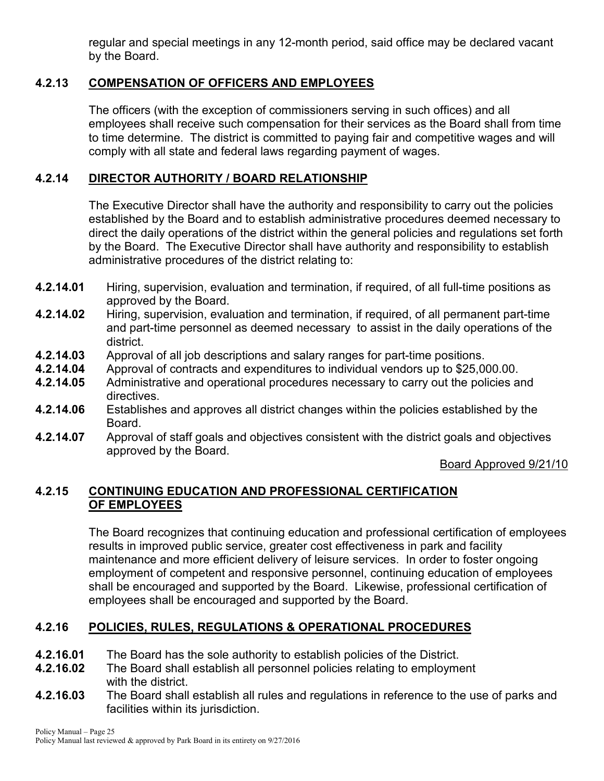regular and special meetings in any 12-month period, said office may be declared vacant by the Board.

## **4.2.13 COMPENSATION OF OFFICERS AND EMPLOYEES**

The officers (with the exception of commissioners serving in such offices) and all employees shall receive such compensation for their services as the Board shall from time to time determine. The district is committed to paying fair and competitive wages and will comply with all state and federal laws regarding payment of wages.

## **4.2.14 DIRECTOR AUTHORITY / BOARD RELATIONSHIP**

The Executive Director shall have the authority and responsibility to carry out the policies established by the Board and to establish administrative procedures deemed necessary to direct the daily operations of the district within the general policies and regulations set forth by the Board. The Executive Director shall have authority and responsibility to establish administrative procedures of the district relating to:

- **4.2.14.01** Hiring, supervision, evaluation and termination, if required, of all full-time positions as approved by the Board.
- **4.2.14.02** Hiring, supervision, evaluation and termination, if required, of all permanent part-time and part-time personnel as deemed necessary to assist in the daily operations of the district.
- **4.2.14.03** Approval of all job descriptions and salary ranges for part-time positions.
- **4.2.14.04** Approval of contracts and expenditures to individual vendors up to \$25,000.00.
- Administrative and operational procedures necessary to carry out the policies and directives.
- **4.2.14.06** Establishes and approves all district changes within the policies established by the Board.
- **4.2.14.07** Approval of staff goals and objectives consistent with the district goals and objectives approved by the Board.

## Board Approved 9/21/10

## **4.2.15 CONTINUING EDUCATION AND PROFESSIONAL CERTIFICATION OF EMPLOYEES**

The Board recognizes that continuing education and professional certification of employees results in improved public service, greater cost effectiveness in park and facility maintenance and more efficient delivery of leisure services. In order to foster ongoing employment of competent and responsive personnel, continuing education of employees shall be encouraged and supported by the Board. Likewise, professional certification of employees shall be encouraged and supported by the Board.

## **4.2.16 POLICIES, RULES, REGULATIONS & OPERATIONAL PROCEDURES**

- **4.2.16.01** The Board has the sole authority to establish policies of the District.
- **4.2.16.02** The Board shall establish all personnel policies relating to employment with the district.
- **4.2.16.03** The Board shall establish all rules and regulations in reference to the use of parks and facilities within its jurisdiction.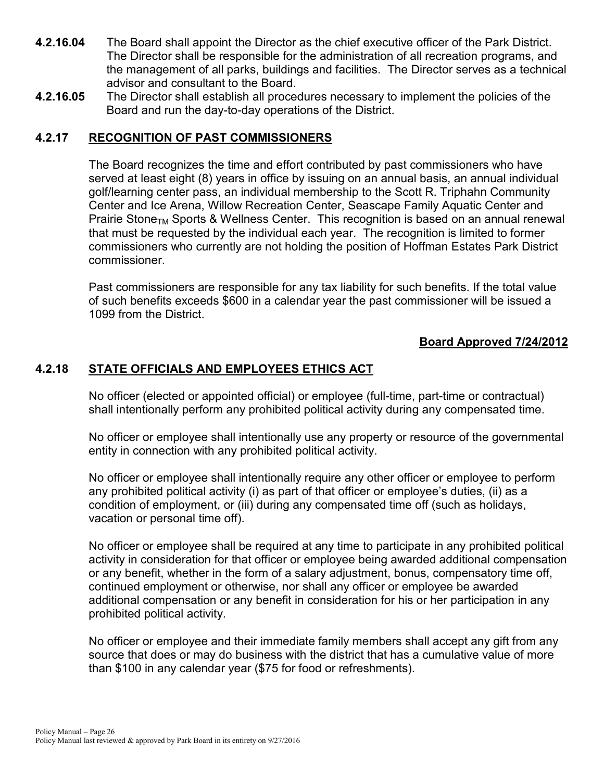- **4.2.16.04** The Board shall appoint the Director as the chief executive officer of the Park District. The Director shall be responsible for the administration of all recreation programs, and the management of all parks, buildings and facilities. The Director serves as a technical advisor and consultant to the Board.
- **4.2.16.05** The Director shall establish all procedures necessary to implement the policies of the Board and run the day-to-day operations of the District.

### **4.2.17 RECOGNITION OF PAST COMMISSIONERS**

The Board recognizes the time and effort contributed by past commissioners who have served at least eight (8) years in office by issuing on an annual basis, an annual individual golf/learning center pass, an individual membership to the Scott R. Triphahn Community Center and Ice Arena, Willow Recreation Center, Seascape Family Aquatic Center and Prairie Stone<sub>TM</sub> Sports & Wellness Center. This recognition is based on an annual renewal that must be requested by the individual each year. The recognition is limited to former commissioners who currently are not holding the position of Hoffman Estates Park District commissioner.

Past commissioners are responsible for any tax liability for such benefits. If the total value of such benefits exceeds \$600 in a calendar year the past commissioner will be issued a 1099 from the District.

## **Board Approved 7/24/2012**

## **4.2.18 STATE OFFICIALS AND EMPLOYEES ETHICS ACT**

No officer (elected or appointed official) or employee (full-time, part-time or contractual) shall intentionally perform any prohibited political activity during any compensated time.

No officer or employee shall intentionally use any property or resource of the governmental entity in connection with any prohibited political activity.

No officer or employee shall intentionally require any other officer or employee to perform any prohibited political activity (i) as part of that officer or employee's duties, (ii) as a condition of employment, or (iii) during any compensated time off (such as holidays, vacation or personal time off).

No officer or employee shall be required at any time to participate in any prohibited political activity in consideration for that officer or employee being awarded additional compensation or any benefit, whether in the form of a salary adjustment, bonus, compensatory time off, continued employment or otherwise, nor shall any officer or employee be awarded additional compensation or any benefit in consideration for his or her participation in any prohibited political activity.

No officer or employee and their immediate family members shall accept any gift from any source that does or may do business with the district that has a cumulative value of more than \$100 in any calendar year (\$75 for food or refreshments).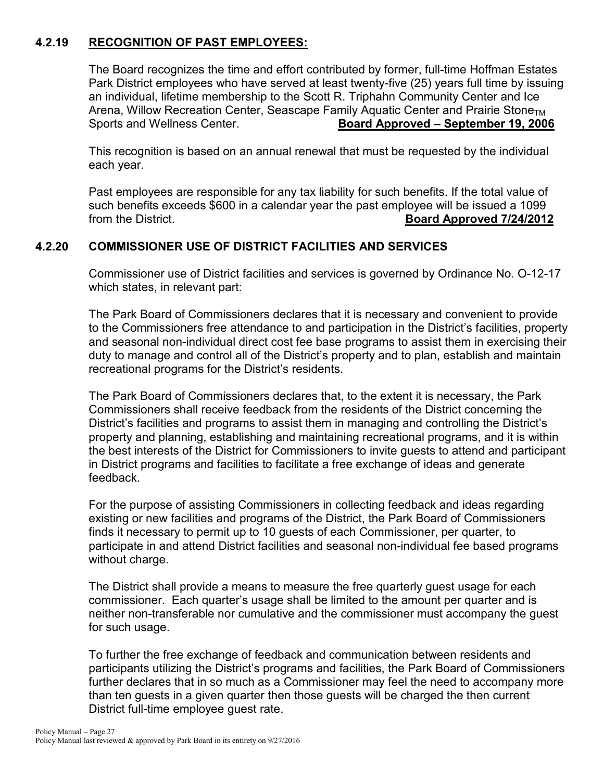## **4.2.19 RECOGNITION OF PAST EMPLOYEES:**

The Board recognizes the time and effort contributed by former, full-time Hoffman Estates Park District employees who have served at least twenty-five (25) years full time by issuing an individual, lifetime membership to the Scott R. Triphahn Community Center and Ice Arena, Willow Recreation Center, Seascape Family Aquatic Center and Prairie Stone<sub>TM</sub> Sports and Wellness Center. **Board Approved – September 19, 2006**

This recognition is based on an annual renewal that must be requested by the individual each year.

Past employees are responsible for any tax liability for such benefits. If the total value of such benefits exceeds \$600 in a calendar year the past employee will be issued a 1099 from the District. **Board Approved 7/24/2012**

## **4.2.20 COMMISSIONER USE OF DISTRICT FACILITIES AND SERVICES**

Commissioner use of District facilities and services is governed by Ordinance No. O-12-17 which states, in relevant part:

The Park Board of Commissioners declares that it is necessary and convenient to provide to the Commissioners free attendance to and participation in the District's facilities, property and seasonal non-individual direct cost fee base programs to assist them in exercising their duty to manage and control all of the District's property and to plan, establish and maintain recreational programs for the District's residents.

The Park Board of Commissioners declares that, to the extent it is necessary, the Park Commissioners shall receive feedback from the residents of the District concerning the District's facilities and programs to assist them in managing and controlling the District's property and planning, establishing and maintaining recreational programs, and it is within the best interests of the District for Commissioners to invite guests to attend and participant in District programs and facilities to facilitate a free exchange of ideas and generate feedback.

For the purpose of assisting Commissioners in collecting feedback and ideas regarding existing or new facilities and programs of the District, the Park Board of Commissioners finds it necessary to permit up to 10 guests of each Commissioner, per quarter, to participate in and attend District facilities and seasonal non-individual fee based programs without charge.

The District shall provide a means to measure the free quarterly guest usage for each commissioner. Each quarter's usage shall be limited to the amount per quarter and is neither non-transferable nor cumulative and the commissioner must accompany the guest for such usage.

To further the free exchange of feedback and communication between residents and participants utilizing the District's programs and facilities, the Park Board of Commissioners further declares that in so much as a Commissioner may feel the need to accompany more than ten guests in a given quarter then those guests will be charged the then current District full-time employee guest rate.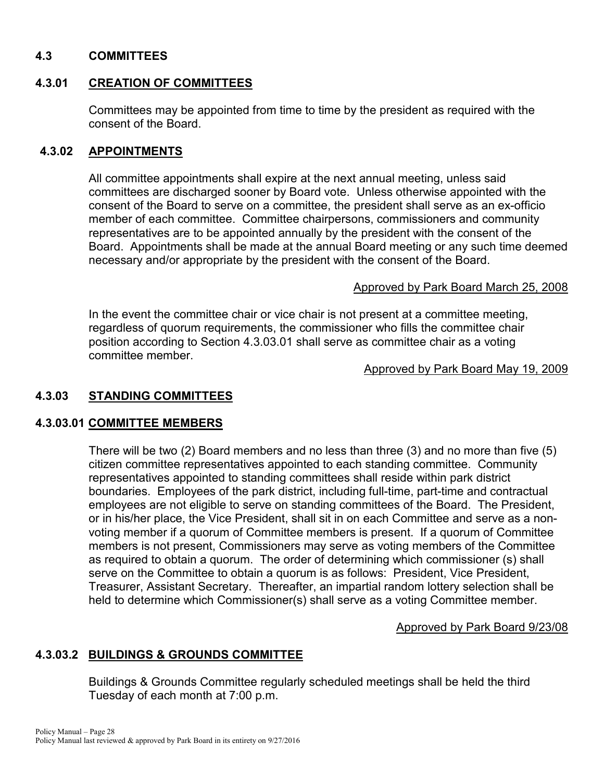### **4.3 COMMITTEES**

#### **4.3.01 CREATION OF COMMITTEES**

Committees may be appointed from time to time by the president as required with the consent of the Board.

#### **4.3.02 APPOINTMENTS**

All committee appointments shall expire at the next annual meeting, unless said committees are discharged sooner by Board vote. Unless otherwise appointed with the consent of the Board to serve on a committee, the president shall serve as an ex-officio member of each committee. Committee chairpersons, commissioners and community representatives are to be appointed annually by the president with the consent of the Board. Appointments shall be made at the annual Board meeting or any such time deemed necessary and/or appropriate by the president with the consent of the Board.

#### Approved by Park Board March 25, 2008

In the event the committee chair or vice chair is not present at a committee meeting, regardless of quorum requirements, the commissioner who fills the committee chair position according to Section 4.3.03.01 shall serve as committee chair as a voting committee member.

Approved by Park Board May 19, 2009

### **4.3.03 STANDING COMMITTEES**

#### **4.3.03.01 COMMITTEE MEMBERS**

There will be two (2) Board members and no less than three (3) and no more than five (5) citizen committee representatives appointed to each standing committee. Community representatives appointed to standing committees shall reside within park district boundaries. Employees of the park district, including full-time, part-time and contractual employees are not eligible to serve on standing committees of the Board. The President, or in his/her place, the Vice President, shall sit in on each Committee and serve as a nonvoting member if a quorum of Committee members is present. If a quorum of Committee members is not present, Commissioners may serve as voting members of the Committee as required to obtain a quorum. The order of determining which commissioner (s) shall serve on the Committee to obtain a quorum is as follows: President, Vice President, Treasurer, Assistant Secretary. Thereafter, an impartial random lottery selection shall be held to determine which Commissioner(s) shall serve as a voting Committee member.

Approved by Park Board 9/23/08

### **4.3.03.2 BUILDINGS & GROUNDS COMMITTEE**

Buildings & Grounds Committee regularly scheduled meetings shall be held the third Tuesday of each month at 7:00 p.m.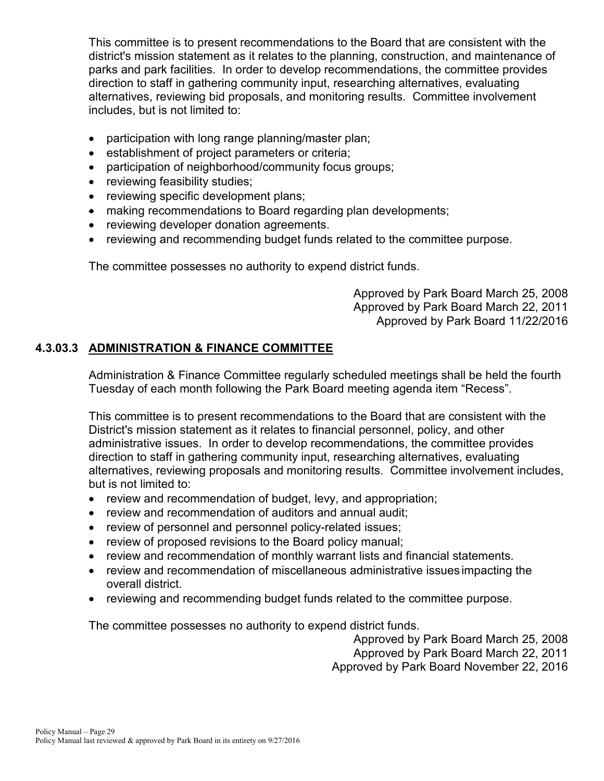This committee is to present recommendations to the Board that are consistent with the district's mission statement as it relates to the planning, construction, and maintenance of parks and park facilities. In order to develop recommendations, the committee provides direction to staff in gathering community input, researching alternatives, evaluating alternatives, reviewing bid proposals, and monitoring results. Committee involvement includes, but is not limited to:

- participation with long range planning/master plan;
- establishment of project parameters or criteria;
- participation of neighborhood/community focus groups;
- reviewing feasibility studies;
- reviewing specific development plans;
- making recommendations to Board regarding plan developments;
- reviewing developer donation agreements.
- reviewing and recommending budget funds related to the committee purpose.

The committee possesses no authority to expend district funds.

Approved by Park Board March 25, 2008 Approved by Park Board March 22, 2011 Approved by Park Board 11/22/2016

## **4.3.03.3 ADMINISTRATION & FINANCE COMMITTEE**

Administration & Finance Committee regularly scheduled meetings shall be held the fourth Tuesday of each month following the Park Board meeting agenda item "Recess".

This committee is to present recommendations to the Board that are consistent with the District's mission statement as it relates to financial personnel, policy, and other administrative issues. In order to develop recommendations, the committee provides direction to staff in gathering community input, researching alternatives, evaluating alternatives, reviewing proposals and monitoring results. Committee involvement includes, but is not limited to:

- review and recommendation of budget, levy, and appropriation;
- review and recommendation of auditors and annual audit;
- review of personnel and personnel policy-related issues;
- review of proposed revisions to the Board policy manual;
- review and recommendation of monthly warrant lists and financial statements.
- review and recommendation of miscellaneous administrative issues impacting the overall district.
- reviewing and recommending budget funds related to the committee purpose.

The committee possesses no authority to expend district funds.

Approved by Park Board March 25, 2008

Approved by Park Board March 22, 2011

Approved by Park Board November 22, 2016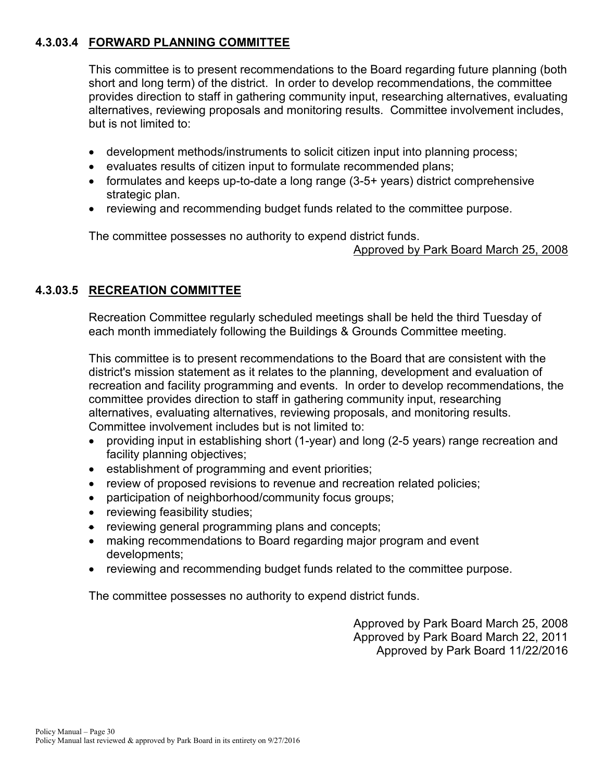## **4.3.03.4 FORWARD PLANNING COMMITTEE**

This committee is to present recommendations to the Board regarding future planning (both short and long term) of the district. In order to develop recommendations, the committee provides direction to staff in gathering community input, researching alternatives, evaluating alternatives, reviewing proposals and monitoring results. Committee involvement includes, but is not limited to:

- development methods/instruments to solicit citizen input into planning process;
- evaluates results of citizen input to formulate recommended plans;
- formulates and keeps up-to-date a long range (3-5+ years) district comprehensive strategic plan.
- reviewing and recommending budget funds related to the committee purpose.

The committee possesses no authority to expend district funds.

Approved by Park Board March 25, 2008

## **4.3.03.5 RECREATION COMMITTEE**

Recreation Committee regularly scheduled meetings shall be held the third Tuesday of each month immediately following the Buildings & Grounds Committee meeting.

This committee is to present recommendations to the Board that are consistent with the district's mission statement as it relates to the planning, development and evaluation of recreation and facility programming and events. In order to develop recommendations, the committee provides direction to staff in gathering community input, researching alternatives, evaluating alternatives, reviewing proposals, and monitoring results. Committee involvement includes but is not limited to:

- providing input in establishing short (1-year) and long (2-5 years) range recreation and facility planning objectives;
- establishment of programming and event priorities;
- review of proposed revisions to revenue and recreation related policies;
- participation of neighborhood/community focus groups;
- reviewing feasibility studies;
- reviewing general programming plans and concepts;
- making recommendations to Board regarding major program and event developments;
- reviewing and recommending budget funds related to the committee purpose.

The committee possesses no authority to expend district funds.

Approved by Park Board March 25, 2008 Approved by Park Board March 22, 2011 Approved by Park Board 11/22/2016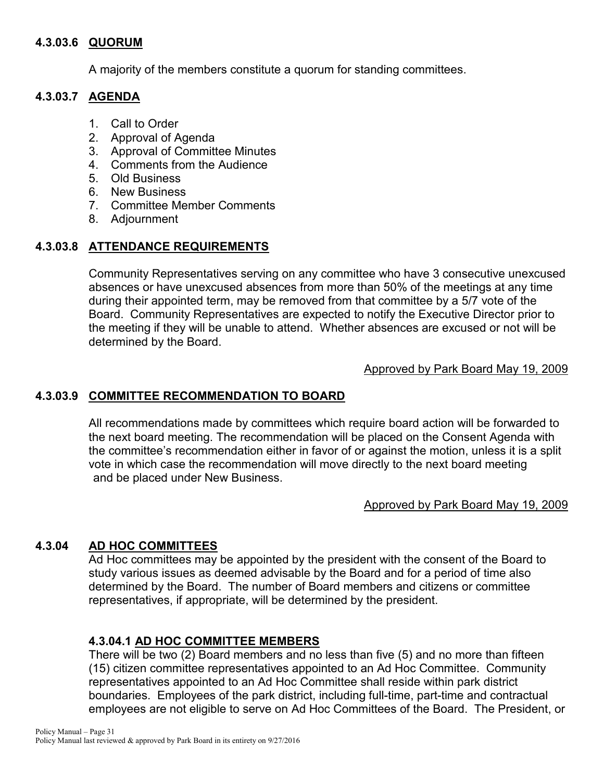### **4.3.03.6 QUORUM**

A majority of the members constitute a quorum for standing committees.

## **4.3.03.7 AGENDA**

- 1. Call to Order
- 2. Approval of Agenda
- 3. Approval of Committee Minutes
- 4. Comments from the Audience
- 5. Old Business
- 6. New Business
- 7. Committee Member Comments
- 8. Adjournment

## **4.3.03.8 ATTENDANCE REQUIREMENTS**

Community Representatives serving on any committee who have 3 consecutive unexcused absences or have unexcused absences from more than 50% of the meetings at any time during their appointed term, may be removed from that committee by a 5/7 vote of the Board. Community Representatives are expected to notify the Executive Director prior to the meeting if they will be unable to attend. Whether absences are excused or not will be determined by the Board.

Approved by Park Board May 19, 2009

## **4.3.03.9 COMMITTEE RECOMMENDATION TO BOARD**

All recommendations made by committees which require board action will be forwarded to the next board meeting. The recommendation will be placed on the Consent Agenda with the committee's recommendation either in favor of or against the motion, unless it is a split vote in which case the recommendation will move directly to the next board meeting and be placed under New Business.

### Approved by Park Board May 19, 2009

## **4.3.04 AD HOC COMMITTEES**

Ad Hoc committees may be appointed by the president with the consent of the Board to study various issues as deemed advisable by the Board and for a period of time also determined by the Board. The number of Board members and citizens or committee representatives, if appropriate, will be determined by the president.

## **4.3.04.1 AD HOC COMMITTEE MEMBERS**

There will be two (2) Board members and no less than five (5) and no more than fifteen (15) citizen committee representatives appointed to an Ad Hoc Committee. Community representatives appointed to an Ad Hoc Committee shall reside within park district boundaries. Employees of the park district, including full-time, part-time and contractual employees are not eligible to serve on Ad Hoc Committees of the Board. The President, or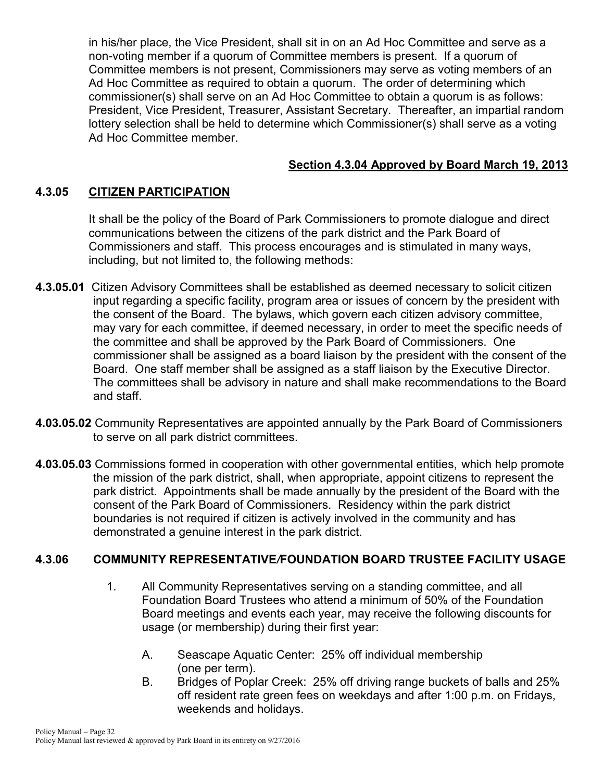in his/her place, the Vice President, shall sit in on an Ad Hoc Committee and serve as a non-voting member if a quorum of Committee members is present. If a quorum of Committee members is not present, Commissioners may serve as voting members of an Ad Hoc Committee as required to obtain a quorum. The order of determining which commissioner(s) shall serve on an Ad Hoc Committee to obtain a quorum is as follows: President, Vice President, Treasurer, Assistant Secretary. Thereafter, an impartial random lottery selection shall be held to determine which Commissioner(s) shall serve as a voting Ad Hoc Committee member.

## **Section 4.3.04 Approved by Board March 19, 2013**

## **4.3.05 CITIZEN PARTICIPATION**

It shall be the policy of the Board of Park Commissioners to promote dialogue and direct communications between the citizens of the park district and the Park Board of Commissioners and staff. This process encourages and is stimulated in many ways, including, but not limited to, the following methods:

- **4.3.05.01** Citizen Advisory Committees shall be established as deemed necessary to solicit citizen input regarding a specific facility, program area or issues of concern by the president with the consent of the Board. The bylaws, which govern each citizen advisory committee, may vary for each committee, if deemed necessary, in order to meet the specific needs of the committee and shall be approved by the Park Board of Commissioners. One commissioner shall be assigned as a board liaison by the president with the consent of the Board. One staff member shall be assigned as a staff liaison by the Executive Director. The committees shall be advisory in nature and shall make recommendations to the Board and staff.
- **4.03.05.02** Community Representatives are appointed annually by the Park Board of Commissioners to serve on all park district committees.
- **4.03.05.03** Commissions formed in cooperation with other governmental entities, which help promote the mission of the park district, shall, when appropriate, appoint citizens to represent the park district. Appointments shall be made annually by the president of the Board with the consent of the Park Board of Commissioners. Residency within the park district boundaries is not required if citizen is actively involved in the community and has demonstrated a genuine interest in the park district.

### **4.3.06 COMMUNITY REPRESENTATIVE***/***FOUNDATION BOARD TRUSTEE FACILITY USAGE**

- 1. All Community Representatives serving on a standing committee, and all Foundation Board Trustees who attend a minimum of 50% of the Foundation Board meetings and events each year, may receive the following discounts for usage (or membership) during their first year:
	- A. Seascape Aquatic Center: 25% off individual membership (one per term).
	- B. Bridges of Poplar Creek: 25% off driving range buckets of balls and 25% off resident rate green fees on weekdays and after 1:00 p.m. on Fridays, weekends and holidays.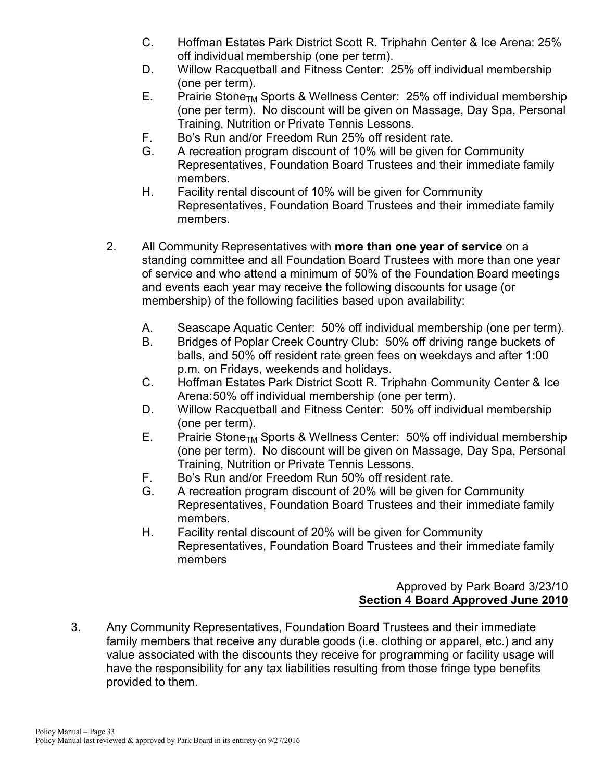- C. Hoffman Estates Park District Scott R. Triphahn Center & Ice Arena: 25% off individual membership (one per term).
- D. Willow Racquetball and Fitness Center: 25% off individual membership (one per term).
- E. Prairie Stone<sub>TM</sub> Sports & Wellness Center: 25% off individual membership (one per term). No discount will be given on Massage, Day Spa, Personal Training, Nutrition or Private Tennis Lessons.
- F. Bo's Run and/or Freedom Run 25% off resident rate.
- G. A recreation program discount of 10% will be given for Community Representatives, Foundation Board Trustees and their immediate family members.
- H. Facility rental discount of 10% will be given for Community Representatives, Foundation Board Trustees and their immediate family members.
- 2. All Community Representatives with **more than one year of service** on a standing committee and all Foundation Board Trustees with more than one year of service and who attend a minimum of 50% of the Foundation Board meetings and events each year may receive the following discounts for usage (or membership) of the following facilities based upon availability:
	- A. Seascape Aquatic Center: 50% off individual membership (one per term).
	- B. Bridges of Poplar Creek Country Club: 50% off driving range buckets of balls, and 50% off resident rate green fees on weekdays and after 1:00 p.m. on Fridays, weekends and holidays.
	- C. Hoffman Estates Park District Scott R. Triphahn Community Center & Ice Arena:50% off individual membership (one per term).
	- D. Willow Racquetball and Fitness Center: 50% off individual membership (one per term).
	- E. Prairie Stone<sub>TM</sub> Sports & Wellness Center: 50% off individual membership (one per term). No discount will be given on Massage, Day Spa, Personal Training, Nutrition or Private Tennis Lessons.
	- F. Bo's Run and/or Freedom Run 50% off resident rate.
	- G. A recreation program discount of 20% will be given for Community Representatives, Foundation Board Trustees and their immediate family members.
	- H. Facility rental discount of 20% will be given for Community Representatives, Foundation Board Trustees and their immediate family members

## Approved by Park Board 3/23/10 **Section 4 Board Approved June 2010**

3. Any Community Representatives, Foundation Board Trustees and their immediate family members that receive any durable goods (i.e. clothing or apparel, etc.) and any value associated with the discounts they receive for programming or facility usage will have the responsibility for any tax liabilities resulting from those fringe type benefits provided to them.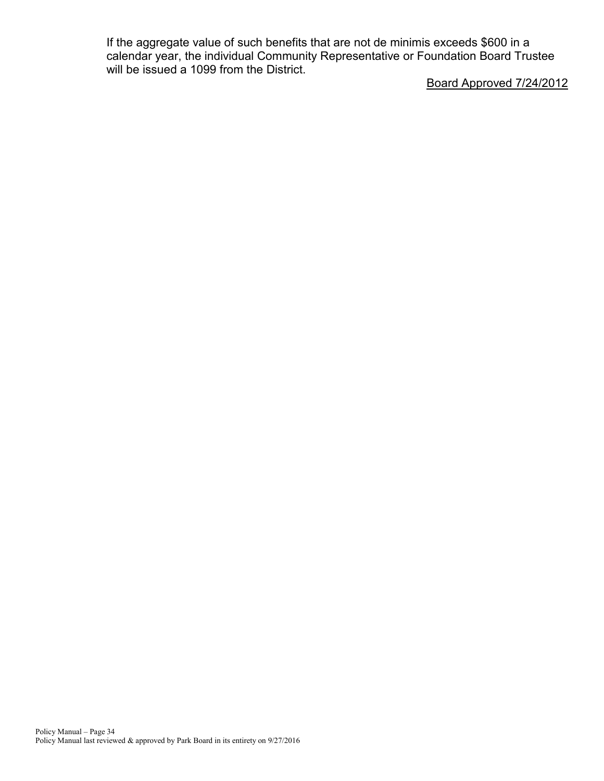If the aggregate value of such benefits that are not de minimis exceeds \$600 in a calendar year, the individual Community Representative or Foundation Board Trustee will be issued a 1099 from the District.

Board Approved 7/24/2012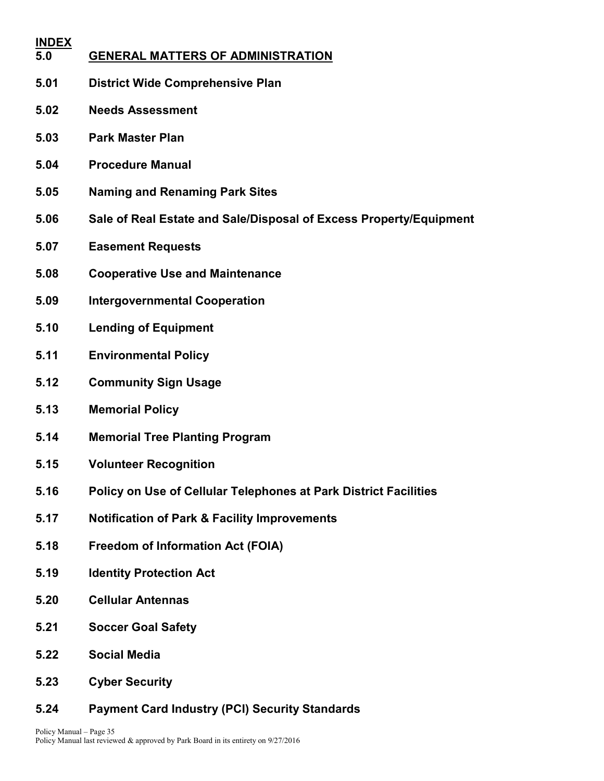| <b>INDEX</b><br>5.0 | <b>GENERAL MATTERS OF ADMINISTRATION</b>                           |
|---------------------|--------------------------------------------------------------------|
| 5.01                | <b>District Wide Comprehensive Plan</b>                            |
| 5.02                | <b>Needs Assessment</b>                                            |
| 5.03                | <b>Park Master Plan</b>                                            |
| 5.04                | <b>Procedure Manual</b>                                            |
| 5.05                | <b>Naming and Renaming Park Sites</b>                              |
| 5.06                | Sale of Real Estate and Sale/Disposal of Excess Property/Equipment |
| 5.07                | <b>Easement Requests</b>                                           |
| 5.08                | <b>Cooperative Use and Maintenance</b>                             |
| 5.09                | <b>Intergovernmental Cooperation</b>                               |
| 5.10                | <b>Lending of Equipment</b>                                        |
| 5.11                | <b>Environmental Policy</b>                                        |
| 5.12                | <b>Community Sign Usage</b>                                        |
| 5.13                | <b>Memorial Policy</b>                                             |
| 5.14                | <b>Memorial Tree Planting Program</b>                              |
| 5.15                | <b>Volunteer Recognition</b>                                       |
| 5.16                | Policy on Use of Cellular Telephones at Park District Facilities   |
| 5.17                | <b>Notification of Park &amp; Facility Improvements</b>            |
| 5.18                | <b>Freedom of Information Act (FOIA)</b>                           |
| 5.19                | <b>Identity Protection Act</b>                                     |
| 5.20                | <b>Cellular Antennas</b>                                           |
| 5.21                | <b>Soccer Goal Safety</b>                                          |
| 5.22                | <b>Social Media</b>                                                |

- **5.23 Cyber Security**
- **5.24 Payment Card Industry (PCI) Security Standards**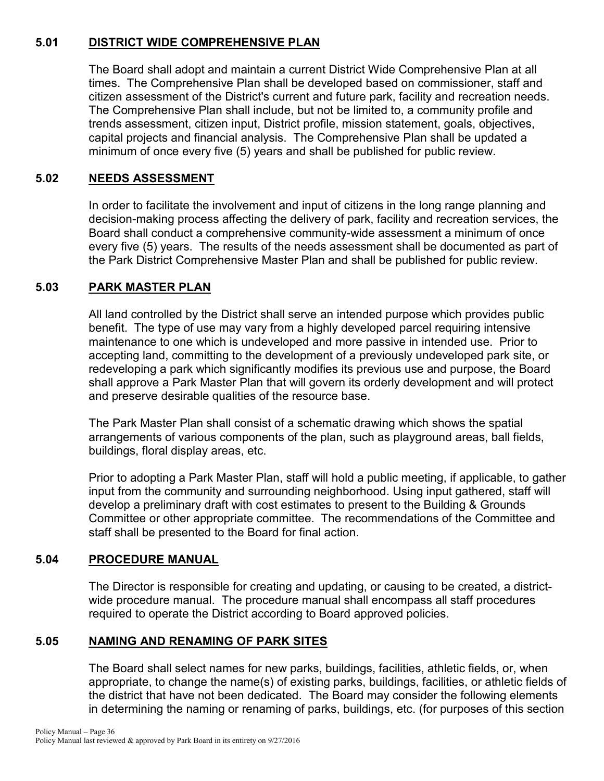## **5.01 DISTRICT WIDE COMPREHENSIVE PLAN**

The Board shall adopt and maintain a current District Wide Comprehensive Plan at all times. The Comprehensive Plan shall be developed based on commissioner, staff and citizen assessment of the District's current and future park, facility and recreation needs. The Comprehensive Plan shall include, but not be limited to, a community profile and trends assessment, citizen input, District profile, mission statement, goals, objectives, capital projects and financial analysis. The Comprehensive Plan shall be updated a minimum of once every five (5) years and shall be published for public review.

## **5.02 NEEDS ASSESSMENT**

In order to facilitate the involvement and input of citizens in the long range planning and decision-making process affecting the delivery of park, facility and recreation services, the Board shall conduct a comprehensive community-wide assessment a minimum of once every five (5) years. The results of the needs assessment shall be documented as part of the Park District Comprehensive Master Plan and shall be published for public review.

## **5.03 PARK MASTER PLAN**

All land controlled by the District shall serve an intended purpose which provides public benefit. The type of use may vary from a highly developed parcel requiring intensive maintenance to one which is undeveloped and more passive in intended use. Prior to accepting land, committing to the development of a previously undeveloped park site, or redeveloping a park which significantly modifies its previous use and purpose, the Board shall approve a Park Master Plan that will govern its orderly development and will protect and preserve desirable qualities of the resource base.

The Park Master Plan shall consist of a schematic drawing which shows the spatial arrangements of various components of the plan, such as playground areas, ball fields, buildings, floral display areas, etc.

Prior to adopting a Park Master Plan, staff will hold a public meeting, if applicable, to gather input from the community and surrounding neighborhood. Using input gathered, staff will develop a preliminary draft with cost estimates to present to the Building & Grounds Committee or other appropriate committee. The recommendations of the Committee and staff shall be presented to the Board for final action.

### **5.04 PROCEDURE MANUAL**

The Director is responsible for creating and updating, or causing to be created, a districtwide procedure manual. The procedure manual shall encompass all staff procedures required to operate the District according to Board approved policies.

## **5.05 NAMING AND RENAMING OF PARK SITES**

The Board shall select names for new parks, buildings, facilities, athletic fields, or, when appropriate, to change the name(s) of existing parks, buildings, facilities, or athletic fields of the district that have not been dedicated. The Board may consider the following elements in determining the naming or renaming of parks, buildings, etc. (for purposes of this section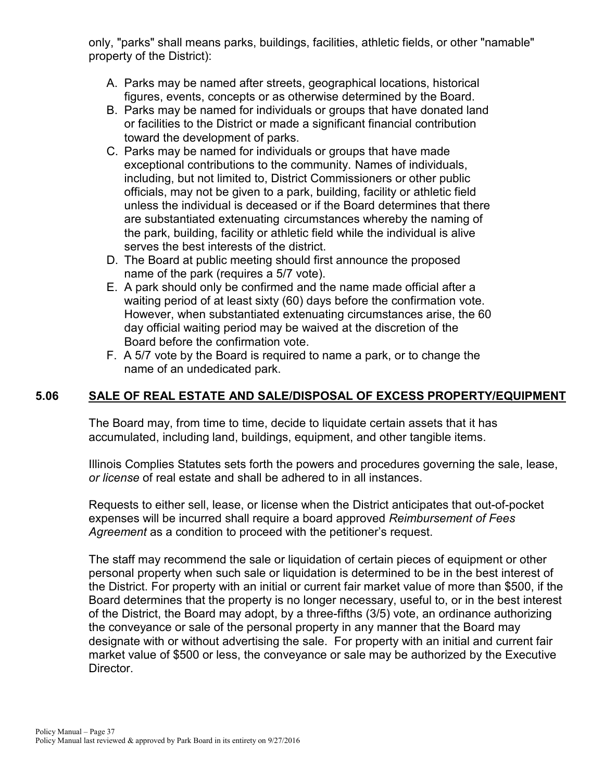only, "parks" shall means parks, buildings, facilities, athletic fields, or other "namable" property of the District):

- A. Parks may be named after streets, geographical locations, historical figures, events, concepts or as otherwise determined by the Board.
- B. Parks may be named for individuals or groups that have donated land or facilities to the District or made a significant financial contribution toward the development of parks.
- C. Parks may be named for individuals or groups that have made exceptional contributions to the community. Names of individuals, including, but not limited to, District Commissioners or other public officials, may not be given to a park, building, facility or athletic field unless the individual is deceased or if the Board determines that there are substantiated extenuating circumstances whereby the naming of the park, building, facility or athletic field while the individual is alive serves the best interests of the district.
- D. The Board at public meeting should first announce the proposed name of the park (requires a 5/7 vote).
- E. A park should only be confirmed and the name made official after a waiting period of at least sixty (60) days before the confirmation vote. However, when substantiated extenuating circumstances arise, the 60 day official waiting period may be waived at the discretion of the Board before the confirmation vote.
- F. A 5/7 vote by the Board is required to name a park, or to change the name of an undedicated park.

# **5.06 SALE OF REAL ESTATE AND SALE/DISPOSAL OF EXCESS PROPERTY/EQUIPMENT**

The Board may, from time to time, decide to liquidate certain assets that it has accumulated, including land, buildings, equipment, and other tangible items.

Illinois Complies Statutes sets forth the powers and procedures governing the sale, lease, *or license* of real estate and shall be adhered to in all instances.

Requests to either sell, lease, or license when the District anticipates that out-of-pocket expenses will be incurred shall require a board approved *Reimbursement of Fees Agreement* as a condition to proceed with the petitioner's request.

The staff may recommend the sale or liquidation of certain pieces of equipment or other personal property when such sale or liquidation is determined to be in the best interest of the District. For property with an initial or current fair market value of more than \$500, if the Board determines that the property is no longer necessary, useful to, or in the best interest of the District, the Board may adopt, by a three-fifths (3/5) vote, an ordinance authorizing the conveyance or sale of the personal property in any manner that the Board may designate with or without advertising the sale. For property with an initial and current fair market value of \$500 or less, the conveyance or sale may be authorized by the Executive Director.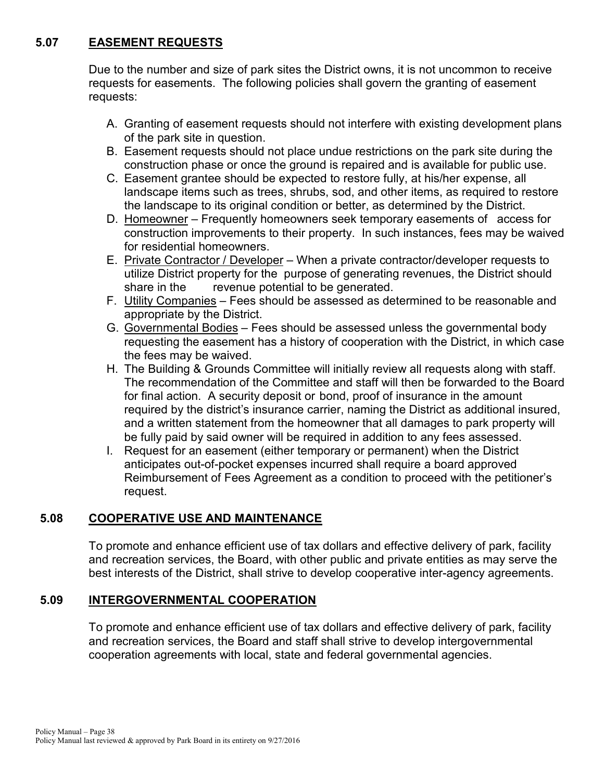# **5.07 EASEMENT REQUESTS**

Due to the number and size of park sites the District owns, it is not uncommon to receive requests for easements. The following policies shall govern the granting of easement requests:

- A. Granting of easement requests should not interfere with existing development plans of the park site in question.
- B. Easement requests should not place undue restrictions on the park site during the construction phase or once the ground is repaired and is available for public use.
- C. Easement grantee should be expected to restore fully, at his/her expense, all landscape items such as trees, shrubs, sod, and other items, as required to restore the landscape to its original condition or better, as determined by the District.
- D. Homeowner Frequently homeowners seek temporary easements of access for construction improvements to their property. In such instances, fees may be waived for residential homeowners.
- E. Private Contractor / Developer When a private contractor/developer requests to utilize District property for the purpose of generating revenues, the District should share in the revenue potential to be generated.
- F. Utility Companies Fees should be assessed as determined to be reasonable and appropriate by the District.
- G. Governmental Bodies Fees should be assessed unless the governmental body requesting the easement has a history of cooperation with the District, in which case the fees may be waived.
- H. The Building & Grounds Committee will initially review all requests along with staff. The recommendation of the Committee and staff will then be forwarded to the Board for final action. A security deposit or bond, proof of insurance in the amount required by the district's insurance carrier, naming the District as additional insured, and a written statement from the homeowner that all damages to park property will be fully paid by said owner will be required in addition to any fees assessed.
- I. Request for an easement (either temporary or permanent) when the District anticipates out-of-pocket expenses incurred shall require a board approved Reimbursement of Fees Agreement as a condition to proceed with the petitioner's request.

### **5.08 COOPERATIVE USE AND MAINTENANCE**

To promote and enhance efficient use of tax dollars and effective delivery of park, facility and recreation services, the Board, with other public and private entities as may serve the best interests of the District, shall strive to develop cooperative inter-agency agreements.

### **5.09 INTERGOVERNMENTAL COOPERATION**

To promote and enhance efficient use of tax dollars and effective delivery of park, facility and recreation services, the Board and staff shall strive to develop intergovernmental cooperation agreements with local, state and federal governmental agencies.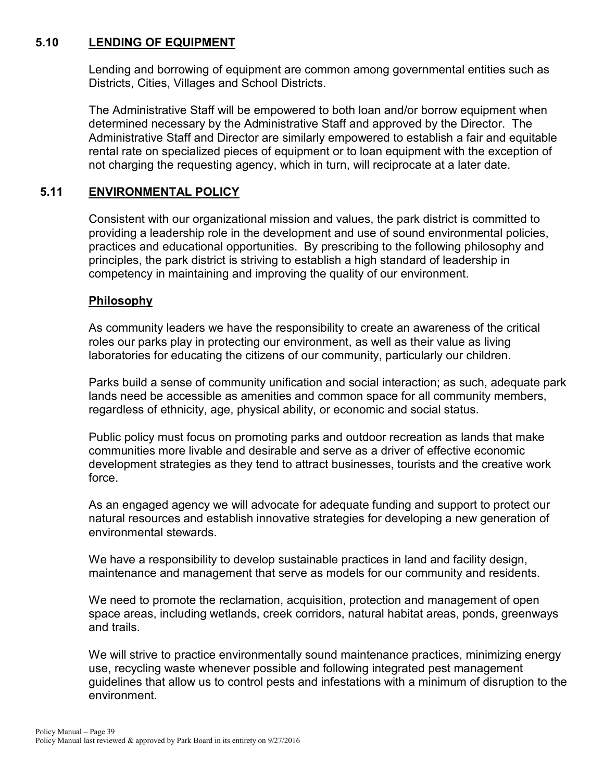#### **5.10 LENDING OF EQUIPMENT**

Lending and borrowing of equipment are common among governmental entities such as Districts, Cities, Villages and School Districts.

The Administrative Staff will be empowered to both loan and/or borrow equipment when determined necessary by the Administrative Staff and approved by the Director. The Administrative Staff and Director are similarly empowered to establish a fair and equitable rental rate on specialized pieces of equipment or to loan equipment with the exception of not charging the requesting agency, which in turn, will reciprocate at a later date.

#### **5.11 ENVIRONMENTAL POLICY**

Consistent with our organizational mission and values, the park district is committed to providing a leadership role in the development and use of sound environmental policies, practices and educational opportunities. By prescribing to the following philosophy and principles, the park district is striving to establish a high standard of leadership in competency in maintaining and improving the quality of our environment.

#### **Philosophy**

As community leaders we have the responsibility to create an awareness of the critical roles our parks play in protecting our environment, as well as their value as living laboratories for educating the citizens of our community, particularly our children.

Parks build a sense of community unification and social interaction; as such, adequate park lands need be accessible as amenities and common space for all community members, regardless of ethnicity, age, physical ability, or economic and social status.

Public policy must focus on promoting parks and outdoor recreation as lands that make communities more livable and desirable and serve as a driver of effective economic development strategies as they tend to attract businesses, tourists and the creative work force.

As an engaged agency we will advocate for adequate funding and support to protect our natural resources and establish innovative strategies for developing a new generation of environmental stewards.

We have a responsibility to develop sustainable practices in land and facility design, maintenance and management that serve as models for our community and residents.

We need to promote the reclamation, acquisition, protection and management of open space areas, including wetlands, creek corridors, natural habitat areas, ponds, greenways and trails.

We will strive to practice environmentally sound maintenance practices, minimizing energy use, recycling waste whenever possible and following integrated pest management guidelines that allow us to control pests and infestations with a minimum of disruption to the environment.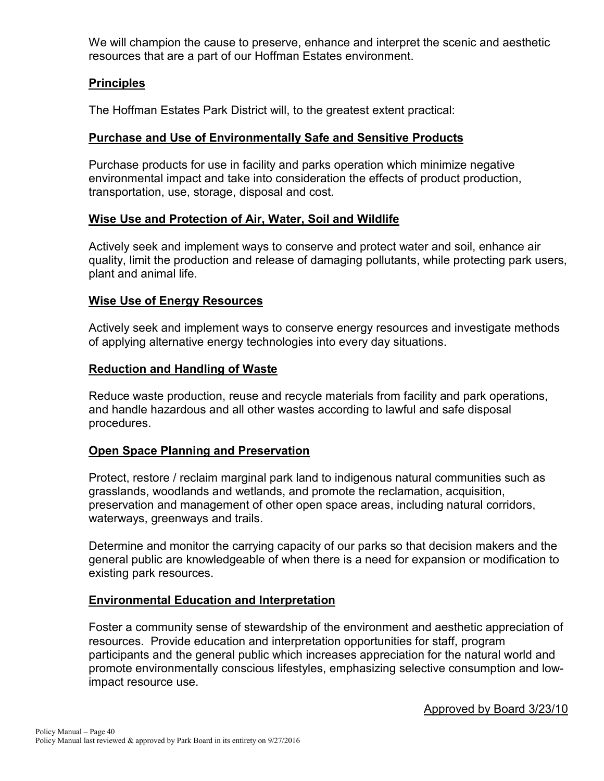We will champion the cause to preserve, enhance and interpret the scenic and aesthetic resources that are a part of our Hoffman Estates environment.

### **Principles**

The Hoffman Estates Park District will, to the greatest extent practical:

#### **Purchase and Use of Environmentally Safe and Sensitive Products**

Purchase products for use in facility and parks operation which minimize negative environmental impact and take into consideration the effects of product production, transportation, use, storage, disposal and cost.

#### **Wise Use and Protection of Air, Water, Soil and Wildlife**

Actively seek and implement ways to conserve and protect water and soil, enhance air quality, limit the production and release of damaging pollutants, while protecting park users, plant and animal life.

#### **Wise Use of Energy Resources**

Actively seek and implement ways to conserve energy resources and investigate methods of applying alternative energy technologies into every day situations.

#### **Reduction and Handling of Waste**

Reduce waste production, reuse and recycle materials from facility and park operations, and handle hazardous and all other wastes according to lawful and safe disposal procedures.

#### **Open Space Planning and Preservation**

Protect, restore / reclaim marginal park land to indigenous natural communities such as grasslands, woodlands and wetlands, and promote the reclamation, acquisition, preservation and management of other open space areas, including natural corridors, waterways, greenways and trails.

Determine and monitor the carrying capacity of our parks so that decision makers and the general public are knowledgeable of when there is a need for expansion or modification to existing park resources.

#### **Environmental Education and Interpretation**

Foster a community sense of stewardship of the environment and aesthetic appreciation of resources. Provide education and interpretation opportunities for staff, program participants and the general public which increases appreciation for the natural world and promote environmentally conscious lifestyles, emphasizing selective consumption and lowimpact resource use.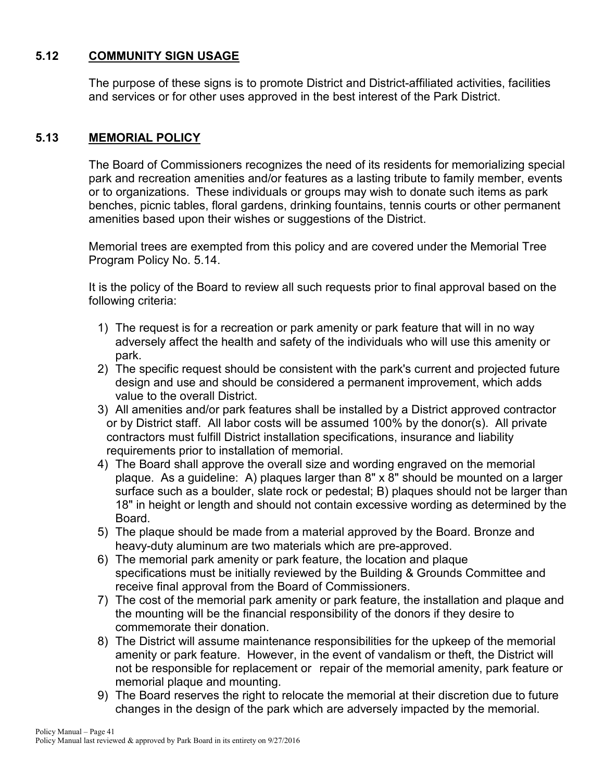# **5.12 COMMUNITY SIGN USAGE**

The purpose of these signs is to promote District and District-affiliated activities, facilities and services or for other uses approved in the best interest of the Park District.

#### **5.13 MEMORIAL POLICY**

The Board of Commissioners recognizes the need of its residents for memorializing special park and recreation amenities and/or features as a lasting tribute to family member, events or to organizations. These individuals or groups may wish to donate such items as park benches, picnic tables, floral gardens, drinking fountains, tennis courts or other permanent amenities based upon their wishes or suggestions of the District.

Memorial trees are exempted from this policy and are covered under the Memorial Tree Program Policy No. 5.14.

It is the policy of the Board to review all such requests prior to final approval based on the following criteria:

- 1) The request is for a recreation or park amenity or park feature that will in no way adversely affect the health and safety of the individuals who will use this amenity or park.
- 2) The specific request should be consistent with the park's current and projected future design and use and should be considered a permanent improvement, which adds value to the overall District.
- 3) All amenities and/or park features shall be installed by a District approved contractor or by District staff. All labor costs will be assumed 100% by the donor(s). All private contractors must fulfill District installation specifications, insurance and liability requirements prior to installation of memorial.
- 4) The Board shall approve the overall size and wording engraved on the memorial plaque. As a guideline: A) plaques larger than 8" x 8" should be mounted on a larger surface such as a boulder, slate rock or pedestal; B) plaques should not be larger than 18" in height or length and should not contain excessive wording as determined by the Board.
- 5) The plaque should be made from a material approved by the Board. Bronze and heavy-duty aluminum are two materials which are pre-approved.
- 6) The memorial park amenity or park feature, the location and plaque specifications must be initially reviewed by the Building & Grounds Committee and receive final approval from the Board of Commissioners.
- 7) The cost of the memorial park amenity or park feature, the installation and plaque and the mounting will be the financial responsibility of the donors if they desire to commemorate their donation.
- 8) The District will assume maintenance responsibilities for the upkeep of the memorial amenity or park feature. However, in the event of vandalism or theft, the District will not be responsible for replacement or repair of the memorial amenity, park feature or memorial plaque and mounting.
- 9) The Board reserves the right to relocate the memorial at their discretion due to future changes in the design of the park which are adversely impacted by the memorial.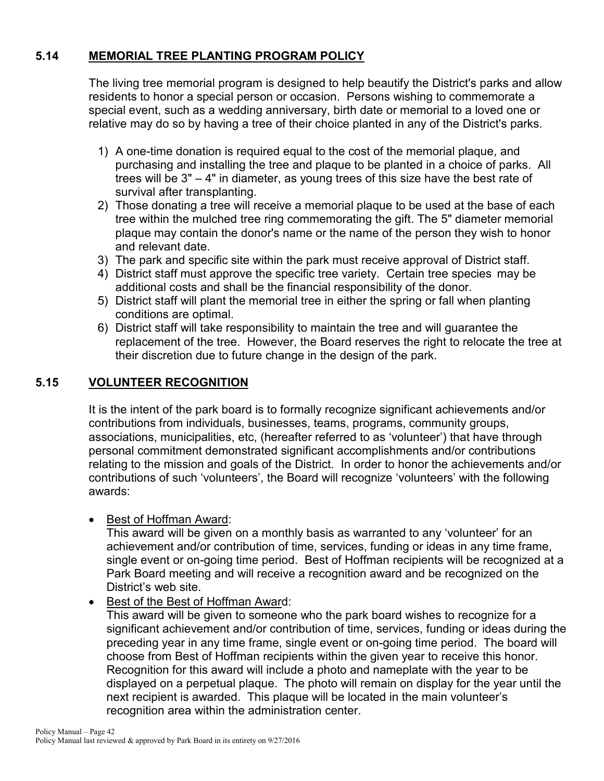# **5.14 MEMORIAL TREE PLANTING PROGRAM POLICY**

The living tree memorial program is designed to help beautify the District's parks and allow residents to honor a special person or occasion. Persons wishing to commemorate a special event, such as a wedding anniversary, birth date or memorial to a loved one or relative may do so by having a tree of their choice planted in any of the District's parks.

- 1) A one-time donation is required equal to the cost of the memorial plaque, and purchasing and installing the tree and plaque to be planted in a choice of parks. All trees will be 3" – 4" in diameter, as young trees of this size have the best rate of survival after transplanting.
- 2) Those donating a tree will receive a memorial plaque to be used at the base of each tree within the mulched tree ring commemorating the gift. The 5" diameter memorial plaque may contain the donor's name or the name of the person they wish to honor and relevant date.
- 3) The park and specific site within the park must receive approval of District staff.
- 4) District staff must approve the specific tree variety. Certain tree species may be additional costs and shall be the financial responsibility of the donor.
- 5) District staff will plant the memorial tree in either the spring or fall when planting conditions are optimal.
- 6) District staff will take responsibility to maintain the tree and will guarantee the replacement of the tree. However, the Board reserves the right to relocate the tree at their discretion due to future change in the design of the park.

#### **5.15 VOLUNTEER RECOGNITION**

It is the intent of the park board is to formally recognize significant achievements and/or contributions from individuals, businesses, teams, programs, community groups, associations, municipalities, etc, (hereafter referred to as 'volunteer') that have through personal commitment demonstrated significant accomplishments and/or contributions relating to the mission and goals of the District. In order to honor the achievements and/or contributions of such 'volunteers', the Board will recognize 'volunteers' with the following awards:

#### • Best of Hoffman Award:

This award will be given on a monthly basis as warranted to any 'volunteer' for an achievement and/or contribution of time, services, funding or ideas in any time frame, single event or on-going time period. Best of Hoffman recipients will be recognized at a Park Board meeting and will receive a recognition award and be recognized on the District's web site.

• Best of the Best of Hoffman Award:

This award will be given to someone who the park board wishes to recognize for a significant achievement and/or contribution of time, services, funding or ideas during the preceding year in any time frame, single event or on-going time period. The board will choose from Best of Hoffman recipients within the given year to receive this honor. Recognition for this award will include a photo and nameplate with the year to be displayed on a perpetual plaque. The photo will remain on display for the year until the next recipient is awarded. This plaque will be located in the main volunteer's recognition area within the administration center.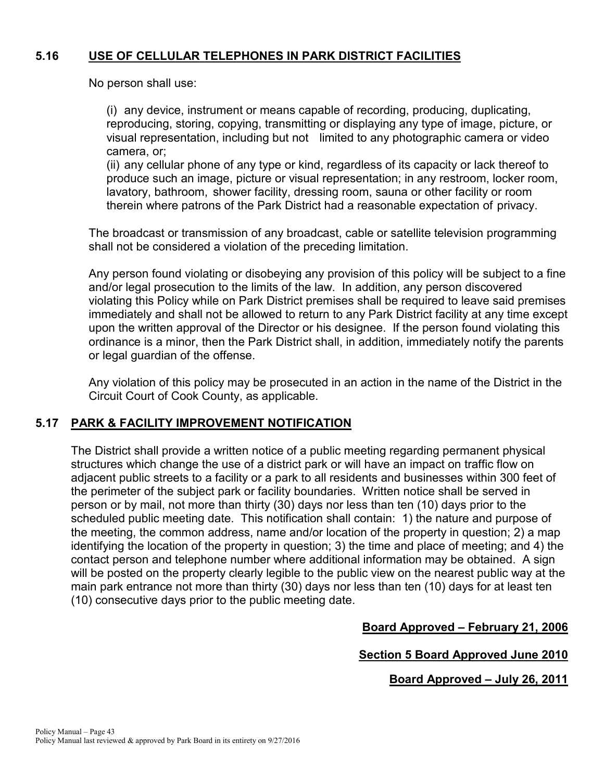# **5.16 USE OF CELLULAR TELEPHONES IN PARK DISTRICT FACILITIES**

No person shall use:

(i) any device, instrument or means capable of recording, producing, duplicating, reproducing, storing, copying, transmitting or displaying any type of image, picture, or visual representation, including but not limited to any photographic camera or video camera, or;

(ii) any cellular phone of any type or kind, regardless of its capacity or lack thereof to produce such an image, picture or visual representation; in any restroom, locker room, lavatory, bathroom, shower facility, dressing room, sauna or other facility or room therein where patrons of the Park District had a reasonable expectation of privacy.

The broadcast or transmission of any broadcast, cable or satellite television programming shall not be considered a violation of the preceding limitation.

Any person found violating or disobeying any provision of this policy will be subject to a fine and/or legal prosecution to the limits of the law. In addition, any person discovered violating this Policy while on Park District premises shall be required to leave said premises immediately and shall not be allowed to return to any Park District facility at any time except upon the written approval of the Director or his designee. If the person found violating this ordinance is a minor, then the Park District shall, in addition, immediately notify the parents or legal guardian of the offense.

Any violation of this policy may be prosecuted in an action in the name of the District in the Circuit Court of Cook County, as applicable.

#### **5.17 PARK & FACILITY IMPROVEMENT NOTIFICATION**

The District shall provide a written notice of a public meeting regarding permanent physical structures which change the use of a district park or will have an impact on traffic flow on adjacent public streets to a facility or a park to all residents and businesses within 300 feet of the perimeter of the subject park or facility boundaries. Written notice shall be served in person or by mail, not more than thirty (30) days nor less than ten (10) days prior to the scheduled public meeting date. This notification shall contain: 1) the nature and purpose of the meeting, the common address, name and/or location of the property in question; 2) a map identifying the location of the property in question; 3) the time and place of meeting; and 4) the contact person and telephone number where additional information may be obtained. A sign will be posted on the property clearly legible to the public view on the nearest public way at the main park entrance not more than thirty (30) days nor less than ten (10) days for at least ten (10) consecutive days prior to the public meeting date.

**Board Approved – February 21, 2006**

**Section 5 Board Approved June 2010**

**Board Approved – July 26, 2011**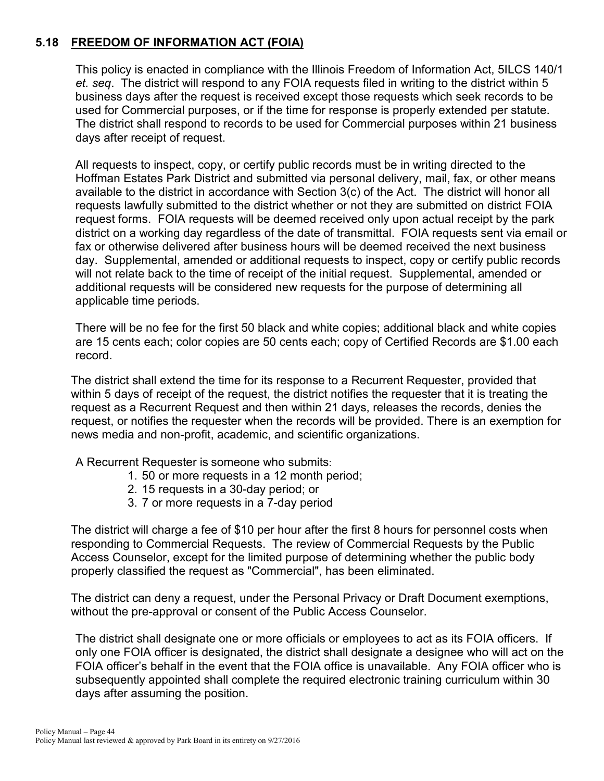# **5.18 FREEDOM OF INFORMATION ACT (FOIA)**

This policy is enacted in compliance with the Illinois Freedom of Information Act, 5ILCS 140/1 *et. seq*. The district will respond to any FOIA requests filed in writing to the district within 5 business days after the request is received except those requests which seek records to be used for Commercial purposes, or if the time for response is properly extended per statute. The district shall respond to records to be used for Commercial purposes within 21 business days after receipt of request.

All requests to inspect, copy, or certify public records must be in writing directed to the Hoffman Estates Park District and submitted via personal delivery, mail, fax, or other means available to the district in accordance with Section 3(c) of the Act. The district will honor all requests lawfully submitted to the district whether or not they are submitted on district FOIA request forms. FOIA requests will be deemed received only upon actual receipt by the park district on a working day regardless of the date of transmittal. FOIA requests sent via email or fax or otherwise delivered after business hours will be deemed received the next business day. Supplemental, amended or additional requests to inspect, copy or certify public records will not relate back to the time of receipt of the initial request. Supplemental, amended or additional requests will be considered new requests for the purpose of determining all applicable time periods.

There will be no fee for the first 50 black and white copies; additional black and white copies are 15 cents each; color copies are 50 cents each; copy of Certified Records are \$1.00 each record.

The district shall extend the time for its response to a Recurrent Requester, provided that within 5 days of receipt of the request, the district notifies the requester that it is treating the request as a Recurrent Request and then within 21 days, releases the records, denies the request, or notifies the requester when the records will be provided. There is an exemption for news media and non-profit, academic, and scientific organizations.

A Recurrent Requester is someone who submits:

- 1. 50 or more requests in a 12 month period;
- 2. 15 requests in a 30-day period; or
- 3. 7 or more requests in a 7-day period

The district will charge a fee of \$10 per hour after the first 8 hours for personnel costs when responding to Commercial Requests. The review of Commercial Requests by the Public Access Counselor, except for the limited purpose of determining whether the public body properly classified the request as "Commercial", has been eliminated.

The district can deny a request, under the Personal Privacy or Draft Document exemptions, without the pre-approval or consent of the Public Access Counselor.

The district shall designate one or more officials or employees to act as its FOIA officers. If only one FOIA officer is designated, the district shall designate a designee who will act on the FOIA officer's behalf in the event that the FOIA office is unavailable. Any FOIA officer who is subsequently appointed shall complete the required electronic training curriculum within 30 days after assuming the position.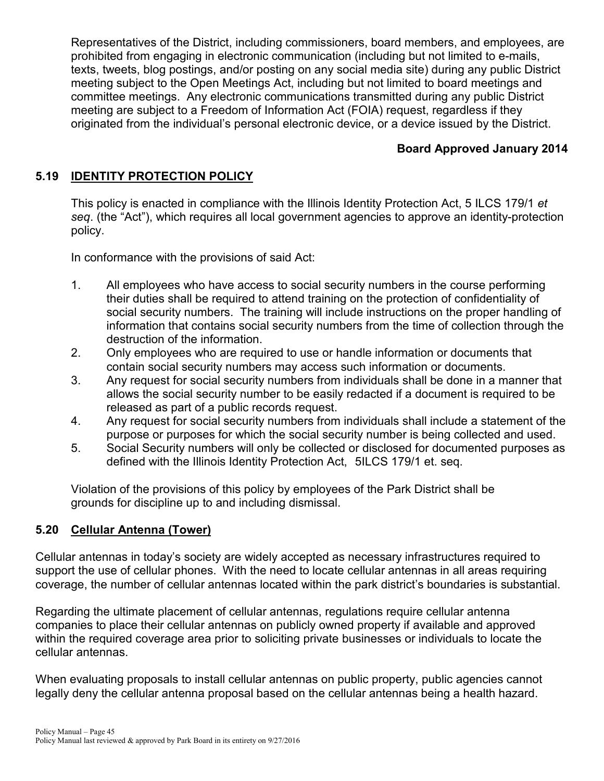Representatives of the District, including commissioners, board members, and employees, are prohibited from engaging in electronic communication (including but not limited to e-mails, texts, tweets, blog postings, and/or posting on any social media site) during any public District meeting subject to the Open Meetings Act, including but not limited to board meetings and committee meetings. Any electronic communications transmitted during any public District meeting are subject to a Freedom of Information Act (FOIA) request, regardless if they originated from the individual's personal electronic device, or a device issued by the District.

# **Board Approved January 2014**

### **5.19 IDENTITY PROTECTION POLICY**

This policy is enacted in compliance with the Illinois Identity Protection Act, 5 ILCS 179/1 *et seq*. (the "Act"), which requires all local government agencies to approve an identity-protection policy.

In conformance with the provisions of said Act:

- 1. All employees who have access to social security numbers in the course performing their duties shall be required to attend training on the protection of confidentiality of social security numbers. The training will include instructions on the proper handling of information that contains social security numbers from the time of collection through the destruction of the information.
- 2. Only employees who are required to use or handle information or documents that contain social security numbers may access such information or documents.
- 3. Any request for social security numbers from individuals shall be done in a manner that allows the social security number to be easily redacted if a document is required to be released as part of a public records request.
- 4. Any request for social security numbers from individuals shall include a statement of the purpose or purposes for which the social security number is being collected and used.
- 5. Social Security numbers will only be collected or disclosed for documented purposes as defined with the Illinois Identity Protection Act, 5ILCS 179/1 et. seq.

Violation of the provisions of this policy by employees of the Park District shall be grounds for discipline up to and including dismissal.

#### **5.20 Cellular Antenna (Tower)**

Cellular antennas in today's society are widely accepted as necessary infrastructures required to support the use of cellular phones. With the need to locate cellular antennas in all areas requiring coverage, the number of cellular antennas located within the park district's boundaries is substantial.

Regarding the ultimate placement of cellular antennas, regulations require cellular antenna companies to place their cellular antennas on publicly owned property if available and approved within the required coverage area prior to soliciting private businesses or individuals to locate the cellular antennas.

When evaluating proposals to install cellular antennas on public property, public agencies cannot legally deny the cellular antenna proposal based on the cellular antennas being a health hazard.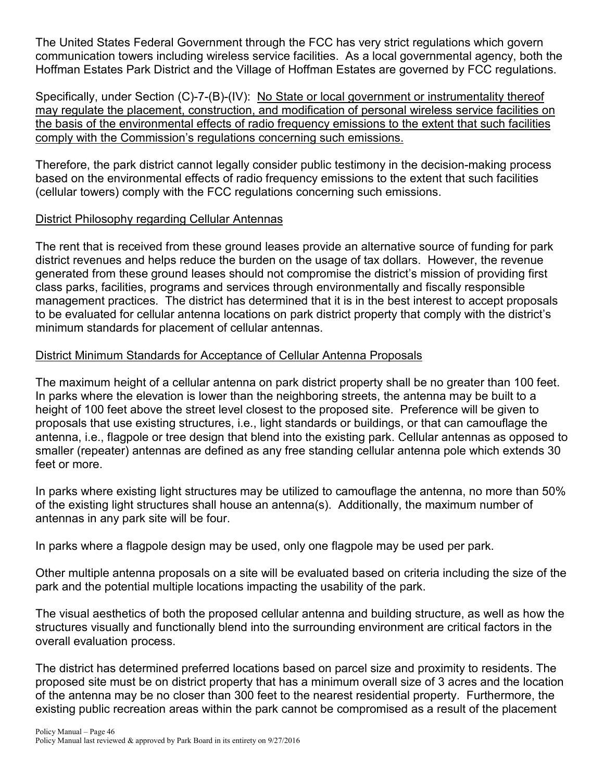The United States Federal Government through the FCC has very strict regulations which govern communication towers including wireless service facilities. As a local governmental agency, both the Hoffman Estates Park District and the Village of Hoffman Estates are governed by FCC regulations.

Specifically, under Section (C)-7-(B)-(IV): No State or local government or instrumentality thereof may regulate the placement, construction, and modification of personal wireless service facilities on the basis of the environmental effects of radio frequency emissions to the extent that such facilities comply with the Commission's regulations concerning such emissions.

Therefore, the park district cannot legally consider public testimony in the decision-making process based on the environmental effects of radio frequency emissions to the extent that such facilities (cellular towers) comply with the FCC regulations concerning such emissions.

#### District Philosophy regarding Cellular Antennas

The rent that is received from these ground leases provide an alternative source of funding for park district revenues and helps reduce the burden on the usage of tax dollars. However, the revenue generated from these ground leases should not compromise the district's mission of providing first class parks, facilities, programs and services through environmentally and fiscally responsible management practices. The district has determined that it is in the best interest to accept proposals to be evaluated for cellular antenna locations on park district property that comply with the district's minimum standards for placement of cellular antennas.

### District Minimum Standards for Acceptance of Cellular Antenna Proposals

The maximum height of a cellular antenna on park district property shall be no greater than 100 feet. In parks where the elevation is lower than the neighboring streets, the antenna may be built to a height of 100 feet above the street level closest to the proposed site. Preference will be given to proposals that use existing structures, i.e., light standards or buildings, or that can camouflage the antenna, i.e., flagpole or tree design that blend into the existing park. Cellular antennas as opposed to smaller (repeater) antennas are defined as any free standing cellular antenna pole which extends 30 feet or more.

In parks where existing light structures may be utilized to camouflage the antenna, no more than 50% of the existing light structures shall house an antenna(s). Additionally, the maximum number of antennas in any park site will be four.

In parks where a flagpole design may be used, only one flagpole may be used per park.

Other multiple antenna proposals on a site will be evaluated based on criteria including the size of the park and the potential multiple locations impacting the usability of the park.

The visual aesthetics of both the proposed cellular antenna and building structure, as well as how the structures visually and functionally blend into the surrounding environment are critical factors in the overall evaluation process.

The district has determined preferred locations based on parcel size and proximity to residents. The proposed site must be on district property that has a minimum overall size of 3 acres and the location of the antenna may be no closer than 300 feet to the nearest residential property. Furthermore, the existing public recreation areas within the park cannot be compromised as a result of the placement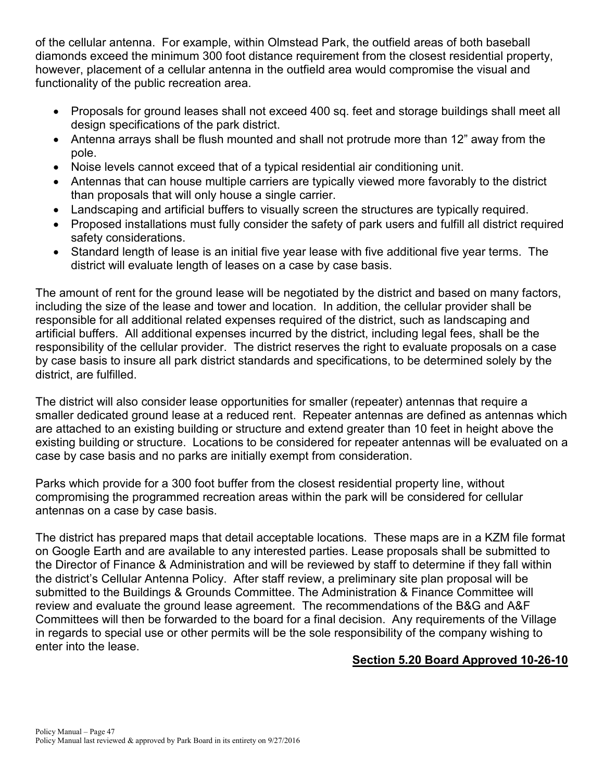of the cellular antenna. For example, within Olmstead Park, the outfield areas of both baseball diamonds exceed the minimum 300 foot distance requirement from the closest residential property, however, placement of a cellular antenna in the outfield area would compromise the visual and functionality of the public recreation area.

- Proposals for ground leases shall not exceed 400 sq. feet and storage buildings shall meet all design specifications of the park district.
- Antenna arrays shall be flush mounted and shall not protrude more than 12" away from the pole.
- Noise levels cannot exceed that of a typical residential air conditioning unit.
- Antennas that can house multiple carriers are typically viewed more favorably to the district than proposals that will only house a single carrier.
- Landscaping and artificial buffers to visually screen the structures are typically required.
- Proposed installations must fully consider the safety of park users and fulfill all district required safety considerations.
- Standard length of lease is an initial five year lease with five additional five year terms. The district will evaluate length of leases on a case by case basis.

The amount of rent for the ground lease will be negotiated by the district and based on many factors, including the size of the lease and tower and location. In addition, the cellular provider shall be responsible for all additional related expenses required of the district, such as landscaping and artificial buffers. All additional expenses incurred by the district, including legal fees, shall be the responsibility of the cellular provider. The district reserves the right to evaluate proposals on a case by case basis to insure all park district standards and specifications, to be determined solely by the district, are fulfilled.

The district will also consider lease opportunities for smaller (repeater) antennas that require a smaller dedicated ground lease at a reduced rent. Repeater antennas are defined as antennas which are attached to an existing building or structure and extend greater than 10 feet in height above the existing building or structure. Locations to be considered for repeater antennas will be evaluated on a case by case basis and no parks are initially exempt from consideration.

Parks which provide for a 300 foot buffer from the closest residential property line, without compromising the programmed recreation areas within the park will be considered for cellular antennas on a case by case basis.

The district has prepared maps that detail acceptable locations. These maps are in a KZM file format on Google Earth and are available to any interested parties. Lease proposals shall be submitted to the Director of Finance & Administration and will be reviewed by staff to determine if they fall within the district's Cellular Antenna Policy. After staff review, a preliminary site plan proposal will be submitted to the Buildings & Grounds Committee. The Administration & Finance Committee will review and evaluate the ground lease agreement. The recommendations of the B&G and A&F Committees will then be forwarded to the board for a final decision. Any requirements of the Village in regards to special use or other permits will be the sole responsibility of the company wishing to enter into the lease.

### **Section 5.20 Board Approved 10-26-10**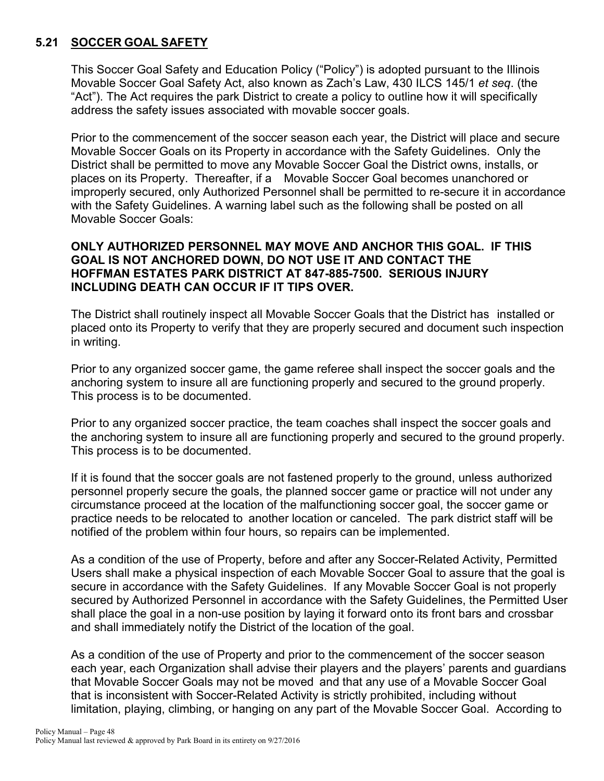# **5.21 SOCCER GOAL SAFETY**

This Soccer Goal Safety and Education Policy ("Policy") is adopted pursuant to the Illinois Movable Soccer Goal Safety Act, also known as Zach's Law, 430 ILCS 145/1 *et seq*. (the "Act"). The Act requires the park District to create a policy to outline how it will specifically address the safety issues associated with movable soccer goals.

Prior to the commencement of the soccer season each year, the District will place and secure Movable Soccer Goals on its Property in accordance with the Safety Guidelines. Only the District shall be permitted to move any Movable Soccer Goal the District owns, installs, or places on its Property. Thereafter, if a Movable Soccer Goal becomes unanchored or improperly secured, only Authorized Personnel shall be permitted to re-secure it in accordance with the Safety Guidelines. A warning label such as the following shall be posted on all Movable Soccer Goals:

#### **ONLY AUTHORIZED PERSONNEL MAY MOVE AND ANCHOR THIS GOAL. IF THIS GOAL IS NOT ANCHORED DOWN, DO NOT USE IT AND CONTACT THE HOFFMAN ESTATES PARK DISTRICT AT 847-885-7500. SERIOUS INJURY INCLUDING DEATH CAN OCCUR IF IT TIPS OVER.**

The District shall routinely inspect all Movable Soccer Goals that the District has installed or placed onto its Property to verify that they are properly secured and document such inspection in writing.

Prior to any organized soccer game, the game referee shall inspect the soccer goals and the anchoring system to insure all are functioning properly and secured to the ground properly. This process is to be documented.

Prior to any organized soccer practice, the team coaches shall inspect the soccer goals and the anchoring system to insure all are functioning properly and secured to the ground properly. This process is to be documented.

If it is found that the soccer goals are not fastened properly to the ground, unless authorized personnel properly secure the goals, the planned soccer game or practice will not under any circumstance proceed at the location of the malfunctioning soccer goal, the soccer game or practice needs to be relocated to another location or canceled. The park district staff will be notified of the problem within four hours, so repairs can be implemented.

As a condition of the use of Property, before and after any Soccer-Related Activity, Permitted Users shall make a physical inspection of each Movable Soccer Goal to assure that the goal is secure in accordance with the Safety Guidelines. If any Movable Soccer Goal is not properly secured by Authorized Personnel in accordance with the Safety Guidelines, the Permitted User shall place the goal in a non-use position by laying it forward onto its front bars and crossbar and shall immediately notify the District of the location of the goal.

As a condition of the use of Property and prior to the commencement of the soccer season each year, each Organization shall advise their players and the players' parents and guardians that Movable Soccer Goals may not be moved and that any use of a Movable Soccer Goal that is inconsistent with Soccer-Related Activity is strictly prohibited, including without limitation, playing, climbing, or hanging on any part of the Movable Soccer Goal. According to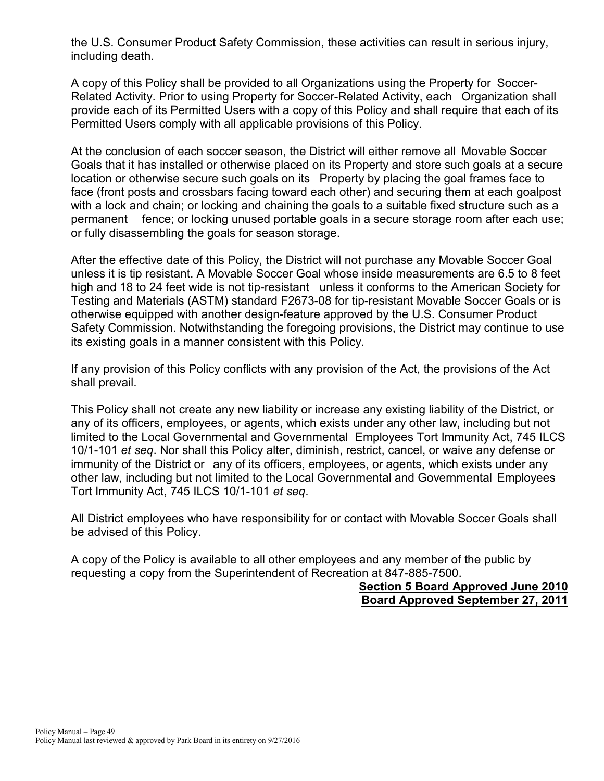the U.S. Consumer Product Safety Commission, these activities can result in serious injury, including death.

A copy of this Policy shall be provided to all Organizations using the Property for Soccer-Related Activity. Prior to using Property for Soccer-Related Activity, each Organization shall provide each of its Permitted Users with a copy of this Policy and shall require that each of its Permitted Users comply with all applicable provisions of this Policy.

At the conclusion of each soccer season, the District will either remove all Movable Soccer Goals that it has installed or otherwise placed on its Property and store such goals at a secure location or otherwise secure such goals on its Property by placing the goal frames face to face (front posts and crossbars facing toward each other) and securing them at each goalpost with a lock and chain; or locking and chaining the goals to a suitable fixed structure such as a permanent fence; or locking unused portable goals in a secure storage room after each use; or fully disassembling the goals for season storage.

After the effective date of this Policy, the District will not purchase any Movable Soccer Goal unless it is tip resistant. A Movable Soccer Goal whose inside measurements are 6.5 to 8 feet high and 18 to 24 feet wide is not tip-resistant unless it conforms to the American Society for Testing and Materials (ASTM) standard F2673-08 for tip-resistant Movable Soccer Goals or is otherwise equipped with another design-feature approved by the U.S. Consumer Product Safety Commission. Notwithstanding the foregoing provisions, the District may continue to use its existing goals in a manner consistent with this Policy.

If any provision of this Policy conflicts with any provision of the Act, the provisions of the Act shall prevail.

This Policy shall not create any new liability or increase any existing liability of the District, or any of its officers, employees, or agents, which exists under any other law, including but not limited to the Local Governmental and Governmental Employees Tort Immunity Act, 745 ILCS 10/1-101 *et seq*. Nor shall this Policy alter, diminish, restrict, cancel, or waive any defense or immunity of the District or any of its officers, employees, or agents, which exists under any other law, including but not limited to the Local Governmental and Governmental Employees Tort Immunity Act, 745 ILCS 10/1-101 *et seq*.

All District employees who have responsibility for or contact with Movable Soccer Goals shall be advised of this Policy.

A copy of the Policy is available to all other employees and any member of the public by requesting a copy from the Superintendent of Recreation at 847-885-7500.

> **Section 5 Board Approved June 2010 Board Approved September 27, 2011**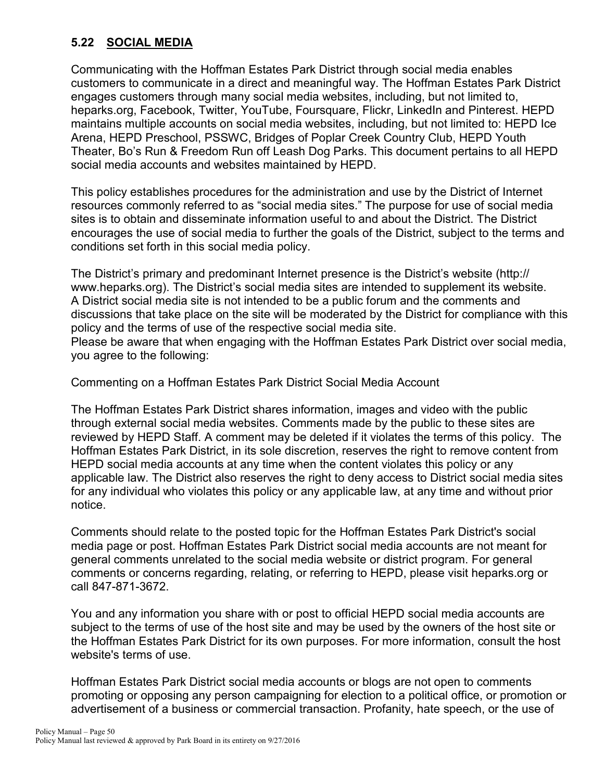# **5.22 SOCIAL MEDIA**

Communicating with the Hoffman Estates Park District through social media enables customers to communicate in a direct and meaningful way. The Hoffman Estates Park District engages customers through many social media websites, including, but not limited to, heparks.org, Facebook, Twitter, YouTube, Foursquare, Flickr, LinkedIn and Pinterest. HEPD maintains multiple accounts on social media websites, including, but not limited to: HEPD Ice Arena, HEPD Preschool, PSSWC, Bridges of Poplar Creek Country Club, HEPD Youth Theater, Bo's Run & Freedom Run off Leash Dog Parks. This document pertains to all HEPD social media accounts and websites maintained by HEPD.

This policy establishes procedures for the administration and use by the District of Internet resources commonly referred to as "social media sites." The purpose for use of social media sites is to obtain and disseminate information useful to and about the District. The District encourages the use of social media to further the goals of the District, subject to the terms and conditions set forth in this social media policy.

The District's primary and predominant Internet presence is the District's website (http:// www.heparks.org). The District's social media sites are intended to supplement its website. A District social media site is not intended to be a public forum and the comments and discussions that take place on the site will be moderated by the District for compliance with this policy and the terms of use of the respective social media site.

Please be aware that when engaging with the Hoffman Estates Park District over social media, you agree to the following:

Commenting on a Hoffman Estates Park District Social Media Account

The Hoffman Estates Park District shares information, images and video with the public through external social media websites. Comments made by the public to these sites are reviewed by HEPD Staff. A comment may be deleted if it violates the terms of this policy. The Hoffman Estates Park District, in its sole discretion, reserves the right to remove content from HEPD social media accounts at any time when the content violates this policy or any applicable law. The District also reserves the right to deny access to District social media sites for any individual who violates this policy or any applicable law, at any time and without prior notice.

Comments should relate to the posted topic for the Hoffman Estates Park District's social media page or post. Hoffman Estates Park District social media accounts are not meant for general comments unrelated to the social media website or district program. For general comments or concerns regarding, relating, or referring to HEPD, please visit heparks.org or call 847-871-3672.

You and any information you share with or post to official HEPD social media accounts are subject to the terms of use of the host site and may be used by the owners of the host site or the Hoffman Estates Park District for its own purposes. For more information, consult the host website's terms of use.

Hoffman Estates Park District social media accounts or blogs are not open to comments promoting or opposing any person campaigning for election to a political office, or promotion or advertisement of a business or commercial transaction. Profanity, hate speech, or the use of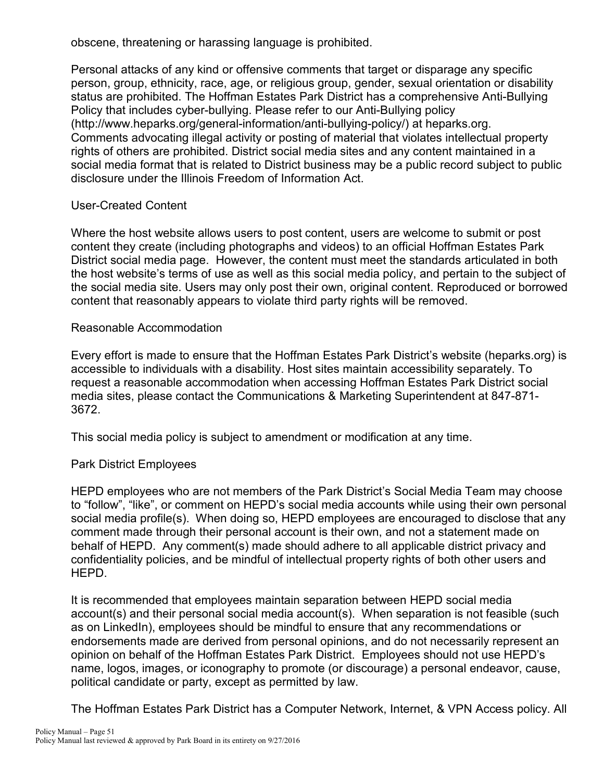obscene, threatening or harassing language is prohibited.

Personal attacks of any kind or offensive comments that target or disparage any specific person, group, ethnicity, race, age, or religious group, gender, sexual orientation or disability status are prohibited. The Hoffman Estates Park District has a comprehensive Anti-Bullying Policy that includes cyber-bullying. Please refer to our Anti-Bullying policy [\(http://www.heparks.org/general-information/anti-bullying-policy/\)](http://www.heparks.org/general-information/anti-bullying-policy/) at heparks.org. Comments advocating illegal activity or posting of material that violates intellectual property rights of others are prohibited. District social media sites and any content maintained in a social media format that is related to District business may be a public record subject to public disclosure under the Illinois Freedom of Information Act.

#### User-Created Content

Where the host website allows users to post content, users are welcome to submit or post content they create (including photographs and videos) to an official Hoffman Estates Park District social media page. However, the content must meet the standards articulated in both the host website's terms of use as well as this social media policy, and pertain to the subject of the social media site. Users may only post their own, original content. Reproduced or borrowed content that reasonably appears to violate third party rights will be removed.

#### Reasonable Accommodation

Every effort is made to ensure that the Hoffman Estates Park District's website (heparks.org) is accessible to individuals with a disability. Host sites maintain accessibility separately. To request a reasonable accommodation when accessing Hoffman Estates Park District social media sites, please contact the Communications & Marketing Superintendent at 847-871- 3672.

This social media policy is subject to amendment or modification at any time.

### Park District Employees

HEPD employees who are not members of the Park District's Social Media Team may choose to "follow", "like", or comment on HEPD's social media accounts while using their own personal social media profile(s). When doing so, HEPD employees are encouraged to disclose that any comment made through their personal account is their own, and not a statement made on behalf of HEPD. Any comment(s) made should adhere to all applicable district privacy and confidentiality policies, and be mindful of intellectual property rights of both other users and HEPD.

It is recommended that employees maintain separation between HEPD social media account(s) and their personal social media account(s). When separation is not feasible (such as on LinkedIn), employees should be mindful to ensure that any recommendations or endorsements made are derived from personal opinions, and do not necessarily represent an opinion on behalf of the Hoffman Estates Park District. Employees should not use HEPD's name, logos, images, or iconography to promote (or discourage) a personal endeavor, cause, political candidate or party, except as permitted by law.

The Hoffman Estates Park District has a Computer Network, Internet, & VPN Access policy. All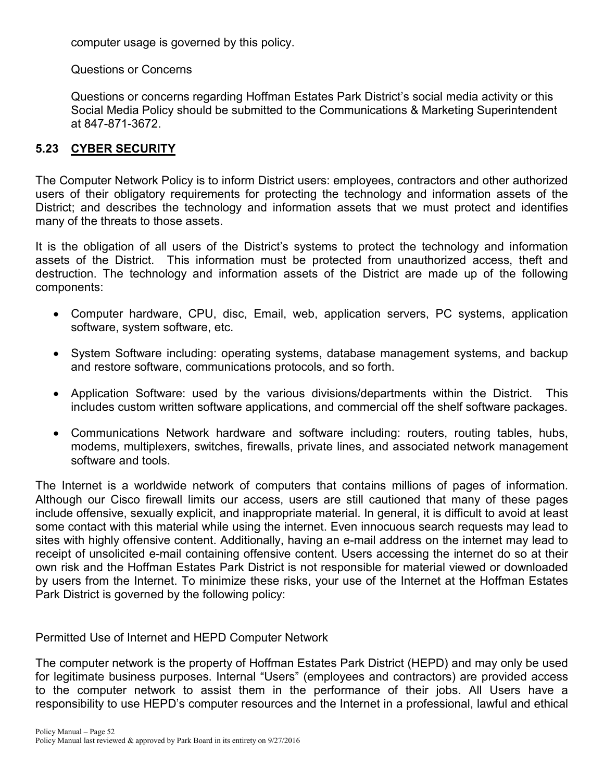computer usage is governed by this policy.

Questions or Concerns

Questions or concerns regarding Hoffman Estates Park District's social media activity or this Social Media Policy should be submitted to the Communications & Marketing Superintendent at 847-871-3672.

#### **5.23 CYBER SECURITY**

The Computer Network Policy is to inform District users: employees, contractors and other authorized users of their obligatory requirements for protecting the technology and information assets of the District; and describes the technology and information assets that we must protect and identifies many of the threats to those assets.

It is the obligation of all users of the District's systems to protect the technology and information assets of the District. This information must be protected from unauthorized access, theft and destruction. The technology and information assets of the District are made up of the following components:

- Computer hardware, CPU, disc, Email, web, application servers, PC systems, application software, system software, etc.
- System Software including: operating systems, database management systems, and backup and restore software, communications protocols, and so forth.
- Application Software: used by the various divisions/departments within the District. This includes custom written software applications, and commercial off the shelf software packages.
- Communications Network hardware and software including: routers, routing tables, hubs, modems, multiplexers, switches, firewalls, private lines, and associated network management software and tools.

The Internet is a worldwide network of computers that contains millions of pages of information. Although our Cisco firewall limits our access, users are still cautioned that many of these pages include offensive, sexually explicit, and inappropriate material. In general, it is difficult to avoid at least some contact with this material while using the internet. Even innocuous search requests may lead to sites with highly offensive content. Additionally, having an e-mail address on the internet may lead to receipt of unsolicited e-mail containing offensive content. Users accessing the internet do so at their own risk and the Hoffman Estates Park District is not responsible for material viewed or downloaded by users from the Internet. To minimize these risks, your use of the Internet at the Hoffman Estates Park District is governed by the following policy:

Permitted Use of Internet and HEPD Computer Network

The computer network is the property of Hoffman Estates Park District (HEPD) and may only be used for legitimate business purposes. Internal "Users" (employees and contractors) are provided access to the computer network to assist them in the performance of their jobs. All Users have a responsibility to use HEPD's computer resources and the Internet in a professional, lawful and ethical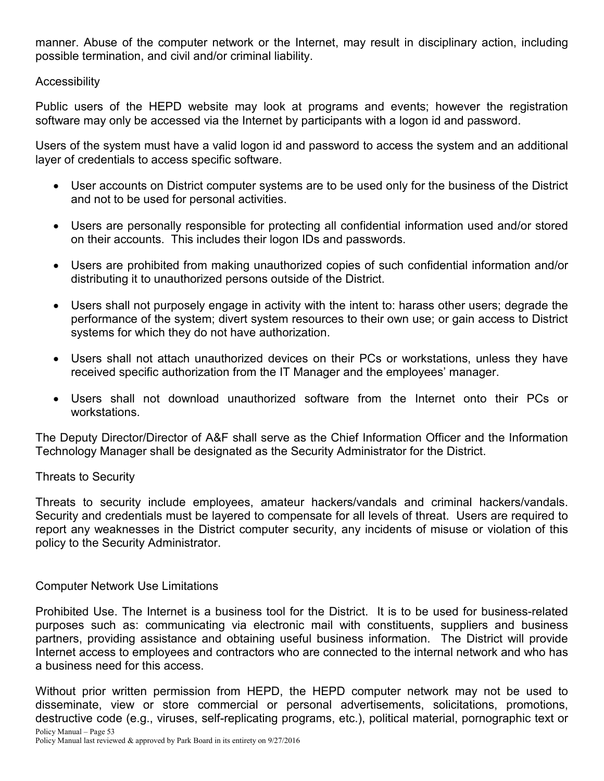manner. Abuse of the computer network or the Internet, may result in disciplinary action, including possible termination, and civil and/or criminal liability.

#### **Accessibility**

Public users of the HEPD website may look at programs and events; however the registration software may only be accessed via the Internet by participants with a logon id and password.

Users of the system must have a valid logon id and password to access the system and an additional layer of credentials to access specific software.

- User accounts on District computer systems are to be used only for the business of the District and not to be used for personal activities.
- Users are personally responsible for protecting all confidential information used and/or stored on their accounts. This includes their logon IDs and passwords.
- Users are prohibited from making unauthorized copies of such confidential information and/or distributing it to unauthorized persons outside of the District.
- Users shall not purposely engage in activity with the intent to: harass other users; degrade the performance of the system; divert system resources to their own use; or gain access to District systems for which they do not have authorization.
- Users shall not attach unauthorized devices on their PCs or workstations, unless they have received specific authorization from the IT Manager and the employees' manager.
- Users shall not download unauthorized software from the Internet onto their PCs or workstations.

The Deputy Director/Director of A&F shall serve as the Chief Information Officer and the Information Technology Manager shall be designated as the Security Administrator for the District.

### Threats to Security

Threats to security include employees, amateur hackers/vandals and criminal hackers/vandals. Security and credentials must be layered to compensate for all levels of threat. Users are required to report any weaknesses in the District computer security, any incidents of misuse or violation of this policy to the Security Administrator.

#### Computer Network Use Limitations

Prohibited Use. The Internet is a business tool for the District. It is to be used for business-related purposes such as: communicating via electronic mail with constituents, suppliers and business partners, providing assistance and obtaining useful business information. The District will provide Internet access to employees and contractors who are connected to the internal network and who has a business need for this access.

Without prior written permission from HEPD, the HEPD computer network may not be used to disseminate, view or store commercial or personal advertisements, solicitations, promotions, destructive code (e.g., viruses, self-replicating programs, etc.), political material, pornographic text or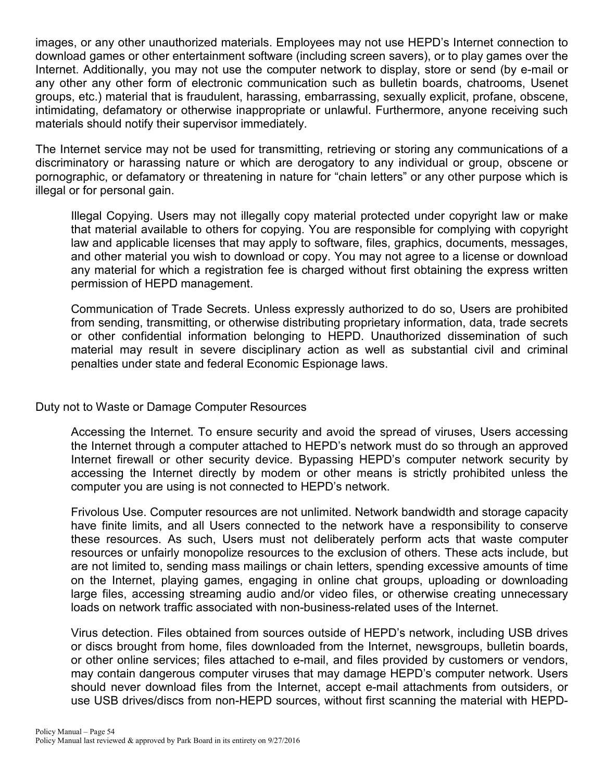images, or any other unauthorized materials. Employees may not use HEPD's Internet connection to download games or other entertainment software (including screen savers), or to play games over the Internet. Additionally, you may not use the computer network to display, store or send (by e-mail or any other any other form of electronic communication such as bulletin boards, chatrooms, Usenet groups, etc.) material that is fraudulent, harassing, embarrassing, sexually explicit, profane, obscene, intimidating, defamatory or otherwise inappropriate or unlawful. Furthermore, anyone receiving such materials should notify their supervisor immediately.

The Internet service may not be used for transmitting, retrieving or storing any communications of a discriminatory or harassing nature or which are derogatory to any individual or group, obscene or pornographic, or defamatory or threatening in nature for "chain letters" or any other purpose which is illegal or for personal gain.

Illegal Copying. Users may not illegally copy material protected under copyright law or make that material available to others for copying. You are responsible for complying with copyright law and applicable licenses that may apply to software, files, graphics, documents, messages, and other material you wish to download or copy. You may not agree to a license or download any material for which a registration fee is charged without first obtaining the express written permission of HEPD management.

Communication of Trade Secrets. Unless expressly authorized to do so, Users are prohibited from sending, transmitting, or otherwise distributing proprietary information, data, trade secrets or other confidential information belonging to HEPD. Unauthorized dissemination of such material may result in severe disciplinary action as well as substantial civil and criminal penalties under state and federal Economic Espionage laws.

Duty not to Waste or Damage Computer Resources

Accessing the Internet. To ensure security and avoid the spread of viruses, Users accessing the Internet through a computer attached to HEPD's network must do so through an approved Internet firewall or other security device. Bypassing HEPD's computer network security by accessing the Internet directly by modem or other means is strictly prohibited unless the computer you are using is not connected to HEPD's network.

Frivolous Use. Computer resources are not unlimited. Network bandwidth and storage capacity have finite limits, and all Users connected to the network have a responsibility to conserve these resources. As such, Users must not deliberately perform acts that waste computer resources or unfairly monopolize resources to the exclusion of others. These acts include, but are not limited to, sending mass mailings or chain letters, spending excessive amounts of time on the Internet, playing games, engaging in online chat groups, uploading or downloading large files, accessing streaming audio and/or video files, or otherwise creating unnecessary loads on network traffic associated with non-business-related uses of the Internet.

Virus detection. Files obtained from sources outside of HEPD's network, including USB drives or discs brought from home, files downloaded from the Internet, newsgroups, bulletin boards, or other online services; files attached to e-mail, and files provided by customers or vendors, may contain dangerous computer viruses that may damage HEPD's computer network. Users should never download files from the Internet, accept e-mail attachments from outsiders, or use USB drives/discs from non-HEPD sources, without first scanning the material with HEPD-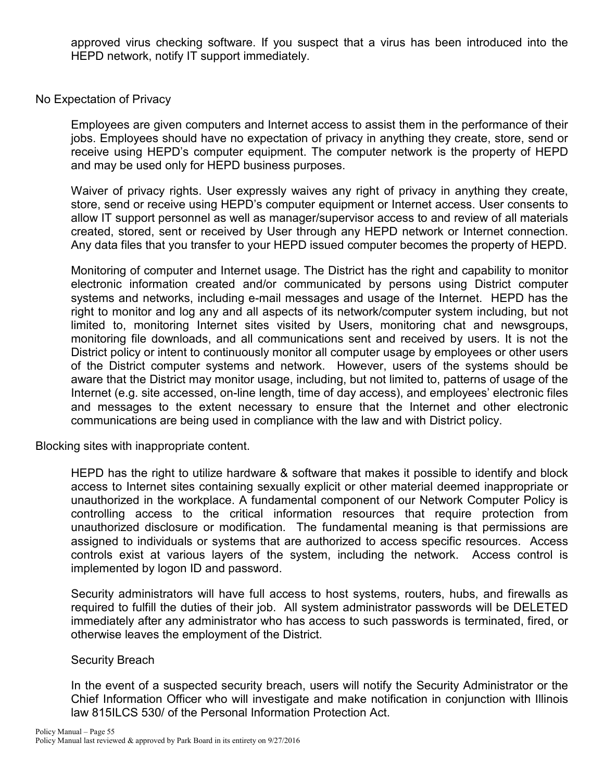approved virus checking software. If you suspect that a virus has been introduced into the HEPD network, notify IT support immediately.

#### No Expectation of Privacy

Employees are given computers and Internet access to assist them in the performance of their jobs. Employees should have no expectation of privacy in anything they create, store, send or receive using HEPD's computer equipment. The computer network is the property of HEPD and may be used only for HEPD business purposes.

Waiver of privacy rights. User expressly waives any right of privacy in anything they create, store, send or receive using HEPD's computer equipment or Internet access. User consents to allow IT support personnel as well as manager/supervisor access to and review of all materials created, stored, sent or received by User through any HEPD network or Internet connection. Any data files that you transfer to your HEPD issued computer becomes the property of HEPD.

Monitoring of computer and Internet usage. The District has the right and capability to monitor electronic information created and/or communicated by persons using District computer systems and networks, including e-mail messages and usage of the Internet. HEPD has the right to monitor and log any and all aspects of its network/computer system including, but not limited to, monitoring Internet sites visited by Users, monitoring chat and newsgroups, monitoring file downloads, and all communications sent and received by users. It is not the District policy or intent to continuously monitor all computer usage by employees or other users of the District computer systems and network. However, users of the systems should be aware that the District may monitor usage, including, but not limited to, patterns of usage of the Internet (e.g. site accessed, on-line length, time of day access), and employees' electronic files and messages to the extent necessary to ensure that the Internet and other electronic communications are being used in compliance with the law and with District policy.

Blocking sites with inappropriate content.

HEPD has the right to utilize hardware & software that makes it possible to identify and block access to Internet sites containing sexually explicit or other material deemed inappropriate or unauthorized in the workplace. A fundamental component of our Network Computer Policy is controlling access to the critical information resources that require protection from unauthorized disclosure or modification. The fundamental meaning is that permissions are assigned to individuals or systems that are authorized to access specific resources. Access controls exist at various layers of the system, including the network. Access control is implemented by logon ID and password.

Security administrators will have full access to host systems, routers, hubs, and firewalls as required to fulfill the duties of their job. All system administrator passwords will be DELETED immediately after any administrator who has access to such passwords is terminated, fired, or otherwise leaves the employment of the District.

#### Security Breach

In the event of a suspected security breach, users will notify the Security Administrator or the Chief Information Officer who will investigate and make notification in conjunction with Illinois law 815ILCS 530/ of the Personal Information Protection Act.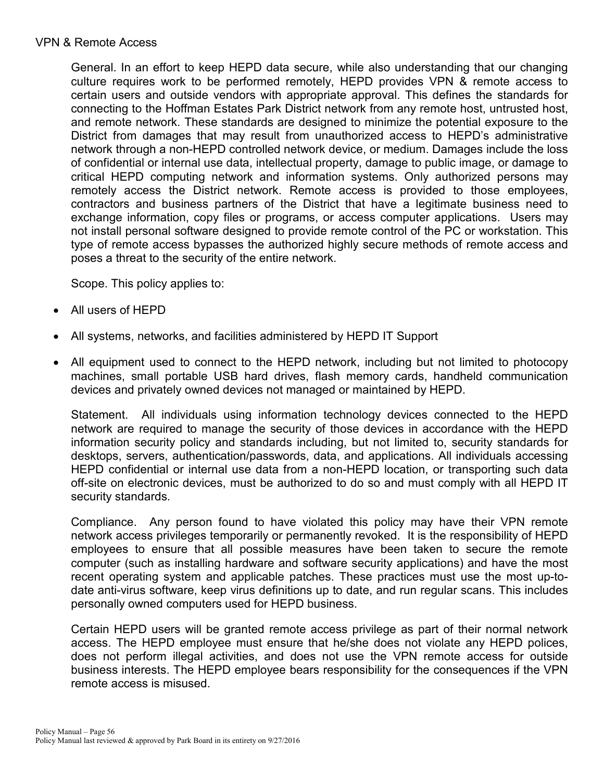#### VPN & Remote Access

General. In an effort to keep HEPD data secure, while also understanding that our changing culture requires work to be performed remotely, HEPD provides VPN & remote access to certain users and outside vendors with appropriate approval. This defines the standards for connecting to the Hoffman Estates Park District network from any remote host, untrusted host, and remote network. These standards are designed to minimize the potential exposure to the District from damages that may result from unauthorized access to HEPD's administrative network through a non-HEPD controlled network device, or medium. Damages include the loss of confidential or internal use data, intellectual property, damage to public image, or damage to critical HEPD computing network and information systems. Only authorized persons may remotely access the District network. Remote access is provided to those employees, contractors and business partners of the District that have a legitimate business need to exchange information, copy files or programs, or access computer applications. Users may not install personal software designed to provide remote control of the PC or workstation. This type of remote access bypasses the authorized highly secure methods of remote access and poses a threat to the security of the entire network.

Scope. This policy applies to:

- All users of HEPD
- All systems, networks, and facilities administered by HEPD IT Support
- All equipment used to connect to the HEPD network, including but not limited to photocopy machines, small portable USB hard drives, flash memory cards, handheld communication devices and privately owned devices not managed or maintained by HEPD.

Statement. All individuals using information technology devices connected to the HEPD network are required to manage the security of those devices in accordance with the HEPD information security policy and standards including, but not limited to, security standards for desktops, servers, authentication/passwords, data, and applications. All individuals accessing HEPD confidential or internal use data from a non-HEPD location, or transporting such data off-site on electronic devices, must be authorized to do so and must comply with all HEPD IT security standards.

Compliance. Any person found to have violated this policy may have their VPN remote network access privileges temporarily or permanently revoked. It is the responsibility of HEPD employees to ensure that all possible measures have been taken to secure the remote computer (such as installing hardware and software security applications) and have the most recent operating system and applicable patches. These practices must use the most up-todate anti-virus software, keep virus definitions up to date, and run regular scans. This includes personally owned computers used for HEPD business.

Certain HEPD users will be granted remote access privilege as part of their normal network access. The HEPD employee must ensure that he/she does not violate any HEPD polices, does not perform illegal activities, and does not use the VPN remote access for outside business interests. The HEPD employee bears responsibility for the consequences if the VPN remote access is misused.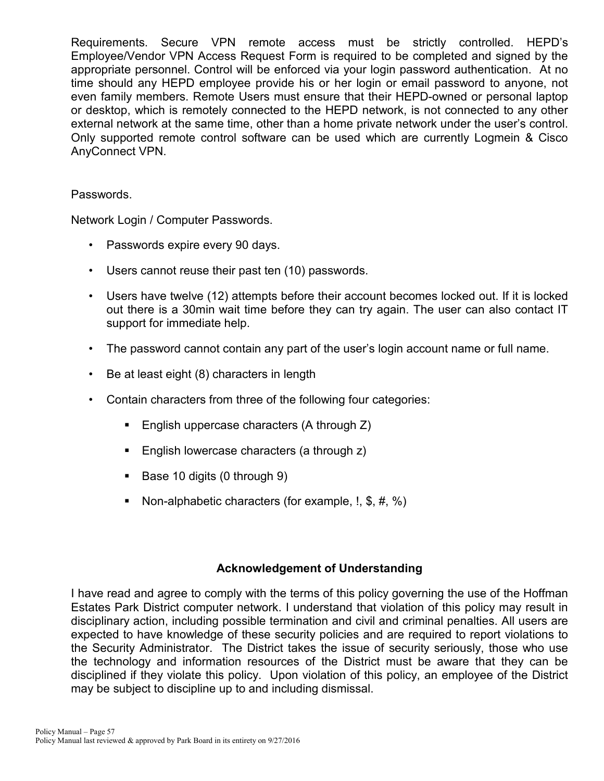Requirements. Secure VPN remote access must be strictly controlled. HEPD's Employee/Vendor VPN Access Request Form is required to be completed and signed by the appropriate personnel. Control will be enforced via your login password authentication. At no time should any HEPD employee provide his or her login or email password to anyone, not even family members. Remote Users must ensure that their HEPD-owned or personal laptop or desktop, which is remotely connected to the HEPD network, is not connected to any other external network at the same time, other than a home private network under the user's control. Only supported remote control software can be used which are currently Logmein & Cisco AnyConnect VPN.

#### Passwords.

Network Login / Computer Passwords.

- Passwords expire every 90 days.
- Users cannot reuse their past ten (10) passwords.
- Users have twelve (12) attempts before their account becomes locked out. If it is locked out there is a 30min wait time before they can try again. The user can also contact IT support for immediate help.
- The password cannot contain any part of the user's login account name or full name.
- Be at least eight (8) characters in length
- Contain characters from three of the following four categories:
	- **English uppercase characters (A through Z)**
	- English lowercase characters (a through z)
	- Base 10 digits (0 through 9)
	- Non-alphabetic characters (for example,  $!,$  \$,  $\#$ , %)

#### **Acknowledgement of Understanding**

I have read and agree to comply with the terms of this policy governing the use of the Hoffman Estates Park District computer network. I understand that violation of this policy may result in disciplinary action, including possible termination and civil and criminal penalties. All users are expected to have knowledge of these security policies and are required to report violations to the Security Administrator. The District takes the issue of security seriously, those who use the technology and information resources of the District must be aware that they can be disciplined if they violate this policy. Upon violation of this policy, an employee of the District may be subject to discipline up to and including dismissal.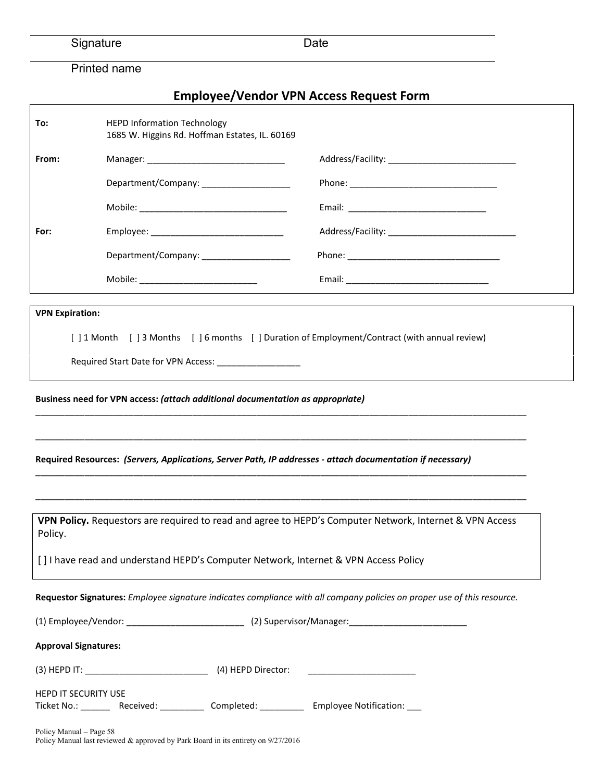# Printed name

Policy Manual last reviewed & approved by Park Board in its entirety on 9/27/2016

# **Employee/Vendor VPN Access Request Form**

| To:                                                                                                                | <b>HEPD Information Technology</b><br>1685 W. Higgins Rd. Hoffman Estates, IL. 60169 |  |                                                                                                                         |  |
|--------------------------------------------------------------------------------------------------------------------|--------------------------------------------------------------------------------------|--|-------------------------------------------------------------------------------------------------------------------------|--|
| From:                                                                                                              |                                                                                      |  |                                                                                                                         |  |
|                                                                                                                    |                                                                                      |  |                                                                                                                         |  |
|                                                                                                                    |                                                                                      |  |                                                                                                                         |  |
| For:                                                                                                               |                                                                                      |  |                                                                                                                         |  |
|                                                                                                                    | Department/Company: ____________________                                             |  |                                                                                                                         |  |
|                                                                                                                    |                                                                                      |  |                                                                                                                         |  |
| <b>VPN Expiration:</b>                                                                                             |                                                                                      |  |                                                                                                                         |  |
|                                                                                                                    |                                                                                      |  | [] 1 Month [] 3 Months [] 6 months [] Duration of Employment/Contract (with annual review)                              |  |
|                                                                                                                    |                                                                                      |  |                                                                                                                         |  |
| Required Resources: (Servers, Applications, Server Path, IP addresses - attach documentation if necessary)         |                                                                                      |  |                                                                                                                         |  |
| VPN Policy. Requestors are required to read and agree to HEPD's Computer Network, Internet & VPN Access<br>Policy. |                                                                                      |  |                                                                                                                         |  |
|                                                                                                                    |                                                                                      |  | [] I have read and understand HEPD's Computer Network, Internet & VPN Access Policy                                     |  |
|                                                                                                                    |                                                                                      |  | Requestor Signatures: Employee signature indicates compliance with all company policies on proper use of this resource. |  |
|                                                                                                                    |                                                                                      |  |                                                                                                                         |  |
| <b>Approval Signatures:</b>                                                                                        |                                                                                      |  |                                                                                                                         |  |
|                                                                                                                    |                                                                                      |  |                                                                                                                         |  |
| <b>HEPD IT SECURITY USE</b>                                                                                        |                                                                                      |  | Ticket No.: _________ Received: _____________ Completed: _____________ Employee Notification: ____                      |  |
| Policy Manual - Page 58                                                                                            |                                                                                      |  |                                                                                                                         |  |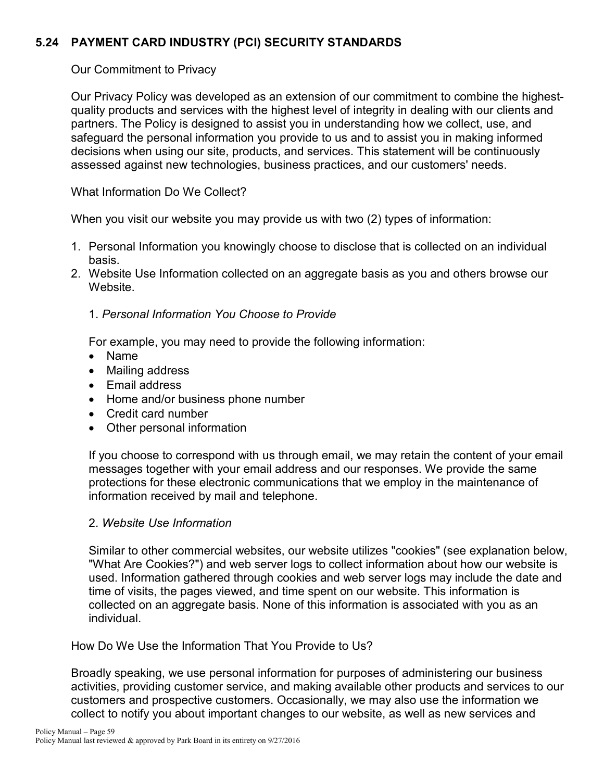# **5.24 PAYMENT CARD INDUSTRY (PCI) SECURITY STANDARDS**

Our Commitment to Privacy

Our Privacy Policy was developed as an extension of our commitment to combine the highestquality products and services with the highest level of integrity in dealing with our clients and partners. The Policy is designed to assist you in understanding how we collect, use, and safeguard the personal information you provide to us and to assist you in making informed decisions when using our site, products, and services. This statement will be continuously assessed against new technologies, business practices, and our customers' needs.

What Information Do We Collect?

When you visit our website you may provide us with two (2) types of information:

- 1. Personal Information you knowingly choose to disclose that is collected on an individual basis.
- 2. Website Use Information collected on an aggregate basis as you and others browse our Website.

### 1. *Personal Information You Choose to Provide*

For example, you may need to provide the following information:

- Name
- Mailing address
- Email address
- Home and/or business phone number
- Credit card number
- Other personal information

If you choose to correspond with us through email, we may retain the content of your email messages together with your email address and our responses. We provide the same protections for these electronic communications that we employ in the maintenance of information received by mail and telephone.

### 2. *Website Use Information*

Similar to other commercial websites, our website utilizes "cookies" (see explanation below, "What Are Cookies?") and web server logs to collect information about how our website is used. Information gathered through cookies and web server logs may include the date and time of visits, the pages viewed, and time spent on our website. This information is collected on an aggregate basis. None of this information is associated with you as an individual.

How Do We Use the Information That You Provide to Us?

Broadly speaking, we use personal information for purposes of administering our business activities, providing customer service, and making available other products and services to our customers and prospective customers. Occasionally, we may also use the information we collect to notify you about important changes to our website, as well as new services and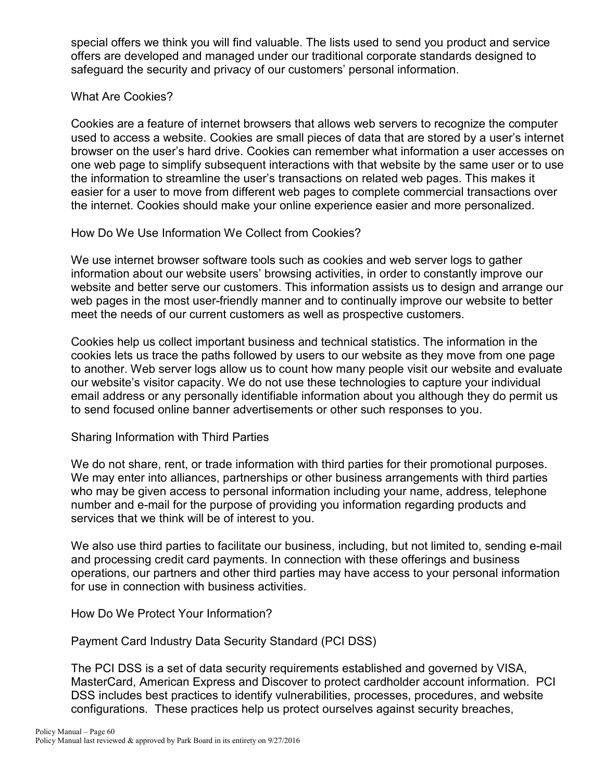special offers we think you will find valuable. The lists used to send you product and service offers are developed and managed under our traditional corporate standards designed to safeguard the security and privacy of our customers' personal information.

#### What Are Cookies?

Cookies are a feature of internet browsers that allows web servers to recognize the computer used to access a website. Cookies are small pieces of data that are stored by a user's internet browser on the user's hard drive. Cookies can remember what information a user accesses on one web page to simplify subsequent interactions with that website by the same user or to use the information to streamline the user's transactions on related web pages. This makes it easier for a user to move from different web pages to complete commercial transactions over the internet. Cookies should make your online experience easier and more personalized.

### How Do We Use Information We Collect from Cookies?

We use internet browser software tools such as cookies and web server logs to gather information about our website users' browsing activities, in order to constantly improve our website and better serve our customers. This information assists us to design and arrange our web pages in the most user-friendly manner and to continually improve our website to better meet the needs of our current customers as well as prospective customers.

Cookies help us collect important business and technical statistics. The information in the cookies lets us trace the paths followed by users to our website as they move from one page to another. Web server logs allow us to count how many people visit our website and evaluate our website's visitor capacity. We do not use these technologies to capture your individual email address or any personally identifiable information about you although they do permit us to send focused online banner advertisements or other such responses to you.

### Sharing Information with Third Parties

We do not share, rent, or trade information with third parties for their promotional purposes. We may enter into alliances, partnerships or other business arrangements with third parties who may be given access to personal information including your name, address, telephone number and e-mail for the purpose of providing you information regarding products and services that we think will be of interest to you.

We also use third parties to facilitate our business, including, but not limited to, sending e-mail and processing credit card payments. In connection with these offerings and business operations, our partners and other third parties may have access to your personal information for use in connection with business activities.

How Do We Protect Your Information?

Payment Card Industry Data Security Standard (PCI DSS)

The PCI DSS is a set of data security requirements established and governed by VISA, MasterCard, American Express and Discover to protect cardholder account information. PCI DSS includes best practices to identify vulnerabilities, processes, procedures, and website configurations. These practices help us protect ourselves against security breaches,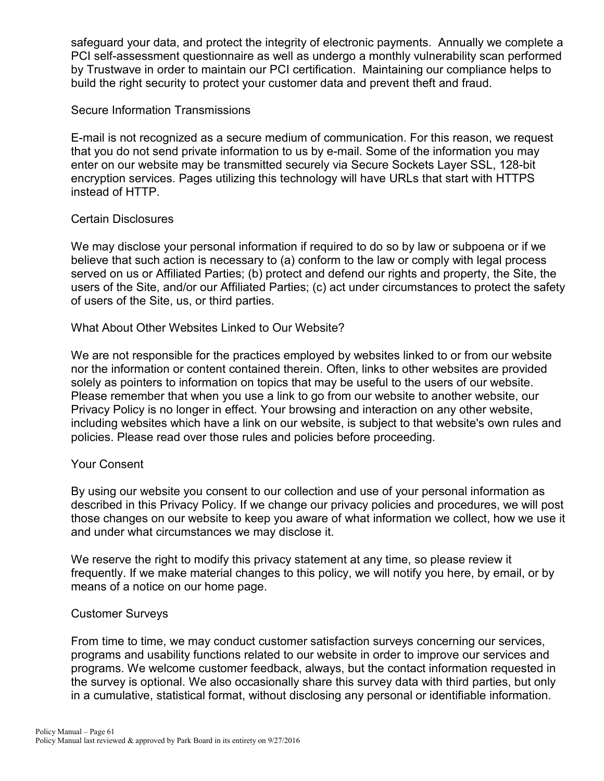safeguard your data, and protect the integrity of electronic payments. Annually we complete a PCI self-assessment questionnaire as well as undergo a monthly vulnerability scan performed by Trustwave in order to maintain our PCI certification. Maintaining our compliance helps to build the right security to protect your customer data and prevent theft and fraud.

#### Secure Information Transmissions

E-mail is not recognized as a secure medium of communication. For this reason, we request that you do not send private information to us by e-mail. Some of the information you may enter on our website may be transmitted securely via Secure Sockets Layer SSL, 128-bit encryption services. Pages utilizing this technology will have URLs that start with HTTPS instead of HTTP.

#### Certain Disclosures

We may disclose your personal information if required to do so by law or subpoena or if we believe that such action is necessary to (a) conform to the law or comply with legal process served on us or Affiliated Parties; (b) protect and defend our rights and property, the Site, the users of the Site, and/or our Affiliated Parties; (c) act under circumstances to protect the safety of users of the Site, us, or third parties.

#### What About Other Websites Linked to Our Website?

We are not responsible for the practices employed by websites linked to or from our website nor the information or content contained therein. Often, links to other websites are provided solely as pointers to information on topics that may be useful to the users of our website. Please remember that when you use a link to go from our website to another website, our Privacy Policy is no longer in effect. Your browsing and interaction on any other website, including websites which have a link on our website, is subject to that website's own rules and policies. Please read over those rules and policies before proceeding.

#### Your Consent

By using our website you consent to our collection and use of your personal information as described in this Privacy Policy. If we change our privacy policies and procedures, we will post those changes on our website to keep you aware of what information we collect, how we use it and under what circumstances we may disclose it.

We reserve the right to modify this privacy statement at any time, so please review it frequently. If we make material changes to this policy, we will notify you here, by email, or by means of a notice on our home page.

#### Customer Surveys

From time to time, we may conduct customer satisfaction surveys concerning our services, programs and usability functions related to our website in order to improve our services and programs. We welcome customer feedback, always, but the contact information requested in the survey is optional. We also occasionally share this survey data with third parties, but only in a cumulative, statistical format, without disclosing any personal or identifiable information.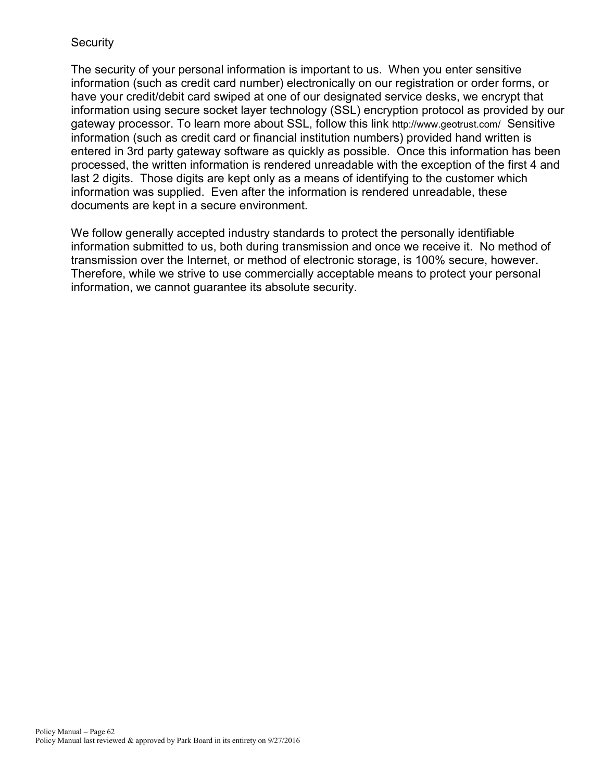#### **Security**

The security of your personal information is important to us. When you enter sensitive information (such as credit card number) electronically on our registration or order forms, or have your credit/debit card swiped at one of our designated service desks, we encrypt that information using secure socket layer technology (SSL) encryption protocol as provided by our gateway processor. To learn more about SSL, follow this link<http://www.geotrust.com/>Sensitive information (such as credit card or financial institution numbers) provided hand written is entered in 3rd party gateway software as quickly as possible. Once this information has been processed, the written information is rendered unreadable with the exception of the first 4 and last 2 digits. Those digits are kept only as a means of identifying to the customer which information was supplied. Even after the information is rendered unreadable, these documents are kept in a secure environment.

We follow generally accepted industry standards to protect the personally identifiable information submitted to us, both during transmission and once we receive it. No method of transmission over the Internet, or method of electronic storage, is 100% secure, however. Therefore, while we strive to use commercially acceptable means to protect your personal information, we cannot guarantee its absolute security.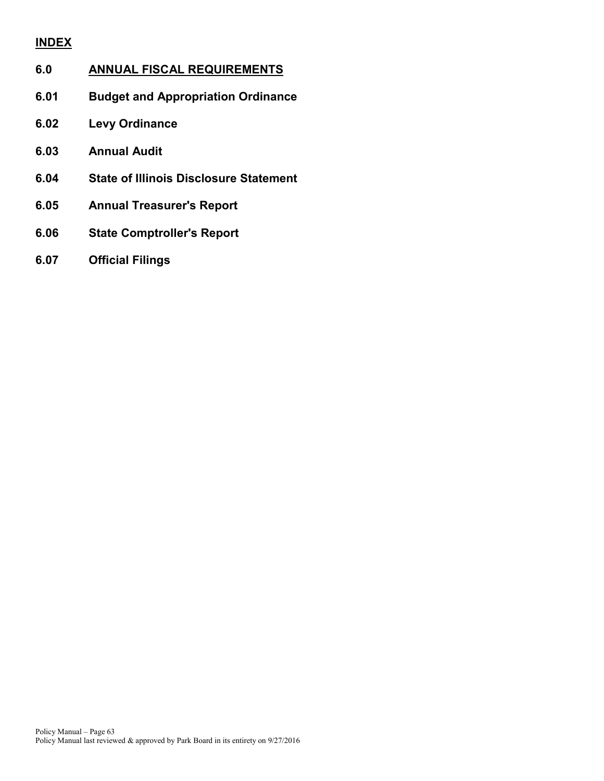# **INDEX**

# **6.0 ANNUAL FISCAL REQUIREMENTS**

- **6.01 Budget and Appropriation Ordinance**
- **6.02 Levy Ordinance**
- **6.03 Annual Audit**
- **6.04 State of Illinois Disclosure Statement**
- **6.05 Annual Treasurer's Report**
- **6.06 State Comptroller's Report**
- **6.07 Official Filings**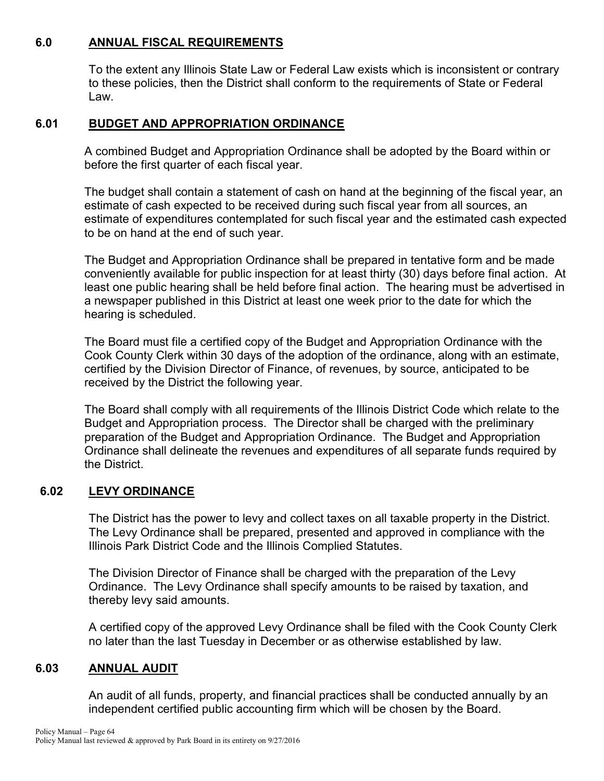#### **6.0 ANNUAL FISCAL REQUIREMENTS**

To the extent any Illinois State Law or Federal Law exists which is inconsistent or contrary to these policies, then the District shall conform to the requirements of State or Federal Law.

#### **6.01 BUDGET AND APPROPRIATION ORDINANCE**

A combined Budget and Appropriation Ordinance shall be adopted by the Board within or before the first quarter of each fiscal year.

The budget shall contain a statement of cash on hand at the beginning of the fiscal year, an estimate of cash expected to be received during such fiscal year from all sources, an estimate of expenditures contemplated for such fiscal year and the estimated cash expected to be on hand at the end of such year.

The Budget and Appropriation Ordinance shall be prepared in tentative form and be made conveniently available for public inspection for at least thirty (30) days before final action. At least one public hearing shall be held before final action. The hearing must be advertised in a newspaper published in this District at least one week prior to the date for which the hearing is scheduled.

The Board must file a certified copy of the Budget and Appropriation Ordinance with the Cook County Clerk within 30 days of the adoption of the ordinance, along with an estimate, certified by the Division Director of Finance, of revenues, by source, anticipated to be received by the District the following year.

The Board shall comply with all requirements of the Illinois District Code which relate to the Budget and Appropriation process. The Director shall be charged with the preliminary preparation of the Budget and Appropriation Ordinance. The Budget and Appropriation Ordinance shall delineate the revenues and expenditures of all separate funds required by the District.

### **6.02 LEVY ORDINANCE**

The District has the power to levy and collect taxes on all taxable property in the District. The Levy Ordinance shall be prepared, presented and approved in compliance with the Illinois Park District Code and the Illinois Complied Statutes.

The Division Director of Finance shall be charged with the preparation of the Levy Ordinance. The Levy Ordinance shall specify amounts to be raised by taxation, and thereby levy said amounts.

A certified copy of the approved Levy Ordinance shall be filed with the Cook County Clerk no later than the last Tuesday in December or as otherwise established by law.

#### **6.03 ANNUAL AUDIT**

An audit of all funds, property, and financial practices shall be conducted annually by an independent certified public accounting firm which will be chosen by the Board.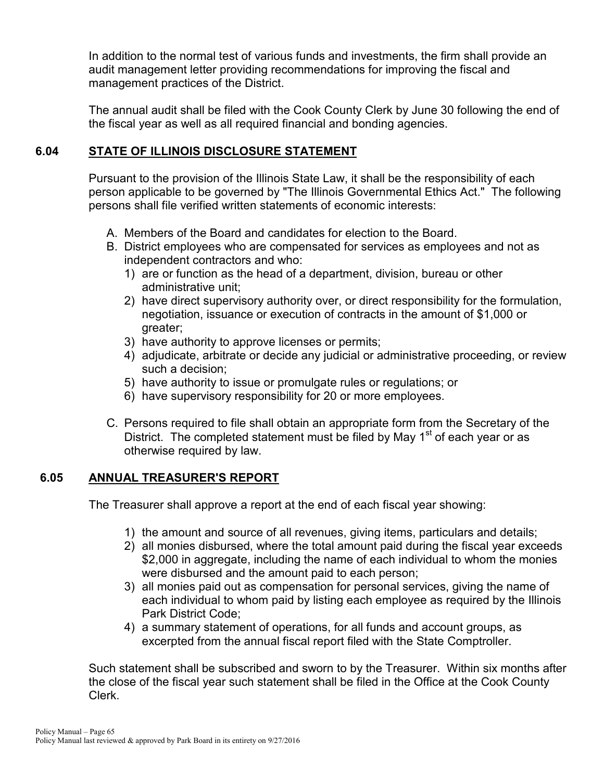In addition to the normal test of various funds and investments, the firm shall provide an audit management letter providing recommendations for improving the fiscal and management practices of the District.

The annual audit shall be filed with the Cook County Clerk by June 30 following the end of the fiscal year as well as all required financial and bonding agencies.

# **6.04 STATE OF ILLINOIS DISCLOSURE STATEMENT**

Pursuant to the provision of the Illinois State Law, it shall be the responsibility of each person applicable to be governed by "The Illinois Governmental Ethics Act." The following persons shall file verified written statements of economic interests:

- A. Members of the Board and candidates for election to the Board.
- B. District employees who are compensated for services as employees and not as independent contractors and who:
	- 1) are or function as the head of a department, division, bureau or other administrative unit;
	- 2) have direct supervisory authority over, or direct responsibility for the formulation, negotiation, issuance or execution of contracts in the amount of \$1,000 or greater;
	- 3) have authority to approve licenses or permits;
	- 4) adjudicate, arbitrate or decide any judicial or administrative proceeding, or review such a decision;
	- 5) have authority to issue or promulgate rules or regulations; or
	- 6) have supervisory responsibility for 20 or more employees.
- C. Persons required to file shall obtain an appropriate form from the Secretary of the District. The completed statement must be filed by May  $1<sup>st</sup>$  of each year or as otherwise required by law.

### **6.05 ANNUAL TREASURER'S REPORT**

The Treasurer shall approve a report at the end of each fiscal year showing:

- 1) the amount and source of all revenues, giving items, particulars and details;
- 2) all monies disbursed, where the total amount paid during the fiscal year exceeds \$2,000 in aggregate, including the name of each individual to whom the monies were disbursed and the amount paid to each person;
- 3) all monies paid out as compensation for personal services, giving the name of each individual to whom paid by listing each employee as required by the Illinois Park District Code;
- 4) a summary statement of operations, for all funds and account groups, as excerpted from the annual fiscal report filed with the State Comptroller.

Such statement shall be subscribed and sworn to by the Treasurer. Within six months after the close of the fiscal year such statement shall be filed in the Office at the Cook County Clerk.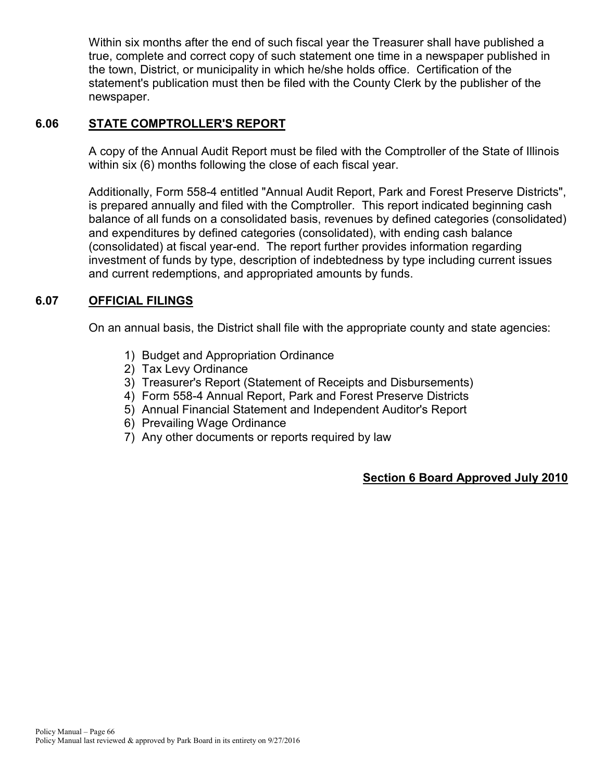Within six months after the end of such fiscal year the Treasurer shall have published a true, complete and correct copy of such statement one time in a newspaper published in the town, District, or municipality in which he/she holds office. Certification of the statement's publication must then be filed with the County Clerk by the publisher of the newspaper.

# **6.06 STATE COMPTROLLER'S REPORT**

A copy of the Annual Audit Report must be filed with the Comptroller of the State of Illinois within six (6) months following the close of each fiscal year.

Additionally, Form 558-4 entitled "Annual Audit Report, Park and Forest Preserve Districts", is prepared annually and filed with the Comptroller. This report indicated beginning cash balance of all funds on a consolidated basis, revenues by defined categories (consolidated) and expenditures by defined categories (consolidated), with ending cash balance (consolidated) at fiscal year-end. The report further provides information regarding investment of funds by type, description of indebtedness by type including current issues and current redemptions, and appropriated amounts by funds.

# **6.07 OFFICIAL FILINGS**

On an annual basis, the District shall file with the appropriate county and state agencies:

- 1) Budget and Appropriation Ordinance
- 2) Tax Levy Ordinance
- 3) Treasurer's Report (Statement of Receipts and Disbursements)
- 4) Form 558-4 Annual Report, Park and Forest Preserve Districts
- 5) Annual Financial Statement and Independent Auditor's Report
- 6) Prevailing Wage Ordinance
- 7) Any other documents or reports required by law

### **Section 6 Board Approved July 2010**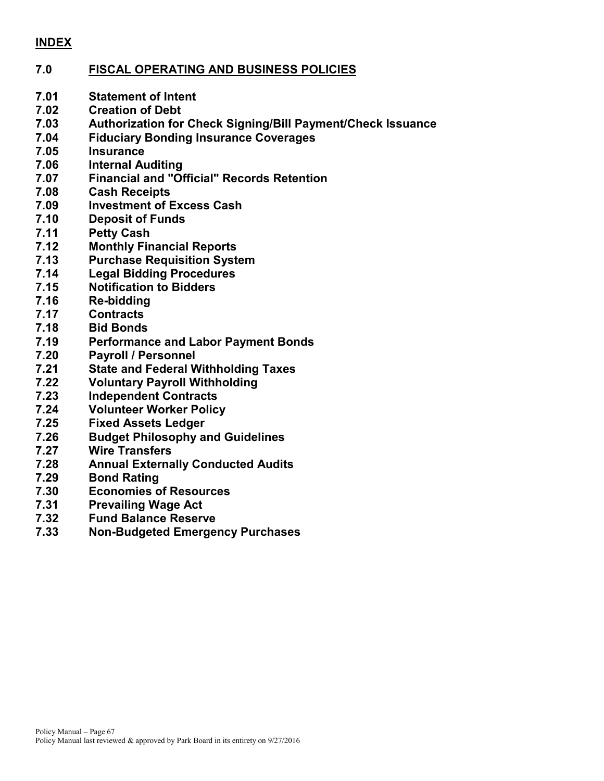#### **INDEX**

#### **7.0 FISCAL OPERATING AND BUSINESS POLICIES**

- **7.01 Statement of Intent**
- **7.02 Creation of Debt**
- **7.03 Authorization for Check Signing/Bill Payment/Check Issuance**
- **7.04 Fiduciary Bonding Insurance Coverages**
- **7.05 Insurance**
- **7.06 Internal Auditing**
- **7.07 Financial and "Official" Records Retention**
- **7.08 Cash Receipts**
- **7.09 Investment of Excess Cash**
- **7.10 Deposit of Funds**
- **7.11 Petty Cash**
- **7.12 Monthly Financial Reports**
- **7.13 Purchase Requisition System**
- **7.14 Legal Bidding Procedures**
- **7.15 Notification to Bidders**
- **7.16 Re-bidding**
- **7.17 Contracts**
- **7.18 Bid Bonds**
- **7.19 Performance and Labor Payment Bonds**
- **7.20 Payroll / Personnel**
- **7.21 State and Federal Withholding Taxes**
- **7.22 Voluntary Payroll Withholding**
- **7.23 Independent Contracts**
- **7.24 Volunteer Worker Policy**
- **7.25 Fixed Assets Ledger**
- **7.26 Budget Philosophy and Guidelines**
- **7.27 Wire Transfers**
- **7.28 Annual Externally Conducted Audits**
- **7.29 Bond Rating**
- **7.30 Economies of Resources**
- **7.31 Prevailing Wage Act**
- **7.32 Fund Balance Reserve**
- **7.33 Non-Budgeted Emergency Purchases**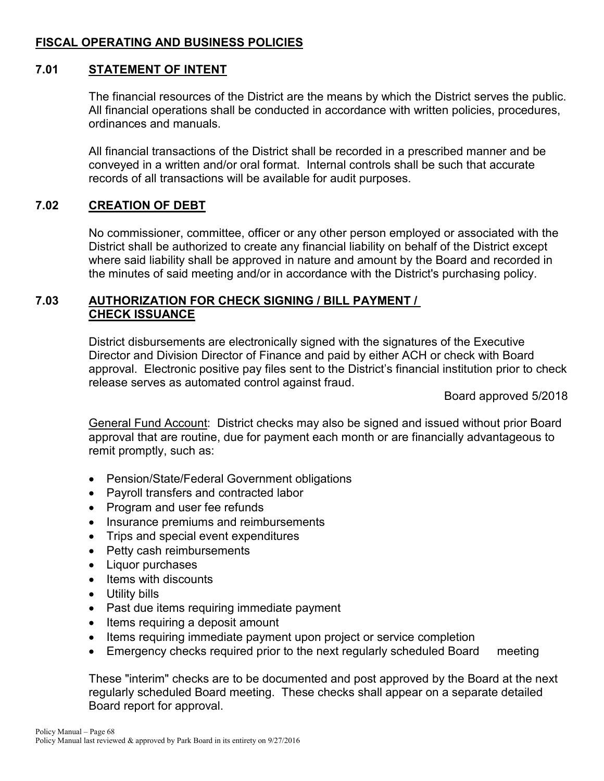# **FISCAL OPERATING AND BUSINESS POLICIES**

#### **7.01 STATEMENT OF INTENT**

The financial resources of the District are the means by which the District serves the public. All financial operations shall be conducted in accordance with written policies, procedures, ordinances and manuals.

All financial transactions of the District shall be recorded in a prescribed manner and be conveyed in a written and/or oral format. Internal controls shall be such that accurate records of all transactions will be available for audit purposes.

### **7.02 CREATION OF DEBT**

No commissioner, committee, officer or any other person employed or associated with the District shall be authorized to create any financial liability on behalf of the District except where said liability shall be approved in nature and amount by the Board and recorded in the minutes of said meeting and/or in accordance with the District's purchasing policy.

#### **7.03 AUTHORIZATION FOR CHECK SIGNING / BILL PAYMENT / CHECK ISSUANCE**

District disbursements are electronically signed with the signatures of the Executive Director and Division Director of Finance and paid by either ACH or check with Board approval. Electronic positive pay files sent to the District's financial institution prior to check release serves as automated control against fraud.

Board approved 5/2018

General Fund Account: District checks may also be signed and issued without prior Board approval that are routine, due for payment each month or are financially advantageous to remit promptly, such as:

- Pension/State/Federal Government obligations
- Payroll transfers and contracted labor
- Program and user fee refunds
- Insurance premiums and reimbursements
- Trips and special event expenditures
- Petty cash reimbursements
- Liquor purchases
- Items with discounts
- Utility bills
- Past due items requiring immediate payment
- Items requiring a deposit amount
- Items requiring immediate payment upon project or service completion
- Emergency checks required prior to the next regularly scheduled Board meeting

These "interim" checks are to be documented and post approved by the Board at the next regularly scheduled Board meeting. These checks shall appear on a separate detailed Board report for approval.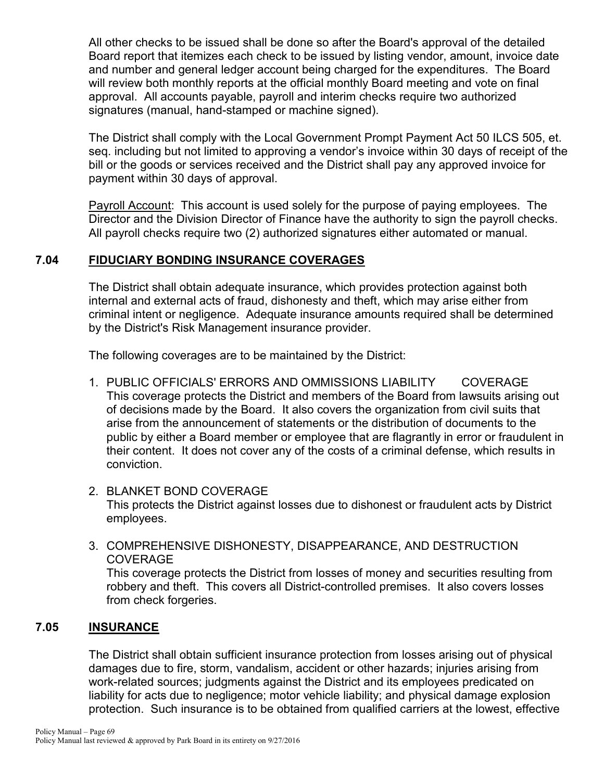All other checks to be issued shall be done so after the Board's approval of the detailed Board report that itemizes each check to be issued by listing vendor, amount, invoice date and number and general ledger account being charged for the expenditures. The Board will review both monthly reports at the official monthly Board meeting and vote on final approval. All accounts payable, payroll and interim checks require two authorized signatures (manual, hand-stamped or machine signed).

The District shall comply with the Local Government Prompt Payment Act 50 ILCS 505, et. seq. including but not limited to approving a vendor's invoice within 30 days of receipt of the bill or the goods or services received and the District shall pay any approved invoice for payment within 30 days of approval.

Payroll Account: This account is used solely for the purpose of paying employees. The Director and the Division Director of Finance have the authority to sign the payroll checks. All payroll checks require two (2) authorized signatures either automated or manual.

### **7.04 FIDUCIARY BONDING INSURANCE COVERAGES**

The District shall obtain adequate insurance, which provides protection against both internal and external acts of fraud, dishonesty and theft, which may arise either from criminal intent or negligence. Adequate insurance amounts required shall be determined by the District's Risk Management insurance provider.

The following coverages are to be maintained by the District:

- 1. PUBLIC OFFICIALS' ERRORS AND OMMISSIONS LIABILITY COVERAGE This coverage protects the District and members of the Board from lawsuits arising out of decisions made by the Board. It also covers the organization from civil suits that arise from the announcement of statements or the distribution of documents to the public by either a Board member or employee that are flagrantly in error or fraudulent in their content. It does not cover any of the costs of a criminal defense, which results in conviction.
- 2. BLANKET BOND COVERAGE This protects the District against losses due to dishonest or fraudulent acts by District employees.
- 3. COMPREHENSIVE DISHONESTY, DISAPPEARANCE, AND DESTRUCTION COVERAGE

This coverage protects the District from losses of money and securities resulting from robbery and theft. This covers all District-controlled premises. It also covers losses from check forgeries.

#### **7.05 INSURANCE**

The District shall obtain sufficient insurance protection from losses arising out of physical damages due to fire, storm, vandalism, accident or other hazards; injuries arising from work-related sources; judgments against the District and its employees predicated on liability for acts due to negligence; motor vehicle liability; and physical damage explosion protection. Such insurance is to be obtained from qualified carriers at the lowest, effective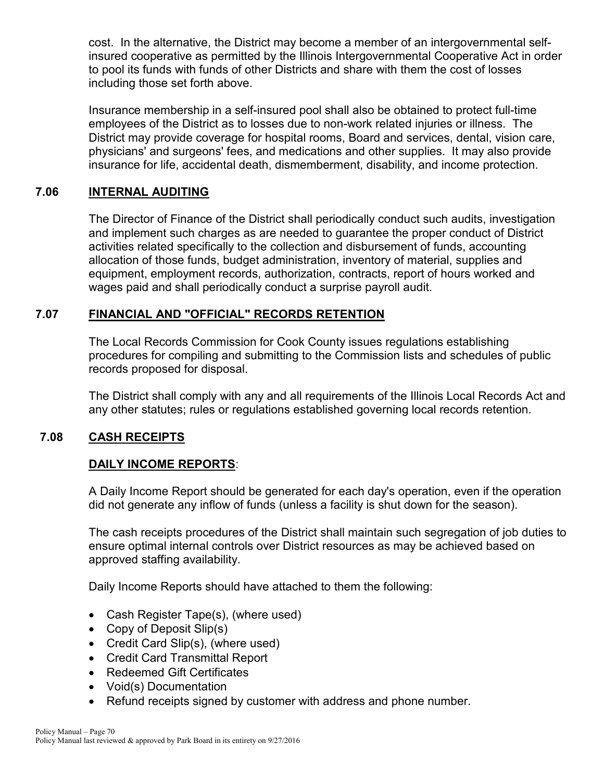cost. In the alternative, the District may become a member of an intergovernmental selfinsured cooperative as permitted by the Illinois Intergovernmental Cooperative Act in order to pool its funds with funds of other Districts and share with them the cost of losses including those set forth above.

Insurance membership in a self-insured pool shall also be obtained to protect full-time employees of the District as to losses due to non-work related injuries or illness. The District may provide coverage for hospital rooms, Board and services, dental, vision care, physicians' and surgeons' fees, and medications and other supplies. It may also provide insurance for life, accidental death, dismemberment, disability, and income protection.

#### **7.06 INTERNAL AUDITING**

The Director of Finance of the District shall periodically conduct such audits, investigation and implement such charges as are needed to guarantee the proper conduct of District activities related specifically to the collection and disbursement of funds, accounting allocation of those funds, budget administration, inventory of material, supplies and equipment, employment records, authorization, contracts, report of hours worked and wages paid and shall periodically conduct a surprise payroll audit.

#### **7.07 FINANCIAL AND "OFFICIAL" RECORDS RETENTION**

The Local Records Commission for Cook County issues regulations establishing procedures for compiling and submitting to the Commission lists and schedules of public records proposed for disposal.

The District shall comply with any and all requirements of the Illinois Local Records Act and any other statutes; rules or regulations established governing local records retention.

### **7.08 CASH RECEIPTS**

### **DAILY INCOME REPORTS**:

A Daily Income Report should be generated for each day's operation, even if the operation did not generate any inflow of funds (unless a facility is shut down for the season).

The cash receipts procedures of the District shall maintain such segregation of job duties to ensure optimal internal controls over District resources as may be achieved based on approved staffing availability.

Daily Income Reports should have attached to them the following:

- Cash Register Tape(s), (where used)
- Copy of Deposit Slip(s)
- Credit Card Slip(s), (where used)
- Credit Card Transmittal Report
- Redeemed Gift Certificates
- Void(s) Documentation
- Refund receipts signed by customer with address and phone number.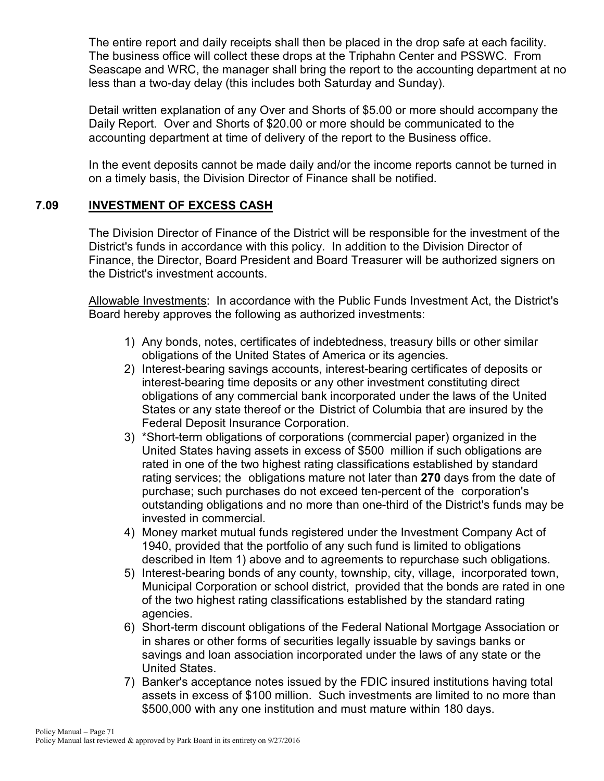The entire report and daily receipts shall then be placed in the drop safe at each facility. The business office will collect these drops at the Triphahn Center and PSSWC. From Seascape and WRC, the manager shall bring the report to the accounting department at no less than a two-day delay (this includes both Saturday and Sunday).

Detail written explanation of any Over and Shorts of \$5.00 or more should accompany the Daily Report. Over and Shorts of \$20.00 or more should be communicated to the accounting department at time of delivery of the report to the Business office.

In the event deposits cannot be made daily and/or the income reports cannot be turned in on a timely basis, the Division Director of Finance shall be notified.

### **7.09 INVESTMENT OF EXCESS CASH**

The Division Director of Finance of the District will be responsible for the investment of the District's funds in accordance with this policy. In addition to the Division Director of Finance, the Director, Board President and Board Treasurer will be authorized signers on the District's investment accounts.

Allowable Investments: In accordance with the Public Funds Investment Act, the District's Board hereby approves the following as authorized investments:

- 1) Any bonds, notes, certificates of indebtedness, treasury bills or other similar obligations of the United States of America or its agencies.
- 2) Interest-bearing savings accounts, interest-bearing certificates of deposits or interest-bearing time deposits or any other investment constituting direct obligations of any commercial bank incorporated under the laws of the United States or any state thereof or the District of Columbia that are insured by the Federal Deposit Insurance Corporation.
- 3) \*Short-term obligations of corporations (commercial paper) organized in the United States having assets in excess of \$500 million if such obligations are rated in one of the two highest rating classifications established by standard rating services; the obligations mature not later than **270** days from the date of purchase; such purchases do not exceed ten-percent of the corporation's outstanding obligations and no more than one-third of the District's funds may be invested in commercial.
- 4) Money market mutual funds registered under the Investment Company Act of 1940, provided that the portfolio of any such fund is limited to obligations described in Item 1) above and to agreements to repurchase such obligations.
- 5) Interest-bearing bonds of any county, township, city, village, incorporated town, Municipal Corporation or school district, provided that the bonds are rated in one of the two highest rating classifications established by the standard rating agencies.
- 6) Short-term discount obligations of the Federal National Mortgage Association or in shares or other forms of securities legally issuable by savings banks or savings and loan association incorporated under the laws of any state or the United States.
- 7) Banker's acceptance notes issued by the FDIC insured institutions having total assets in excess of \$100 million. Such investments are limited to no more than \$500,000 with any one institution and must mature within 180 days.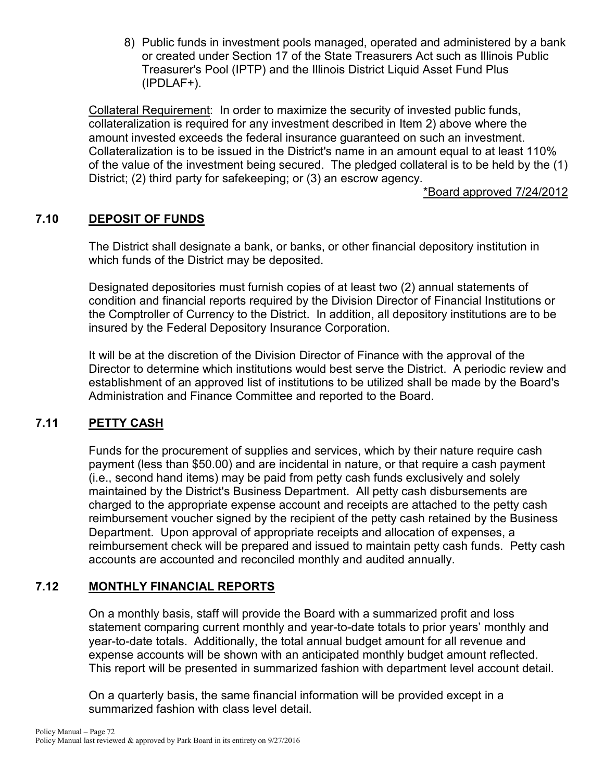8) Public funds in investment pools managed, operated and administered by a bank or created under Section 17 of the State Treasurers Act such as Illinois Public Treasurer's Pool (IPTP) and the Illinois District Liquid Asset Fund Plus (IPDLAF+).

Collateral Requirement: In order to maximize the security of invested public funds, collateralization is required for any investment described in Item 2) above where the amount invested exceeds the federal insurance guaranteed on such an investment. Collateralization is to be issued in the District's name in an amount equal to at least 110% of the value of the investment being secured. The pledged collateral is to be held by the (1) District; (2) third party for safekeeping; or (3) an escrow agency.

\*Board approved 7/24/2012

# **7.10 DEPOSIT OF FUNDS**

The District shall designate a bank, or banks, or other financial depository institution in which funds of the District may be deposited.

Designated depositories must furnish copies of at least two (2) annual statements of condition and financial reports required by the Division Director of Financial Institutions or the Comptroller of Currency to the District. In addition, all depository institutions are to be insured by the Federal Depository Insurance Corporation.

It will be at the discretion of the Division Director of Finance with the approval of the Director to determine which institutions would best serve the District. A periodic review and establishment of an approved list of institutions to be utilized shall be made by the Board's Administration and Finance Committee and reported to the Board.

### **7.11 PETTY CASH**

Funds for the procurement of supplies and services, which by their nature require cash payment (less than \$50.00) and are incidental in nature, or that require a cash payment (i.e., second hand items) may be paid from petty cash funds exclusively and solely maintained by the District's Business Department. All petty cash disbursements are charged to the appropriate expense account and receipts are attached to the petty cash reimbursement voucher signed by the recipient of the petty cash retained by the Business Department. Upon approval of appropriate receipts and allocation of expenses, a reimbursement check will be prepared and issued to maintain petty cash funds. Petty cash accounts are accounted and reconciled monthly and audited annually.

### **7.12 MONTHLY FINANCIAL REPORTS**

On a monthly basis, staff will provide the Board with a summarized profit and loss statement comparing current monthly and year-to-date totals to prior years' monthly and year-to-date totals. Additionally, the total annual budget amount for all revenue and expense accounts will be shown with an anticipated monthly budget amount reflected. This report will be presented in summarized fashion with department level account detail.

On a quarterly basis, the same financial information will be provided except in a summarized fashion with class level detail.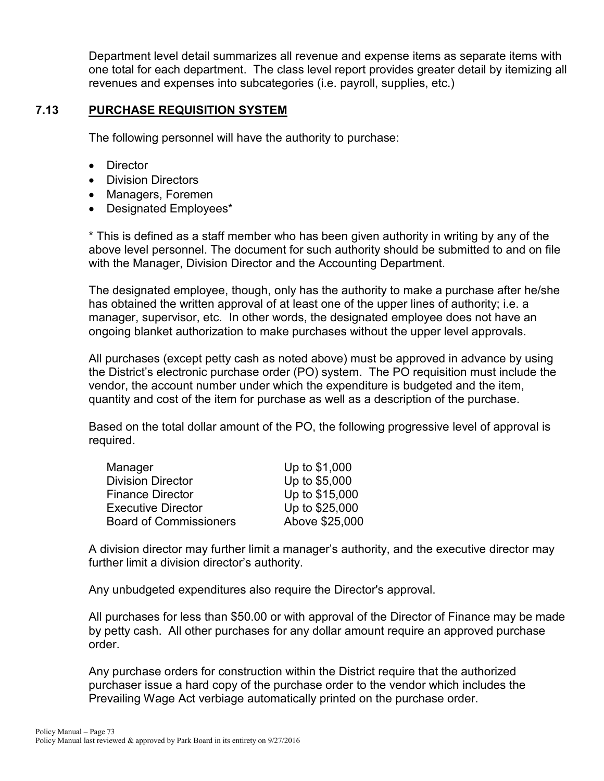Department level detail summarizes all revenue and expense items as separate items with one total for each department. The class level report provides greater detail by itemizing all revenues and expenses into subcategories (i.e. payroll, supplies, etc.)

#### **7.13 PURCHASE REQUISITION SYSTEM**

The following personnel will have the authority to purchase:

- Director
- Division Directors
- Managers, Foremen
- Designated Employees\*

\* This is defined as a staff member who has been given authority in writing by any of the above level personnel. The document for such authority should be submitted to and on file with the Manager, Division Director and the Accounting Department.

The designated employee, though, only has the authority to make a purchase after he/she has obtained the written approval of at least one of the upper lines of authority; i.e. a manager, supervisor, etc. In other words, the designated employee does not have an ongoing blanket authorization to make purchases without the upper level approvals.

All purchases (except petty cash as noted above) must be approved in advance by using the District's electronic purchase order (PO) system. The PO requisition must include the vendor, the account number under which the expenditure is budgeted and the item, quantity and cost of the item for purchase as well as a description of the purchase.

Based on the total dollar amount of the PO, the following progressive level of approval is required.

| Up to \$1,000  |
|----------------|
| Up to \$5,000  |
| Up to \$15,000 |
| Up to \$25,000 |
| Above \$25,000 |
|                |

A division director may further limit a manager's authority, and the executive director may further limit a division director's authority.

Any unbudgeted expenditures also require the Director's approval.

All purchases for less than \$50.00 or with approval of the Director of Finance may be made by petty cash. All other purchases for any dollar amount require an approved purchase order.

Any purchase orders for construction within the District require that the authorized purchaser issue a hard copy of the purchase order to the vendor which includes the Prevailing Wage Act verbiage automatically printed on the purchase order.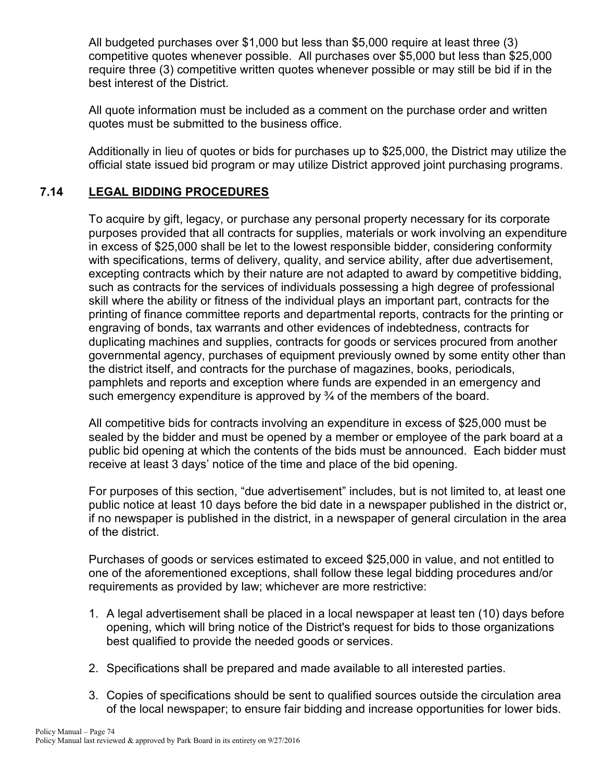All budgeted purchases over \$1,000 but less than \$5,000 require at least three (3) competitive quotes whenever possible. All purchases over \$5,000 but less than \$25,000 require three (3) competitive written quotes whenever possible or may still be bid if in the best interest of the District.

All quote information must be included as a comment on the purchase order and written quotes must be submitted to the business office.

Additionally in lieu of quotes or bids for purchases up to \$25,000, the District may utilize the official state issued bid program or may utilize District approved joint purchasing programs.

## **7.14 LEGAL BIDDING PROCEDURES**

To acquire by gift, legacy, or purchase any personal property necessary for its corporate purposes provided that all contracts for supplies, materials or work involving an expenditure in excess of \$25,000 shall be let to the lowest responsible bidder, considering conformity with specifications, terms of delivery, quality, and service ability, after due advertisement, excepting contracts which by their nature are not adapted to award by competitive bidding, such as contracts for the services of individuals possessing a high degree of professional skill where the ability or fitness of the individual plays an important part, contracts for the printing of finance committee reports and departmental reports, contracts for the printing or engraving of bonds, tax warrants and other evidences of indebtedness, contracts for duplicating machines and supplies, contracts for goods or services procured from another governmental agency, purchases of equipment previously owned by some entity other than the district itself, and contracts for the purchase of magazines, books, periodicals, pamphlets and reports and exception where funds are expended in an emergency and such emergency expenditure is approved by  $\frac{3}{4}$  of the members of the board.

All competitive bids for contracts involving an expenditure in excess of \$25,000 must be sealed by the bidder and must be opened by a member or employee of the park board at a public bid opening at which the contents of the bids must be announced. Each bidder must receive at least 3 days' notice of the time and place of the bid opening.

For purposes of this section, "due advertisement" includes, but is not limited to, at least one public notice at least 10 days before the bid date in a newspaper published in the district or, if no newspaper is published in the district, in a newspaper of general circulation in the area of the district.

Purchases of goods or services estimated to exceed \$25,000 in value, and not entitled to one of the aforementioned exceptions, shall follow these legal bidding procedures and/or requirements as provided by law; whichever are more restrictive:

- 1. A legal advertisement shall be placed in a local newspaper at least ten (10) days before opening, which will bring notice of the District's request for bids to those organizations best qualified to provide the needed goods or services.
- 2. Specifications shall be prepared and made available to all interested parties.
- 3. Copies of specifications should be sent to qualified sources outside the circulation area of the local newspaper; to ensure fair bidding and increase opportunities for lower bids.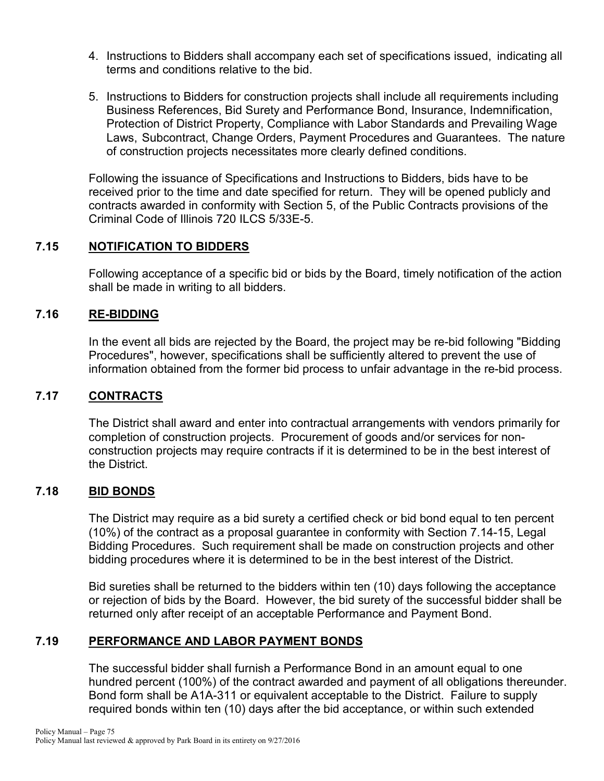- 4. Instructions to Bidders shall accompany each set of specifications issued, indicating all terms and conditions relative to the bid.
- 5. Instructions to Bidders for construction projects shall include all requirements including Business References, Bid Surety and Performance Bond, Insurance, Indemnification, Protection of District Property, Compliance with Labor Standards and Prevailing Wage Laws, Subcontract, Change Orders, Payment Procedures and Guarantees. The nature of construction projects necessitates more clearly defined conditions.

Following the issuance of Specifications and Instructions to Bidders, bids have to be received prior to the time and date specified for return. They will be opened publicly and contracts awarded in conformity with Section 5, of the Public Contracts provisions of the Criminal Code of Illinois 720 ILCS 5/33E-5.

## **7.15 NOTIFICATION TO BIDDERS**

Following acceptance of a specific bid or bids by the Board, timely notification of the action shall be made in writing to all bidders.

## **7.16 RE-BIDDING**

In the event all bids are rejected by the Board, the project may be re-bid following "Bidding Procedures", however, specifications shall be sufficiently altered to prevent the use of information obtained from the former bid process to unfair advantage in the re-bid process.

#### **7.17 CONTRACTS**

The District shall award and enter into contractual arrangements with vendors primarily for completion of construction projects. Procurement of goods and/or services for nonconstruction projects may require contracts if it is determined to be in the best interest of the District.

#### **7.18 BID BONDS**

The District may require as a bid surety a certified check or bid bond equal to ten percent (10%) of the contract as a proposal guarantee in conformity with Section 7.14-15, Legal Bidding Procedures. Such requirement shall be made on construction projects and other bidding procedures where it is determined to be in the best interest of the District.

Bid sureties shall be returned to the bidders within ten (10) days following the acceptance or rejection of bids by the Board. However, the bid surety of the successful bidder shall be returned only after receipt of an acceptable Performance and Payment Bond.

#### **7.19 PERFORMANCE AND LABOR PAYMENT BONDS**

The successful bidder shall furnish a Performance Bond in an amount equal to one hundred percent (100%) of the contract awarded and payment of all obligations thereunder. Bond form shall be A1A-311 or equivalent acceptable to the District. Failure to supply required bonds within ten (10) days after the bid acceptance, or within such extended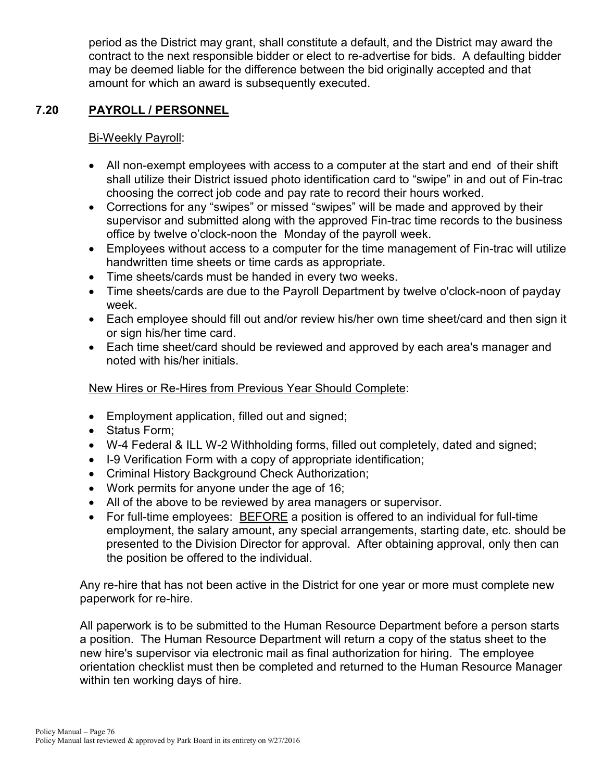period as the District may grant, shall constitute a default, and the District may award the contract to the next responsible bidder or elect to re-advertise for bids. A defaulting bidder may be deemed liable for the difference between the bid originally accepted and that amount for which an award is subsequently executed.

# **7.20 PAYROLL / PERSONNEL**

# Bi-Weekly Payroll:

- All non-exempt employees with access to a computer at the start and end of their shift shall utilize their District issued photo identification card to "swipe" in and out of Fin-trac choosing the correct job code and pay rate to record their hours worked.
- Corrections for any "swipes" or missed "swipes" will be made and approved by their supervisor and submitted along with the approved Fin-trac time records to the business office by twelve o'clock-noon the Monday of the payroll week.
- Employees without access to a computer for the time management of Fin-trac will utilize handwritten time sheets or time cards as appropriate.
- Time sheets/cards must be handed in every two weeks.
- Time sheets/cards are due to the Payroll Department by twelve o'clock-noon of payday week.
- Each employee should fill out and/or review his/her own time sheet/card and then sign it or sign his/her time card.
- Each time sheet/card should be reviewed and approved by each area's manager and noted with his/her initials.

# New Hires or Re-Hires from Previous Year Should Complete:

- Employment application, filled out and signed;
- Status Form;
- W-4 Federal & ILL W-2 Withholding forms, filled out completely, dated and signed;
- I-9 Verification Form with a copy of appropriate identification;
- Criminal History Background Check Authorization;
- Work permits for anyone under the age of 16;
- All of the above to be reviewed by area managers or supervisor.
- For full-time employees: BEFORE a position is offered to an individual for full-time employment, the salary amount, any special arrangements, starting date, etc. should be presented to the Division Director for approval. After obtaining approval, only then can the position be offered to the individual.

Any re-hire that has not been active in the District for one year or more must complete new paperwork for re-hire.

All paperwork is to be submitted to the Human Resource Department before a person starts a position. The Human Resource Department will return a copy of the status sheet to the new hire's supervisor via electronic mail as final authorization for hiring. The employee orientation checklist must then be completed and returned to the Human Resource Manager within ten working days of hire.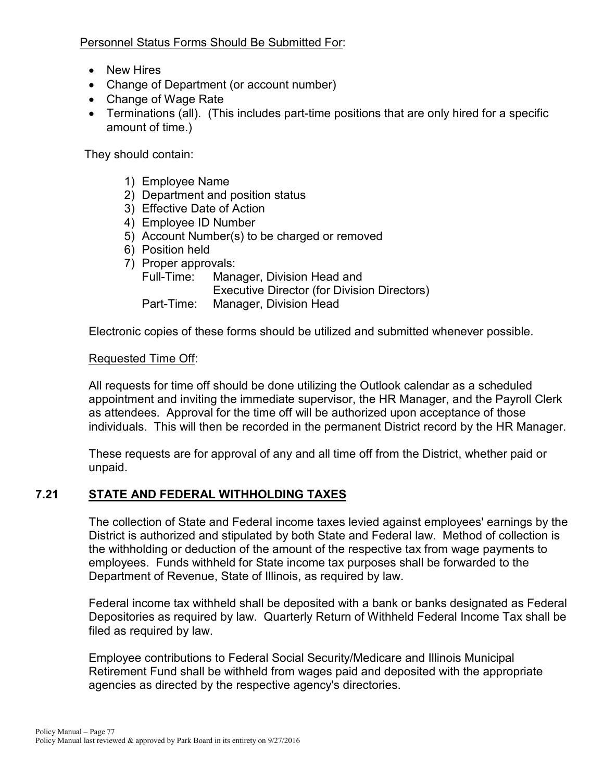Personnel Status Forms Should Be Submitted For:

- New Hires
- Change of Department (or account number)
- Change of Wage Rate
- Terminations (all). (This includes part-time positions that are only hired for a specific amount of time.)

They should contain:

- 1) Employee Name
- 2) Department and position status
- 3) Effective Date of Action
- 4) Employee ID Number
- 5) Account Number(s) to be charged or removed
- 6) Position held
- 7) Proper approvals:

Full-Time: Manager, Division Head and Executive Director (for Division Directors) Part-Time: Manager, Division Head

Electronic copies of these forms should be utilized and submitted whenever possible.

#### Requested Time Off:

All requests for time off should be done utilizing the Outlook calendar as a scheduled appointment and inviting the immediate supervisor, the HR Manager, and the Payroll Clerk as attendees. Approval for the time off will be authorized upon acceptance of those individuals. This will then be recorded in the permanent District record by the HR Manager.

These requests are for approval of any and all time off from the District, whether paid or unpaid.

# **7.21 STATE AND FEDERAL WITHHOLDING TAXES**

The collection of State and Federal income taxes levied against employees' earnings by the District is authorized and stipulated by both State and Federal law. Method of collection is the withholding or deduction of the amount of the respective tax from wage payments to employees. Funds withheld for State income tax purposes shall be forwarded to the Department of Revenue, State of Illinois, as required by law.

Federal income tax withheld shall be deposited with a bank or banks designated as Federal Depositories as required by law. Quarterly Return of Withheld Federal Income Tax shall be filed as required by law.

Employee contributions to Federal Social Security/Medicare and Illinois Municipal Retirement Fund shall be withheld from wages paid and deposited with the appropriate agencies as directed by the respective agency's directories.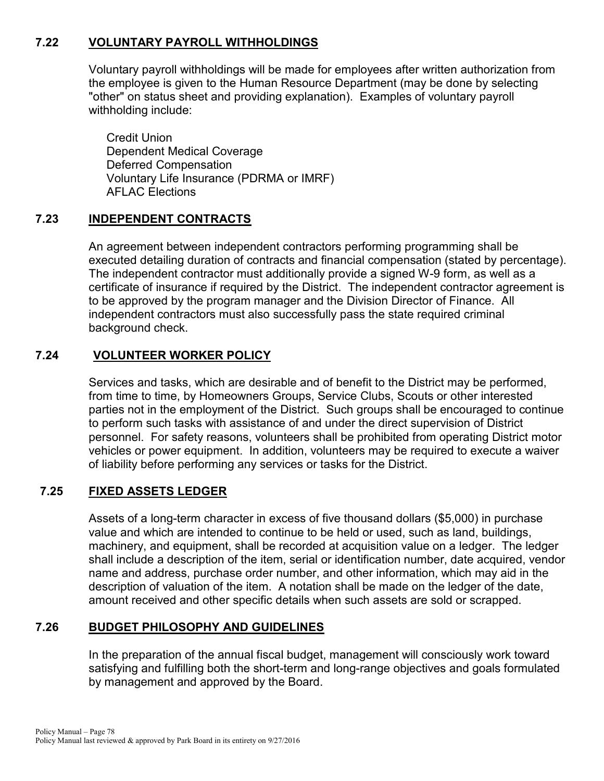# **7.22 VOLUNTARY PAYROLL WITHHOLDINGS**

Voluntary payroll withholdings will be made for employees after written authorization from the employee is given to the Human Resource Department (may be done by selecting "other" on status sheet and providing explanation). Examples of voluntary payroll withholding include:

Credit Union Dependent Medical Coverage Deferred Compensation Voluntary Life Insurance (PDRMA or IMRF) AFLAC Elections

# **7.23 INDEPENDENT CONTRACTS**

An agreement between independent contractors performing programming shall be executed detailing duration of contracts and financial compensation (stated by percentage). The independent contractor must additionally provide a signed W-9 form, as well as a certificate of insurance if required by the District. The independent contractor agreement is to be approved by the program manager and the Division Director of Finance. All independent contractors must also successfully pass the state required criminal background check.

# **7.24 VOLUNTEER WORKER POLICY**

Services and tasks, which are desirable and of benefit to the District may be performed, from time to time, by Homeowners Groups, Service Clubs, Scouts or other interested parties not in the employment of the District. Such groups shall be encouraged to continue to perform such tasks with assistance of and under the direct supervision of District personnel. For safety reasons, volunteers shall be prohibited from operating District motor vehicles or power equipment. In addition, volunteers may be required to execute a waiver of liability before performing any services or tasks for the District.

# **7.25 FIXED ASSETS LEDGER**

Assets of a long-term character in excess of five thousand dollars (\$5,000) in purchase value and which are intended to continue to be held or used, such as land, buildings, machinery, and equipment, shall be recorded at acquisition value on a ledger. The ledger shall include a description of the item, serial or identification number, date acquired, vendor name and address, purchase order number, and other information, which may aid in the description of valuation of the item. A notation shall be made on the ledger of the date, amount received and other specific details when such assets are sold or scrapped.

# **7.26 BUDGET PHILOSOPHY AND GUIDELINES**

In the preparation of the annual fiscal budget, management will consciously work toward satisfying and fulfilling both the short-term and long-range objectives and goals formulated by management and approved by the Board.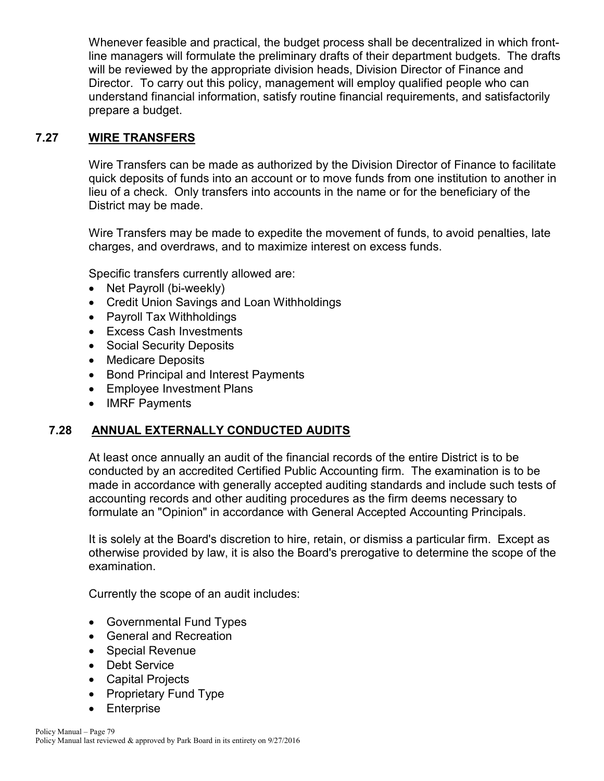Whenever feasible and practical, the budget process shall be decentralized in which frontline managers will formulate the preliminary drafts of their department budgets. The drafts will be reviewed by the appropriate division heads, Division Director of Finance and Director. To carry out this policy, management will employ qualified people who can understand financial information, satisfy routine financial requirements, and satisfactorily prepare a budget.

# **7.27 WIRE TRANSFERS**

Wire Transfers can be made as authorized by the Division Director of Finance to facilitate quick deposits of funds into an account or to move funds from one institution to another in lieu of a check. Only transfers into accounts in the name or for the beneficiary of the District may be made.

Wire Transfers may be made to expedite the movement of funds, to avoid penalties, late charges, and overdraws, and to maximize interest on excess funds.

Specific transfers currently allowed are:

- Net Payroll (bi-weekly)
- Credit Union Savings and Loan Withholdings
- Payroll Tax Withholdings
- Excess Cash Investments
- Social Security Deposits
- Medicare Deposits
- Bond Principal and Interest Payments
- Employee Investment Plans
- IMRF Payments

# **7.28 ANNUAL EXTERNALLY CONDUCTED AUDITS**

At least once annually an audit of the financial records of the entire District is to be conducted by an accredited Certified Public Accounting firm. The examination is to be made in accordance with generally accepted auditing standards and include such tests of accounting records and other auditing procedures as the firm deems necessary to formulate an "Opinion" in accordance with General Accepted Accounting Principals.

It is solely at the Board's discretion to hire, retain, or dismiss a particular firm. Except as otherwise provided by law, it is also the Board's prerogative to determine the scope of the examination.

Currently the scope of an audit includes:

- Governmental Fund Types
- General and Recreation
- Special Revenue
- Debt Service
- Capital Projects
- Proprietary Fund Type
- Enterprise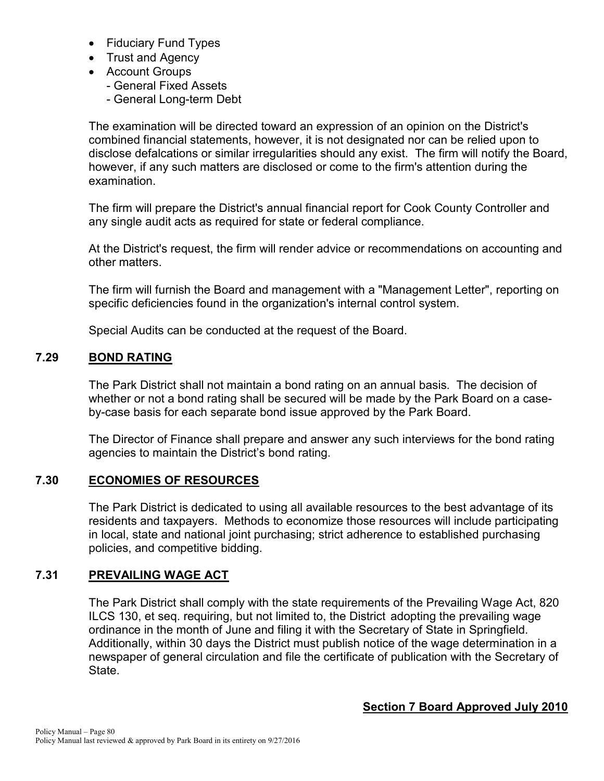- Fiduciary Fund Types
- Trust and Agency
- Account Groups
	- General Fixed Assets
	- General Long-term Debt

The examination will be directed toward an expression of an opinion on the District's combined financial statements, however, it is not designated nor can be relied upon to disclose defalcations or similar irregularities should any exist. The firm will notify the Board, however, if any such matters are disclosed or come to the firm's attention during the examination.

The firm will prepare the District's annual financial report for Cook County Controller and any single audit acts as required for state or federal compliance.

At the District's request, the firm will render advice or recommendations on accounting and other matters.

The firm will furnish the Board and management with a "Management Letter", reporting on specific deficiencies found in the organization's internal control system.

Special Audits can be conducted at the request of the Board.

## **7.29 BOND RATING**

The Park District shall not maintain a bond rating on an annual basis. The decision of whether or not a bond rating shall be secured will be made by the Park Board on a caseby-case basis for each separate bond issue approved by the Park Board.

The Director of Finance shall prepare and answer any such interviews for the bond rating agencies to maintain the District's bond rating.

#### **7.30 ECONOMIES OF RESOURCES**

The Park District is dedicated to using all available resources to the best advantage of its residents and taxpayers. Methods to economize those resources will include participating in local, state and national joint purchasing; strict adherence to established purchasing policies, and competitive bidding.

#### **7.31 PREVAILING WAGE ACT**

The Park District shall comply with the state requirements of the Prevailing Wage Act, 820 ILCS 130, et seq. requiring, but not limited to, the District adopting the prevailing wage ordinance in the month of June and filing it with the Secretary of State in Springfield. Additionally, within 30 days the District must publish notice of the wage determination in a newspaper of general circulation and file the certificate of publication with the Secretary of State.

#### **Section 7 Board Approved July 2010**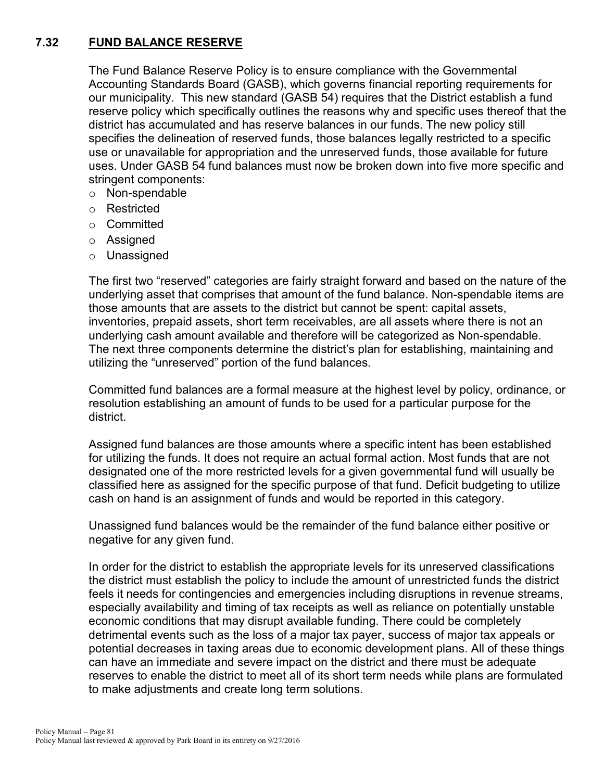# **7.32 FUND BALANCE RESERVE**

The Fund Balance Reserve Policy is to ensure compliance with the Governmental Accounting Standards Board (GASB), which governs financial reporting requirements for our municipality. This new standard (GASB 54) requires that the District establish a fund reserve policy which specifically outlines the reasons why and specific uses thereof that the district has accumulated and has reserve balances in our funds. The new policy still specifies the delineation of reserved funds, those balances legally restricted to a specific use or unavailable for appropriation and the unreserved funds, those available for future uses. Under GASB 54 fund balances must now be broken down into five more specific and stringent components:

- o Non-spendable
- o Restricted
- o Committed
- o Assigned
- o Unassigned

The first two "reserved" categories are fairly straight forward and based on the nature of the underlying asset that comprises that amount of the fund balance. Non-spendable items are those amounts that are assets to the district but cannot be spent: capital assets, inventories, prepaid assets, short term receivables, are all assets where there is not an underlying cash amount available and therefore will be categorized as Non-spendable. The next three components determine the district's plan for establishing, maintaining and utilizing the "unreserved" portion of the fund balances.

Committed fund balances are a formal measure at the highest level by policy, ordinance, or resolution establishing an amount of funds to be used for a particular purpose for the district.

Assigned fund balances are those amounts where a specific intent has been established for utilizing the funds. It does not require an actual formal action. Most funds that are not designated one of the more restricted levels for a given governmental fund will usually be classified here as assigned for the specific purpose of that fund. Deficit budgeting to utilize cash on hand is an assignment of funds and would be reported in this category.

Unassigned fund balances would be the remainder of the fund balance either positive or negative for any given fund.

In order for the district to establish the appropriate levels for its unreserved classifications the district must establish the policy to include the amount of unrestricted funds the district feels it needs for contingencies and emergencies including disruptions in revenue streams, especially availability and timing of tax receipts as well as reliance on potentially unstable economic conditions that may disrupt available funding. There could be completely detrimental events such as the loss of a major tax payer, success of major tax appeals or potential decreases in taxing areas due to economic development plans. All of these things can have an immediate and severe impact on the district and there must be adequate reserves to enable the district to meet all of its short term needs while plans are formulated to make adjustments and create long term solutions.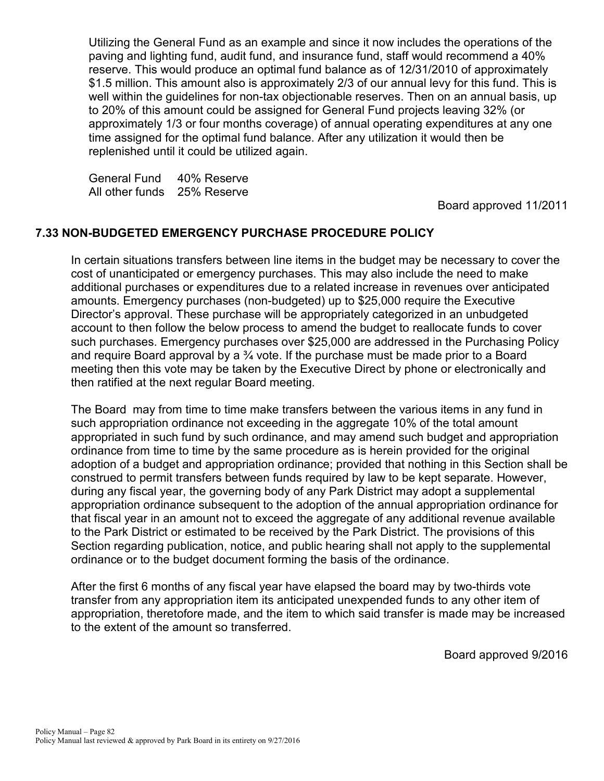Utilizing the General Fund as an example and since it now includes the operations of the paving and lighting fund, audit fund, and insurance fund, staff would recommend a 40% reserve. This would produce an optimal fund balance as of 12/31/2010 of approximately \$1.5 million. This amount also is approximately 2/3 of our annual levy for this fund. This is well within the guidelines for non-tax objectionable reserves. Then on an annual basis, up to 20% of this amount could be assigned for General Fund projects leaving 32% (or approximately 1/3 or four months coverage) of annual operating expenditures at any one time assigned for the optimal fund balance. After any utilization it would then be replenished until it could be utilized again.

General Fund 40% Reserve All other funds 25% Reserve

Board approved 11/2011

## **7.33 NON-BUDGETED EMERGENCY PURCHASE PROCEDURE POLICY**

In certain situations transfers between line items in the budget may be necessary to cover the cost of unanticipated or emergency purchases. This may also include the need to make additional purchases or expenditures due to a related increase in revenues over anticipated amounts. Emergency purchases (non-budgeted) up to \$25,000 require the Executive Director's approval. These purchase will be appropriately categorized in an unbudgeted account to then follow the below process to amend the budget to reallocate funds to cover such purchases. Emergency purchases over \$25,000 are addressed in the Purchasing Policy and require Board approval by a ¾ vote. If the purchase must be made prior to a Board meeting then this vote may be taken by the Executive Direct by phone or electronically and then ratified at the next regular Board meeting.

The Board may from time to time make transfers between the various items in any fund in such appropriation ordinance not exceeding in the aggregate 10% of the total amount appropriated in such fund by such ordinance, and may amend such budget and appropriation ordinance from time to time by the same procedure as is herein provided for the original adoption of a budget and appropriation ordinance; provided that nothing in this Section shall be construed to permit transfers between funds required by law to be kept separate. However, during any fiscal year, the governing body of any Park District may adopt a supplemental appropriation ordinance subsequent to the adoption of the annual appropriation ordinance for that fiscal year in an amount not to exceed the aggregate of any additional revenue available to the Park District or estimated to be received by the Park District. The provisions of this Section regarding publication, notice, and public hearing shall not apply to the supplemental ordinance or to the budget document forming the basis of the ordinance.

After the first 6 months of any fiscal year have elapsed the board may by two-thirds vote transfer from any appropriation item its anticipated unexpended funds to any other item of appropriation, theretofore made, and the item to which said transfer is made may be increased to the extent of the amount so transferred.

Board approved 9/2016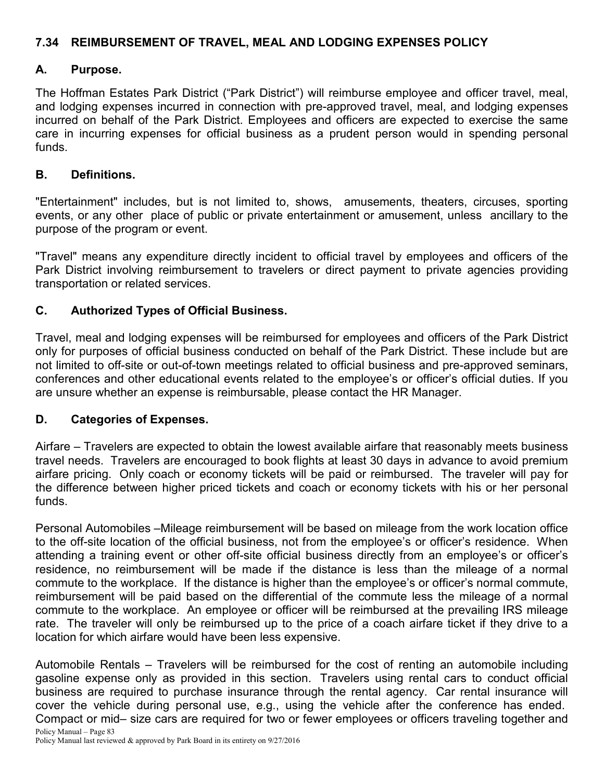# **7.34 REIMBURSEMENT OF TRAVEL, MEAL AND LODGING EXPENSES POLICY**

#### **A. Purpose.**

The Hoffman Estates Park District ("Park District") will reimburse employee and officer travel, meal, and lodging expenses incurred in connection with pre-approved travel, meal, and lodging expenses incurred on behalf of the Park District. Employees and officers are expected to exercise the same care in incurring expenses for official business as a prudent person would in spending personal funds.

#### **B. Definitions.**

"Entertainment" includes, but is not limited to, shows, amusements, theaters, circuses, sporting events, or any other place of public or private entertainment or amusement, unless ancillary to the purpose of the program or event.

"Travel" means any expenditure directly incident to official travel by employees and officers of the Park District involving reimbursement to travelers or direct payment to private agencies providing transportation or related services.

## **C. Authorized Types of Official Business.**

Travel, meal and lodging expenses will be reimbursed for employees and officers of the Park District only for purposes of official business conducted on behalf of the Park District. These include but are not limited to off-site or out-of-town meetings related to official business and pre-approved seminars, conferences and other educational events related to the employee's or officer's official duties. If you are unsure whether an expense is reimbursable, please contact the HR Manager.

#### **D. Categories of Expenses.**

Airfare – Travelers are expected to obtain the lowest available airfare that reasonably meets business travel needs. Travelers are encouraged to book flights at least 30 days in advance to avoid premium airfare pricing. Only coach or economy tickets will be paid or reimbursed. The traveler will pay for the difference between higher priced tickets and coach or economy tickets with his or her personal funds.

Personal Automobiles –Mileage reimbursement will be based on mileage from the work location office to the off-site location of the official business, not from the employee's or officer's residence. When attending a training event or other off-site official business directly from an employee's or officer's residence, no reimbursement will be made if the distance is less than the mileage of a normal commute to the workplace. If the distance is higher than the employee's or officer's normal commute, reimbursement will be paid based on the differential of the commute less the mileage of a normal commute to the workplace. An employee or officer will be reimbursed at the prevailing IRS mileage rate. The traveler will only be reimbursed up to the price of a coach airfare ticket if they drive to a location for which airfare would have been less expensive.

Policy Manual – Page 83 Automobile Rentals – Travelers will be reimbursed for the cost of renting an automobile including gasoline expense only as provided in this section. Travelers using rental cars to conduct official business are required to purchase insurance through the rental agency. Car rental insurance will cover the vehicle during personal use, e.g., using the vehicle after the conference has ended. Compact or mid– size cars are required for two or fewer employees or officers traveling together and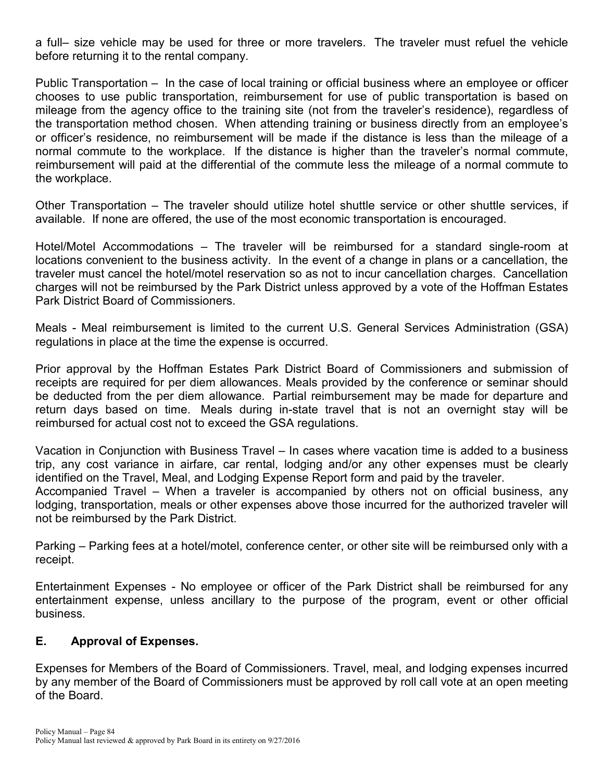a full– size vehicle may be used for three or more travelers. The traveler must refuel the vehicle before returning it to the rental company.

Public Transportation – In the case of local training or official business where an employee or officer chooses to use public transportation, reimbursement for use of public transportation is based on mileage from the agency office to the training site (not from the traveler's residence), regardless of the transportation method chosen. When attending training or business directly from an employee's or officer's residence, no reimbursement will be made if the distance is less than the mileage of a normal commute to the workplace. If the distance is higher than the traveler's normal commute, reimbursement will paid at the differential of the commute less the mileage of a normal commute to the workplace.

Other Transportation – The traveler should utilize hotel shuttle service or other shuttle services, if available. If none are offered, the use of the most economic transportation is encouraged.

Hotel/Motel Accommodations – The traveler will be reimbursed for a standard single-room at locations convenient to the business activity. In the event of a change in plans or a cancellation, the traveler must cancel the hotel/motel reservation so as not to incur cancellation charges. Cancellation charges will not be reimbursed by the Park District unless approved by a vote of the Hoffman Estates Park District Board of Commissioners.

Meals - Meal reimbursement is limited to the current U.S. General Services Administration (GSA) regulations in place at the time the expense is occurred.

Prior approval by the Hoffman Estates Park District Board of Commissioners and submission of receipts are required for per diem allowances. Meals provided by the conference or seminar should be deducted from the per diem allowance. Partial reimbursement may be made for departure and return days based on time. Meals during in-state travel that is not an overnight stay will be reimbursed for actual cost not to exceed the GSA regulations.

Vacation in Conjunction with Business Travel – In cases where vacation time is added to a business trip, any cost variance in airfare, car rental, lodging and/or any other expenses must be clearly identified on the Travel, Meal, and Lodging Expense Report form and paid by the traveler.

Accompanied Travel – When a traveler is accompanied by others not on official business, any lodging, transportation, meals or other expenses above those incurred for the authorized traveler will not be reimbursed by the Park District.

Parking – Parking fees at a hotel/motel, conference center, or other site will be reimbursed only with a receipt.

Entertainment Expenses - No employee or officer of the Park District shall be reimbursed for any entertainment expense, unless ancillary to the purpose of the program, event or other official business.

# **E. Approval of Expenses.**

Expenses for Members of the Board of Commissioners. Travel, meal, and lodging expenses incurred by any member of the Board of Commissioners must be approved by roll call vote at an open meeting of the Board.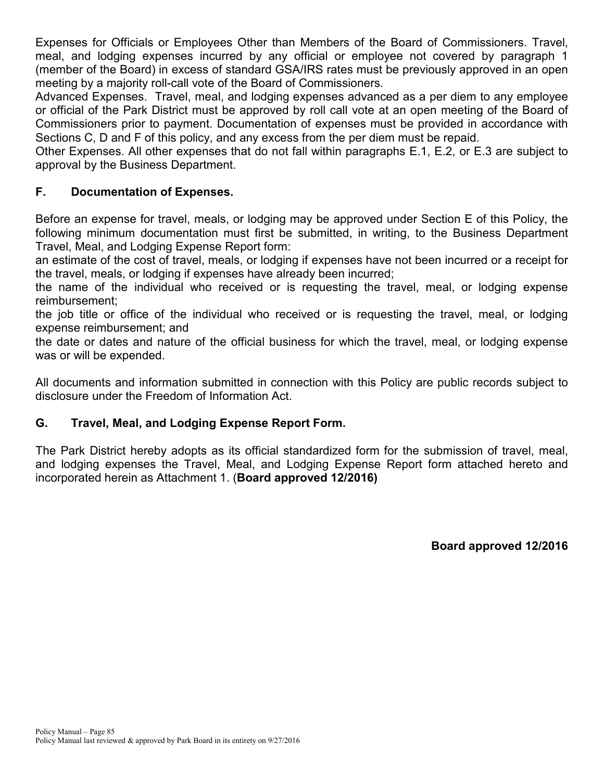Expenses for Officials or Employees Other than Members of the Board of Commissioners. Travel, meal, and lodging expenses incurred by any official or employee not covered by paragraph 1 (member of the Board) in excess of standard GSA/IRS rates must be previously approved in an open meeting by a majority roll-call vote of the Board of Commissioners.

Advanced Expenses. Travel, meal, and lodging expenses advanced as a per diem to any employee or official of the Park District must be approved by roll call vote at an open meeting of the Board of Commissioners prior to payment. Documentation of expenses must be provided in accordance with Sections C, D and F of this policy, and any excess from the per diem must be repaid.

Other Expenses. All other expenses that do not fall within paragraphs E.1, E.2, or E.3 are subject to approval by the Business Department.

# **F. Documentation of Expenses.**

Before an expense for travel, meals, or lodging may be approved under Section E of this Policy, the following minimum documentation must first be submitted, in writing, to the Business Department Travel, Meal, and Lodging Expense Report form:

an estimate of the cost of travel, meals, or lodging if expenses have not been incurred or a receipt for the travel, meals, or lodging if expenses have already been incurred;

the name of the individual who received or is requesting the travel, meal, or lodging expense reimbursement;

the job title or office of the individual who received or is requesting the travel, meal, or lodging expense reimbursement; and

the date or dates and nature of the official business for which the travel, meal, or lodging expense was or will be expended.

All documents and information submitted in connection with this Policy are public records subject to disclosure under the Freedom of Information Act.

# **G. Travel, Meal, and Lodging Expense Report Form.**

The Park District hereby adopts as its official standardized form for the submission of travel, meal, and lodging expenses the Travel, Meal, and Lodging Expense Report form attached hereto and incorporated herein as Attachment 1. (**Board approved 12/2016)**

**Board approved 12/2016**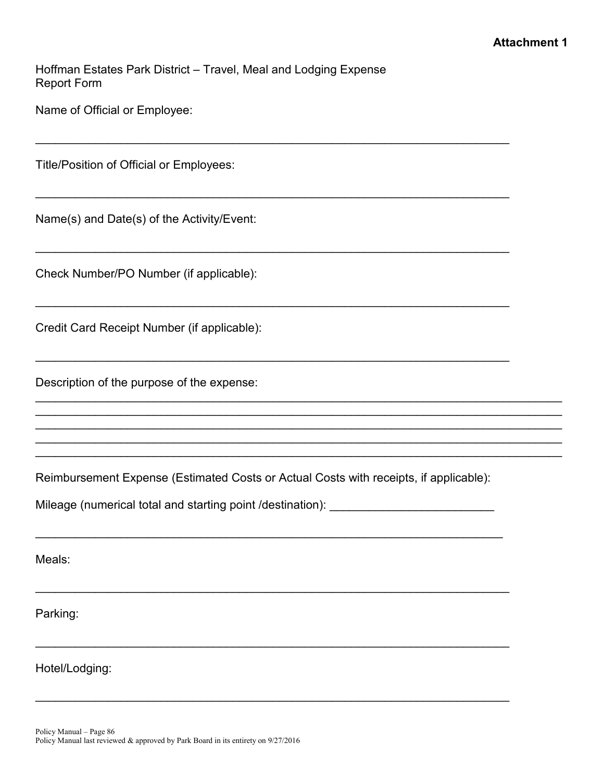Hoffman Estates Park District – Travel, Meal and Lodging Expense Report Form

 $\mathcal{L}_\text{max}$  , and the contribution of the contribution of the contribution of the contribution of the contribution of the contribution of the contribution of the contribution of the contribution of the contribution of t

 $\overline{\phantom{a}}$  , and the contribution of the contribution of the contribution of the contribution of the contribution of the contribution of the contribution of the contribution of the contribution of the contribution of the

 $\overline{\phantom{a}}$  , and the contribution of the contribution of the contribution of the contribution of the contribution of the contribution of the contribution of the contribution of the contribution of the contribution of the

 $\mathcal{L}_\text{max}$  , and the contribution of the contribution of the contribution of the contribution of the contribution of the contribution of the contribution of the contribution of the contribution of the contribution of t

 $\mathcal{L}_\text{max}$  , and the contribution of the contribution of the contribution of the contribution of the contribution of the contribution of the contribution of the contribution of the contribution of the contribution of t

\_\_\_\_\_\_\_\_\_\_\_\_\_\_\_\_\_\_\_\_\_\_\_\_\_\_\_\_\_\_\_\_\_\_\_\_\_\_\_\_\_\_\_\_\_\_\_\_\_\_\_\_\_\_\_\_\_\_\_\_\_\_\_\_\_\_\_\_\_\_\_\_\_\_\_\_\_\_\_\_  $\mathcal{L}_\text{max}$  , and the contribution of the contribution of the contribution of the contribution of the contribution of the contribution of the contribution of the contribution of the contribution of the contribution of t  $\mathcal{L}_\text{max}$  , and the contribution of the contribution of the contribution of the contribution of the contribution of the contribution of the contribution of the contribution of the contribution of the contribution of t  $\mathcal{L}_\text{max}$  , and the contribution of the contribution of the contribution of the contribution of the contribution of the contribution of the contribution of the contribution of the contribution of the contribution of t \_\_\_\_\_\_\_\_\_\_\_\_\_\_\_\_\_\_\_\_\_\_\_\_\_\_\_\_\_\_\_\_\_\_\_\_\_\_\_\_\_\_\_\_\_\_\_\_\_\_\_\_\_\_\_\_\_\_\_\_\_\_\_\_\_\_\_\_\_\_\_\_\_\_\_\_\_\_\_\_

Name of Official or Employee:

Title/Position of Official or Employees:

Name(s) and Date(s) of the Activity/Event:

Check Number/PO Number (if applicable):

Credit Card Receipt Number (if applicable):

Description of the purpose of the expense:

Reimbursement Expense (Estimated Costs or Actual Costs with receipts, if applicable):

\_\_\_\_\_\_\_\_\_\_\_\_\_\_\_\_\_\_\_\_\_\_\_\_\_\_\_\_\_\_\_\_\_\_\_\_\_\_\_\_\_\_\_\_\_\_\_\_\_\_\_\_\_\_\_\_\_\_\_\_\_\_\_\_\_\_\_\_\_\_\_

 $\overline{\phantom{a}}$  , and the contribution of the contribution of the contribution of the contribution of the contribution of the contribution of the contribution of the contribution of the contribution of the contribution of the

\_\_\_\_\_\_\_\_\_\_\_\_\_\_\_\_\_\_\_\_\_\_\_\_\_\_\_\_\_\_\_\_\_\_\_\_\_\_\_\_\_\_\_\_\_\_\_\_\_\_\_\_\_\_\_\_\_\_\_\_\_\_\_\_\_\_\_\_\_\_\_\_

\_\_\_\_\_\_\_\_\_\_\_\_\_\_\_\_\_\_\_\_\_\_\_\_\_\_\_\_\_\_\_\_\_\_\_\_\_\_\_\_\_\_\_\_\_\_\_\_\_\_\_\_\_\_\_\_\_\_\_\_\_\_\_\_\_\_\_\_\_\_\_\_

Mileage (numerical total and starting point /destination):

Meals:

Parking:

Hotel/Lodging: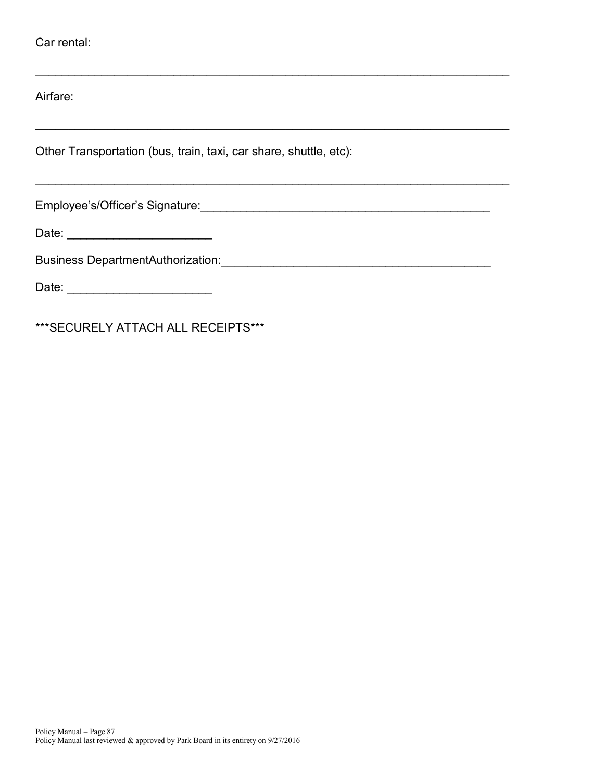Airfare:

Other Transportation (bus, train, taxi, car share, shuttle, etc):

\_\_\_\_\_\_\_\_\_\_\_\_\_\_\_\_\_\_\_\_\_\_\_\_\_\_\_\_\_\_\_\_\_\_\_\_\_\_\_\_\_\_\_\_\_\_\_\_\_\_\_\_\_\_\_\_\_\_\_\_\_\_\_\_\_\_\_\_\_\_\_\_

 $\overline{\phantom{a}}$  , and the contribution of the contribution of the contribution of the contribution of the contribution of the contribution of the contribution of the contribution of the contribution of the contribution of the

Employee's/Officer's Signature:\_\_\_\_\_\_\_\_\_\_\_\_\_\_\_\_\_\_\_\_\_\_\_\_\_\_\_\_\_\_\_\_\_\_\_\_\_\_\_\_\_\_\_\_

Date: \_\_\_\_\_\_\_\_\_\_\_\_\_\_\_\_\_\_\_\_\_\_

Business DepartmentAuthorization:\_\_\_\_\_\_\_\_\_\_\_\_\_\_\_\_\_\_\_\_\_\_\_\_\_\_\_\_\_\_\_\_\_\_\_\_\_\_\_\_\_

Date: \_\_\_\_\_\_\_\_\_\_\_\_\_\_\_\_\_\_\_\_\_\_

\*\*\*SECURELY ATTACH ALL RECEIPTS\*\*\*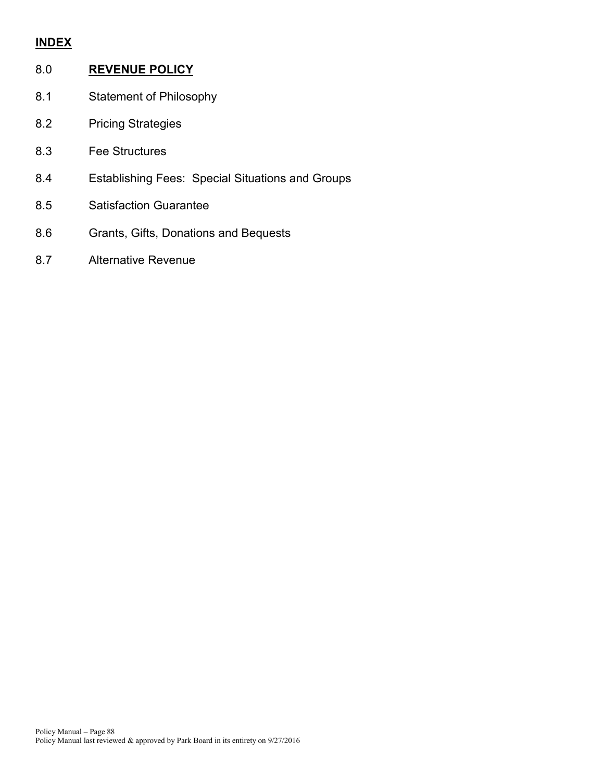# **INDEX**

# 8.0 **REVENUE POLICY**

- 8.1 Statement of Philosophy
- 8.2 Pricing Strategies
- 8.3 Fee Structures
- 8.4 Establishing Fees: Special Situations and Groups
- 8.5 Satisfaction Guarantee
- 8.6 Grants, Gifts, Donations and Bequests
- 8.7 Alternative Revenue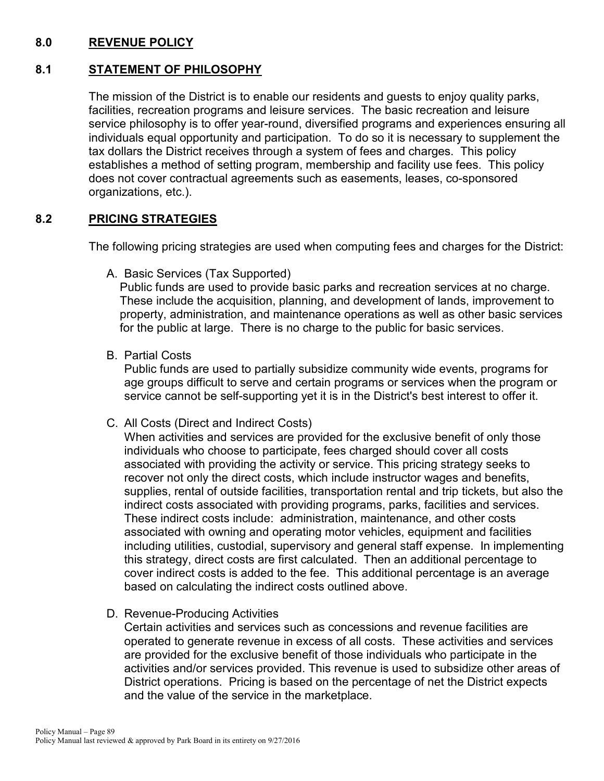# **8.0 REVENUE POLICY**

# **8.1 STATEMENT OF PHILOSOPHY**

The mission of the District is to enable our residents and guests to enjoy quality parks, facilities, recreation programs and leisure services. The basic recreation and leisure service philosophy is to offer year-round, diversified programs and experiences ensuring all individuals equal opportunity and participation. To do so it is necessary to supplement the tax dollars the District receives through a system of fees and charges. This policy establishes a method of setting program, membership and facility use fees. This policy does not cover contractual agreements such as easements, leases, co-sponsored organizations, etc.).

# **8.2 PRICING STRATEGIES**

The following pricing strategies are used when computing fees and charges for the District:

A. Basic Services (Tax Supported)

Public funds are used to provide basic parks and recreation services at no charge. These include the acquisition, planning, and development of lands, improvement to property, administration, and maintenance operations as well as other basic services for the public at large. There is no charge to the public for basic services.

B. Partial Costs

Public funds are used to partially subsidize community wide events, programs for age groups difficult to serve and certain programs or services when the program or service cannot be self-supporting yet it is in the District's best interest to offer it.

C. All Costs (Direct and Indirect Costs)

When activities and services are provided for the exclusive benefit of only those individuals who choose to participate, fees charged should cover all costs associated with providing the activity or service. This pricing strategy seeks to recover not only the direct costs, which include instructor wages and benefits, supplies, rental of outside facilities, transportation rental and trip tickets, but also the indirect costs associated with providing programs, parks, facilities and services. These indirect costs include: administration, maintenance, and other costs associated with owning and operating motor vehicles, equipment and facilities including utilities, custodial, supervisory and general staff expense. In implementing this strategy, direct costs are first calculated. Then an additional percentage to cover indirect costs is added to the fee. This additional percentage is an average based on calculating the indirect costs outlined above.

D. Revenue-Producing Activities

Certain activities and services such as concessions and revenue facilities are operated to generate revenue in excess of all costs. These activities and services are provided for the exclusive benefit of those individuals who participate in the activities and/or services provided. This revenue is used to subsidize other areas of District operations. Pricing is based on the percentage of net the District expects and the value of the service in the marketplace.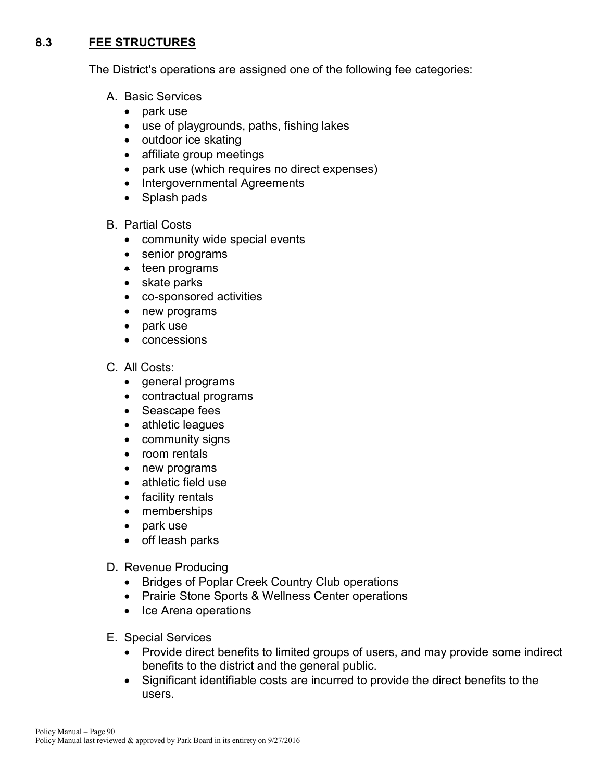# **8.3 FEE STRUCTURES**

The District's operations are assigned one of the following fee categories:

- A. Basic Services
	- park use
	- use of playgrounds, paths, fishing lakes
	- outdoor ice skating
	- affiliate group meetings
	- park use (which requires no direct expenses)
	- Intergovernmental Agreements
	- Splash pads
- B. Partial Costs
	- community wide special events
	- senior programs
	- teen programs
	- skate parks
	- co-sponsored activities
	- new programs
	- park use
	- concessions
- C. All Costs:
	- general programs
	- contractual programs
	- Seascape fees
	- athletic leagues
	- community signs
	- room rentals
	- new programs
	- athletic field use
	- facility rentals
	- memberships
	- park use
	- off leash parks
- D**.** Revenue Producing
	- Bridges of Poplar Creek Country Club operations
	- Prairie Stone Sports & Wellness Center operations
	- Ice Arena operations
- E. Special Services
	- Provide direct benefits to limited groups of users, and may provide some indirect benefits to the district and the general public.
	- Significant identifiable costs are incurred to provide the direct benefits to the users.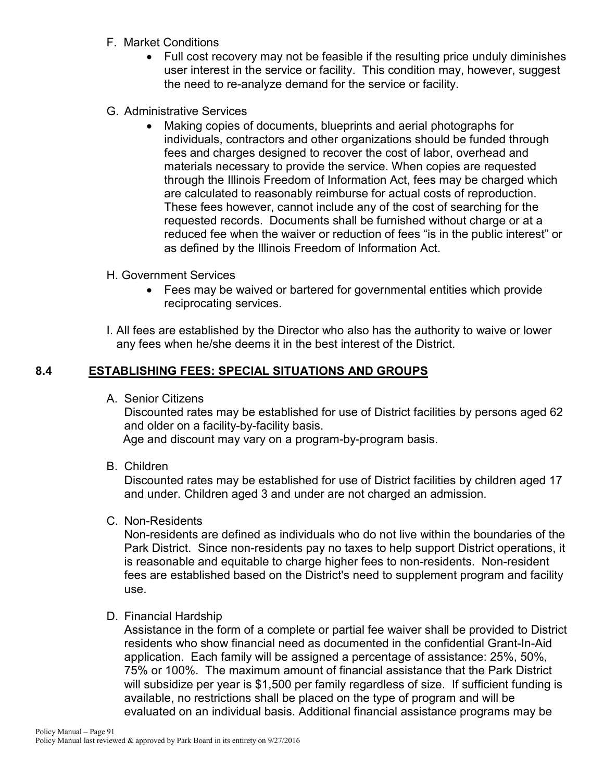- F. Market Conditions
	- Full cost recovery may not be feasible if the resulting price unduly diminishes user interest in the service or facility. This condition may, however, suggest the need to re-analyze demand for the service or facility.
- G. Administrative Services
	- Making copies of documents, blueprints and aerial photographs for individuals, contractors and other organizations should be funded through fees and charges designed to recover the cost of labor, overhead and materials necessary to provide the service. When copies are requested through the Illinois Freedom of Information Act, fees may be charged which are calculated to reasonably reimburse for actual costs of reproduction. These fees however, cannot include any of the cost of searching for the requested records. Documents shall be furnished without charge or at a reduced fee when the waiver or reduction of fees "is in the public interest" or as defined by the Illinois Freedom of Information Act.
- H. Government Services
	- Fees may be waived or bartered for governmental entities which provide reciprocating services.
- I. All fees are established by the Director who also has the authority to waive or lower any fees when he/she deems it in the best interest of the District.

## **8.4 ESTABLISHING FEES: SPECIAL SITUATIONS AND GROUPS**

A. Senior Citizens

Discounted rates may be established for use of District facilities by persons aged 62 and older on a facility-by-facility basis.

Age and discount may vary on a program-by-program basis.

B. Children

Discounted rates may be established for use of District facilities by children aged 17 and under. Children aged 3 and under are not charged an admission.

C. Non-Residents

Non-residents are defined as individuals who do not live within the boundaries of the Park District. Since non-residents pay no taxes to help support District operations, it is reasonable and equitable to charge higher fees to non-residents. Non-resident fees are established based on the District's need to supplement program and facility use.

D. Financial Hardship

Assistance in the form of a complete or partial fee waiver shall be provided to District residents who show financial need as documented in the confidential Grant-In-Aid application. Each family will be assigned a percentage of assistance: 25%, 50%, 75% or 100%. The maximum amount of financial assistance that the Park District will subsidize per year is \$1,500 per family regardless of size. If sufficient funding is available, no restrictions shall be placed on the type of program and will be evaluated on an individual basis. Additional financial assistance programs may be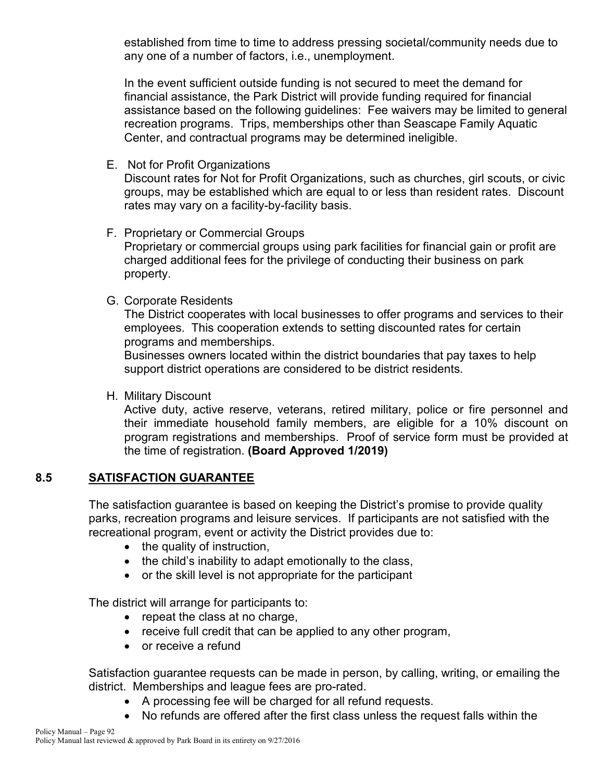established from time to time to address pressing societal/community needs due to any one of a number of factors, i.e., unemployment.

In the event sufficient outside funding is not secured to meet the demand for financial assistance, the Park District will provide funding required for financial assistance based on the following guidelines: Fee waivers may be limited to general recreation programs. Trips, memberships other than Seascape Family Aquatic Center, and contractual programs may be determined ineligible.

E. Not for Profit Organizations

Discount rates for Not for Profit Organizations, such as churches, girl scouts, or civic groups, may be established which are equal to or less than resident rates. Discount rates may vary on a facility-by-facility basis.

F. Proprietary or Commercial Groups

Proprietary or commercial groups using park facilities for financial gain or profit are charged additional fees for the privilege of conducting their business on park property.

G. Corporate Residents

The District cooperates with local businesses to offer programs and services to their employees. This cooperation extends to setting discounted rates for certain programs and memberships.

Businesses owners located within the district boundaries that pay taxes to help support district operations are considered to be district residents.

H. Military Discount

Active duty, active reserve, veterans, retired military, police or fire personnel and their immediate household family members, are eligible for a 10% discount on program registrations and memberships. Proof of service form must be provided at the time of registration. **(Board Approved 1/2019)**

# **8.5 SATISFACTION GUARANTEE**

The satisfaction guarantee is based on keeping the District's promise to provide quality parks, recreation programs and leisure services. If participants are not satisfied with the recreational program, event or activity the District provides due to:

- the quality of instruction,
- the child's inability to adapt emotionally to the class,
- or the skill level is not appropriate for the participant

The district will arrange for participants to:

- repeat the class at no charge,
- receive full credit that can be applied to any other program,
- or receive a refund

Satisfaction guarantee requests can be made in person, by calling, writing, or emailing the district. Memberships and league fees are pro-rated.

- A processing fee will be charged for all refund requests.
- No refunds are offered after the first class unless the request falls within the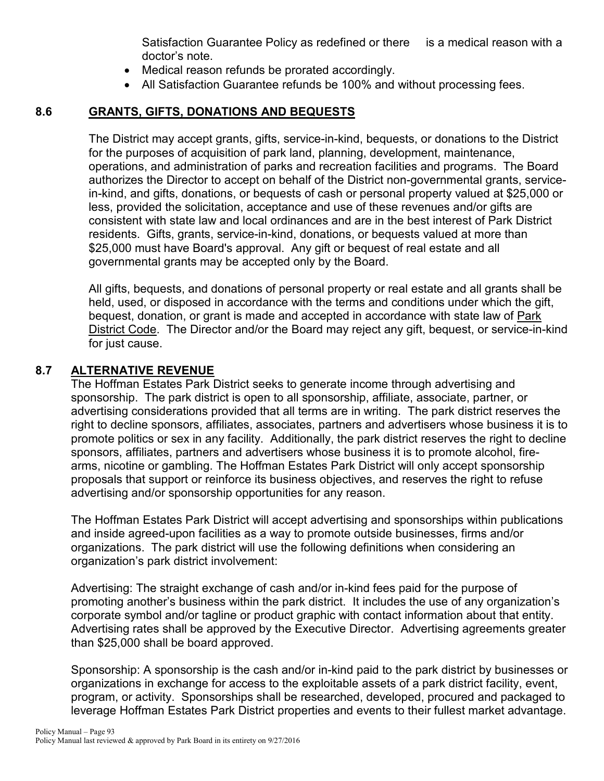Satisfaction Guarantee Policy as redefined or there is a medical reason with a doctor's note.

- Medical reason refunds be prorated accordingly.
- All Satisfaction Guarantee refunds be 100% and without processing fees.

# **8.6 GRANTS, GIFTS, DONATIONS AND BEQUESTS**

The District may accept grants, gifts, service-in-kind, bequests, or donations to the District for the purposes of acquisition of park land, planning, development, maintenance, operations, and administration of parks and recreation facilities and programs. The Board authorizes the Director to accept on behalf of the District non-governmental grants, servicein-kind, and gifts, donations, or bequests of cash or personal property valued at \$25,000 or less, provided the solicitation, acceptance and use of these revenues and/or gifts are consistent with state law and local ordinances and are in the best interest of Park District residents. Gifts, grants, service-in-kind, donations, or bequests valued at more than \$25,000 must have Board's approval. Any gift or bequest of real estate and all governmental grants may be accepted only by the Board.

All gifts, bequests, and donations of personal property or real estate and all grants shall be held, used, or disposed in accordance with the terms and conditions under which the gift, bequest, donation, or grant is made and accepted in accordance with state law of Park District Code. The Director and/or the Board may reject any gift, bequest, or service-in-kind for just cause.

# **8.7 ALTERNATIVE REVENUE**

The Hoffman Estates Park District seeks to generate income through advertising and sponsorship. The park district is open to all sponsorship, affiliate, associate, partner, or advertising considerations provided that all terms are in writing. The park district reserves the right to decline sponsors, affiliates, associates, partners and advertisers whose business it is to promote politics or sex in any facility. Additionally, the park district reserves the right to decline sponsors, affiliates, partners and advertisers whose business it is to promote alcohol, firearms, nicotine or gambling. The Hoffman Estates Park District will only accept sponsorship proposals that support or reinforce its business objectives, and reserves the right to refuse advertising and/or sponsorship opportunities for any reason.

The Hoffman Estates Park District will accept advertising and sponsorships within publications and inside agreed-upon facilities as a way to promote outside businesses, firms and/or organizations. The park district will use the following definitions when considering an organization's park district involvement:

Advertising: The straight exchange of cash and/or in-kind fees paid for the purpose of promoting another's business within the park district. It includes the use of any organization's corporate symbol and/or tagline or product graphic with contact information about that entity. Advertising rates shall be approved by the Executive Director. Advertising agreements greater than \$25,000 shall be board approved.

Sponsorship: A sponsorship is the cash and/or in-kind paid to the park district by businesses or organizations in exchange for access to the exploitable assets of a park district facility, event, program, or activity. Sponsorships shall be researched, developed, procured and packaged to leverage Hoffman Estates Park District properties and events to their fullest market advantage.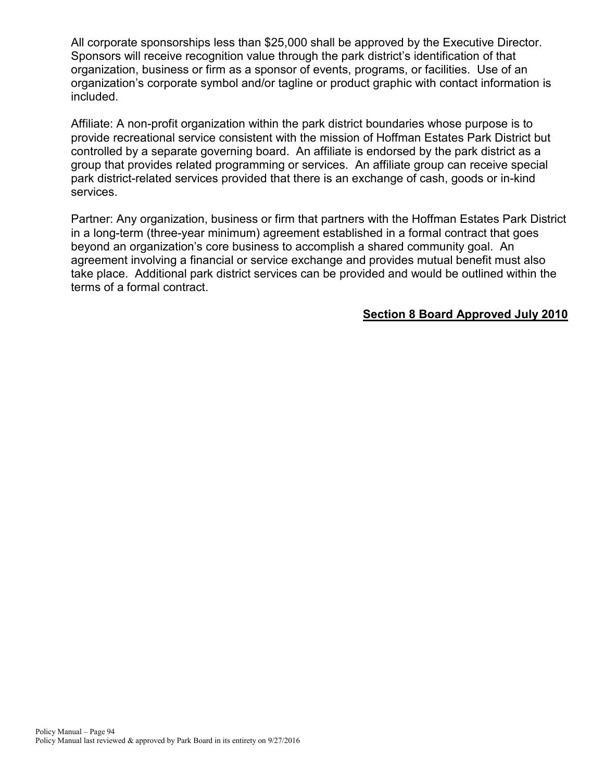All corporate sponsorships less than \$25,000 shall be approved by the Executive Director. Sponsors will receive recognition value through the park district's identification of that organization, business or firm as a sponsor of events, programs, or facilities. Use of an organization's corporate symbol and/or tagline or product graphic with contact information is included.

Affiliate: A non-profit organization within the park district boundaries whose purpose is to provide recreational service consistent with the mission of Hoffman Estates Park District but controlled by a separate governing board. An affiliate is endorsed by the park district as a group that provides related programming or services. An affiliate group can receive special park district-related services provided that there is an exchange of cash, goods or in-kind services.

Partner: Any organization, business or firm that partners with the Hoffman Estates Park District in a long-term (three-year minimum) agreement established in a formal contract that goes beyond an organization's core business to accomplish a shared community goal. An agreement involving a financial or service exchange and provides mutual benefit must also take place. Additional park district services can be provided and would be outlined within the terms of a formal contract.

#### **Section 8 Board Approved July 2010**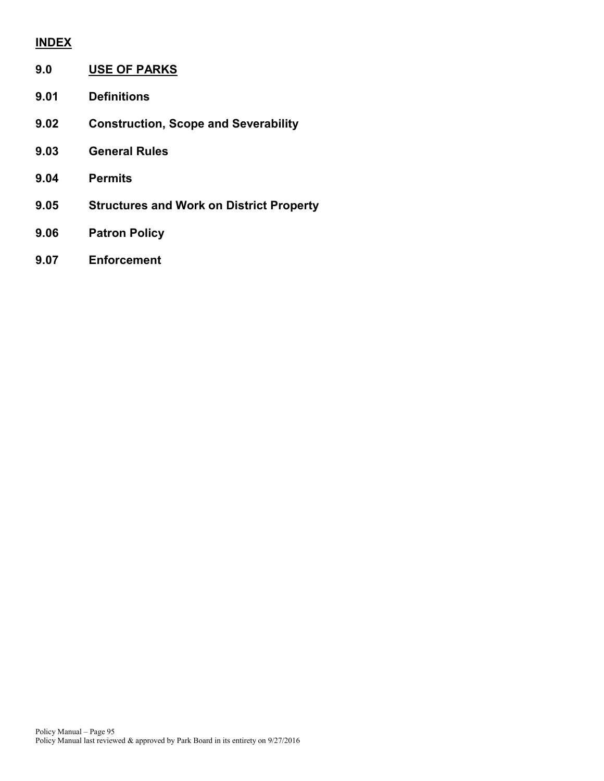## **INDEX**

| 9.0  | <b>USE OF PARKS</b>                             |
|------|-------------------------------------------------|
| 9.01 | <b>Definitions</b>                              |
| 9.02 | <b>Construction, Scope and Severability</b>     |
| 9.03 | <b>General Rules</b>                            |
| 9.04 | <b>Permits</b>                                  |
| 9.05 | <b>Structures and Work on District Property</b> |
| 9.06 | <b>Patron Policy</b>                            |

**9.07 Enforcement**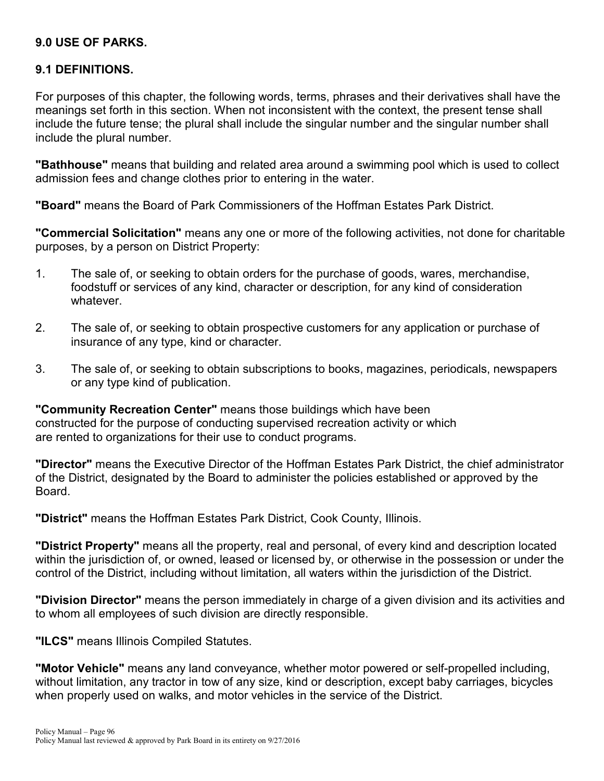#### **9.0 USE OF PARKS.**

#### **9.1 DEFINITIONS.**

For purposes of this chapter, the following words, terms, phrases and their derivatives shall have the meanings set forth in this section. When not inconsistent with the context, the present tense shall include the future tense; the plural shall include the singular number and the singular number shall include the plural number.

**"Bathhouse"** means that building and related area around a swimming pool which is used to collect admission fees and change clothes prior to entering in the water.

**"Board"** means the Board of Park Commissioners of the Hoffman Estates Park District.

**"Commercial Solicitation"** means any one or more of the following activities, not done for charitable purposes, by a person on District Property:

- 1. The sale of, or seeking to obtain orders for the purchase of goods, wares, merchandise, foodstuff or services of any kind, character or description, for any kind of consideration whatever.
- 2. The sale of, or seeking to obtain prospective customers for any application or purchase of insurance of any type, kind or character.
- 3. The sale of, or seeking to obtain subscriptions to books, magazines, periodicals, newspapers or any type kind of publication.

**"Community Recreation Center"** means those buildings which have been constructed for the purpose of conducting supervised recreation activity or which are rented to organizations for their use to conduct programs.

**"Director"** means the Executive Director of the Hoffman Estates Park District, the chief administrator of the District, designated by the Board to administer the policies established or approved by the Board.

**"District"** means the Hoffman Estates Park District, Cook County, Illinois.

**"District Property"** means all the property, real and personal, of every kind and description located within the jurisdiction of, or owned, leased or licensed by, or otherwise in the possession or under the control of the District, including without limitation, all waters within the jurisdiction of the District.

**"Division Director"** means the person immediately in charge of a given division and its activities and to whom all employees of such division are directly responsible.

**"ILCS"** means Illinois Compiled Statutes.

**"Motor Vehicle"** means any land conveyance, whether motor powered or self-propelled including, without limitation, any tractor in tow of any size, kind or description, except baby carriages, bicycles when properly used on walks, and motor vehicles in the service of the District.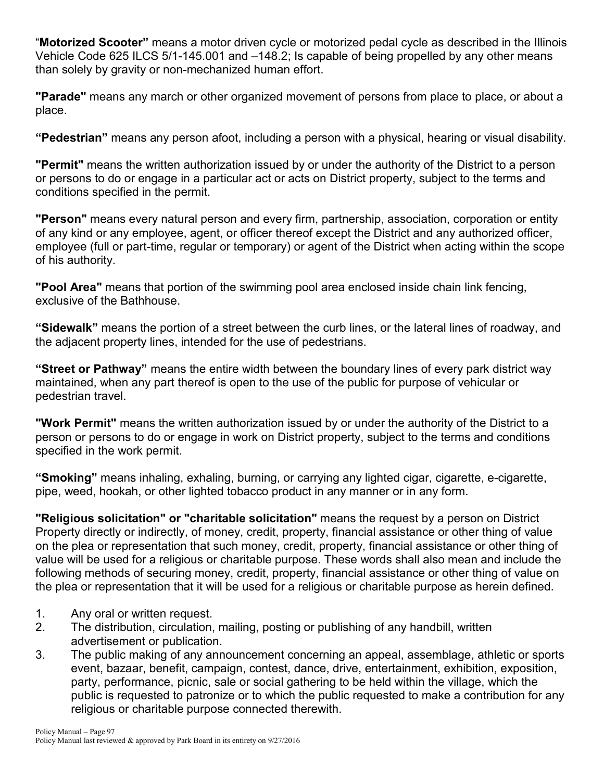"**Motorized Scooter"** means a motor driven cycle or motorized pedal cycle as described in the Illinois Vehicle Code 625 ILCS 5/1-145.001 and –148.2; Is capable of being propelled by any other means than solely by gravity or non-mechanized human effort.

**"Parade"** means any march or other organized movement of persons from place to place, or about a place.

**"Pedestrian"** means any person afoot, including a person with a physical, hearing or visual disability.

**"Permit"** means the written authorization issued by or under the authority of the District to a person or persons to do or engage in a particular act or acts on District property, subject to the terms and conditions specified in the permit.

**"Person"** means every natural person and every firm, partnership, association, corporation or entity of any kind or any employee, agent, or officer thereof except the District and any authorized officer, employee (full or part-time, regular or temporary) or agent of the District when acting within the scope of his authority.

**"Pool Area"** means that portion of the swimming pool area enclosed inside chain link fencing, exclusive of the Bathhouse.

**"Sidewalk"** means the portion of a street between the curb lines, or the lateral lines of roadway, and the adjacent property lines, intended for the use of pedestrians.

**"Street or Pathway"** means the entire width between the boundary lines of every park district way maintained, when any part thereof is open to the use of the public for purpose of vehicular or pedestrian travel.

**"Work Permit"** means the written authorization issued by or under the authority of the District to a person or persons to do or engage in work on District property, subject to the terms and conditions specified in the work permit.

**"Smoking"** means inhaling, exhaling, burning, or carrying any lighted cigar, cigarette, e-cigarette, pipe, weed, hookah, or other lighted tobacco product in any manner or in any form.

**"Religious solicitation" or "charitable solicitation"** means the request by a person on District Property directly or indirectly, of money, credit, property, financial assistance or other thing of value on the plea or representation that such money, credit, property, financial assistance or other thing of value will be used for a religious or charitable purpose. These words shall also mean and include the following methods of securing money, credit, property, financial assistance or other thing of value on the plea or representation that it will be used for a religious or charitable purpose as herein defined.

- 1. Any oral or written request.
- 2. The distribution, circulation, mailing, posting or publishing of any handbill, written advertisement or publication.
- 3. The public making of any announcement concerning an appeal, assemblage, athletic or sports event, bazaar, benefit, campaign, contest, dance, drive, entertainment, exhibition, exposition, party, performance, picnic, sale or social gathering to be held within the village, which the public is requested to patronize or to which the public requested to make a contribution for any religious or charitable purpose connected therewith.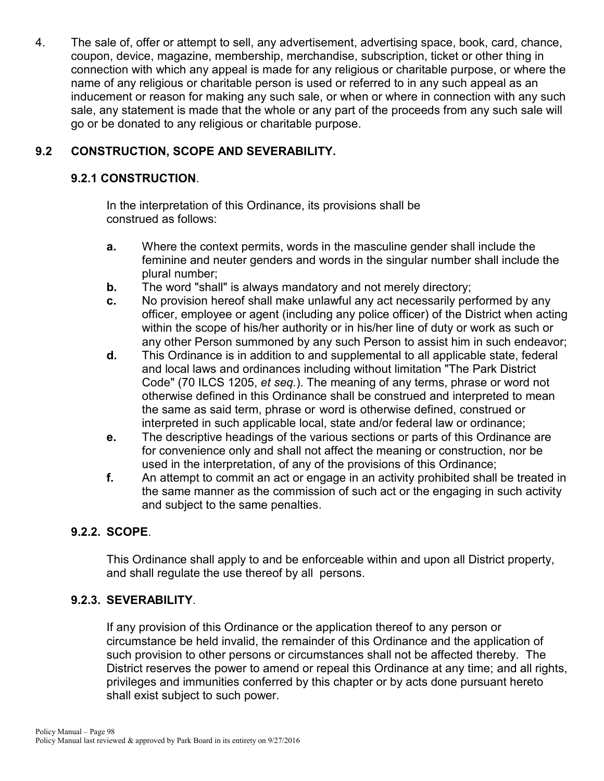4. The sale of, offer or attempt to sell, any advertisement, advertising space, book, card, chance, coupon, device, magazine, membership, merchandise, subscription, ticket or other thing in connection with which any appeal is made for any religious or charitable purpose, or where the name of any religious or charitable person is used or referred to in any such appeal as an inducement or reason for making any such sale, or when or where in connection with any such sale, any statement is made that the whole or any part of the proceeds from any such sale will go or be donated to any religious or charitable purpose.

# **9.2 CONSTRUCTION, SCOPE AND SEVERABILITY.**

## **9.2.1 CONSTRUCTION**.

In the interpretation of this Ordinance, its provisions shall be construed as follows:

- **a.** Where the context permits, words in the masculine gender shall include the feminine and neuter genders and words in the singular number shall include the plural number;
- **b.** The word "shall" is always mandatory and not merely directory;
- **c.** No provision hereof shall make unlawful any act necessarily performed by any officer, employee or agent (including any police officer) of the District when acting within the scope of his/her authority or in his/her line of duty or work as such or any other Person summoned by any such Person to assist him in such endeavor;
- **d.** This Ordinance is in addition to and supplemental to all applicable state, federal and local laws and ordinances including without limitation "The Park District Code" (70 ILCS 1205, *et seq.*). The meaning of any terms, phrase or word not otherwise defined in this Ordinance shall be construed and interpreted to mean the same as said term, phrase or word is otherwise defined, construed or interpreted in such applicable local, state and/or federal law or ordinance;
- **e.** The descriptive headings of the various sections or parts of this Ordinance are for convenience only and shall not affect the meaning or construction, nor be used in the interpretation, of any of the provisions of this Ordinance;
- **f.** An attempt to commit an act or engage in an activity prohibited shall be treated in the same manner as the commission of such act or the engaging in such activity and subject to the same penalties.

# **9.2.2. SCOPE**.

This Ordinance shall apply to and be enforceable within and upon all District property, and shall regulate the use thereof by all persons.

#### **9.2.3. SEVERABILITY**.

If any provision of this Ordinance or the application thereof to any person or circumstance be held invalid, the remainder of this Ordinance and the application of such provision to other persons or circumstances shall not be affected thereby. The District reserves the power to amend or repeal this Ordinance at any time; and all rights, privileges and immunities conferred by this chapter or by acts done pursuant hereto shall exist subject to such power.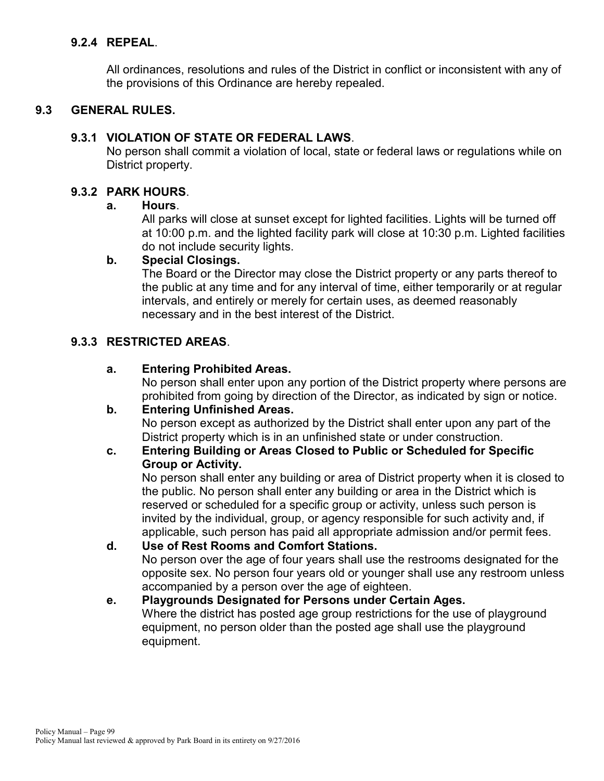# **9.2.4 REPEAL**.

All ordinances, resolutions and rules of the District in conflict or inconsistent with any of the provisions of this Ordinance are hereby repealed.

# **9.3 GENERAL RULES.**

## **9.3.1 VIOLATION OF STATE OR FEDERAL LAWS**.

No person shall commit a violation of local, state or federal laws or regulations while on District property.

## **9.3.2 PARK HOURS**.

## **a. Hours**.

All parks will close at sunset except for lighted facilities. Lights will be turned off at 10:00 p.m. and the lighted facility park will close at 10:30 p.m. Lighted facilities do not include security lights.

## **b. Special Closings.**

The Board or the Director may close the District property or any parts thereof to the public at any time and for any interval of time, either temporarily or at regular intervals, and entirely or merely for certain uses, as deemed reasonably necessary and in the best interest of the District.

## **9.3.3 RESTRICTED AREAS**.

## **a. Entering Prohibited Areas.**

No person shall enter upon any portion of the District property where persons are prohibited from going by direction of the Director, as indicated by sign or notice.

#### **b. Entering Unfinished Areas.**

No person except as authorized by the District shall enter upon any part of the District property which is in an unfinished state or under construction.

#### **c. Entering Building or Areas Closed to Public or Scheduled for Specific Group or Activity.**

No person shall enter any building or area of District property when it is closed to the public. No person shall enter any building or area in the District which is reserved or scheduled for a specific group or activity, unless such person is invited by the individual, group, or agency responsible for such activity and, if applicable, such person has paid all appropriate admission and/or permit fees.

#### **d. Use of Rest Rooms and Comfort Stations.** No person over the age of four years shall use the restrooms designated for the opposite sex. No person four years old or younger shall use any restroom unless accompanied by a person over the age of eighteen.

## **e. Playgrounds Designated for Persons under Certain Ages.** Where the district has posted age group restrictions for the use of playground equipment, no person older than the posted age shall use the playground equipment.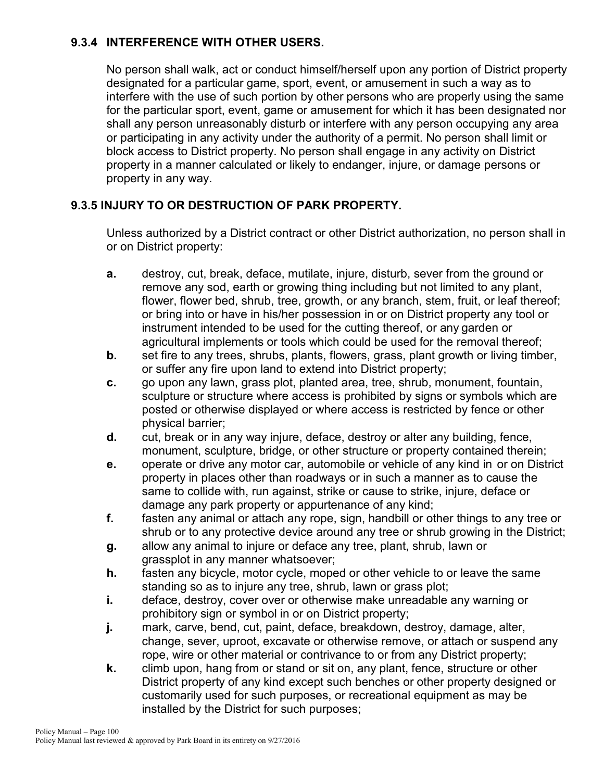# **9.3.4 INTERFERENCE WITH OTHER USERS.**

No person shall walk, act or conduct himself/herself upon any portion of District property designated for a particular game, sport, event, or amusement in such a way as to interfere with the use of such portion by other persons who are properly using the same for the particular sport, event, game or amusement for which it has been designated nor shall any person unreasonably disturb or interfere with any person occupying any area or participating in any activity under the authority of a permit. No person shall limit or block access to District property. No person shall engage in any activity on District property in a manner calculated or likely to endanger, injure, or damage persons or property in any way.

# **9.3.5 INJURY TO OR DESTRUCTION OF PARK PROPERTY.**

Unless authorized by a District contract or other District authorization, no person shall in or on District property:

- **a.** destroy, cut, break, deface, mutilate, injure, disturb, sever from the ground or remove any sod, earth or growing thing including but not limited to any plant, flower, flower bed, shrub, tree, growth, or any branch, stem, fruit, or leaf thereof; or bring into or have in his/her possession in or on District property any tool or instrument intended to be used for the cutting thereof, or any garden or agricultural implements or tools which could be used for the removal thereof;
- **b.** set fire to any trees, shrubs, plants, flowers, grass, plant growth or living timber, or suffer any fire upon land to extend into District property;
- **c.** go upon any lawn, grass plot, planted area, tree, shrub, monument, fountain, sculpture or structure where access is prohibited by signs or symbols which are posted or otherwise displayed or where access is restricted by fence or other physical barrier;
- **d.** cut, break or in any way injure, deface, destroy or alter any building, fence, monument, sculpture, bridge, or other structure or property contained therein;
- **e.** operate or drive any motor car, automobile or vehicle of any kind in or on District property in places other than roadways or in such a manner as to cause the same to collide with, run against, strike or cause to strike, injure, deface or damage any park property or appurtenance of any kind;
- **f.** fasten any animal or attach any rope, sign, handbill or other things to any tree or shrub or to any protective device around any tree or shrub growing in the District;
- **g.** allow any animal to injure or deface any tree, plant, shrub, lawn or grassplot in any manner whatsoever;
- **h.** fasten any bicycle, motor cycle, moped or other vehicle to or leave the same standing so as to injure any tree, shrub, lawn or grass plot;
- **i.** deface, destroy, cover over or otherwise make unreadable any warning or prohibitory sign or symbol in or on District property;
- **j.** mark, carve, bend, cut, paint, deface, breakdown, destroy, damage, alter, change, sever, uproot, excavate or otherwise remove, or attach or suspend any rope, wire or other material or contrivance to or from any District property;
- **k.** climb upon, hang from or stand or sit on, any plant, fence, structure or other District property of any kind except such benches or other property designed or customarily used for such purposes, or recreational equipment as may be installed by the District for such purposes;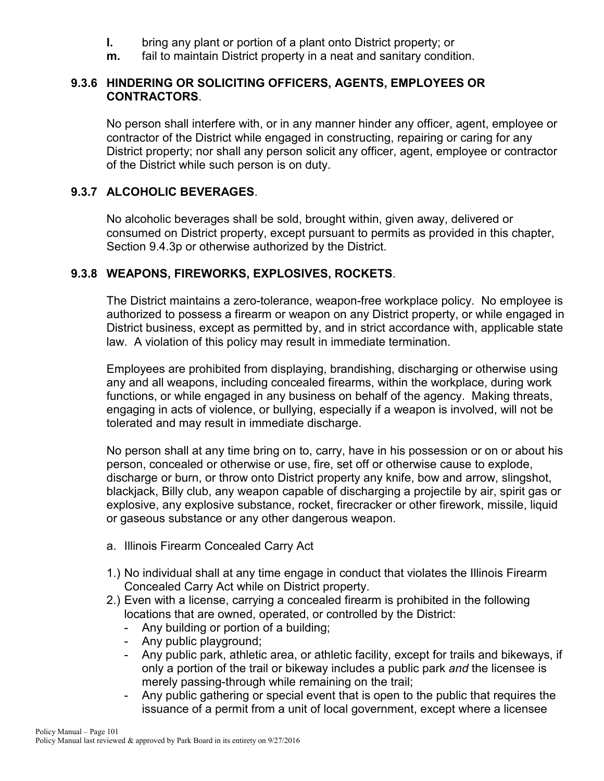- **l.** bring any plant or portion of a plant onto District property; or
- **m.** fail to maintain District property in a neat and sanitary condition.

#### **9.3.6 HINDERING OR SOLICITING OFFICERS, AGENTS, EMPLOYEES OR CONTRACTORS**.

No person shall interfere with, or in any manner hinder any officer, agent, employee or contractor of the District while engaged in constructing, repairing or caring for any District property; nor shall any person solicit any officer, agent, employee or contractor of the District while such person is on duty.

## **9.3.7 ALCOHOLIC BEVERAGES**.

No alcoholic beverages shall be sold, brought within, given away, delivered or consumed on District property, except pursuant to permits as provided in this chapter, Section 9.4.3p or otherwise authorized by the District.

# **9.3.8 WEAPONS, FIREWORKS, EXPLOSIVES, ROCKETS**.

The District maintains a zero-tolerance, weapon-free workplace policy. No employee is authorized to possess a firearm or weapon on any District property, or while engaged in District business, except as permitted by, and in strict accordance with, applicable state law. A violation of this policy may result in immediate termination.

Employees are prohibited from displaying, brandishing, discharging or otherwise using any and all weapons, including concealed firearms, within the workplace, during work functions, or while engaged in any business on behalf of the agency. Making threats, engaging in acts of violence, or bullying, especially if a weapon is involved, will not be tolerated and may result in immediate discharge.

No person shall at any time bring on to, carry, have in his possession or on or about his person, concealed or otherwise or use, fire, set off or otherwise cause to explode, discharge or burn, or throw onto District property any knife, bow and arrow, slingshot, blackjack, Billy club, any weapon capable of discharging a projectile by air, spirit gas or explosive, any explosive substance, rocket, firecracker or other firework, missile, liquid or gaseous substance or any other dangerous weapon.

- a. Illinois Firearm Concealed Carry Act
- 1.) No individual shall at any time engage in conduct that violates the Illinois Firearm Concealed Carry Act while on District property.
- 2.) Even with a license, carrying a concealed firearm is prohibited in the following locations that are owned, operated, or controlled by the District:
	- Any building or portion of a building;
	- Any public playground;
	- Any public park, athletic area, or athletic facility, except for trails and bikeways, if only a portion of the trail or bikeway includes a public park *and* the licensee is merely passing-through while remaining on the trail;
	- Any public gathering or special event that is open to the public that requires the issuance of a permit from a unit of local government, except where a licensee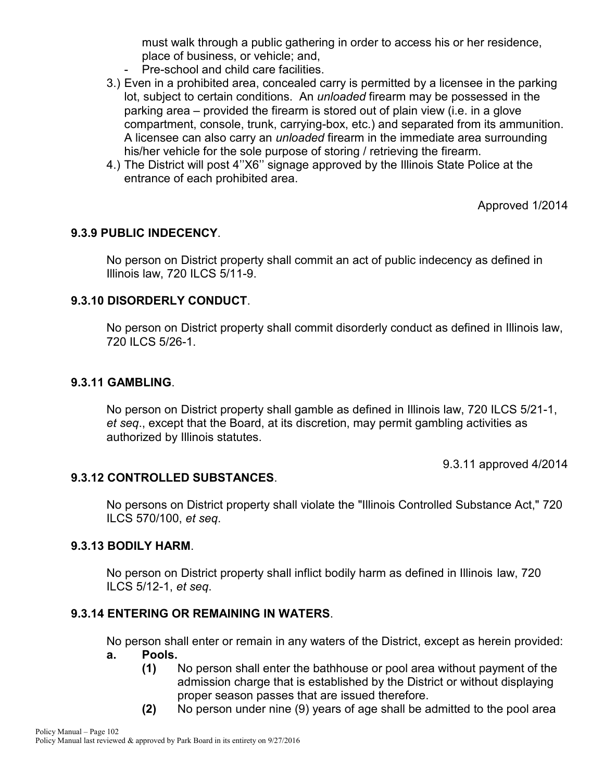must walk through a public gathering in order to access his or her residence, place of business, or vehicle; and,

- Pre-school and child care facilities.
- 3.) Even in a prohibited area, concealed carry is permitted by a licensee in the parking lot, subject to certain conditions. An *unloaded* firearm may be possessed in the parking area – provided the firearm is stored out of plain view (i.e. in a glove compartment, console, trunk, carrying-box, etc.) and separated from its ammunition. A licensee can also carry an *unloaded* firearm in the immediate area surrounding his/her vehicle for the sole purpose of storing / retrieving the firearm.
- 4.) The District will post 4''X6'' signage approved by the Illinois State Police at the entrance of each prohibited area.

Approved 1/2014

## **9.3.9 PUBLIC INDECENCY**.

No person on District property shall commit an act of public indecency as defined in Illinois law, 720 ILCS 5/11-9.

## **9.3.10 DISORDERLY CONDUCT**.

No person on District property shall commit disorderly conduct as defined in Illinois law, 720 ILCS 5/26-1.

#### **9.3.11 GAMBLING**.

No person on District property shall gamble as defined in Illinois law, 720 ILCS 5/21-1, *et seq*., except that the Board, at its discretion, may permit gambling activities as authorized by Illinois statutes.

9.3.11 approved 4/2014

#### **9.3.12 CONTROLLED SUBSTANCES**.

No persons on District property shall violate the "Illinois Controlled Substance Act," 720 ILCS 570/100, *et seq*.

#### **9.3.13 BODILY HARM**.

No person on District property shall inflict bodily harm as defined in Illinois law, 720 ILCS 5/12-1, *et seq*.

#### **9.3.14 ENTERING OR REMAINING IN WATERS**.

No person shall enter or remain in any waters of the District, except as herein provided: **a. Pools.**

- **(1)** No person shall enter the bathhouse or pool area without payment of the admission charge that is established by the District or without displaying proper season passes that are issued therefore.
- **(2)** No person under nine (9) years of age shall be admitted to the pool area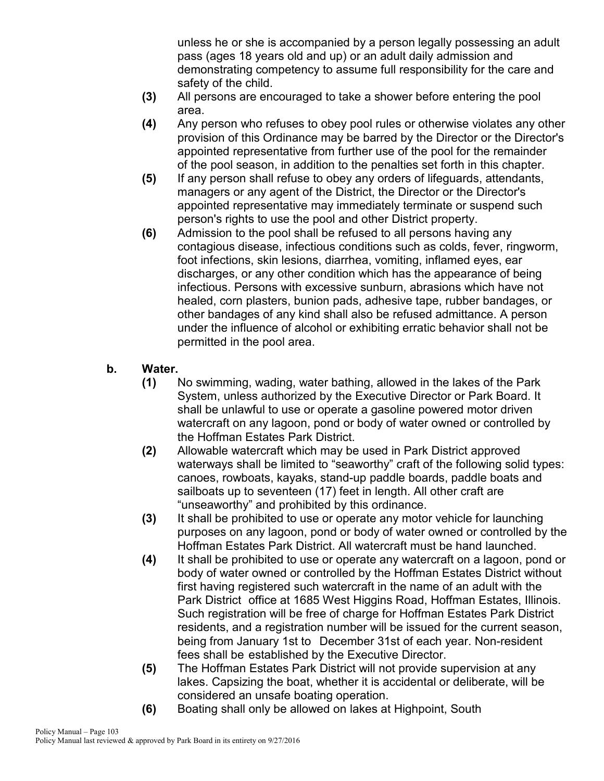unless he or she is accompanied by a person legally possessing an adult pass (ages 18 years old and up) or an adult daily admission and demonstrating competency to assume full responsibility for the care and safety of the child.

- **(3)** All persons are encouraged to take a shower before entering the pool area.
- **(4)** Any person who refuses to obey pool rules or otherwise violates any other provision of this Ordinance may be barred by the Director or the Director's appointed representative from further use of the pool for the remainder of the pool season, in addition to the penalties set forth in this chapter.
- **(5)** If any person shall refuse to obey any orders of lifeguards, attendants, managers or any agent of the District, the Director or the Director's appointed representative may immediately terminate or suspend such person's rights to use the pool and other District property.
- **(6)** Admission to the pool shall be refused to all persons having any contagious disease, infectious conditions such as colds, fever, ringworm, foot infections, skin lesions, diarrhea, vomiting, inflamed eyes, ear discharges, or any other condition which has the appearance of being infectious. Persons with excessive sunburn, abrasions which have not healed, corn plasters, bunion pads, adhesive tape, rubber bandages, or other bandages of any kind shall also be refused admittance. A person under the influence of alcohol or exhibiting erratic behavior shall not be permitted in the pool area.

# **b. Water.**

- **(1)** No swimming, wading, water bathing, allowed in the lakes of the Park System, unless authorized by the Executive Director or Park Board. It shall be unlawful to use or operate a gasoline powered motor driven watercraft on any lagoon, pond or body of water owned or controlled by the Hoffman Estates Park District.
- **(2)** Allowable watercraft which may be used in Park District approved waterways shall be limited to "seaworthy" craft of the following solid types: canoes, rowboats, kayaks, stand-up paddle boards, paddle boats and sailboats up to seventeen (17) feet in length. All other craft are "unseaworthy" and prohibited by this ordinance.
- **(3)** It shall be prohibited to use or operate any motor vehicle for launching purposes on any lagoon, pond or body of water owned or controlled by the Hoffman Estates Park District. All watercraft must be hand launched.
- **(4)** It shall be prohibited to use or operate any watercraft on a lagoon, pond or body of water owned or controlled by the Hoffman Estates District without first having registered such watercraft in the name of an adult with the Park District office at 1685 West Higgins Road, Hoffman Estates, Illinois. Such registration will be free of charge for Hoffman Estates Park District residents, and a registration number will be issued for the current season, being from January 1st to December 31st of each year. Non-resident fees shall be established by the Executive Director.
- **(5)** The Hoffman Estates Park District will not provide supervision at any lakes. Capsizing the boat, whether it is accidental or deliberate, will be considered an unsafe boating operation.
- **(6)** Boating shall only be allowed on lakes at Highpoint, South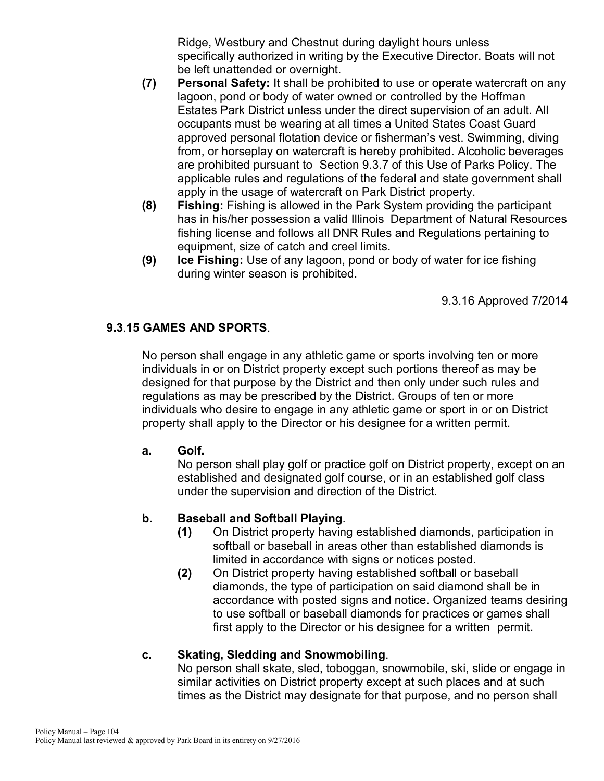Ridge, Westbury and Chestnut during daylight hours unless specifically authorized in writing by the Executive Director. Boats will not be left unattended or overnight.

- **(7) Personal Safety:** It shall be prohibited to use or operate watercraft on any lagoon, pond or body of water owned or controlled by the Hoffman Estates Park District unless under the direct supervision of an adult. All occupants must be wearing at all times a United States Coast Guard approved personal flotation device or fisherman's vest. Swimming, diving from, or horseplay on watercraft is hereby prohibited. Alcoholic beverages are prohibited pursuant to Section 9.3.7 of this Use of Parks Policy. The applicable rules and regulations of the federal and state government shall apply in the usage of watercraft on Park District property.
- **(8) Fishing:** Fishing is allowed in the Park System providing the participant has in his/her possession a valid Illinois Department of Natural Resources fishing license and follows all DNR Rules and Regulations pertaining to equipment, size of catch and creel limits.
- **(9) Ice Fishing:** Use of any lagoon, pond or body of water for ice fishing during winter season is prohibited.

9.3.16 Approved 7/2014

# **9.3**.**15 GAMES AND SPORTS**.

No person shall engage in any athletic game or sports involving ten or more individuals in or on District property except such portions thereof as may be designed for that purpose by the District and then only under such rules and regulations as may be prescribed by the District. Groups of ten or more individuals who desire to engage in any athletic game or sport in or on District property shall apply to the Director or his designee for a written permit.

#### **a. Golf.**

No person shall play golf or practice golf on District property, except on an established and designated golf course, or in an established golf class under the supervision and direction of the District.

# **b. Baseball and Softball Playing**.

- **(1)** On District property having established diamonds, participation in softball or baseball in areas other than established diamonds is limited in accordance with signs or notices posted.
- **(2)** On District property having established softball or baseball diamonds, the type of participation on said diamond shall be in accordance with posted signs and notice. Organized teams desiring to use softball or baseball diamonds for practices or games shall first apply to the Director or his designee for a written permit.

#### **c. Skating, Sledding and Snowmobiling**.

No person shall skate, sled, toboggan, snowmobile, ski, slide or engage in similar activities on District property except at such places and at such times as the District may designate for that purpose, and no person shall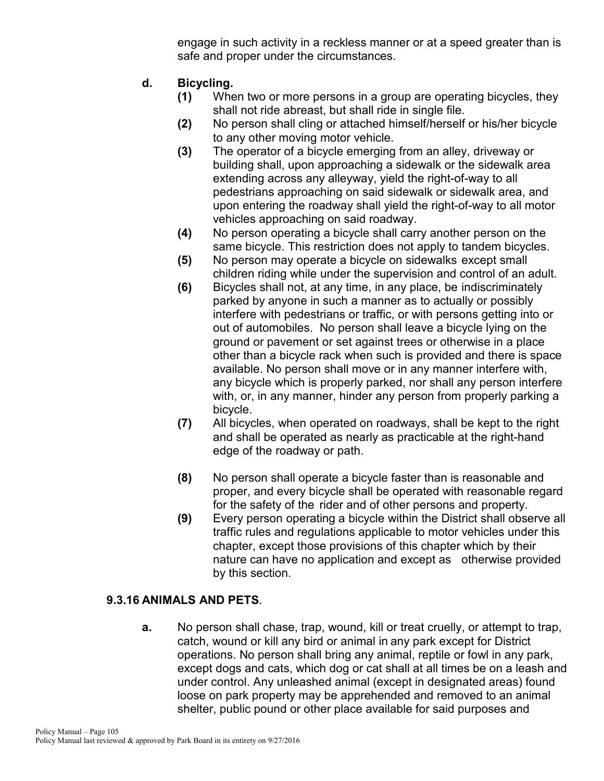engage in such activity in a reckless manner or at a speed greater than is safe and proper under the circumstances.

- **d. Bicycling.**
	- **(1)** When two or more persons in a group are operating bicycles, they shall not ride abreast, but shall ride in single file.
	- **(2)** No person shall cling or attached himself/herself or his/her bicycle to any other moving motor vehicle.
	- **(3)** The operator of a bicycle emerging from an alley, driveway or building shall, upon approaching a sidewalk or the sidewalk area extending across any alleyway, yield the right-of-way to all pedestrians approaching on said sidewalk or sidewalk area, and upon entering the roadway shall yield the right-of-way to all motor vehicles approaching on said roadway.
	- **(4)** No person operating a bicycle shall carry another person on the same bicycle. This restriction does not apply to tandem bicycles.
	- **(5)** No person may operate a bicycle on sidewalks except small children riding while under the supervision and control of an adult.
	- **(6)** Bicycles shall not, at any time, in any place, be indiscriminately parked by anyone in such a manner as to actually or possibly interfere with pedestrians or traffic, or with persons getting into or out of automobiles. No person shall leave a bicycle lying on the ground or pavement or set against trees or otherwise in a place other than a bicycle rack when such is provided and there is space available. No person shall move or in any manner interfere with, any bicycle which is properly parked, nor shall any person interfere with, or, in any manner, hinder any person from properly parking a bicycle.
	- **(7)** All bicycles, when operated on roadways, shall be kept to the right and shall be operated as nearly as practicable at the right-hand edge of the roadway or path.
	- **(8)** No person shall operate a bicycle faster than is reasonable and proper, and every bicycle shall be operated with reasonable regard for the safety of the rider and of other persons and property.
	- **(9)** Every person operating a bicycle within the District shall observe all traffic rules and regulations applicable to motor vehicles under this chapter, except those provisions of this chapter which by their nature can have no application and except as otherwise provided by this section.

#### **9.3.16 ANIMALS AND PETS**.

**a.** No person shall chase, trap, wound, kill or treat cruelly, or attempt to trap, catch, wound or kill any bird or animal in any park except for District operations. No person shall bring any animal, reptile or fowl in any park, except dogs and cats, which dog or cat shall at all times be on a leash and under control. Any unleashed animal (except in designated areas) found loose on park property may be apprehended and removed to an animal shelter, public pound or other place available for said purposes and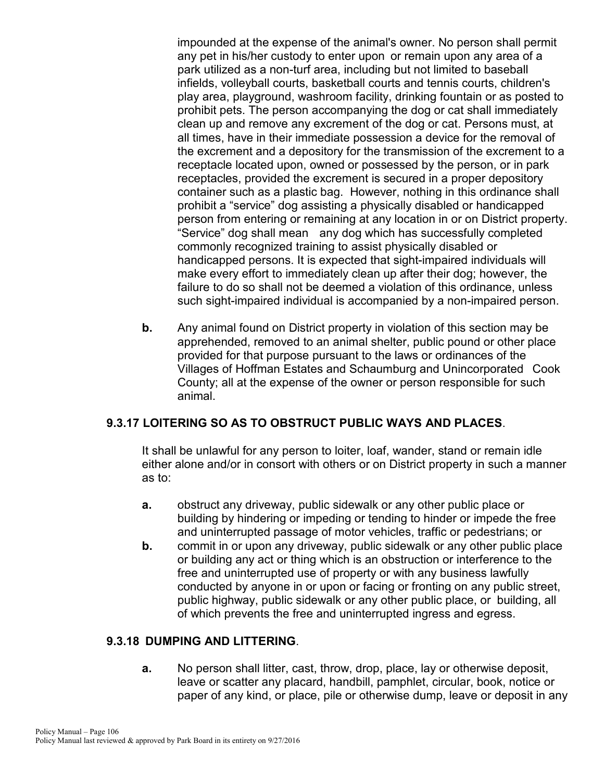impounded at the expense of the animal's owner. No person shall permit any pet in his/her custody to enter upon or remain upon any area of a park utilized as a non-turf area, including but not limited to baseball infields, volleyball courts, basketball courts and tennis courts, children's play area, playground, washroom facility, drinking fountain or as posted to prohibit pets. The person accompanying the dog or cat shall immediately clean up and remove any excrement of the dog or cat. Persons must, at all times, have in their immediate possession a device for the removal of the excrement and a depository for the transmission of the excrement to a receptacle located upon, owned or possessed by the person, or in park receptacles, provided the excrement is secured in a proper depository container such as a plastic bag. However, nothing in this ordinance shall prohibit a "service" dog assisting a physically disabled or handicapped person from entering or remaining at any location in or on District property. "Service" dog shall mean any dog which has successfully completed commonly recognized training to assist physically disabled or handicapped persons. It is expected that sight-impaired individuals will make every effort to immediately clean up after their dog; however, the failure to do so shall not be deemed a violation of this ordinance, unless such sight-impaired individual is accompanied by a non-impaired person.

**b.** Any animal found on District property in violation of this section may be apprehended, removed to an animal shelter, public pound or other place provided for that purpose pursuant to the laws or ordinances of the Villages of Hoffman Estates and Schaumburg and Unincorporated Cook County; all at the expense of the owner or person responsible for such animal.

#### **9.3.17 LOITERING SO AS TO OBSTRUCT PUBLIC WAYS AND PLACES**.

It shall be unlawful for any person to loiter, loaf, wander, stand or remain idle either alone and/or in consort with others or on District property in such a manner as to:

- **a.** obstruct any driveway, public sidewalk or any other public place or building by hindering or impeding or tending to hinder or impede the free and uninterrupted passage of motor vehicles, traffic or pedestrians; or
- **b.** commit in or upon any driveway, public sidewalk or any other public place or building any act or thing which is an obstruction or interference to the free and uninterrupted use of property or with any business lawfully conducted by anyone in or upon or facing or fronting on any public street, public highway, public sidewalk or any other public place, or building, all of which prevents the free and uninterrupted ingress and egress.

## **9.3.18 DUMPING AND LITTERING**.

**a.** No person shall litter, cast, throw, drop, place, lay or otherwise deposit, leave or scatter any placard, handbill, pamphlet, circular, book, notice or paper of any kind, or place, pile or otherwise dump, leave or deposit in any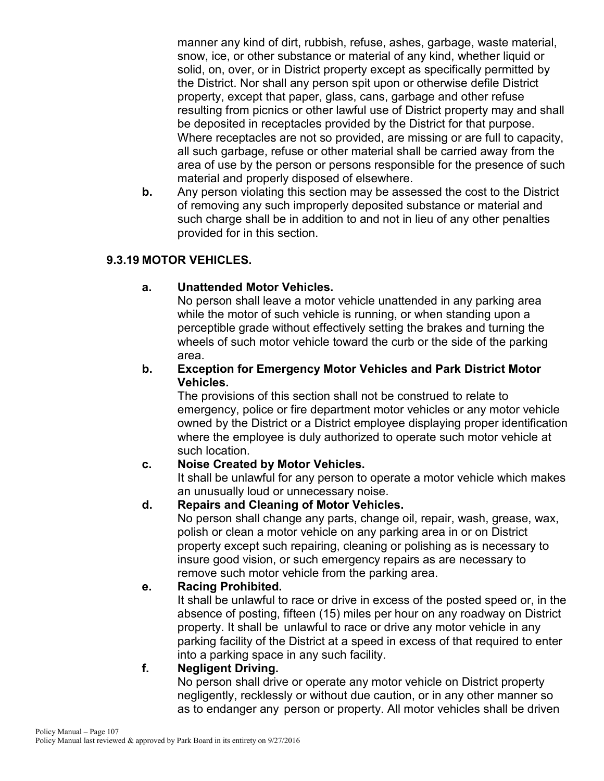manner any kind of dirt, rubbish, refuse, ashes, garbage, waste material, snow, ice, or other substance or material of any kind, whether liquid or solid, on, over, or in District property except as specifically permitted by the District. Nor shall any person spit upon or otherwise defile District property, except that paper, glass, cans, garbage and other refuse resulting from picnics or other lawful use of District property may and shall be deposited in receptacles provided by the District for that purpose. Where receptacles are not so provided, are missing or are full to capacity, all such garbage, refuse or other material shall be carried away from the area of use by the person or persons responsible for the presence of such material and properly disposed of elsewhere.

**b.** Any person violating this section may be assessed the cost to the District of removing any such improperly deposited substance or material and such charge shall be in addition to and not in lieu of any other penalties provided for in this section.

# **9.3.19 MOTOR VEHICLES.**

# **a. Unattended Motor Vehicles.**

No person shall leave a motor vehicle unattended in any parking area while the motor of such vehicle is running, or when standing upon a perceptible grade without effectively setting the brakes and turning the wheels of such motor vehicle toward the curb or the side of the parking area.

## **b. Exception for Emergency Motor Vehicles and Park District Motor Vehicles.**

The provisions of this section shall not be construed to relate to emergency, police or fire department motor vehicles or any motor vehicle owned by the District or a District employee displaying proper identification where the employee is duly authorized to operate such motor vehicle at such location.

# **c. Noise Created by Motor Vehicles.**

It shall be unlawful for any person to operate a motor vehicle which makes an unusually loud or unnecessary noise.

# **d. Repairs and Cleaning of Motor Vehicles.**

No person shall change any parts, change oil, repair, wash, grease, wax, polish or clean a motor vehicle on any parking area in or on District property except such repairing, cleaning or polishing as is necessary to insure good vision, or such emergency repairs as are necessary to remove such motor vehicle from the parking area.

# **e. Racing Prohibited.**

It shall be unlawful to race or drive in excess of the posted speed or, in the absence of posting, fifteen (15) miles per hour on any roadway on District property. It shall be unlawful to race or drive any motor vehicle in any parking facility of the District at a speed in excess of that required to enter into a parking space in any such facility.

# **f. Negligent Driving.**

No person shall drive or operate any motor vehicle on District property negligently, recklessly or without due caution, or in any other manner so as to endanger any person or property. All motor vehicles shall be driven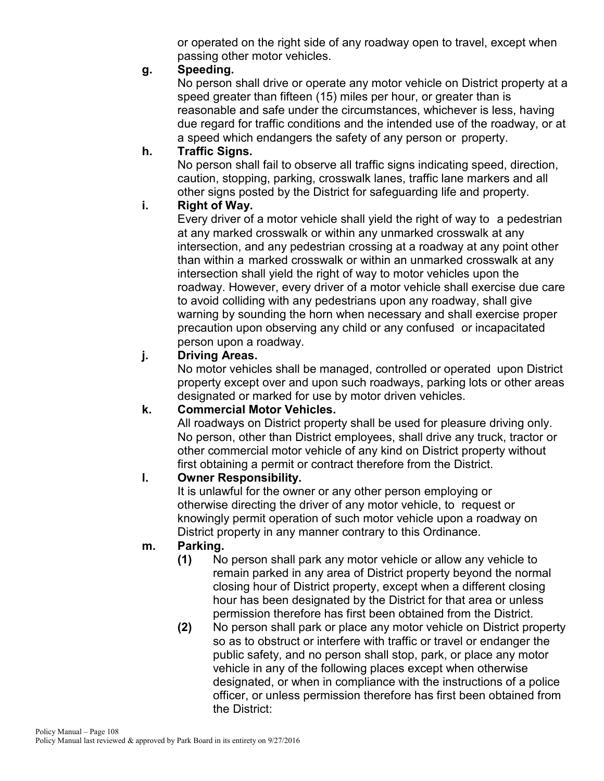or operated on the right side of any roadway open to travel, except when passing other motor vehicles.

## **g. Speeding.**

No person shall drive or operate any motor vehicle on District property at a speed greater than fifteen (15) miles per hour, or greater than is reasonable and safe under the circumstances, whichever is less, having due regard for traffic conditions and the intended use of the roadway, or at a speed which endangers the safety of any person or property.

## **h. Traffic Signs.**

No person shall fail to observe all traffic signs indicating speed, direction, caution, stopping, parking, crosswalk lanes, traffic lane markers and all other signs posted by the District for safeguarding life and property.

## **i. Right of Way.**

Every driver of a motor vehicle shall yield the right of way to a pedestrian at any marked crosswalk or within any unmarked crosswalk at any intersection, and any pedestrian crossing at a roadway at any point other than within a marked crosswalk or within an unmarked crosswalk at any intersection shall yield the right of way to motor vehicles upon the roadway. However, every driver of a motor vehicle shall exercise due care to avoid colliding with any pedestrians upon any roadway, shall give warning by sounding the horn when necessary and shall exercise proper precaution upon observing any child or any confused or incapacitated person upon a roadway.

## **j. Driving Areas.**

No motor vehicles shall be managed, controlled or operated upon District property except over and upon such roadways, parking lots or other areas designated or marked for use by motor driven vehicles.

# **k. Commercial Motor Vehicles.**

All roadways on District property shall be used for pleasure driving only. No person, other than District employees, shall drive any truck, tractor or other commercial motor vehicle of any kind on District property without first obtaining a permit or contract therefore from the District.

# **l. Owner Responsibility.**

It is unlawful for the owner or any other person employing or otherwise directing the driver of any motor vehicle, to request or knowingly permit operation of such motor vehicle upon a roadway on District property in any manner contrary to this Ordinance.

# **m. Parking.**

- **(1)** No person shall park any motor vehicle or allow any vehicle to remain parked in any area of District property beyond the normal closing hour of District property, except when a different closing hour has been designated by the District for that area or unless permission therefore has first been obtained from the District.
- **(2)** No person shall park or place any motor vehicle on District property so as to obstruct or interfere with traffic or travel or endanger the public safety, and no person shall stop, park, or place any motor vehicle in any of the following places except when otherwise designated, or when in compliance with the instructions of a police officer, or unless permission therefore has first been obtained from the District: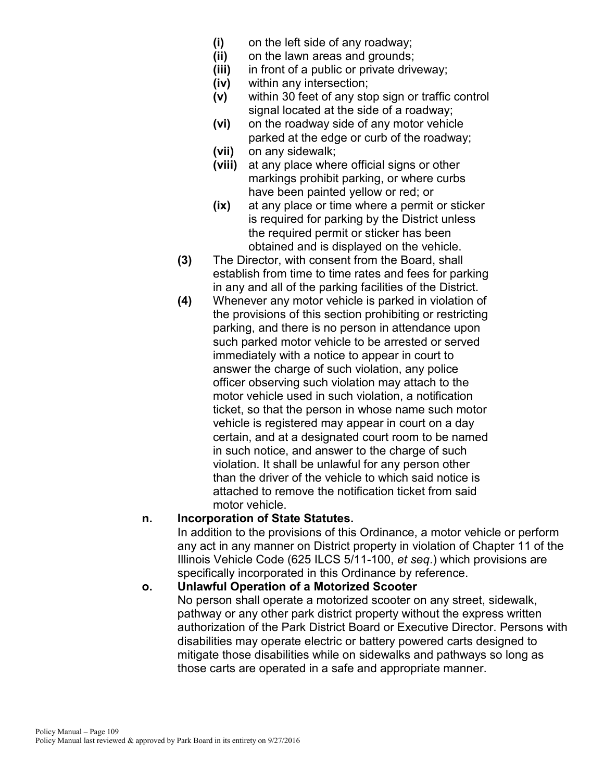- **(i)** on the left side of any roadway;
- **(ii)** on the lawn areas and grounds;
- **(iii)** in front of a public or private driveway;
- **(iv)** within any intersection;
- **(v)** within 30 feet of any stop sign or traffic control signal located at the side of a roadway;
- **(vi)** on the roadway side of any motor vehicle parked at the edge or curb of the roadway;
- **(vii)** on any sidewalk;
- **(viii)** at any place where official signs or other markings prohibit parking, or where curbs have been painted yellow or red; or
- **(ix)** at any place or time where a permit or sticker is required for parking by the District unless the required permit or sticker has been obtained and is displayed on the vehicle.
- **(3)** The Director, with consent from the Board, shall establish from time to time rates and fees for parking in any and all of the parking facilities of the District.
- **(4)** Whenever any motor vehicle is parked in violation of the provisions of this section prohibiting or restricting parking, and there is no person in attendance upon such parked motor vehicle to be arrested or served immediately with a notice to appear in court to answer the charge of such violation, any police officer observing such violation may attach to the motor vehicle used in such violation, a notification ticket, so that the person in whose name such motor vehicle is registered may appear in court on a day certain, and at a designated court room to be named in such notice, and answer to the charge of such violation. It shall be unlawful for any person other than the driver of the vehicle to which said notice is attached to remove the notification ticket from said motor vehicle.

## **n. Incorporation of State Statutes.**

In addition to the provisions of this Ordinance, a motor vehicle or perform any act in any manner on District property in violation of Chapter 11 of the Illinois Vehicle Code (625 ILCS 5/11-100, *et seq*.) which provisions are specifically incorporated in this Ordinance by reference.

## **o. Unlawful Operation of a Motorized Scooter**

No person shall operate a motorized scooter on any street, sidewalk, pathway or any other park district property without the express written authorization of the Park District Board or Executive Director. Persons with disabilities may operate electric or battery powered carts designed to mitigate those disabilities while on sidewalks and pathways so long as those carts are operated in a safe and appropriate manner.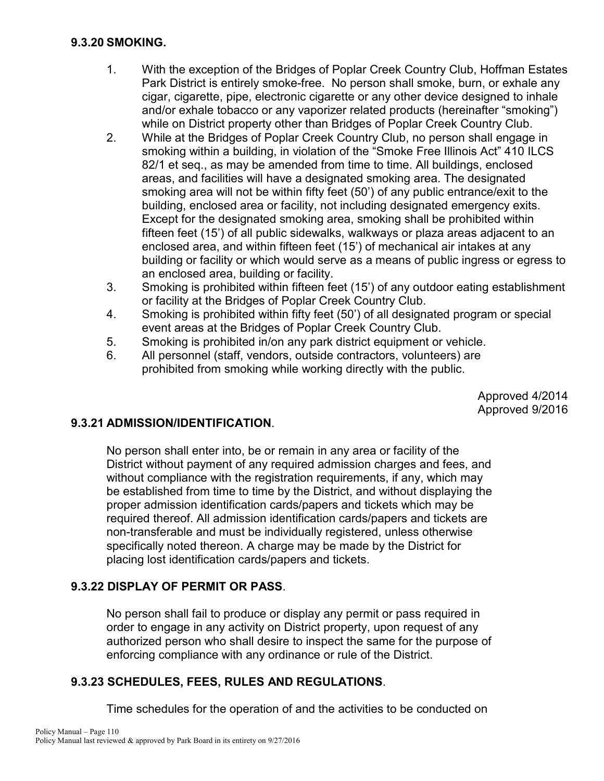#### **9.3.20 SMOKING.**

- 1. With the exception of the Bridges of Poplar Creek Country Club, Hoffman Estates Park District is entirely smoke-free. No person shall smoke, burn, or exhale any cigar, cigarette, pipe, electronic cigarette or any other device designed to inhale and/or exhale tobacco or any vaporizer related products (hereinafter "smoking") while on District property other than Bridges of Poplar Creek Country Club.
- 2. While at the Bridges of Poplar Creek Country Club, no person shall engage in smoking within a building, in violation of the "Smoke Free Illinois Act" 410 ILCS 82/1 et seq., as may be amended from time to time. All buildings, enclosed areas, and facilities will have a designated smoking area. The designated smoking area will not be within fifty feet (50') of any public entrance/exit to the building, enclosed area or facility, not including designated emergency exits. Except for the designated smoking area, smoking shall be prohibited within fifteen feet (15') of all public sidewalks, walkways or plaza areas adjacent to an enclosed area, and within fifteen feet (15') of mechanical air intakes at any building or facility or which would serve as a means of public ingress or egress to an enclosed area, building or facility.
- 3. Smoking is prohibited within fifteen feet (15') of any outdoor eating establishment or facility at the Bridges of Poplar Creek Country Club.
- 4. Smoking is prohibited within fifty feet (50') of all designated program or special event areas at the Bridges of Poplar Creek Country Club.
- 5. Smoking is prohibited in/on any park district equipment or vehicle.
- 6. All personnel (staff, vendors, outside contractors, volunteers) are prohibited from smoking while working directly with the public.

Approved 4/2014 Approved 9/2016

## **9.3.21 ADMISSION/IDENTIFICATION**.

No person shall enter into, be or remain in any area or facility of the District without payment of any required admission charges and fees, and without compliance with the registration requirements, if any, which may be established from time to time by the District, and without displaying the proper admission identification cards/papers and tickets which may be required thereof. All admission identification cards/papers and tickets are non-transferable and must be individually registered, unless otherwise specifically noted thereon. A charge may be made by the District for placing lost identification cards/papers and tickets.

## **9.3.22 DISPLAY OF PERMIT OR PASS**.

No person shall fail to produce or display any permit or pass required in order to engage in any activity on District property, upon request of any authorized person who shall desire to inspect the same for the purpose of enforcing compliance with any ordinance or rule of the District.

#### **9.3.23 SCHEDULES, FEES, RULES AND REGULATIONS**.

Time schedules for the operation of and the activities to be conducted on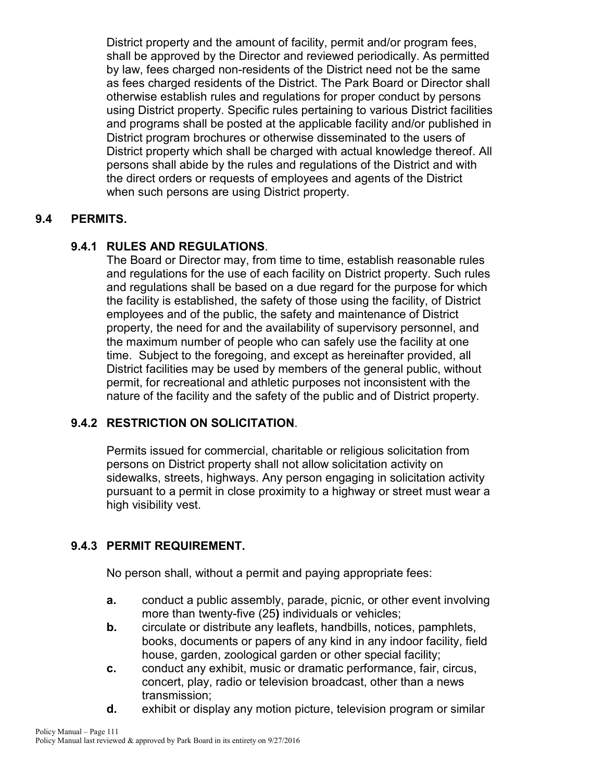District property and the amount of facility, permit and/or program fees, shall be approved by the Director and reviewed periodically. As permitted by law, fees charged non-residents of the District need not be the same as fees charged residents of the District. The Park Board or Director shall otherwise establish rules and regulations for proper conduct by persons using District property. Specific rules pertaining to various District facilities and programs shall be posted at the applicable facility and/or published in District program brochures or otherwise disseminated to the users of District property which shall be charged with actual knowledge thereof. All persons shall abide by the rules and regulations of the District and with the direct orders or requests of employees and agents of the District when such persons are using District property.

## **9.4 PERMITS.**

#### **9.4.1 RULES AND REGULATIONS**.

The Board or Director may, from time to time, establish reasonable rules and regulations for the use of each facility on District property. Such rules and regulations shall be based on a due regard for the purpose for which the facility is established, the safety of those using the facility, of District employees and of the public, the safety and maintenance of District property, the need for and the availability of supervisory personnel, and the maximum number of people who can safely use the facility at one time. Subject to the foregoing, and except as hereinafter provided, all District facilities may be used by members of the general public, without permit, for recreational and athletic purposes not inconsistent with the nature of the facility and the safety of the public and of District property.

## **9.4.2 RESTRICTION ON SOLICITATION**.

Permits issued for commercial, charitable or religious solicitation from persons on District property shall not allow solicitation activity on sidewalks, streets, highways. Any person engaging in solicitation activity pursuant to a permit in close proximity to a highway or street must wear a high visibility vest.

#### **9.4.3 PERMIT REQUIREMENT.**

No person shall, without a permit and paying appropriate fees:

- **a.** conduct a public assembly, parade, picnic, or other event involving more than twenty-five (25**)** individuals or vehicles;
- **b.** circulate or distribute any leaflets, handbills, notices, pamphlets, books, documents or papers of any kind in any indoor facility, field house, garden, zoological garden or other special facility;
- **c.** conduct any exhibit, music or dramatic performance, fair, circus, concert, play, radio or television broadcast, other than a news transmission;
- **d.** exhibit or display any motion picture, television program or similar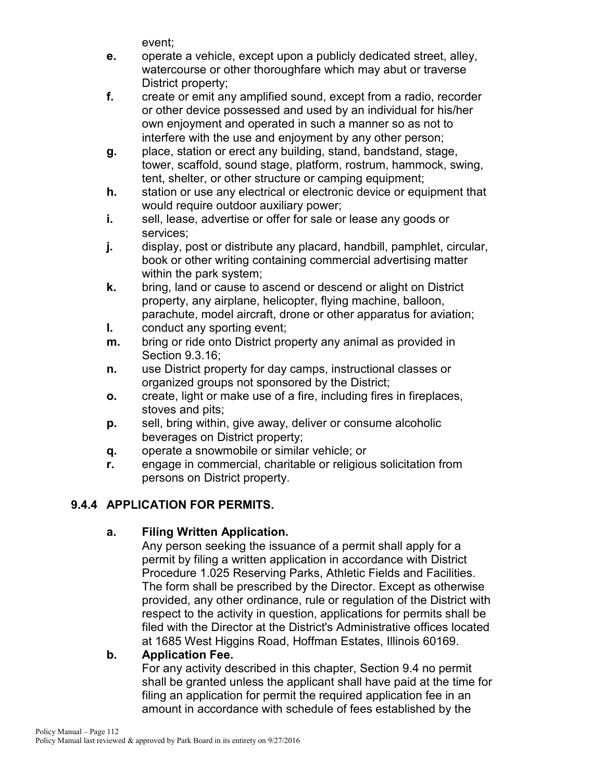event;

- **e.** operate a vehicle, except upon a publicly dedicated street, alley, watercourse or other thoroughfare which may abut or traverse District property;
- **f.** create or emit any amplified sound, except from a radio, recorder or other device possessed and used by an individual for his/her own enjoyment and operated in such a manner so as not to interfere with the use and enjoyment by any other person;
- **g.** place, station or erect any building, stand, bandstand, stage, tower, scaffold, sound stage, platform, rostrum, hammock, swing, tent, shelter, or other structure or camping equipment;
- **h.** station or use any electrical or electronic device or equipment that would require outdoor auxiliary power;
- **i.** sell, lease, advertise or offer for sale or lease any goods or services;
- **j.** display, post or distribute any placard, handbill, pamphlet, circular, book or other writing containing commercial advertising matter within the park system;
- **k.** bring, land or cause to ascend or descend or alight on District property, any airplane, helicopter, flying machine, balloon, parachute, model aircraft, drone or other apparatus for aviation;
- **l.** conduct any sporting event;
- **m.** bring or ride onto District property any animal as provided in Section 9.3.16;
- **n.** use District property for day camps, instructional classes or organized groups not sponsored by the District;
- **o.** create, light or make use of a fire, including fires in fireplaces, stoves and pits;
- **p.** sell, bring within, give away, deliver or consume alcoholic beverages on District property;
- **q.** operate a snowmobile or similar vehicle; or
- **r.** engage in commercial, charitable or religious solicitation from persons on District property.

# **9.4.4 APPLICATION FOR PERMITS.**

# **a. Filing Written Application.**

Any person seeking the issuance of a permit shall apply for a permit by filing a written application in accordance with District Procedure 1.025 Reserving Parks, Athletic Fields and Facilities. The form shall be prescribed by the Director. Except as otherwise provided, any other ordinance, rule or regulation of the District with respect to the activity in question, applications for permits shall be filed with the Director at the District's Administrative offices located at 1685 West Higgins Road, Hoffman Estates, Illinois 60169.

# **b. Application Fee.**

For any activity described in this chapter, Section 9.4 no permit shall be granted unless the applicant shall have paid at the time for filing an application for permit the required application fee in an amount in accordance with schedule of fees established by the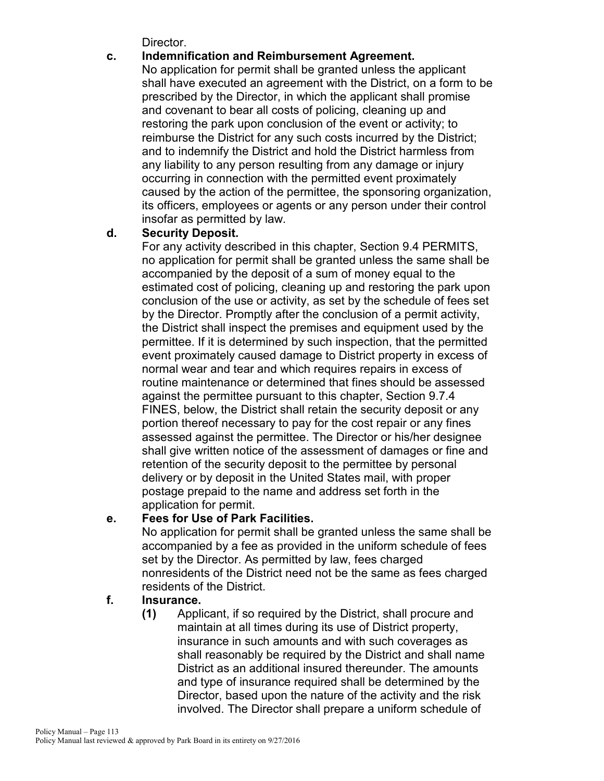Director.

## **c. Indemnification and Reimbursement Agreement.**

No application for permit shall be granted unless the applicant shall have executed an agreement with the District, on a form to be prescribed by the Director, in which the applicant shall promise and covenant to bear all costs of policing, cleaning up and restoring the park upon conclusion of the event or activity; to reimburse the District for any such costs incurred by the District; and to indemnify the District and hold the District harmless from any liability to any person resulting from any damage or injury occurring in connection with the permitted event proximately caused by the action of the permittee, the sponsoring organization, its officers, employees or agents or any person under their control insofar as permitted by law.

## **d. Security Deposit.**

For any activity described in this chapter, Section 9.4 PERMITS, no application for permit shall be granted unless the same shall be accompanied by the deposit of a sum of money equal to the estimated cost of policing, cleaning up and restoring the park upon conclusion of the use or activity, as set by the schedule of fees set by the Director. Promptly after the conclusion of a permit activity, the District shall inspect the premises and equipment used by the permittee. If it is determined by such inspection, that the permitted event proximately caused damage to District property in excess of normal wear and tear and which requires repairs in excess of routine maintenance or determined that fines should be assessed against the permittee pursuant to this chapter, Section 9.7.4 FINES, below, the District shall retain the security deposit or any portion thereof necessary to pay for the cost repair or any fines assessed against the permittee. The Director or his/her designee shall give written notice of the assessment of damages or fine and retention of the security deposit to the permittee by personal delivery or by deposit in the United States mail, with proper postage prepaid to the name and address set forth in the application for permit.

## **e. Fees for Use of Park Facilities.**

No application for permit shall be granted unless the same shall be accompanied by a fee as provided in the uniform schedule of fees set by the Director. As permitted by law, fees charged nonresidents of the District need not be the same as fees charged residents of the District.

## **f. Insurance.**

**(1)** Applicant, if so required by the District, shall procure and maintain at all times during its use of District property, insurance in such amounts and with such coverages as shall reasonably be required by the District and shall name District as an additional insured thereunder. The amounts and type of insurance required shall be determined by the Director, based upon the nature of the activity and the risk involved. The Director shall prepare a uniform schedule of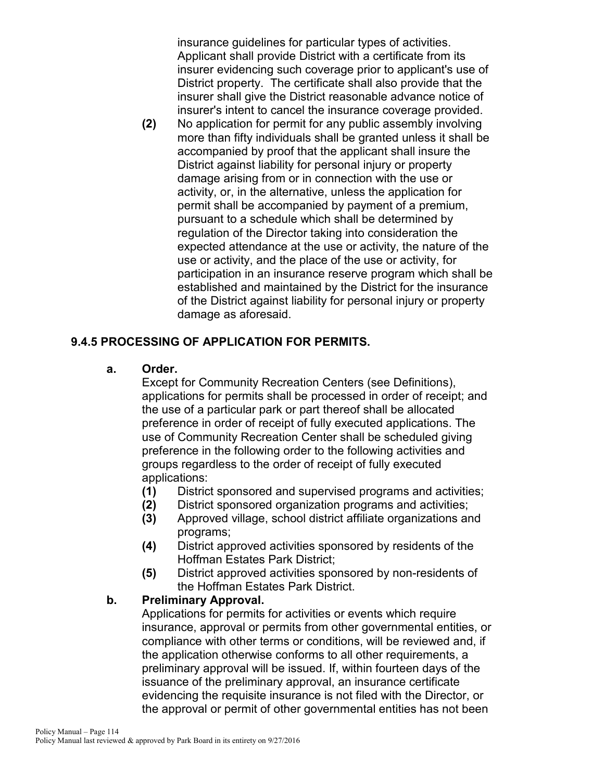insurance guidelines for particular types of activities. Applicant shall provide District with a certificate from its insurer evidencing such coverage prior to applicant's use of District property. The certificate shall also provide that the insurer shall give the District reasonable advance notice of insurer's intent to cancel the insurance coverage provided.

**(2)** No application for permit for any public assembly involving more than fifty individuals shall be granted unless it shall be accompanied by proof that the applicant shall insure the District against liability for personal injury or property damage arising from or in connection with the use or activity, or, in the alternative, unless the application for permit shall be accompanied by payment of a premium, pursuant to a schedule which shall be determined by regulation of the Director taking into consideration the expected attendance at the use or activity, the nature of the use or activity, and the place of the use or activity, for participation in an insurance reserve program which shall be established and maintained by the District for the insurance of the District against liability for personal injury or property damage as aforesaid.

## **9.4.5 PROCESSING OF APPLICATION FOR PERMITS.**

#### **a. Order.**

Except for Community Recreation Centers (see Definitions), applications for permits shall be processed in order of receipt; and the use of a particular park or part thereof shall be allocated preference in order of receipt of fully executed applications. The use of Community Recreation Center shall be scheduled giving preference in the following order to the following activities and groups regardless to the order of receipt of fully executed applications:

- **(1)** District sponsored and supervised programs and activities;
- **(2)** District sponsored organization programs and activities;
- **(3)** Approved village, school district affiliate organizations and programs;
- **(4)** District approved activities sponsored by residents of the Hoffman Estates Park District;
- **(5)** District approved activities sponsored by non-residents of the Hoffman Estates Park District.

#### **b. Preliminary Approval.**

Applications for permits for activities or events which require insurance, approval or permits from other governmental entities, or compliance with other terms or conditions, will be reviewed and, if the application otherwise conforms to all other requirements, a preliminary approval will be issued. If, within fourteen days of the issuance of the preliminary approval, an insurance certificate evidencing the requisite insurance is not filed with the Director, or the approval or permit of other governmental entities has not been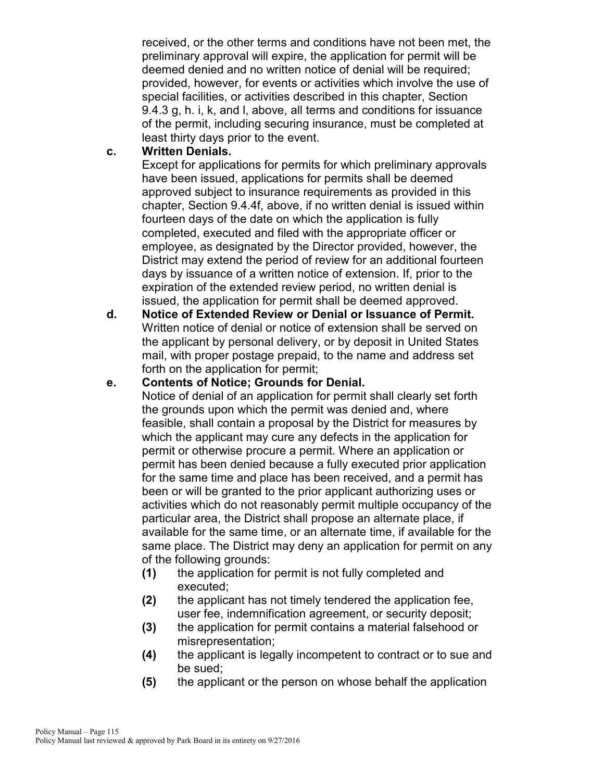received, or the other terms and conditions have not been met, the preliminary approval will expire, the application for permit will be deemed denied and no written notice of denial will be required; provided, however, for events or activities which involve the use of special facilities, or activities described in this chapter, Section 9.4.3 g, h. i, k, and l, above, all terms and conditions for issuance of the permit, including securing insurance, must be completed at least thirty days prior to the event.

#### **c. Written Denials.**

Except for applications for permits for which preliminary approvals have been issued, applications for permits shall be deemed approved subject to insurance requirements as provided in this chapter, Section 9.4.4f, above, if no written denial is issued within fourteen days of the date on which the application is fully completed, executed and filed with the appropriate officer or employee, as designated by the Director provided, however, the District may extend the period of review for an additional fourteen days by issuance of a written notice of extension. If, prior to the expiration of the extended review period, no written denial is issued, the application for permit shall be deemed approved.

**d. Notice of Extended Review or Denial or Issuance of Permit.** Written notice of denial or notice of extension shall be served on the applicant by personal delivery, or by deposit in United States mail, with proper postage prepaid, to the name and address set forth on the application for permit;

## **e. Contents of Notice; Grounds for Denial.**

Notice of denial of an application for permit shall clearly set forth the grounds upon which the permit was denied and, where feasible, shall contain a proposal by the District for measures by which the applicant may cure any defects in the application for permit or otherwise procure a permit. Where an application or permit has been denied because a fully executed prior application for the same time and place has been received, and a permit has been or will be granted to the prior applicant authorizing uses or activities which do not reasonably permit multiple occupancy of the particular area, the District shall propose an alternate place, if available for the same time, or an alternate time, if available for the same place. The District may deny an application for permit on any of the following grounds:

- **(1)** the application for permit is not fully completed and executed;
- **(2)** the applicant has not timely tendered the application fee, user fee, indemnification agreement, or security deposit;
- **(3)** the application for permit contains a material falsehood or misrepresentation;
- **(4)** the applicant is legally incompetent to contract or to sue and be sued;
- **(5)** the applicant or the person on whose behalf the application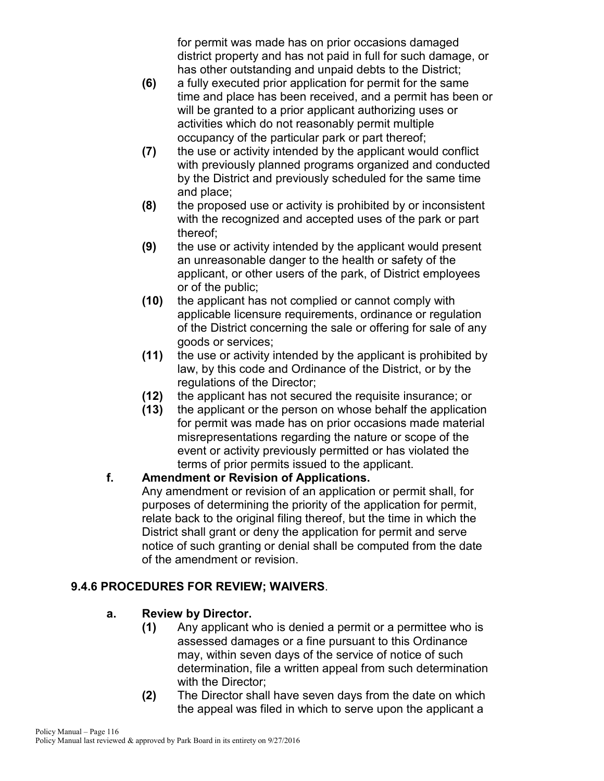for permit was made has on prior occasions damaged district property and has not paid in full for such damage, or has other outstanding and unpaid debts to the District;

- **(6)** a fully executed prior application for permit for the same time and place has been received, and a permit has been or will be granted to a prior applicant authorizing uses or activities which do not reasonably permit multiple occupancy of the particular park or part thereof;
- **(7)** the use or activity intended by the applicant would conflict with previously planned programs organized and conducted by the District and previously scheduled for the same time and place;
- **(8)** the proposed use or activity is prohibited by or inconsistent with the recognized and accepted uses of the park or part thereof;
- **(9)** the use or activity intended by the applicant would present an unreasonable danger to the health or safety of the applicant, or other users of the park, of District employees or of the public;
- **(10)** the applicant has not complied or cannot comply with applicable licensure requirements, ordinance or regulation of the District concerning the sale or offering for sale of any goods or services;
- **(11)** the use or activity intended by the applicant is prohibited by law, by this code and Ordinance of the District, or by the regulations of the Director;
- **(12)** the applicant has not secured the requisite insurance; or
- **(13)** the applicant or the person on whose behalf the application for permit was made has on prior occasions made material misrepresentations regarding the nature or scope of the event or activity previously permitted or has violated the terms of prior permits issued to the applicant.

## **f. Amendment or Revision of Applications.**

Any amendment or revision of an application or permit shall, for purposes of determining the priority of the application for permit, relate back to the original filing thereof, but the time in which the District shall grant or deny the application for permit and serve notice of such granting or denial shall be computed from the date of the amendment or revision.

## **9.4.6 PROCEDURES FOR REVIEW; WAIVERS**.

## **a. Review by Director.**

- **(1)** Any applicant who is denied a permit or a permittee who is assessed damages or a fine pursuant to this Ordinance may, within seven days of the service of notice of such determination, file a written appeal from such determination with the Director;
- **(2)** The Director shall have seven days from the date on which the appeal was filed in which to serve upon the applicant a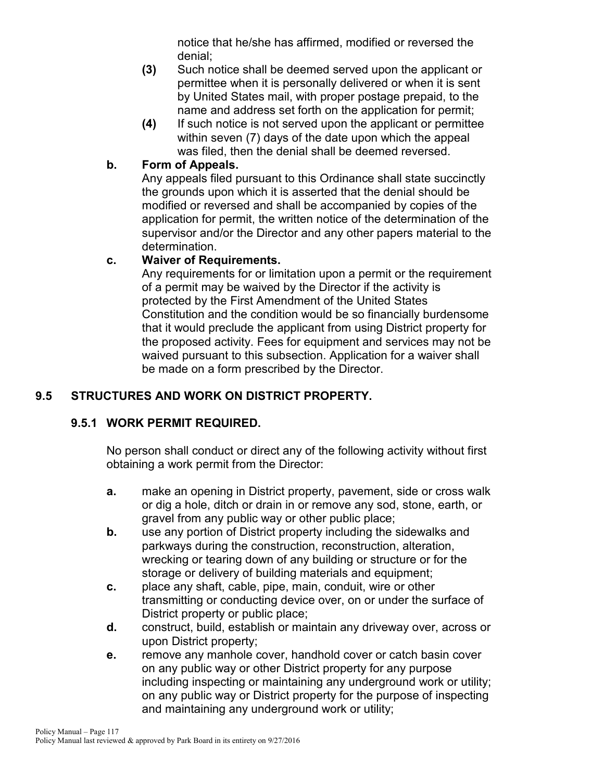notice that he/she has affirmed, modified or reversed the denial;

- **(3)** Such notice shall be deemed served upon the applicant or permittee when it is personally delivered or when it is sent by United States mail, with proper postage prepaid, to the name and address set forth on the application for permit;
- **(4)** If such notice is not served upon the applicant or permittee within seven (7) days of the date upon which the appeal was filed, then the denial shall be deemed reversed.

## **b. Form of Appeals.**

Any appeals filed pursuant to this Ordinance shall state succinctly the grounds upon which it is asserted that the denial should be modified or reversed and shall be accompanied by copies of the application for permit, the written notice of the determination of the supervisor and/or the Director and any other papers material to the determination.

## **c. Waiver of Requirements.**

Any requirements for or limitation upon a permit or the requirement of a permit may be waived by the Director if the activity is protected by the First Amendment of the United States Constitution and the condition would be so financially burdensome that it would preclude the applicant from using District property for the proposed activity. Fees for equipment and services may not be waived pursuant to this subsection. Application for a waiver shall be made on a form prescribed by the Director.

# **9.5 STRUCTURES AND WORK ON DISTRICT PROPERTY.**

## **9.5.1 WORK PERMIT REQUIRED.**

No person shall conduct or direct any of the following activity without first obtaining a work permit from the Director:

- **a.** make an opening in District property, pavement, side or cross walk or dig a hole, ditch or drain in or remove any sod, stone, earth, or gravel from any public way or other public place;
- **b.** use any portion of District property including the sidewalks and parkways during the construction, reconstruction, alteration, wrecking or tearing down of any building or structure or for the storage or delivery of building materials and equipment;
- **c.** place any shaft, cable, pipe, main, conduit, wire or other transmitting or conducting device over, on or under the surface of District property or public place;
- **d.** construct, build, establish or maintain any driveway over, across or upon District property;
- **e.** remove any manhole cover, handhold cover or catch basin cover on any public way or other District property for any purpose including inspecting or maintaining any underground work or utility; on any public way or District property for the purpose of inspecting and maintaining any underground work or utility;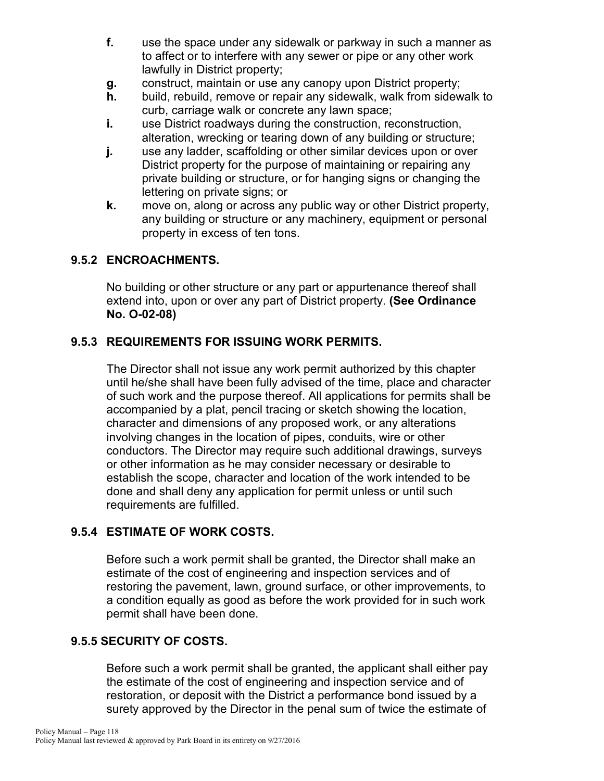- **f.** use the space under any sidewalk or parkway in such a manner as to affect or to interfere with any sewer or pipe or any other work lawfully in District property;
- **g.** construct, maintain or use any canopy upon District property;
- **h.** build, rebuild, remove or repair any sidewalk, walk from sidewalk to curb, carriage walk or concrete any lawn space;
- **i.** use District roadways during the construction, reconstruction, alteration, wrecking or tearing down of any building or structure;
- **j.** use any ladder, scaffolding or other similar devices upon or over District property for the purpose of maintaining or repairing any private building or structure, or for hanging signs or changing the lettering on private signs; or
- **k.** move on, along or across any public way or other District property, any building or structure or any machinery, equipment or personal property in excess of ten tons.

## **9.5.2 ENCROACHMENTS.**

No building or other structure or any part or appurtenance thereof shall extend into, upon or over any part of District property. **(See Ordinance No. O-02-08)**

## **9.5.3 REQUIREMENTS FOR ISSUING WORK PERMITS.**

The Director shall not issue any work permit authorized by this chapter until he/she shall have been fully advised of the time, place and character of such work and the purpose thereof. All applications for permits shall be accompanied by a plat, pencil tracing or sketch showing the location, character and dimensions of any proposed work, or any alterations involving changes in the location of pipes, conduits, wire or other conductors. The Director may require such additional drawings, surveys or other information as he may consider necessary or desirable to establish the scope, character and location of the work intended to be done and shall deny any application for permit unless or until such requirements are fulfilled.

## **9.5.4 ESTIMATE OF WORK COSTS.**

Before such a work permit shall be granted, the Director shall make an estimate of the cost of engineering and inspection services and of restoring the pavement, lawn, ground surface, or other improvements, to a condition equally as good as before the work provided for in such work permit shall have been done.

## **9.5.5 SECURITY OF COSTS.**

Before such a work permit shall be granted, the applicant shall either pay the estimate of the cost of engineering and inspection service and of restoration, or deposit with the District a performance bond issued by a surety approved by the Director in the penal sum of twice the estimate of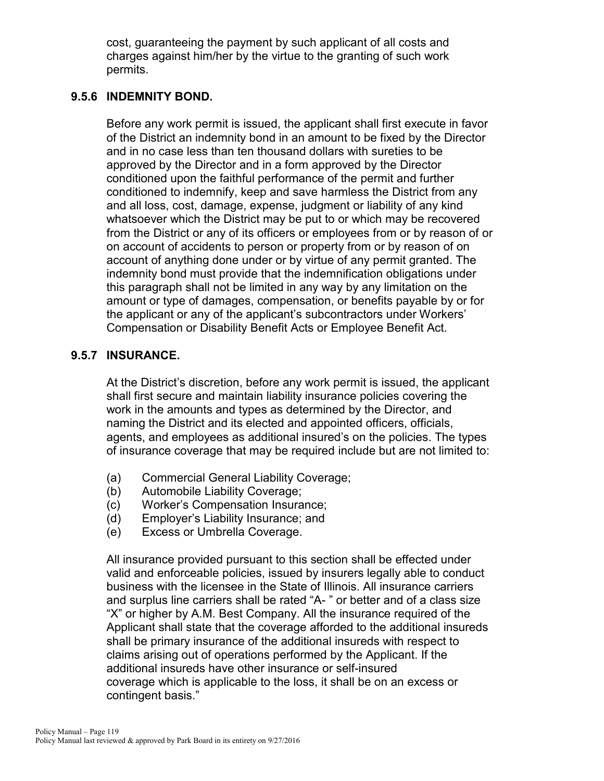cost, guaranteeing the payment by such applicant of all costs and charges against him/her by the virtue to the granting of such work permits.

#### **9.5.6 INDEMNITY BOND.**

Before any work permit is issued, the applicant shall first execute in favor of the District an indemnity bond in an amount to be fixed by the Director and in no case less than ten thousand dollars with sureties to be approved by the Director and in a form approved by the Director conditioned upon the faithful performance of the permit and further conditioned to indemnify, keep and save harmless the District from any and all loss, cost, damage, expense, judgment or liability of any kind whatsoever which the District may be put to or which may be recovered from the District or any of its officers or employees from or by reason of or on account of accidents to person or property from or by reason of on account of anything done under or by virtue of any permit granted. The indemnity bond must provide that the indemnification obligations under this paragraph shall not be limited in any way by any limitation on the amount or type of damages, compensation, or benefits payable by or for the applicant or any of the applicant's subcontractors under Workers' Compensation or Disability Benefit Acts or Employee Benefit Act.

#### **9.5.7 INSURANCE.**

At the District's discretion, before any work permit is issued, the applicant shall first secure and maintain liability insurance policies covering the work in the amounts and types as determined by the Director, and naming the District and its elected and appointed officers, officials, agents, and employees as additional insured's on the policies. The types of insurance coverage that may be required include but are not limited to:

- (a) Commercial General Liability Coverage;
- (b) Automobile Liability Coverage;
- (c) Worker's Compensation Insurance;
- (d) Employer's Liability Insurance; and
- (e) Excess or Umbrella Coverage.

All insurance provided pursuant to this section shall be effected under valid and enforceable policies, issued by insurers legally able to conduct business with the licensee in the State of Illinois. All insurance carriers and surplus line carriers shall be rated "A- " or better and of a class size "X" or higher by A.M. Best Company. All the insurance required of the Applicant shall state that the coverage afforded to the additional insureds shall be primary insurance of the additional insureds with respect to claims arising out of operations performed by the Applicant. If the additional insureds have other insurance or self-insured coverage which is applicable to the loss, it shall be on an excess or contingent basis."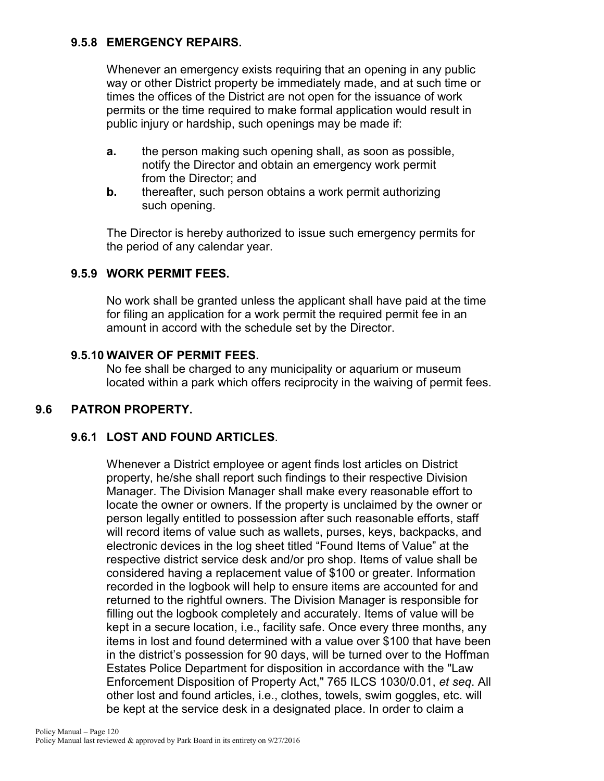## **9.5.8 EMERGENCY REPAIRS.**

Whenever an emergency exists requiring that an opening in any public way or other District property be immediately made, and at such time or times the offices of the District are not open for the issuance of work permits or the time required to make formal application would result in public injury or hardship, such openings may be made if:

- **a.** the person making such opening shall, as soon as possible, notify the Director and obtain an emergency work permit from the Director; and
- **b.** thereafter, such person obtains a work permit authorizing such opening.

The Director is hereby authorized to issue such emergency permits for the period of any calendar year.

#### **9.5.9 WORK PERMIT FEES.**

No work shall be granted unless the applicant shall have paid at the time for filing an application for a work permit the required permit fee in an amount in accord with the schedule set by the Director.

#### **9.5.10 WAIVER OF PERMIT FEES.**

No fee shall be charged to any municipality or aquarium or museum located within a park which offers reciprocity in the waiving of permit fees.

#### **9.6 PATRON PROPERTY.**

#### **9.6.1 LOST AND FOUND ARTICLES**.

Whenever a District employee or agent finds lost articles on District property, he/she shall report such findings to their respective Division Manager. The Division Manager shall make every reasonable effort to locate the owner or owners. If the property is unclaimed by the owner or person legally entitled to possession after such reasonable efforts, staff will record items of value such as wallets, purses, keys, backpacks, and electronic devices in the log sheet titled "Found Items of Value" at the respective district service desk and/or pro shop. Items of value shall be considered having a replacement value of \$100 or greater. Information recorded in the logbook will help to ensure items are accounted for and returned to the rightful owners. The Division Manager is responsible for filling out the logbook completely and accurately. Items of value will be kept in a secure location, i.e., facility safe. Once every three months, any items in lost and found determined with a value over \$100 that have been in the district's possession for 90 days, will be turned over to the Hoffman Estates Police Department for disposition in accordance with the "Law Enforcement Disposition of Property Act," 765 ILCS 1030/0.01, *et seq*. All other lost and found articles, i.e., clothes, towels, swim goggles, etc. will be kept at the service desk in a designated place. In order to claim a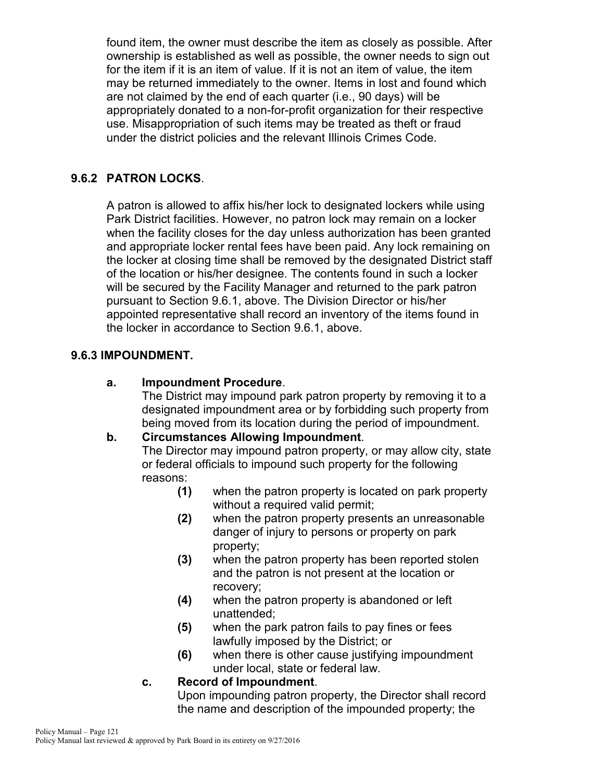found item, the owner must describe the item as closely as possible. After ownership is established as well as possible, the owner needs to sign out for the item if it is an item of value. If it is not an item of value, the item may be returned immediately to the owner. Items in lost and found which are not claimed by the end of each quarter (i.e., 90 days) will be appropriately donated to a non-for-profit organization for their respective use. Misappropriation of such items may be treated as theft or fraud under the district policies and the relevant Illinois Crimes Code.

## **9.6.2 PATRON LOCKS**.

A patron is allowed to affix his/her lock to designated lockers while using Park District facilities. However, no patron lock may remain on a locker when the facility closes for the day unless authorization has been granted and appropriate locker rental fees have been paid. Any lock remaining on the locker at closing time shall be removed by the designated District staff of the location or his/her designee. The contents found in such a locker will be secured by the Facility Manager and returned to the park patron pursuant to Section 9.6.1, above. The Division Director or his/her appointed representative shall record an inventory of the items found in the locker in accordance to Section 9.6.1, above.

#### **9.6.3 IMPOUNDMENT.**

#### **a. Impoundment Procedure**.

The District may impound park patron property by removing it to a designated impoundment area or by forbidding such property from being moved from its location during the period of impoundment.

## **b. Circumstances Allowing Impoundment**.

The Director may impound patron property, or may allow city, state or federal officials to impound such property for the following reasons:

- **(1)** when the patron property is located on park property without a required valid permit;
- **(2)** when the patron property presents an unreasonable danger of injury to persons or property on park property;
- **(3)** when the patron property has been reported stolen and the patron is not present at the location or recovery;
- **(4)** when the patron property is abandoned or left unattended;
- **(5)** when the park patron fails to pay fines or fees lawfully imposed by the District; or
- **(6)** when there is other cause justifying impoundment under local, state or federal law.

## **c. Record of Impoundment**.

Upon impounding patron property, the Director shall record the name and description of the impounded property; the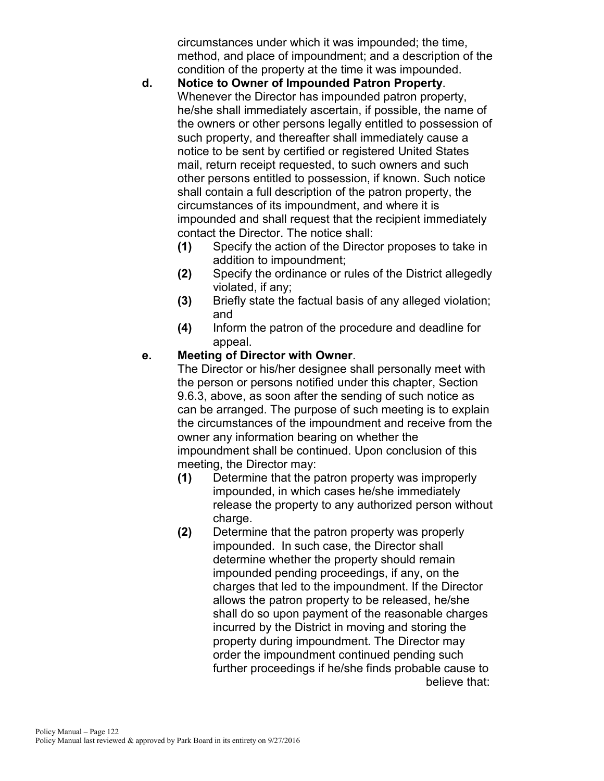circumstances under which it was impounded; the time, method, and place of impoundment; and a description of the condition of the property at the time it was impounded.

- **d. Notice to Owner of Impounded Patron Property**. Whenever the Director has impounded patron property, he/she shall immediately ascertain, if possible, the name of the owners or other persons legally entitled to possession of such property, and thereafter shall immediately cause a notice to be sent by certified or registered United States mail, return receipt requested, to such owners and such other persons entitled to possession, if known. Such notice shall contain a full description of the patron property, the circumstances of its impoundment, and where it is impounded and shall request that the recipient immediately contact the Director. The notice shall:
	- **(1)** Specify the action of the Director proposes to take in addition to impoundment;
	- **(2)** Specify the ordinance or rules of the District allegedly violated, if any;
	- **(3)** Briefly state the factual basis of any alleged violation; and
	- **(4)** Inform the patron of the procedure and deadline for appeal.

## **e. Meeting of Director with Owner**.

The Director or his/her designee shall personally meet with the person or persons notified under this chapter, Section 9.6.3, above, as soon after the sending of such notice as can be arranged. The purpose of such meeting is to explain the circumstances of the impoundment and receive from the owner any information bearing on whether the impoundment shall be continued. Upon conclusion of this meeting, the Director may:

- **(1)** Determine that the patron property was improperly impounded, in which cases he/she immediately release the property to any authorized person without charge.
- **(2)** Determine that the patron property was properly impounded. In such case, the Director shall determine whether the property should remain impounded pending proceedings, if any, on the charges that led to the impoundment. If the Director allows the patron property to be released, he/she shall do so upon payment of the reasonable charges incurred by the District in moving and storing the property during impoundment. The Director may order the impoundment continued pending such further proceedings if he/she finds probable cause to believe that: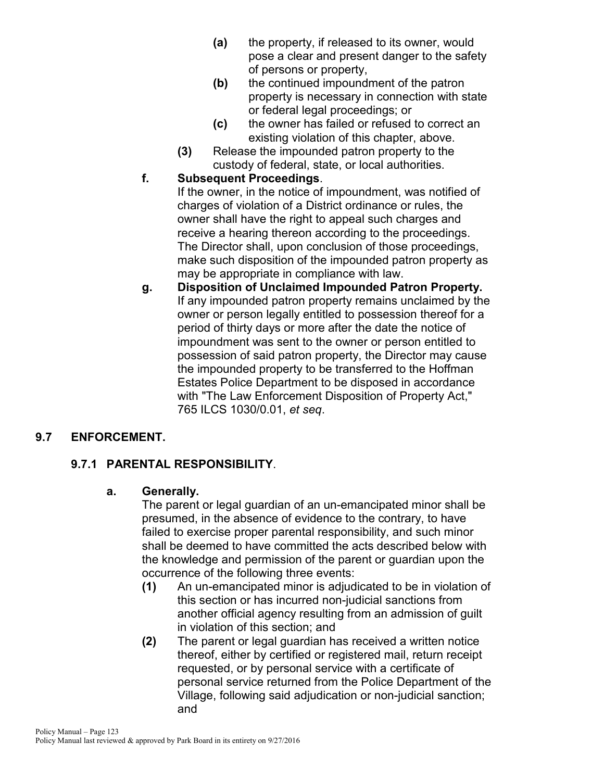- **(a)** the property, if released to its owner, would pose a clear and present danger to the safety of persons or property,
- **(b)** the continued impoundment of the patron property is necessary in connection with state or federal legal proceedings; or
- **(c)** the owner has failed or refused to correct an existing violation of this chapter, above.
- **(3)** Release the impounded patron property to the custody of federal, state, or local authorities.

## **f. Subsequent Proceedings**.

If the owner, in the notice of impoundment, was notified of charges of violation of a District ordinance or rules, the owner shall have the right to appeal such charges and receive a hearing thereon according to the proceedings. The Director shall, upon conclusion of those proceedings, make such disposition of the impounded patron property as may be appropriate in compliance with law.

**g. Disposition of Unclaimed Impounded Patron Property.** If any impounded patron property remains unclaimed by the owner or person legally entitled to possession thereof for a period of thirty days or more after the date the notice of impoundment was sent to the owner or person entitled to possession of said patron property, the Director may cause the impounded property to be transferred to the Hoffman Estates Police Department to be disposed in accordance with "The Law Enforcement Disposition of Property Act," 765 ILCS 1030/0.01, *et seq*.

## **9.7 ENFORCEMENT.**

## **9.7.1 PARENTAL RESPONSIBILITY**.

## **a. Generally.**

The parent or legal guardian of an un-emancipated minor shall be presumed, in the absence of evidence to the contrary, to have failed to exercise proper parental responsibility, and such minor shall be deemed to have committed the acts described below with the knowledge and permission of the parent or guardian upon the occurrence of the following three events:

- **(1)** An un-emancipated minor is adjudicated to be in violation of this section or has incurred non-judicial sanctions from another official agency resulting from an admission of guilt in violation of this section; and
- **(2)** The parent or legal guardian has received a written notice thereof, either by certified or registered mail, return receipt requested, or by personal service with a certificate of personal service returned from the Police Department of the Village, following said adjudication or non-judicial sanction; and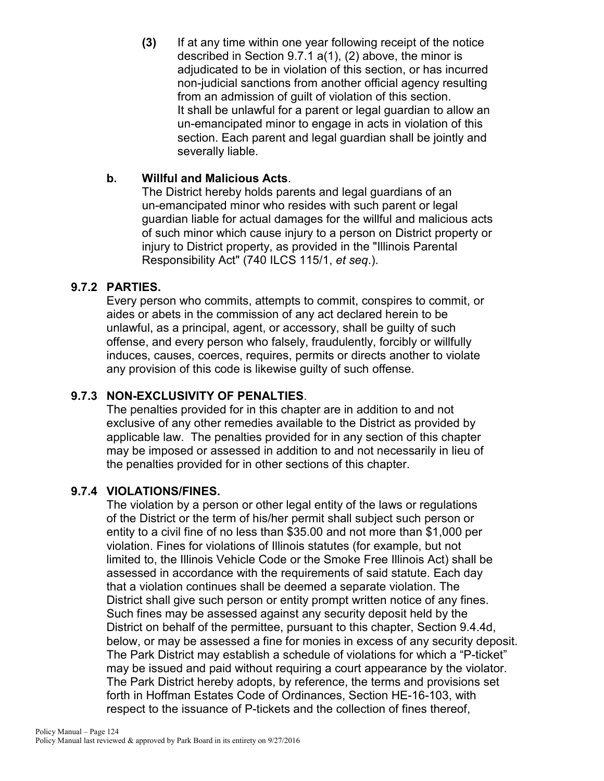**(3)** If at any time within one year following receipt of the notice described in Section 9.7.1 a(1), (2) above, the minor is adjudicated to be in violation of this section, or has incurred non-judicial sanctions from another official agency resulting from an admission of guilt of violation of this section. It shall be unlawful for a parent or legal guardian to allow an un-emancipated minor to engage in acts in violation of this section. Each parent and legal guardian shall be jointly and severally liable.

## **b. Willful and Malicious Acts**.

The District hereby holds parents and legal guardians of an un-emancipated minor who resides with such parent or legal guardian liable for actual damages for the willful and malicious acts of such minor which cause injury to a person on District property or injury to District property, as provided in the "Illinois Parental Responsibility Act" (740 ILCS 115/1, *et seq*.).

## **9.7.2 PARTIES.**

Every person who commits, attempts to commit, conspires to commit, or aides or abets in the commission of any act declared herein to be unlawful, as a principal, agent, or accessory, shall be guilty of such offense, and every person who falsely, fraudulently, forcibly or willfully induces, causes, coerces, requires, permits or directs another to violate any provision of this code is likewise guilty of such offense.

## **9.7.3 NON-EXCLUSIVITY OF PENALTIES**.

The penalties provided for in this chapter are in addition to and not exclusive of any other remedies available to the District as provided by applicable law. The penalties provided for in any section of this chapter may be imposed or assessed in addition to and not necessarily in lieu of the penalties provided for in other sections of this chapter.

## **9.7.4 VIOLATIONS/FINES.**

The violation by a person or other legal entity of the laws or regulations of the District or the term of his/her permit shall subject such person or entity to a civil fine of no less than \$35.00 and not more than \$1,000 per violation. Fines for violations of Illinois statutes (for example, but not limited to, the Illinois Vehicle Code or the Smoke Free Illinois Act) shall be assessed in accordance with the requirements of said statute. Each day that a violation continues shall be deemed a separate violation. The District shall give such person or entity prompt written notice of any fines. Such fines may be assessed against any security deposit held by the District on behalf of the permittee, pursuant to this chapter, Section 9.4.4d, below, or may be assessed a fine for monies in excess of any security deposit. The Park District may establish a schedule of violations for which a "P-ticket" may be issued and paid without requiring a court appearance by the violator. The Park District hereby adopts, by reference, the terms and provisions set forth in Hoffman Estates Code of Ordinances, Section HE-16-103, with respect to the issuance of P-tickets and the collection of fines thereof,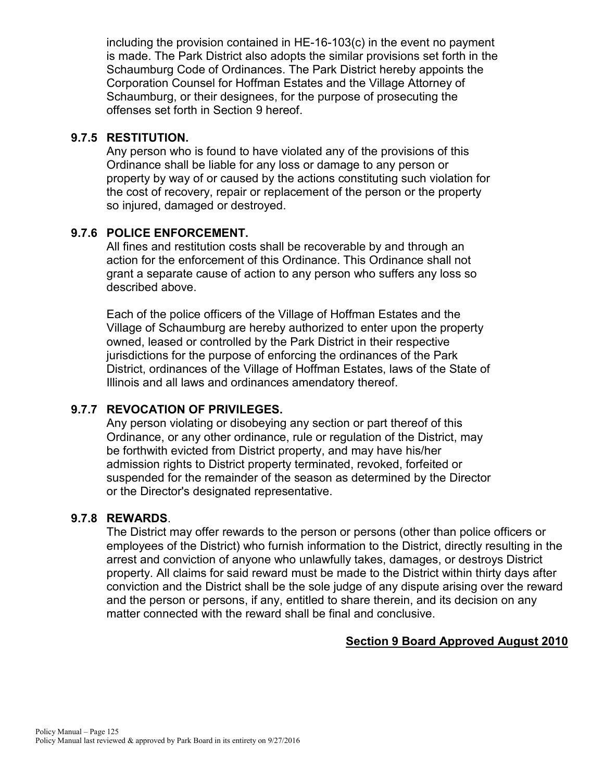including the provision contained in HE-16-103(c) in the event no payment is made. The Park District also adopts the similar provisions set forth in the Schaumburg Code of Ordinances. The Park District hereby appoints the Corporation Counsel for Hoffman Estates and the Village Attorney of Schaumburg, or their designees, for the purpose of prosecuting the offenses set forth in Section 9 hereof.

### **9.7.5 RESTITUTION.**

Any person who is found to have violated any of the provisions of this Ordinance shall be liable for any loss or damage to any person or property by way of or caused by the actions constituting such violation for the cost of recovery, repair or replacement of the person or the property so injured, damaged or destroyed.

## **9.7.6 POLICE ENFORCEMENT.**

All fines and restitution costs shall be recoverable by and through an action for the enforcement of this Ordinance. This Ordinance shall not grant a separate cause of action to any person who suffers any loss so described above.

Each of the police officers of the Village of Hoffman Estates and the Village of Schaumburg are hereby authorized to enter upon the property owned, leased or controlled by the Park District in their respective jurisdictions for the purpose of enforcing the ordinances of the Park District, ordinances of the Village of Hoffman Estates, laws of the State of Illinois and all laws and ordinances amendatory thereof.

## **9.7.7 REVOCATION OF PRIVILEGES.**

Any person violating or disobeying any section or part thereof of this Ordinance, or any other ordinance, rule or regulation of the District, may be forthwith evicted from District property, and may have his/her admission rights to District property terminated, revoked, forfeited or suspended for the remainder of the season as determined by the Director or the Director's designated representative.

#### **9.7.8 REWARDS**.

The District may offer rewards to the person or persons (other than police officers or employees of the District) who furnish information to the District, directly resulting in the arrest and conviction of anyone who unlawfully takes, damages, or destroys District property. All claims for said reward must be made to the District within thirty days after conviction and the District shall be the sole judge of any dispute arising over the reward and the person or persons, if any, entitled to share therein, and its decision on any matter connected with the reward shall be final and conclusive.

#### **Section 9 Board Approved August 2010**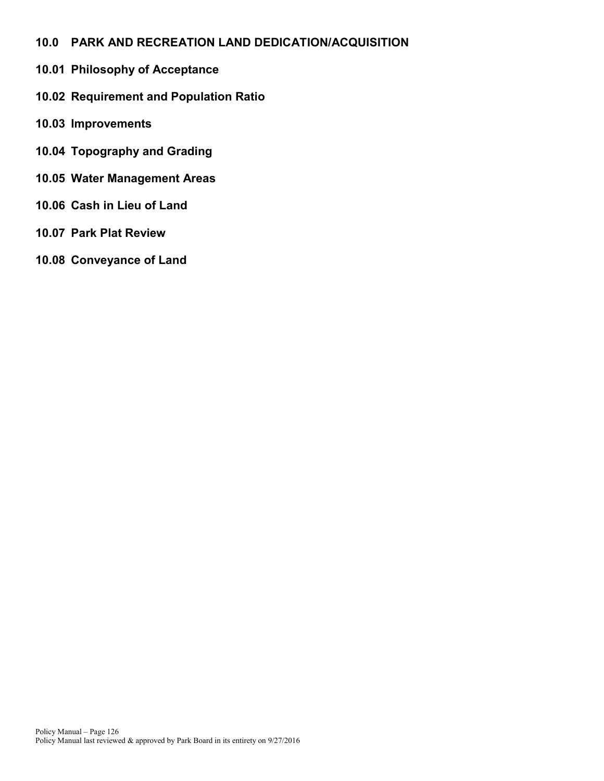- **10.0 PARK AND RECREATION LAND DEDICATION/ACQUISITION**
- **10.01 Philosophy of Acceptance**
- **10.02 Requirement and Population Ratio**
- **10.03 Improvements**
- **10.04 Topography and Grading**
- **10.05 Water Management Areas**
- **10.06 Cash in Lieu of Land**
- **10.07 Park Plat Review**
- **10.08 Conveyance of Land**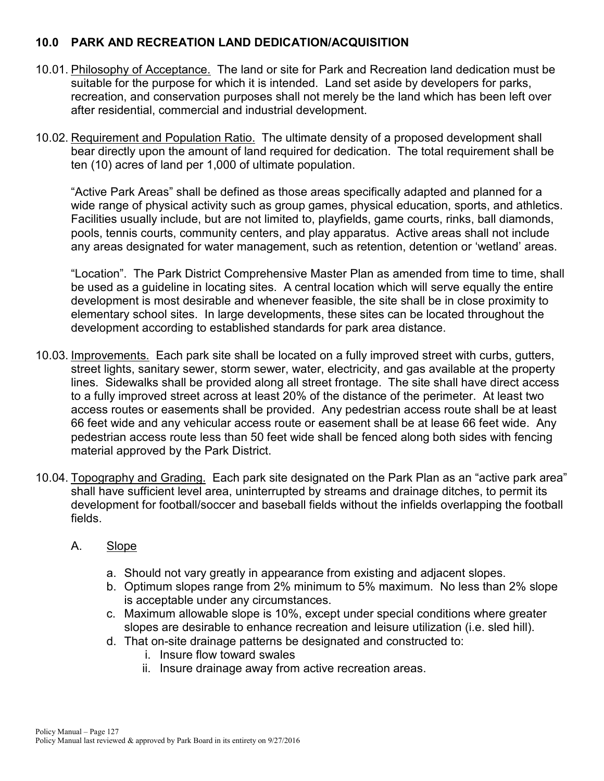## **10.0 PARK AND RECREATION LAND DEDICATION/ACQUISITION**

- 10.01. Philosophy of Acceptance. The land or site for Park and Recreation land dedication must be suitable for the purpose for which it is intended. Land set aside by developers for parks, recreation, and conservation purposes shall not merely be the land which has been left over after residential, commercial and industrial development.
- 10.02. Requirement and Population Ratio. The ultimate density of a proposed development shall bear directly upon the amount of land required for dedication. The total requirement shall be ten (10) acres of land per 1,000 of ultimate population.

"Active Park Areas" shall be defined as those areas specifically adapted and planned for a wide range of physical activity such as group games, physical education, sports, and athletics. Facilities usually include, but are not limited to, playfields, game courts, rinks, ball diamonds, pools, tennis courts, community centers, and play apparatus. Active areas shall not include any areas designated for water management, such as retention, detention or 'wetland' areas.

"Location". The Park District Comprehensive Master Plan as amended from time to time, shall be used as a guideline in locating sites. A central location which will serve equally the entire development is most desirable and whenever feasible, the site shall be in close proximity to elementary school sites. In large developments, these sites can be located throughout the development according to established standards for park area distance.

- 10.03. Improvements. Each park site shall be located on a fully improved street with curbs, gutters, street lights, sanitary sewer, storm sewer, water, electricity, and gas available at the property lines. Sidewalks shall be provided along all street frontage. The site shall have direct access to a fully improved street across at least 20% of the distance of the perimeter. At least two access routes or easements shall be provided. Any pedestrian access route shall be at least 66 feet wide and any vehicular access route or easement shall be at lease 66 feet wide. Any pedestrian access route less than 50 feet wide shall be fenced along both sides with fencing material approved by the Park District.
- 10.04. Topography and Grading. Each park site designated on the Park Plan as an "active park area" shall have sufficient level area, uninterrupted by streams and drainage ditches, to permit its development for football/soccer and baseball fields without the infields overlapping the football fields.

#### A. Slope

- a. Should not vary greatly in appearance from existing and adjacent slopes.
- b. Optimum slopes range from 2% minimum to 5% maximum. No less than 2% slope is acceptable under any circumstances.
- c. Maximum allowable slope is 10%, except under special conditions where greater slopes are desirable to enhance recreation and leisure utilization (i.e. sled hill).
- d. That on-site drainage patterns be designated and constructed to:
	- i. Insure flow toward swales
	- ii. Insure drainage away from active recreation areas.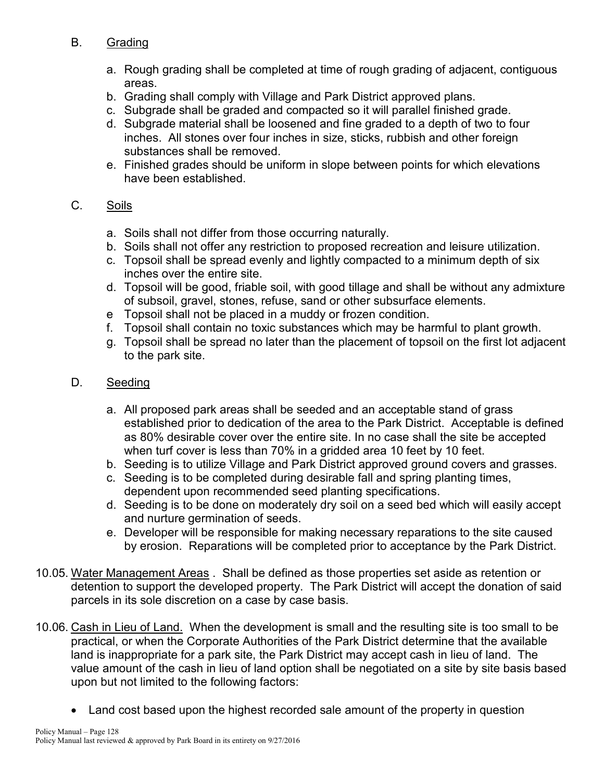## B. Grading

- a. Rough grading shall be completed at time of rough grading of adjacent, contiguous areas.
- b. Grading shall comply with Village and Park District approved plans.
- c. Subgrade shall be graded and compacted so it will parallel finished grade.
- d. Subgrade material shall be loosened and fine graded to a depth of two to four inches. All stones over four inches in size, sticks, rubbish and other foreign substances shall be removed.
- e. Finished grades should be uniform in slope between points for which elevations have been established.

## C. Soils

- a. Soils shall not differ from those occurring naturally.
- b. Soils shall not offer any restriction to proposed recreation and leisure utilization.
- c. Topsoil shall be spread evenly and lightly compacted to a minimum depth of six inches over the entire site.
- d. Topsoil will be good, friable soil, with good tillage and shall be without any admixture of subsoil, gravel, stones, refuse, sand or other subsurface elements.
- e Topsoil shall not be placed in a muddy or frozen condition.
- f. Topsoil shall contain no toxic substances which may be harmful to plant growth.
- g. Topsoil shall be spread no later than the placement of topsoil on the first lot adjacent to the park site.

## D. Seeding

- a. All proposed park areas shall be seeded and an acceptable stand of grass established prior to dedication of the area to the Park District. Acceptable is defined as 80% desirable cover over the entire site. In no case shall the site be accepted when turf cover is less than 70% in a gridded area 10 feet by 10 feet.
- b. Seeding is to utilize Village and Park District approved ground covers and grasses.
- c. Seeding is to be completed during desirable fall and spring planting times, dependent upon recommended seed planting specifications.
- d. Seeding is to be done on moderately dry soil on a seed bed which will easily accept and nurture germination of seeds.
- e. Developer will be responsible for making necessary reparations to the site caused by erosion. Reparations will be completed prior to acceptance by the Park District.
- 10.05. Water Management Areas . Shall be defined as those properties set aside as retention or detention to support the developed property. The Park District will accept the donation of said parcels in its sole discretion on a case by case basis.
- 10.06. Cash in Lieu of Land. When the development is small and the resulting site is too small to be practical, or when the Corporate Authorities of the Park District determine that the available land is inappropriate for a park site, the Park District may accept cash in lieu of land. The value amount of the cash in lieu of land option shall be negotiated on a site by site basis based upon but not limited to the following factors:
	- Land cost based upon the highest recorded sale amount of the property in question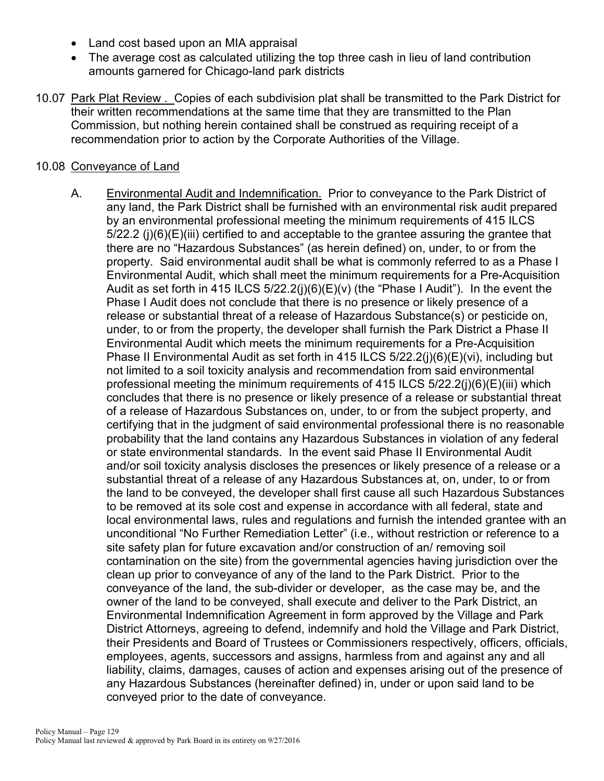- Land cost based upon an MIA appraisal
- The average cost as calculated utilizing the top three cash in lieu of land contribution amounts garnered for Chicago-land park districts
- 10.07 Park Plat Review . Copies of each subdivision plat shall be transmitted to the Park District for their written recommendations at the same time that they are transmitted to the Plan Commission, but nothing herein contained shall be construed as requiring receipt of a recommendation prior to action by the Corporate Authorities of the Village.

#### 10.08 Conveyance of Land

A. Environmental Audit and Indemnification. Prior to conveyance to the Park District of any land, the Park District shall be furnished with an environmental risk audit prepared by an environmental professional meeting the minimum requirements of 415 ILCS 5/22.2 (j)(6)(E)(iii) certified to and acceptable to the grantee assuring the grantee that there are no "Hazardous Substances" (as herein defined) on, under, to or from the property. Said environmental audit shall be what is commonly referred to as a Phase I Environmental Audit, which shall meet the minimum requirements for a Pre-Acquisition Audit as set forth in 415 ILCS  $5/22.2(i)(6)(E)(v)$  (the "Phase I Audit"). In the event the Phase I Audit does not conclude that there is no presence or likely presence of a release or substantial threat of a release of Hazardous Substance(s) or pesticide on, under, to or from the property, the developer shall furnish the Park District a Phase II Environmental Audit which meets the minimum requirements for a Pre-Acquisition Phase II Environmental Audit as set forth in 415 ILCS 5/22.2(j)(6)(E)(vi), including but not limited to a soil toxicity analysis and recommendation from said environmental professional meeting the minimum requirements of 415 ILCS  $5/22.2(i)(6)(E)(iii)$  which concludes that there is no presence or likely presence of a release or substantial threat of a release of Hazardous Substances on, under, to or from the subject property, and certifying that in the judgment of said environmental professional there is no reasonable probability that the land contains any Hazardous Substances in violation of any federal or state environmental standards. In the event said Phase II Environmental Audit and/or soil toxicity analysis discloses the presences or likely presence of a release or a substantial threat of a release of any Hazardous Substances at, on, under, to or from the land to be conveyed, the developer shall first cause all such Hazardous Substances to be removed at its sole cost and expense in accordance with all federal, state and local environmental laws, rules and regulations and furnish the intended grantee with an unconditional "No Further Remediation Letter" (i.e., without restriction or reference to a site safety plan for future excavation and/or construction of an/ removing soil contamination on the site) from the governmental agencies having jurisdiction over the clean up prior to conveyance of any of the land to the Park District. Prior to the conveyance of the land, the sub-divider or developer, as the case may be, and the owner of the land to be conveyed, shall execute and deliver to the Park District, an Environmental Indemnification Agreement in form approved by the Village and Park District Attorneys, agreeing to defend, indemnify and hold the Village and Park District, their Presidents and Board of Trustees or Commissioners respectively, officers, officials, employees, agents, successors and assigns, harmless from and against any and all liability, claims, damages, causes of action and expenses arising out of the presence of any Hazardous Substances (hereinafter defined) in, under or upon said land to be conveyed prior to the date of conveyance.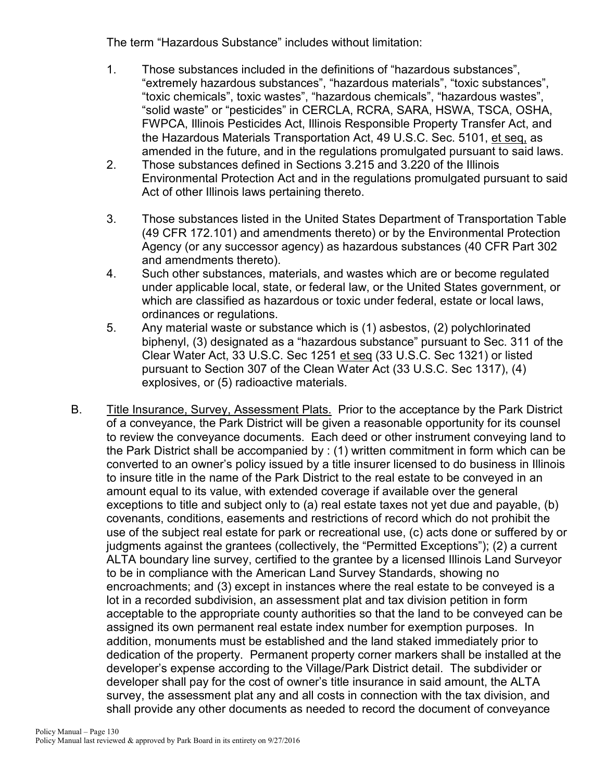The term "Hazardous Substance" includes without limitation:

- 1. Those substances included in the definitions of "hazardous substances", "extremely hazardous substances", "hazardous materials", "toxic substances", "toxic chemicals", toxic wastes", "hazardous chemicals", "hazardous wastes", "solid waste" or "pesticides" in CERCLA, RCRA, SARA, HSWA, TSCA, OSHA, FWPCA, Illinois Pesticides Act, Illinois Responsible Property Transfer Act, and the Hazardous Materials Transportation Act, 49 U.S.C. Sec. 5101, et seq, as amended in the future, and in the regulations promulgated pursuant to said laws.
- 2. Those substances defined in Sections 3.215 and 3.220 of the Illinois Environmental Protection Act and in the regulations promulgated pursuant to said Act of other Illinois laws pertaining thereto.
- 3. Those substances listed in the United States Department of Transportation Table (49 CFR 172.101) and amendments thereto) or by the Environmental Protection Agency (or any successor agency) as hazardous substances (40 CFR Part 302 and amendments thereto).
- 4. Such other substances, materials, and wastes which are or become regulated under applicable local, state, or federal law, or the United States government, or which are classified as hazardous or toxic under federal, estate or local laws, ordinances or regulations.
- 5. Any material waste or substance which is (1) asbestos, (2) polychlorinated biphenyl, (3) designated as a "hazardous substance" pursuant to Sec. 311 of the Clear Water Act, 33 U.S.C. Sec 1251 et seq (33 U.S.C. Sec 1321) or listed pursuant to Section 307 of the Clean Water Act (33 U.S.C. Sec 1317), (4) explosives, or (5) radioactive materials.
- B. Title Insurance, Survey, Assessment Plats. Prior to the acceptance by the Park District of a conveyance, the Park District will be given a reasonable opportunity for its counsel to review the conveyance documents. Each deed or other instrument conveying land to the Park District shall be accompanied by : (1) written commitment in form which can be converted to an owner's policy issued by a title insurer licensed to do business in Illinois to insure title in the name of the Park District to the real estate to be conveyed in an amount equal to its value, with extended coverage if available over the general exceptions to title and subject only to (a) real estate taxes not yet due and payable, (b) covenants, conditions, easements and restrictions of record which do not prohibit the use of the subject real estate for park or recreational use, (c) acts done or suffered by or judgments against the grantees (collectively, the "Permitted Exceptions"); (2) a current ALTA boundary line survey, certified to the grantee by a licensed Illinois Land Surveyor to be in compliance with the American Land Survey Standards, showing no encroachments; and (3) except in instances where the real estate to be conveyed is a lot in a recorded subdivision, an assessment plat and tax division petition in form acceptable to the appropriate county authorities so that the land to be conveyed can be assigned its own permanent real estate index number for exemption purposes. In addition, monuments must be established and the land staked immediately prior to dedication of the property. Permanent property corner markers shall be installed at the developer's expense according to the Village/Park District detail. The subdivider or developer shall pay for the cost of owner's title insurance in said amount, the ALTA survey, the assessment plat any and all costs in connection with the tax division, and shall provide any other documents as needed to record the document of conveyance